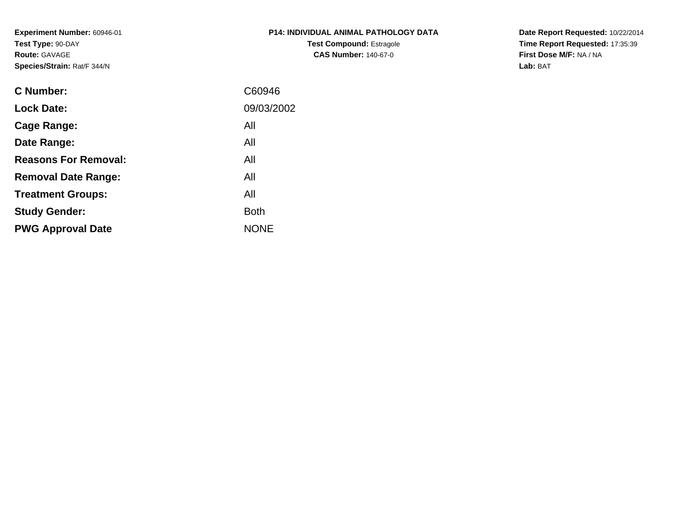**Experiment Number:** 60946-01**Test Type:** 90-DAY**Route:** GAVAGE**Species/Strain:** Rat/F 344/N

| <b>P14: INDIVIDUAL ANIMAL PATHOLOGY DATA</b> |
|----------------------------------------------|
| <b>Test Compound: Estragole</b>              |
| <b>CAS Number: 140-67-0</b>                  |

**Date Report Requested:** 10/22/2014 **Time Report Requested:** 17:35:39**First Dose M/F:** NA / NA**Lab:** BAT

| <b>C</b> Number:            | C60946      |
|-----------------------------|-------------|
| <b>Lock Date:</b>           | 09/03/2002  |
| Cage Range:                 | All         |
| Date Range:                 | All         |
| <b>Reasons For Removal:</b> | All         |
| <b>Removal Date Range:</b>  | All         |
| <b>Treatment Groups:</b>    | All         |
| <b>Study Gender:</b>        | <b>Both</b> |
| <b>PWG Approval Date</b>    | <b>NONE</b> |
|                             |             |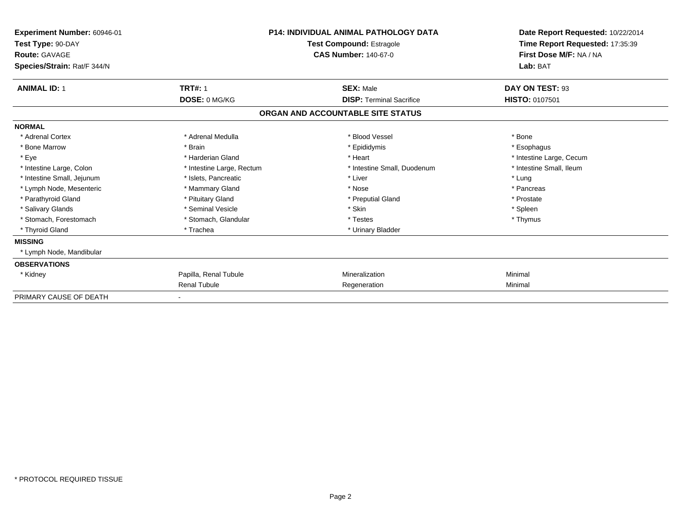| Experiment Number: 60946-01<br>Test Type: 90-DAY<br><b>Route: GAVAGE</b><br>Species/Strain: Rat/F 344/N |                           | <b>P14: INDIVIDUAL ANIMAL PATHOLOGY DATA</b><br>Test Compound: Estragole<br><b>CAS Number: 140-67-0</b> | Date Report Requested: 10/22/2014<br>Time Report Requested: 17:35:39<br>First Dose M/F: NA / NA<br>Lab: BAT |
|---------------------------------------------------------------------------------------------------------|---------------------------|---------------------------------------------------------------------------------------------------------|-------------------------------------------------------------------------------------------------------------|
| <b>ANIMAL ID: 1</b>                                                                                     | <b>TRT#: 1</b>            | <b>SEX: Male</b>                                                                                        | DAY ON TEST: 93                                                                                             |
|                                                                                                         | DOSE: 0 MG/KG             | <b>DISP: Terminal Sacrifice</b>                                                                         | <b>HISTO: 0107501</b>                                                                                       |
|                                                                                                         |                           | ORGAN AND ACCOUNTABLE SITE STATUS                                                                       |                                                                                                             |
| <b>NORMAL</b>                                                                                           |                           |                                                                                                         |                                                                                                             |
| * Adrenal Cortex                                                                                        | * Adrenal Medulla         | * Blood Vessel                                                                                          | * Bone                                                                                                      |
| * Bone Marrow                                                                                           | * Brain                   | * Epididymis                                                                                            | * Esophagus                                                                                                 |
| * Eye                                                                                                   | * Harderian Gland         | * Heart                                                                                                 | * Intestine Large, Cecum                                                                                    |
| * Intestine Large, Colon                                                                                | * Intestine Large, Rectum | * Intestine Small, Duodenum                                                                             | * Intestine Small, Ileum                                                                                    |
| * Intestine Small, Jejunum                                                                              | * Islets, Pancreatic      | * Liver                                                                                                 | * Lung                                                                                                      |
| * Lymph Node, Mesenteric                                                                                | * Mammary Gland           | * Nose                                                                                                  | * Pancreas                                                                                                  |
| * Parathyroid Gland                                                                                     | * Pituitary Gland         | * Preputial Gland                                                                                       | * Prostate                                                                                                  |
| * Salivary Glands                                                                                       | * Seminal Vesicle         | * Skin                                                                                                  | * Spleen                                                                                                    |
| * Stomach. Forestomach                                                                                  | * Stomach, Glandular      | * Testes                                                                                                | * Thymus                                                                                                    |
| * Thyroid Gland                                                                                         | * Trachea                 | * Urinary Bladder                                                                                       |                                                                                                             |
| <b>MISSING</b>                                                                                          |                           |                                                                                                         |                                                                                                             |
| * Lymph Node, Mandibular                                                                                |                           |                                                                                                         |                                                                                                             |
| <b>OBSERVATIONS</b>                                                                                     |                           |                                                                                                         |                                                                                                             |
| * Kidney                                                                                                | Papilla, Renal Tubule     | Mineralization                                                                                          | Minimal                                                                                                     |
|                                                                                                         | <b>Renal Tubule</b>       | Regeneration                                                                                            | Minimal                                                                                                     |
| PRIMARY CAUSE OF DEATH                                                                                  |                           |                                                                                                         |                                                                                                             |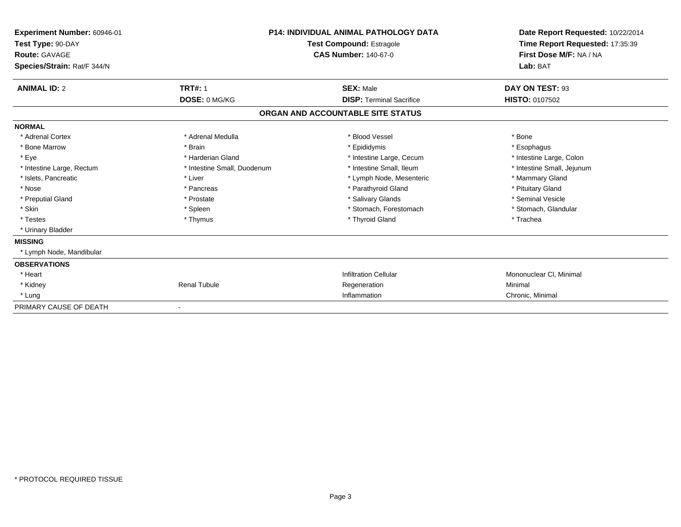| Experiment Number: 60946-01<br>Test Type: 90-DAY<br>Route: GAVAGE<br>Species/Strain: Rat/F 344/N |                             | <b>P14: INDIVIDUAL ANIMAL PATHOLOGY DATA</b><br>Test Compound: Estragole<br><b>CAS Number: 140-67-0</b> | Date Report Requested: 10/22/2014<br>Time Report Requested: 17:35:39<br>First Dose M/F: NA / NA<br>Lab: BAT |
|--------------------------------------------------------------------------------------------------|-----------------------------|---------------------------------------------------------------------------------------------------------|-------------------------------------------------------------------------------------------------------------|
| <b>ANIMAL ID: 2</b>                                                                              | <b>TRT#: 1</b>              | <b>SEX: Male</b>                                                                                        | DAY ON TEST: 93                                                                                             |
|                                                                                                  | DOSE: 0 MG/KG               | <b>DISP: Terminal Sacrifice</b>                                                                         | <b>HISTO: 0107502</b>                                                                                       |
|                                                                                                  |                             | ORGAN AND ACCOUNTABLE SITE STATUS                                                                       |                                                                                                             |
| <b>NORMAL</b>                                                                                    |                             |                                                                                                         |                                                                                                             |
| * Adrenal Cortex                                                                                 | * Adrenal Medulla           | * Blood Vessel                                                                                          | * Bone                                                                                                      |
| * Bone Marrow                                                                                    | * Brain                     | * Epididymis                                                                                            | * Esophagus                                                                                                 |
| * Eye                                                                                            | * Harderian Gland           | * Intestine Large, Cecum                                                                                | * Intestine Large, Colon                                                                                    |
| * Intestine Large, Rectum                                                                        | * Intestine Small, Duodenum | * Intestine Small, Ileum                                                                                | * Intestine Small, Jejunum                                                                                  |
| * Islets, Pancreatic                                                                             | * Liver                     | * Lymph Node, Mesenteric                                                                                | * Mammary Gland                                                                                             |
| * Nose                                                                                           | * Pancreas                  | * Parathyroid Gland                                                                                     | * Pituitary Gland                                                                                           |
| * Preputial Gland                                                                                | * Prostate                  | * Salivary Glands                                                                                       | * Seminal Vesicle                                                                                           |
| * Skin                                                                                           | * Spleen                    | * Stomach, Forestomach                                                                                  | * Stomach, Glandular                                                                                        |
| * Testes                                                                                         | * Thymus                    | * Thyroid Gland                                                                                         | * Trachea                                                                                                   |
| * Urinary Bladder                                                                                |                             |                                                                                                         |                                                                                                             |
| <b>MISSING</b>                                                                                   |                             |                                                                                                         |                                                                                                             |
| * Lymph Node, Mandibular                                                                         |                             |                                                                                                         |                                                                                                             |
| <b>OBSERVATIONS</b>                                                                              |                             |                                                                                                         |                                                                                                             |
| * Heart                                                                                          |                             | <b>Infiltration Cellular</b>                                                                            | Mononuclear CI, Minimal                                                                                     |
| * Kidney                                                                                         | <b>Renal Tubule</b>         | Regeneration                                                                                            | Minimal                                                                                                     |
| * Lung                                                                                           |                             | Inflammation                                                                                            | Chronic, Minimal                                                                                            |
| PRIMARY CAUSE OF DEATH                                                                           |                             |                                                                                                         |                                                                                                             |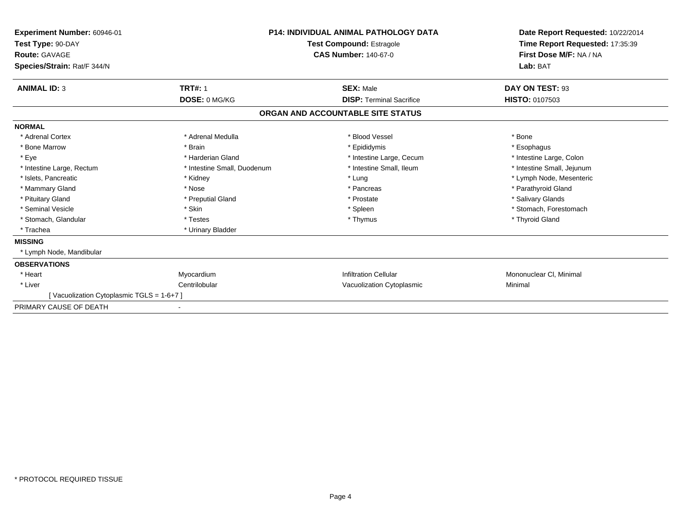| Experiment Number: 60946-01<br>Test Type: 90-DAY<br>Route: GAVAGE<br>Species/Strain: Rat/F 344/N |                             | <b>P14: INDIVIDUAL ANIMAL PATHOLOGY DATA</b><br>Test Compound: Estragole<br><b>CAS Number: 140-67-0</b> | Date Report Requested: 10/22/2014<br>Time Report Requested: 17:35:39<br>First Dose M/F: NA / NA<br>Lab: BAT |
|--------------------------------------------------------------------------------------------------|-----------------------------|---------------------------------------------------------------------------------------------------------|-------------------------------------------------------------------------------------------------------------|
| <b>ANIMAL ID: 3</b>                                                                              | <b>TRT#: 1</b>              | <b>SEX: Male</b>                                                                                        | DAY ON TEST: 93                                                                                             |
|                                                                                                  | DOSE: 0 MG/KG               | <b>DISP: Terminal Sacrifice</b>                                                                         | HISTO: 0107503                                                                                              |
|                                                                                                  |                             | ORGAN AND ACCOUNTABLE SITE STATUS                                                                       |                                                                                                             |
| <b>NORMAL</b>                                                                                    |                             |                                                                                                         |                                                                                                             |
| * Adrenal Cortex                                                                                 | * Adrenal Medulla           | * Blood Vessel                                                                                          | * Bone                                                                                                      |
| * Bone Marrow                                                                                    | * Brain                     | * Epididymis                                                                                            | * Esophagus                                                                                                 |
| * Eye                                                                                            | * Harderian Gland           | * Intestine Large, Cecum                                                                                | * Intestine Large, Colon                                                                                    |
| * Intestine Large, Rectum                                                                        | * Intestine Small, Duodenum | * Intestine Small, Ileum                                                                                | * Intestine Small, Jejunum                                                                                  |
| * Islets, Pancreatic                                                                             | * Kidney                    | * Lung                                                                                                  | * Lymph Node, Mesenteric                                                                                    |
| * Mammary Gland                                                                                  | * Nose                      | * Pancreas                                                                                              | * Parathyroid Gland                                                                                         |
| * Pituitary Gland                                                                                | * Preputial Gland           | * Prostate                                                                                              | * Salivary Glands                                                                                           |
| * Seminal Vesicle                                                                                | * Skin                      | * Spleen                                                                                                | * Stomach, Forestomach                                                                                      |
| * Stomach, Glandular                                                                             | * Testes                    | * Thymus                                                                                                | * Thyroid Gland                                                                                             |
| * Trachea                                                                                        | * Urinary Bladder           |                                                                                                         |                                                                                                             |
| <b>MISSING</b>                                                                                   |                             |                                                                                                         |                                                                                                             |
| * Lymph Node, Mandibular                                                                         |                             |                                                                                                         |                                                                                                             |
| <b>OBSERVATIONS</b>                                                                              |                             |                                                                                                         |                                                                                                             |
| * Heart                                                                                          | Myocardium                  | <b>Infiltration Cellular</b>                                                                            | Mononuclear CI, Minimal                                                                                     |
| * Liver                                                                                          | Centrilobular               | Vacuolization Cytoplasmic                                                                               | Minimal                                                                                                     |
| [Vacuolization Cytoplasmic TGLS = 1-6+7]                                                         |                             |                                                                                                         |                                                                                                             |
| PRIMARY CAUSE OF DEATH                                                                           |                             |                                                                                                         |                                                                                                             |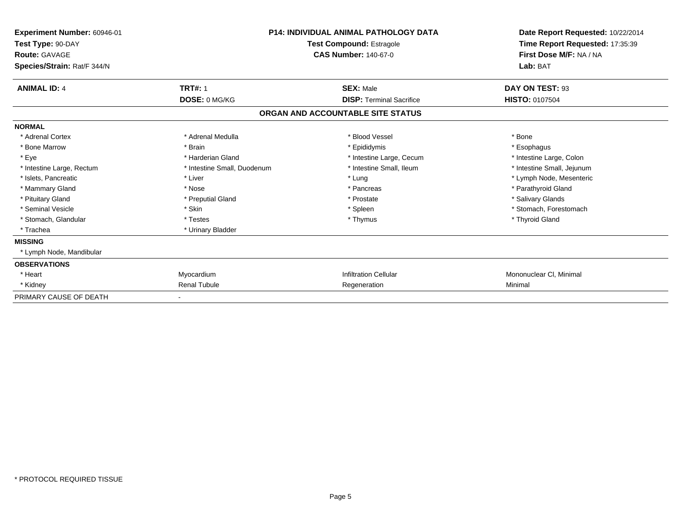| Experiment Number: 60946-01<br>Test Type: 90-DAY<br><b>Route: GAVAGE</b><br>Species/Strain: Rat/F 344/N |                              | <b>P14: INDIVIDUAL ANIMAL PATHOLOGY DATA</b><br><b>Test Compound: Estragole</b><br><b>CAS Number: 140-67-0</b> | Date Report Requested: 10/22/2014<br>Time Report Requested: 17:35:39<br>First Dose M/F: NA / NA<br>Lab: BAT |
|---------------------------------------------------------------------------------------------------------|------------------------------|----------------------------------------------------------------------------------------------------------------|-------------------------------------------------------------------------------------------------------------|
| <b>ANIMAL ID: 4</b>                                                                                     | <b>TRT#: 1</b>               | <b>SEX: Male</b>                                                                                               | DAY ON TEST: 93                                                                                             |
|                                                                                                         | DOSE: 0 MG/KG                | <b>DISP: Terminal Sacrifice</b>                                                                                | <b>HISTO: 0107504</b>                                                                                       |
|                                                                                                         |                              | ORGAN AND ACCOUNTABLE SITE STATUS                                                                              |                                                                                                             |
| <b>NORMAL</b>                                                                                           |                              |                                                                                                                |                                                                                                             |
| * Adrenal Cortex                                                                                        | * Adrenal Medulla            | * Blood Vessel                                                                                                 | * Bone                                                                                                      |
| * Bone Marrow                                                                                           | * Brain                      | * Epididymis                                                                                                   | * Esophagus                                                                                                 |
| * Eye                                                                                                   | * Harderian Gland            | * Intestine Large, Cecum                                                                                       | * Intestine Large, Colon                                                                                    |
| * Intestine Large, Rectum                                                                               | * Intestine Small, Duodenum  | * Intestine Small, Ileum                                                                                       | * Intestine Small, Jejunum                                                                                  |
| * Islets, Pancreatic                                                                                    | * Liver                      | * Lung                                                                                                         | * Lymph Node, Mesenteric                                                                                    |
| * Mammary Gland                                                                                         | * Nose                       | * Pancreas                                                                                                     | * Parathyroid Gland                                                                                         |
| * Pituitary Gland                                                                                       | * Preputial Gland            | * Prostate                                                                                                     | * Salivary Glands                                                                                           |
| * Seminal Vesicle                                                                                       | * Skin                       | * Spleen                                                                                                       | * Stomach, Forestomach                                                                                      |
| * Stomach, Glandular                                                                                    | * Testes                     | * Thymus                                                                                                       | * Thyroid Gland                                                                                             |
| * Trachea                                                                                               | * Urinary Bladder            |                                                                                                                |                                                                                                             |
| <b>MISSING</b>                                                                                          |                              |                                                                                                                |                                                                                                             |
| * Lymph Node, Mandibular                                                                                |                              |                                                                                                                |                                                                                                             |
| <b>OBSERVATIONS</b>                                                                                     |                              |                                                                                                                |                                                                                                             |
| * Heart                                                                                                 | Myocardium                   | <b>Infiltration Cellular</b>                                                                                   | Mononuclear CI, Minimal                                                                                     |
| * Kidney                                                                                                | <b>Renal Tubule</b>          | Regeneration                                                                                                   | Minimal                                                                                                     |
| PRIMARY CAUSE OF DEATH                                                                                  | $\qquad \qquad \blacksquare$ |                                                                                                                |                                                                                                             |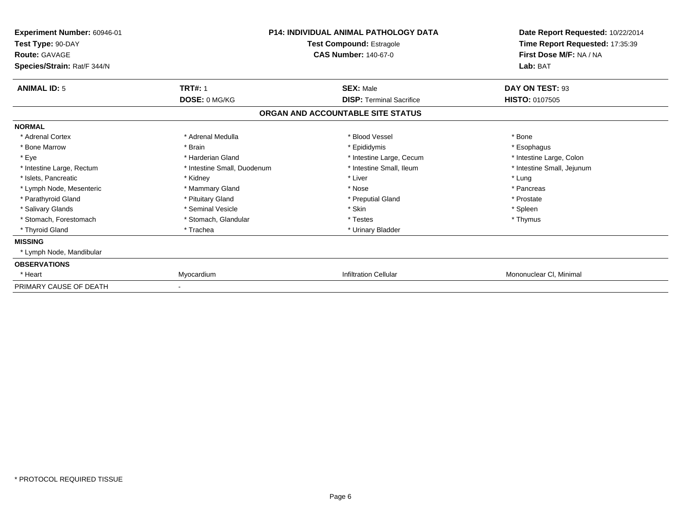| Experiment Number: 60946-01<br>Test Type: 90-DAY<br><b>Route: GAVAGE</b><br>Species/Strain: Rat/F 344/N |                             | <b>P14: INDIVIDUAL ANIMAL PATHOLOGY DATA</b><br>Test Compound: Estragole<br><b>CAS Number: 140-67-0</b> | Date Report Requested: 10/22/2014<br>Time Report Requested: 17:35:39<br>First Dose M/F: NA / NA<br>Lab: BAT |
|---------------------------------------------------------------------------------------------------------|-----------------------------|---------------------------------------------------------------------------------------------------------|-------------------------------------------------------------------------------------------------------------|
| <b>ANIMAL ID: 5</b>                                                                                     | <b>TRT#: 1</b>              | <b>SEX: Male</b>                                                                                        | DAY ON TEST: 93                                                                                             |
|                                                                                                         | DOSE: 0 MG/KG               | <b>DISP:</b> Terminal Sacrifice                                                                         | <b>HISTO: 0107505</b>                                                                                       |
|                                                                                                         |                             | ORGAN AND ACCOUNTABLE SITE STATUS                                                                       |                                                                                                             |
| <b>NORMAL</b>                                                                                           |                             |                                                                                                         |                                                                                                             |
| * Adrenal Cortex                                                                                        | * Adrenal Medulla           | * Blood Vessel                                                                                          | * Bone                                                                                                      |
| * Bone Marrow                                                                                           | * Brain                     | * Epididymis                                                                                            | * Esophagus                                                                                                 |
| * Eye                                                                                                   | * Harderian Gland           | * Intestine Large, Cecum                                                                                | * Intestine Large, Colon                                                                                    |
| * Intestine Large, Rectum                                                                               | * Intestine Small, Duodenum | * Intestine Small, Ileum                                                                                | * Intestine Small, Jejunum                                                                                  |
| * Islets, Pancreatic                                                                                    | * Kidney                    | * Liver                                                                                                 | * Lung                                                                                                      |
| * Lymph Node, Mesenteric                                                                                | * Mammary Gland             | * Nose                                                                                                  | * Pancreas                                                                                                  |
| * Parathyroid Gland                                                                                     | * Pituitary Gland           | * Preputial Gland                                                                                       | * Prostate                                                                                                  |
| * Salivary Glands                                                                                       | * Seminal Vesicle           | * Skin                                                                                                  | * Spleen                                                                                                    |
| * Stomach, Forestomach                                                                                  | * Stomach, Glandular        | * Testes                                                                                                | * Thymus                                                                                                    |
| * Thyroid Gland                                                                                         | * Trachea                   | * Urinary Bladder                                                                                       |                                                                                                             |
| <b>MISSING</b>                                                                                          |                             |                                                                                                         |                                                                                                             |
| * Lymph Node, Mandibular                                                                                |                             |                                                                                                         |                                                                                                             |
| <b>OBSERVATIONS</b>                                                                                     |                             |                                                                                                         |                                                                                                             |
| * Heart                                                                                                 | Myocardium                  | <b>Infiltration Cellular</b>                                                                            | Mononuclear CI, Minimal                                                                                     |
| PRIMARY CAUSE OF DEATH                                                                                  |                             |                                                                                                         |                                                                                                             |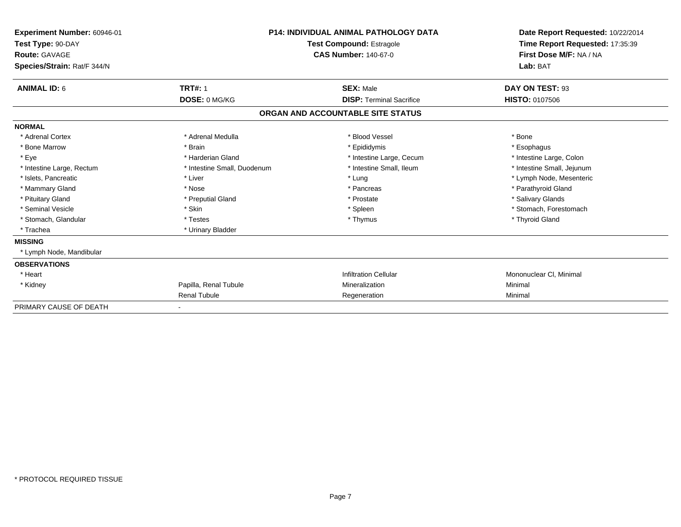| Experiment Number: 60946-01<br>Test Type: 90-DAY<br>Route: GAVAGE<br>Species/Strain: Rat/F 344/N |                             | <b>P14: INDIVIDUAL ANIMAL PATHOLOGY DATA</b><br><b>Test Compound: Estragole</b><br><b>CAS Number: 140-67-0</b> | Date Report Requested: 10/22/2014<br>Time Report Requested: 17:35:39<br>First Dose M/F: NA / NA<br>Lab: BAT |
|--------------------------------------------------------------------------------------------------|-----------------------------|----------------------------------------------------------------------------------------------------------------|-------------------------------------------------------------------------------------------------------------|
| <b>ANIMAL ID: 6</b>                                                                              | <b>TRT#: 1</b>              | <b>SEX: Male</b>                                                                                               | DAY ON TEST: 93                                                                                             |
|                                                                                                  | DOSE: 0 MG/KG               | <b>DISP: Terminal Sacrifice</b>                                                                                | <b>HISTO: 0107506</b>                                                                                       |
|                                                                                                  |                             | ORGAN AND ACCOUNTABLE SITE STATUS                                                                              |                                                                                                             |
| <b>NORMAL</b>                                                                                    |                             |                                                                                                                |                                                                                                             |
| * Adrenal Cortex                                                                                 | * Adrenal Medulla           | * Blood Vessel                                                                                                 | * Bone                                                                                                      |
| * Bone Marrow                                                                                    | * Brain                     | * Epididymis                                                                                                   | * Esophagus                                                                                                 |
| * Eye                                                                                            | * Harderian Gland           | * Intestine Large, Cecum                                                                                       | * Intestine Large, Colon                                                                                    |
| * Intestine Large, Rectum                                                                        | * Intestine Small, Duodenum | * Intestine Small, Ileum                                                                                       | * Intestine Small, Jejunum                                                                                  |
| * Islets, Pancreatic                                                                             | * Liver                     | * Lung                                                                                                         | * Lymph Node, Mesenteric                                                                                    |
| * Mammary Gland                                                                                  | * Nose                      | * Pancreas                                                                                                     | * Parathyroid Gland                                                                                         |
| * Pituitary Gland                                                                                | * Preputial Gland           | * Prostate                                                                                                     | * Salivary Glands                                                                                           |
| * Seminal Vesicle                                                                                | * Skin                      | * Spleen                                                                                                       | * Stomach, Forestomach                                                                                      |
| * Stomach, Glandular                                                                             | * Testes                    | * Thymus                                                                                                       | * Thyroid Gland                                                                                             |
| * Trachea                                                                                        | * Urinary Bladder           |                                                                                                                |                                                                                                             |
| <b>MISSING</b>                                                                                   |                             |                                                                                                                |                                                                                                             |
| * Lymph Node, Mandibular                                                                         |                             |                                                                                                                |                                                                                                             |
| <b>OBSERVATIONS</b>                                                                              |                             |                                                                                                                |                                                                                                             |
| * Heart                                                                                          |                             | <b>Infiltration Cellular</b>                                                                                   | Mononuclear CI, Minimal                                                                                     |
| * Kidney                                                                                         | Papilla, Renal Tubule       | Mineralization                                                                                                 | Minimal                                                                                                     |
|                                                                                                  | <b>Renal Tubule</b>         | Regeneration                                                                                                   | Minimal                                                                                                     |
| PRIMARY CAUSE OF DEATH                                                                           |                             |                                                                                                                |                                                                                                             |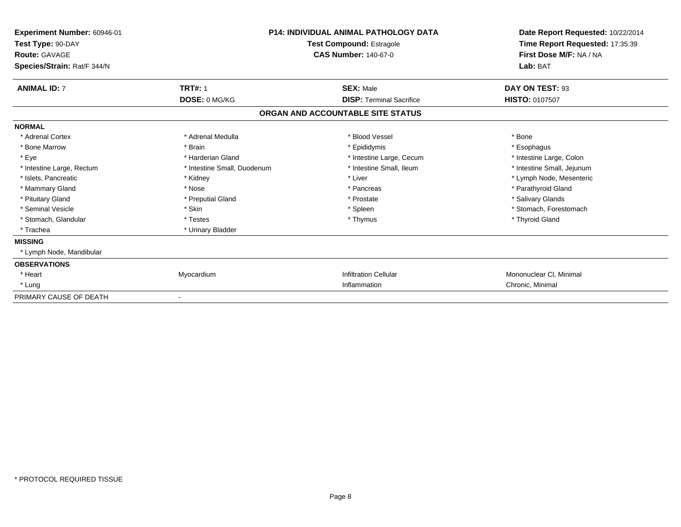| Experiment Number: 60946-01<br>Test Type: 90-DAY<br><b>Route: GAVAGE</b><br>Species/Strain: Rat/F 344/N |                             | <b>P14: INDIVIDUAL ANIMAL PATHOLOGY DATA</b><br><b>Test Compound: Estragole</b><br><b>CAS Number: 140-67-0</b> | Date Report Requested: 10/22/2014<br>Time Report Requested: 17:35:39<br>First Dose M/F: NA / NA<br>Lab: BAT |
|---------------------------------------------------------------------------------------------------------|-----------------------------|----------------------------------------------------------------------------------------------------------------|-------------------------------------------------------------------------------------------------------------|
| <b>ANIMAL ID: 7</b>                                                                                     | <b>TRT#: 1</b>              | <b>SEX: Male</b>                                                                                               | DAY ON TEST: 93                                                                                             |
|                                                                                                         | DOSE: 0 MG/KG               | <b>DISP: Terminal Sacrifice</b>                                                                                | <b>HISTO: 0107507</b>                                                                                       |
|                                                                                                         |                             | ORGAN AND ACCOUNTABLE SITE STATUS                                                                              |                                                                                                             |
| <b>NORMAL</b>                                                                                           |                             |                                                                                                                |                                                                                                             |
| * Adrenal Cortex                                                                                        | * Adrenal Medulla           | * Blood Vessel                                                                                                 | * Bone                                                                                                      |
| * Bone Marrow                                                                                           | * Brain                     | * Epididymis                                                                                                   | * Esophagus                                                                                                 |
| * Eye                                                                                                   | * Harderian Gland           | * Intestine Large, Cecum                                                                                       | * Intestine Large, Colon                                                                                    |
| * Intestine Large, Rectum                                                                               | * Intestine Small, Duodenum | * Intestine Small, Ileum                                                                                       | * Intestine Small, Jejunum                                                                                  |
| * Islets, Pancreatic                                                                                    | * Kidney                    | * Liver                                                                                                        | * Lymph Node, Mesenteric                                                                                    |
| * Mammary Gland                                                                                         | * Nose                      | * Pancreas                                                                                                     | * Parathyroid Gland                                                                                         |
| * Pituitary Gland                                                                                       | * Preputial Gland           | * Prostate                                                                                                     | * Salivary Glands                                                                                           |
| * Seminal Vesicle                                                                                       | * Skin                      | * Spleen                                                                                                       | * Stomach, Forestomach                                                                                      |
| * Stomach, Glandular                                                                                    | * Testes                    | * Thymus                                                                                                       | * Thyroid Gland                                                                                             |
| * Trachea                                                                                               | * Urinary Bladder           |                                                                                                                |                                                                                                             |
| <b>MISSING</b>                                                                                          |                             |                                                                                                                |                                                                                                             |
| * Lymph Node, Mandibular                                                                                |                             |                                                                                                                |                                                                                                             |
| <b>OBSERVATIONS</b>                                                                                     |                             |                                                                                                                |                                                                                                             |
| * Heart                                                                                                 | Myocardium                  | <b>Infiltration Cellular</b>                                                                                   | Mononuclear CI, Minimal                                                                                     |
| * Lung                                                                                                  |                             | Inflammation                                                                                                   | Chronic, Minimal                                                                                            |
| PRIMARY CAUSE OF DEATH                                                                                  |                             |                                                                                                                |                                                                                                             |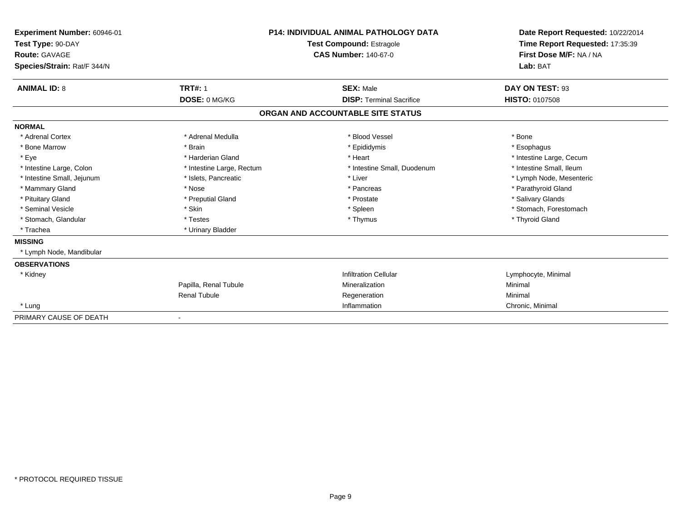| Experiment Number: 60946-01<br>Test Type: 90-DAY<br>Route: GAVAGE<br>Species/Strain: Rat/F 344/N |                           | <b>P14: INDIVIDUAL ANIMAL PATHOLOGY DATA</b><br><b>Test Compound: Estragole</b><br><b>CAS Number: 140-67-0</b> | Date Report Requested: 10/22/2014<br>Time Report Requested: 17:35:39<br>First Dose M/F: NA / NA<br>Lab: BAT |
|--------------------------------------------------------------------------------------------------|---------------------------|----------------------------------------------------------------------------------------------------------------|-------------------------------------------------------------------------------------------------------------|
| <b>ANIMAL ID: 8</b>                                                                              | <b>TRT#: 1</b>            | <b>SEX: Male</b>                                                                                               | DAY ON TEST: 93                                                                                             |
|                                                                                                  | DOSE: 0 MG/KG             | <b>DISP: Terminal Sacrifice</b>                                                                                | <b>HISTO: 0107508</b>                                                                                       |
|                                                                                                  |                           | ORGAN AND ACCOUNTABLE SITE STATUS                                                                              |                                                                                                             |
| <b>NORMAL</b>                                                                                    |                           |                                                                                                                |                                                                                                             |
| * Adrenal Cortex                                                                                 | * Adrenal Medulla         | * Blood Vessel                                                                                                 | * Bone                                                                                                      |
| * Bone Marrow                                                                                    | * Brain                   | * Epididymis                                                                                                   | * Esophagus                                                                                                 |
| * Eye                                                                                            | * Harderian Gland         | * Heart                                                                                                        | * Intestine Large, Cecum                                                                                    |
| * Intestine Large, Colon                                                                         | * Intestine Large, Rectum | * Intestine Small, Duodenum                                                                                    | * Intestine Small, Ileum                                                                                    |
| * Intestine Small, Jejunum                                                                       | * Islets, Pancreatic      | * Liver                                                                                                        | * Lymph Node, Mesenteric                                                                                    |
| * Mammary Gland                                                                                  | * Nose                    | * Pancreas                                                                                                     | * Parathyroid Gland                                                                                         |
| * Pituitary Gland                                                                                | * Preputial Gland         | * Prostate                                                                                                     | * Salivary Glands                                                                                           |
| * Seminal Vesicle                                                                                | * Skin                    | * Spleen                                                                                                       | * Stomach, Forestomach                                                                                      |
| * Stomach, Glandular                                                                             | * Testes                  | * Thymus                                                                                                       | * Thyroid Gland                                                                                             |
| * Trachea                                                                                        | * Urinary Bladder         |                                                                                                                |                                                                                                             |
| <b>MISSING</b>                                                                                   |                           |                                                                                                                |                                                                                                             |
| * Lymph Node, Mandibular                                                                         |                           |                                                                                                                |                                                                                                             |
| <b>OBSERVATIONS</b>                                                                              |                           |                                                                                                                |                                                                                                             |
| * Kidney                                                                                         |                           | <b>Infiltration Cellular</b>                                                                                   | Lymphocyte, Minimal                                                                                         |
|                                                                                                  | Papilla, Renal Tubule     | Mineralization                                                                                                 | Minimal                                                                                                     |
|                                                                                                  | <b>Renal Tubule</b>       | Regeneration                                                                                                   | Minimal                                                                                                     |
| * Lung                                                                                           |                           | Inflammation                                                                                                   | Chronic, Minimal                                                                                            |
| PRIMARY CAUSE OF DEATH                                                                           |                           |                                                                                                                |                                                                                                             |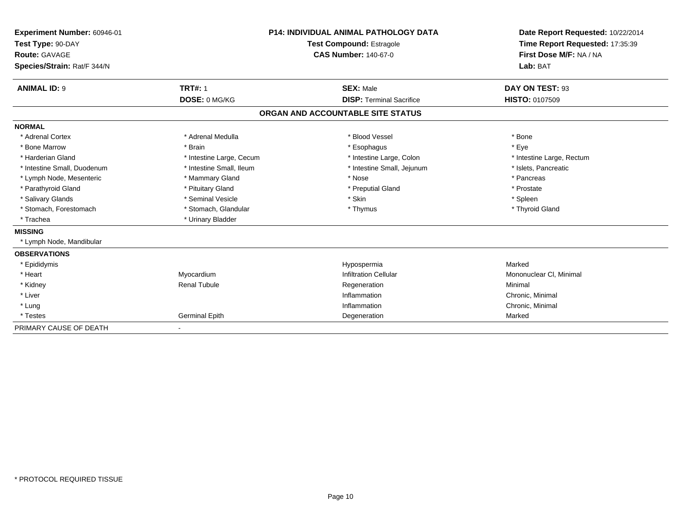| Experiment Number: 60946-01<br>Test Type: 90-DAY<br>Route: GAVAGE<br>Species/Strain: Rat/F 344/N |                                 | <b>P14: INDIVIDUAL ANIMAL PATHOLOGY DATA</b><br><b>Test Compound: Estragole</b><br><b>CAS Number: 140-67-0</b> | Date Report Requested: 10/22/2014<br>Time Report Requested: 17:35:39<br>First Dose M/F: NA / NA<br>Lab: BAT |
|--------------------------------------------------------------------------------------------------|---------------------------------|----------------------------------------------------------------------------------------------------------------|-------------------------------------------------------------------------------------------------------------|
|                                                                                                  |                                 |                                                                                                                |                                                                                                             |
| <b>ANIMAL ID: 9</b>                                                                              | <b>TRT#: 1</b><br>DOSE: 0 MG/KG | <b>SEX: Male</b><br><b>DISP: Terminal Sacrifice</b>                                                            | DAY ON TEST: 93<br><b>HISTO: 0107509</b>                                                                    |
|                                                                                                  |                                 | ORGAN AND ACCOUNTABLE SITE STATUS                                                                              |                                                                                                             |
| <b>NORMAL</b>                                                                                    |                                 |                                                                                                                |                                                                                                             |
| * Adrenal Cortex                                                                                 | * Adrenal Medulla               | * Blood Vessel                                                                                                 | * Bone                                                                                                      |
| * Bone Marrow                                                                                    | * Brain                         | * Esophagus                                                                                                    | * Eye                                                                                                       |
| * Harderian Gland                                                                                | * Intestine Large, Cecum        | * Intestine Large, Colon                                                                                       | * Intestine Large, Rectum                                                                                   |
| * Intestine Small, Duodenum                                                                      | * Intestine Small, Ileum        | * Intestine Small, Jejunum                                                                                     | * Islets. Pancreatic                                                                                        |
| * Lymph Node, Mesenteric                                                                         | * Mammary Gland                 | * Nose                                                                                                         | * Pancreas                                                                                                  |
| * Parathyroid Gland                                                                              | * Pituitary Gland               | * Preputial Gland                                                                                              | * Prostate                                                                                                  |
| * Salivary Glands                                                                                | * Seminal Vesicle               | * Skin                                                                                                         | * Spleen                                                                                                    |
| * Stomach, Forestomach                                                                           | * Stomach, Glandular            | * Thymus                                                                                                       | * Thyroid Gland                                                                                             |
| * Trachea                                                                                        | * Urinary Bladder               |                                                                                                                |                                                                                                             |
| <b>MISSING</b>                                                                                   |                                 |                                                                                                                |                                                                                                             |
| * Lymph Node, Mandibular                                                                         |                                 |                                                                                                                |                                                                                                             |
| <b>OBSERVATIONS</b>                                                                              |                                 |                                                                                                                |                                                                                                             |
| * Epididymis                                                                                     |                                 | Hypospermia                                                                                                    | Marked                                                                                                      |
| * Heart                                                                                          | Myocardium                      | <b>Infiltration Cellular</b>                                                                                   | Mononuclear CI, Minimal                                                                                     |
| * Kidney                                                                                         | <b>Renal Tubule</b>             | Regeneration                                                                                                   | Minimal                                                                                                     |
| * Liver                                                                                          |                                 | Inflammation                                                                                                   | Chronic, Minimal                                                                                            |
| * Lung                                                                                           |                                 | Inflammation                                                                                                   | Chronic, Minimal                                                                                            |
| * Testes                                                                                         | <b>Germinal Epith</b>           | Degeneration                                                                                                   | Marked                                                                                                      |
| PRIMARY CAUSE OF DEATH                                                                           |                                 |                                                                                                                |                                                                                                             |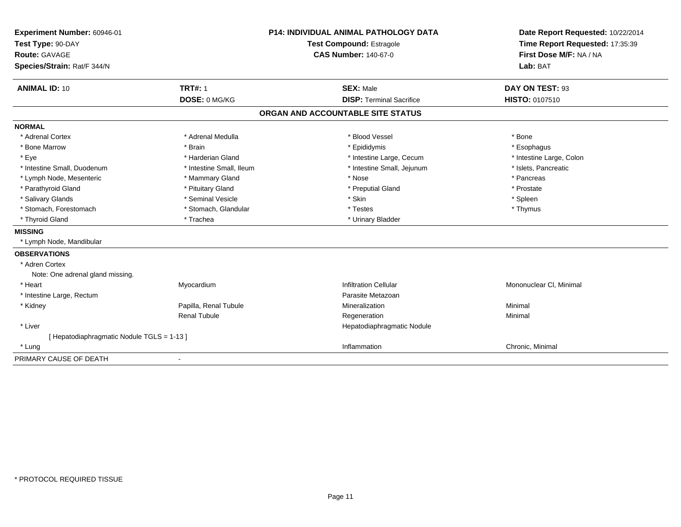| Experiment Number: 60946-01                |                          | <b>P14: INDIVIDUAL ANIMAL PATHOLOGY DATA</b> | Date Report Requested: 10/22/2014 |
|--------------------------------------------|--------------------------|----------------------------------------------|-----------------------------------|
| Test Type: 90-DAY                          |                          | Test Compound: Estragole                     | Time Report Requested: 17:35:39   |
| <b>Route: GAVAGE</b>                       |                          | <b>CAS Number: 140-67-0</b>                  | First Dose M/F: NA / NA           |
| Species/Strain: Rat/F 344/N                |                          |                                              | Lab: BAT                          |
| <b>ANIMAL ID: 10</b>                       | <b>TRT#: 1</b>           | <b>SEX: Male</b>                             | DAY ON TEST: 93                   |
|                                            | DOSE: 0 MG/KG            | <b>DISP: Terminal Sacrifice</b>              | HISTO: 0107510                    |
|                                            |                          | ORGAN AND ACCOUNTABLE SITE STATUS            |                                   |
| <b>NORMAL</b>                              |                          |                                              |                                   |
| * Adrenal Cortex                           | * Adrenal Medulla        | * Blood Vessel                               | * Bone                            |
| * Bone Marrow                              | * Brain                  | * Epididymis                                 | * Esophagus                       |
| * Eye                                      | * Harderian Gland        | * Intestine Large, Cecum                     | * Intestine Large, Colon          |
| * Intestine Small, Duodenum                | * Intestine Small, Ileum | * Intestine Small, Jejunum                   | * Islets, Pancreatic              |
| * Lymph Node, Mesenteric                   | * Mammary Gland          | * Nose                                       | * Pancreas                        |
| * Parathyroid Gland                        | * Pituitary Gland        | * Preputial Gland                            | * Prostate                        |
| * Salivary Glands                          | * Seminal Vesicle        | * Skin                                       | * Spleen                          |
| * Stomach, Forestomach                     | * Stomach, Glandular     | * Testes                                     | * Thymus                          |
| * Thyroid Gland                            | * Trachea                | * Urinary Bladder                            |                                   |
| <b>MISSING</b>                             |                          |                                              |                                   |
| * Lymph Node, Mandibular                   |                          |                                              |                                   |
| <b>OBSERVATIONS</b>                        |                          |                                              |                                   |
| * Adren Cortex                             |                          |                                              |                                   |
| Note: One adrenal gland missing.           |                          |                                              |                                   |
| * Heart                                    | Myocardium               | <b>Infiltration Cellular</b>                 | Mononuclear CI, Minimal           |
| * Intestine Large, Rectum                  |                          | Parasite Metazoan                            |                                   |
| * Kidney                                   | Papilla, Renal Tubule    | Mineralization                               | Minimal                           |
|                                            | <b>Renal Tubule</b>      | Regeneration                                 | Minimal                           |
| * Liver                                    |                          | Hepatodiaphragmatic Nodule                   |                                   |
| [ Hepatodiaphragmatic Nodule TGLS = 1-13 ] |                          |                                              |                                   |
| * Lung                                     |                          | Inflammation                                 | Chronic, Minimal                  |
| PRIMARY CAUSE OF DEATH                     | $\overline{\phantom{a}}$ |                                              |                                   |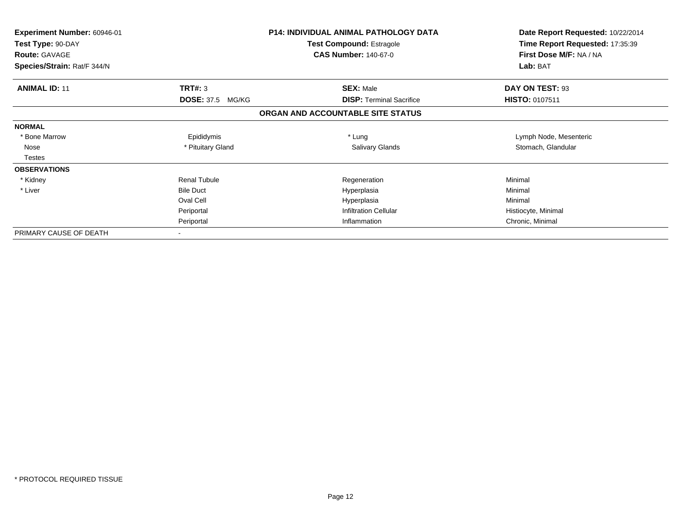| Experiment Number: 60946-01<br>Test Type: 90-DAY<br><b>Route: GAVAGE</b> |                         | <b>P14: INDIVIDUAL ANIMAL PATHOLOGY DATA</b><br>Test Compound: Estragole<br><b>CAS Number: 140-67-0</b> | Date Report Requested: 10/22/2014<br>Time Report Requested: 17:35:39<br>First Dose M/F: NA / NA |
|--------------------------------------------------------------------------|-------------------------|---------------------------------------------------------------------------------------------------------|-------------------------------------------------------------------------------------------------|
| Species/Strain: Rat/F 344/N                                              |                         |                                                                                                         | Lab: BAT                                                                                        |
| <b>ANIMAL ID: 11</b>                                                     | TRT#: 3                 | <b>SEX: Male</b>                                                                                        | DAY ON TEST: 93                                                                                 |
|                                                                          | <b>DOSE: 37.5 MG/KG</b> | <b>DISP: Terminal Sacrifice</b>                                                                         | <b>HISTO: 0107511</b>                                                                           |
|                                                                          |                         | ORGAN AND ACCOUNTABLE SITE STATUS                                                                       |                                                                                                 |
| <b>NORMAL</b>                                                            |                         |                                                                                                         |                                                                                                 |
| * Bone Marrow                                                            | Epididymis              | * Lung                                                                                                  | Lymph Node, Mesenteric                                                                          |
| Nose                                                                     | * Pituitary Gland       | Salivary Glands                                                                                         | Stomach, Glandular                                                                              |
| Testes                                                                   |                         |                                                                                                         |                                                                                                 |
| <b>OBSERVATIONS</b>                                                      |                         |                                                                                                         |                                                                                                 |
| * Kidney                                                                 | <b>Renal Tubule</b>     | Regeneration                                                                                            | Minimal                                                                                         |
| * Liver                                                                  | <b>Bile Duct</b>        | Hyperplasia                                                                                             | Minimal                                                                                         |
|                                                                          | Oval Cell               | Hyperplasia                                                                                             | Minimal                                                                                         |
|                                                                          | Periportal              | <b>Infiltration Cellular</b>                                                                            | Histiocyte, Minimal                                                                             |
|                                                                          | Periportal              | Inflammation                                                                                            | Chronic, Minimal                                                                                |
| PRIMARY CAUSE OF DEATH                                                   |                         |                                                                                                         |                                                                                                 |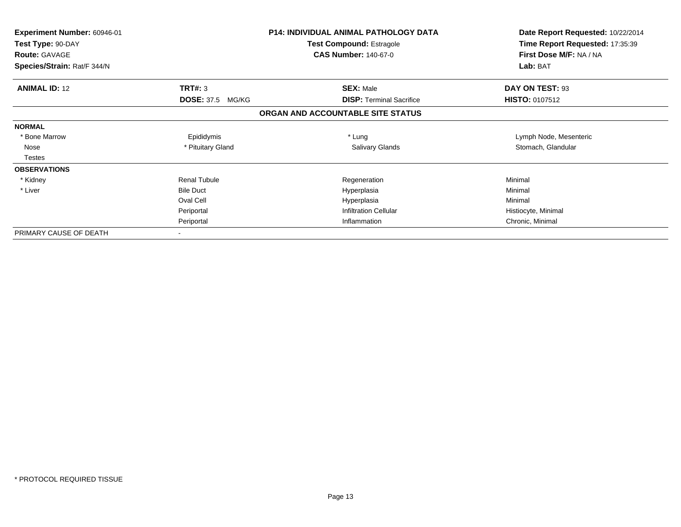| Experiment Number: 60946-01<br>Test Type: 90-DAY<br><b>Route: GAVAGE</b> |                         | <b>P14: INDIVIDUAL ANIMAL PATHOLOGY DATA</b><br>Test Compound: Estragole<br><b>CAS Number: 140-67-0</b> | Date Report Requested: 10/22/2014<br>Time Report Requested: 17:35:39<br>First Dose M/F: NA / NA |
|--------------------------------------------------------------------------|-------------------------|---------------------------------------------------------------------------------------------------------|-------------------------------------------------------------------------------------------------|
| Species/Strain: Rat/F 344/N                                              |                         |                                                                                                         | Lab: BAT                                                                                        |
| <b>ANIMAL ID: 12</b>                                                     | TRT#: 3                 | <b>SEX: Male</b>                                                                                        | DAY ON TEST: 93                                                                                 |
|                                                                          | <b>DOSE: 37.5 MG/KG</b> | <b>DISP: Terminal Sacrifice</b>                                                                         | <b>HISTO: 0107512</b>                                                                           |
|                                                                          |                         | ORGAN AND ACCOUNTABLE SITE STATUS                                                                       |                                                                                                 |
| <b>NORMAL</b>                                                            |                         |                                                                                                         |                                                                                                 |
| * Bone Marrow                                                            | Epididymis              | * Lung                                                                                                  | Lymph Node, Mesenteric                                                                          |
| Nose                                                                     | * Pituitary Gland       | Salivary Glands                                                                                         | Stomach, Glandular                                                                              |
| Testes                                                                   |                         |                                                                                                         |                                                                                                 |
| <b>OBSERVATIONS</b>                                                      |                         |                                                                                                         |                                                                                                 |
| * Kidney                                                                 | <b>Renal Tubule</b>     | Regeneration                                                                                            | Minimal                                                                                         |
| * Liver                                                                  | <b>Bile Duct</b>        | Hyperplasia                                                                                             | Minimal                                                                                         |
|                                                                          | Oval Cell               | Hyperplasia                                                                                             | Minimal                                                                                         |
|                                                                          | Periportal              | <b>Infiltration Cellular</b>                                                                            | Histiocyte, Minimal                                                                             |
|                                                                          | Periportal              | Inflammation                                                                                            | Chronic, Minimal                                                                                |
| PRIMARY CAUSE OF DEATH                                                   |                         |                                                                                                         |                                                                                                 |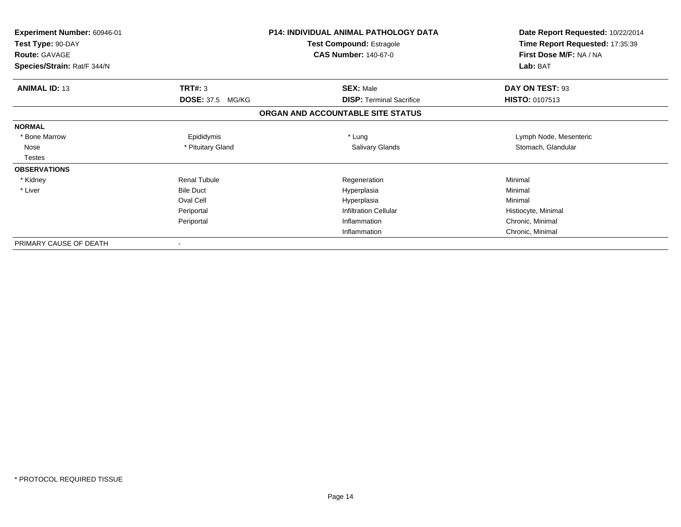| <b>Experiment Number: 60946-01</b><br>Test Type: 90-DAY<br><b>Route: GAVAGE</b> |                            | <b>P14: INDIVIDUAL ANIMAL PATHOLOGY DATA</b><br><b>Test Compound: Estragole</b><br><b>CAS Number: 140-67-0</b> | Date Report Requested: 10/22/2014<br>Time Report Requested: 17:35:39<br>First Dose M/F: NA / NA |
|---------------------------------------------------------------------------------|----------------------------|----------------------------------------------------------------------------------------------------------------|-------------------------------------------------------------------------------------------------|
| Species/Strain: Rat/F 344/N                                                     |                            |                                                                                                                | Lab: BAT                                                                                        |
| <b>ANIMAL ID: 13</b>                                                            | <b>TRT#: 3</b>             | <b>SEX: Male</b>                                                                                               | DAY ON TEST: 93                                                                                 |
|                                                                                 | <b>DOSE: 37.5</b><br>MG/KG | <b>DISP: Terminal Sacrifice</b>                                                                                | <b>HISTO: 0107513</b>                                                                           |
|                                                                                 |                            | ORGAN AND ACCOUNTABLE SITE STATUS                                                                              |                                                                                                 |
| <b>NORMAL</b>                                                                   |                            |                                                                                                                |                                                                                                 |
| * Bone Marrow                                                                   | Epididymis                 | * Lung                                                                                                         | Lymph Node, Mesenteric                                                                          |
| Nose                                                                            | * Pituitary Gland          | <b>Salivary Glands</b>                                                                                         | Stomach, Glandular                                                                              |
| <b>Testes</b>                                                                   |                            |                                                                                                                |                                                                                                 |
| <b>OBSERVATIONS</b>                                                             |                            |                                                                                                                |                                                                                                 |
| * Kidney                                                                        | <b>Renal Tubule</b>        | Regeneration                                                                                                   | Minimal                                                                                         |
| * Liver                                                                         | <b>Bile Duct</b>           | Hyperplasia                                                                                                    | Minimal                                                                                         |
|                                                                                 | Oval Cell                  | Hyperplasia                                                                                                    | Minimal                                                                                         |
|                                                                                 | Periportal                 | <b>Infiltration Cellular</b>                                                                                   | Histiocyte, Minimal                                                                             |
|                                                                                 | Periportal                 | Inflammation                                                                                                   | Chronic, Minimal                                                                                |
|                                                                                 |                            | Inflammation                                                                                                   | Chronic, Minimal                                                                                |
| PRIMARY CAUSE OF DEATH                                                          |                            |                                                                                                                |                                                                                                 |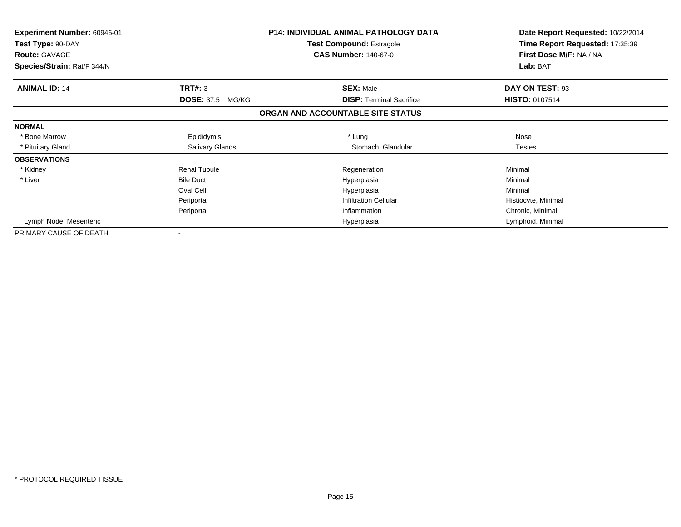| Experiment Number: 60946-01<br>Test Type: 90-DAY<br><b>Route: GAVAGE</b> |                            | <b>P14: INDIVIDUAL ANIMAL PATHOLOGY DATA</b><br><b>Test Compound: Estragole</b><br><b>CAS Number: 140-67-0</b> | Date Report Requested: 10/22/2014<br>Time Report Requested: 17:35:39<br>First Dose M/F: NA / NA |
|--------------------------------------------------------------------------|----------------------------|----------------------------------------------------------------------------------------------------------------|-------------------------------------------------------------------------------------------------|
| Species/Strain: Rat/F 344/N                                              |                            |                                                                                                                | Lab: BAT                                                                                        |
| <b>ANIMAL ID: 14</b>                                                     | TRT#: 3                    | <b>SEX: Male</b>                                                                                               | DAY ON TEST: 93                                                                                 |
|                                                                          | <b>DOSE: 37.5</b><br>MG/KG | <b>DISP:</b> Terminal Sacrifice                                                                                | <b>HISTO: 0107514</b>                                                                           |
|                                                                          |                            | ORGAN AND ACCOUNTABLE SITE STATUS                                                                              |                                                                                                 |
| <b>NORMAL</b>                                                            |                            |                                                                                                                |                                                                                                 |
| * Bone Marrow                                                            | Epididymis                 | * Lung                                                                                                         | Nose                                                                                            |
| * Pituitary Gland                                                        | <b>Salivary Glands</b>     | Stomach, Glandular                                                                                             | <b>Testes</b>                                                                                   |
| <b>OBSERVATIONS</b>                                                      |                            |                                                                                                                |                                                                                                 |
| * Kidney                                                                 | <b>Renal Tubule</b>        | Regeneration                                                                                                   | Minimal                                                                                         |
| * Liver                                                                  | <b>Bile Duct</b>           | Hyperplasia                                                                                                    | Minimal                                                                                         |
|                                                                          | Oval Cell                  | Hyperplasia                                                                                                    | Minimal                                                                                         |
|                                                                          | Periportal                 | <b>Infiltration Cellular</b>                                                                                   | Histiocyte, Minimal                                                                             |
|                                                                          | Periportal                 | Inflammation                                                                                                   | Chronic, Minimal                                                                                |
| Lymph Node, Mesenteric                                                   |                            | Hyperplasia                                                                                                    | Lymphoid, Minimal                                                                               |
| PRIMARY CAUSE OF DEATH                                                   | $\overline{\phantom{a}}$   |                                                                                                                |                                                                                                 |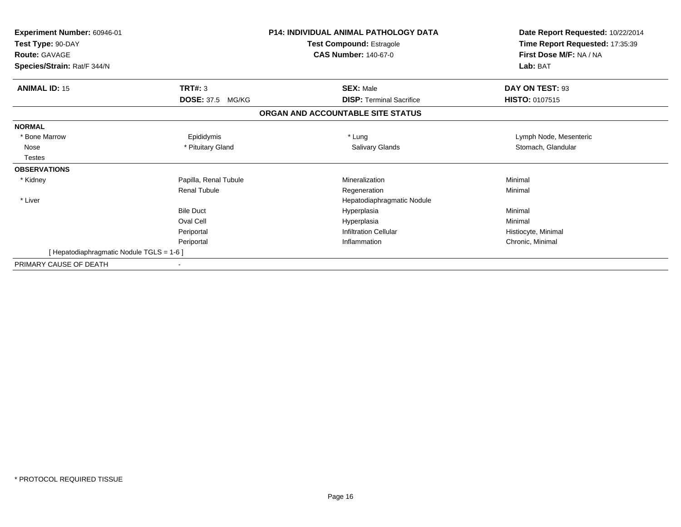| Experiment Number: 60946-01<br>Test Type: 90-DAY<br><b>Route: GAVAGE</b> |                            | <b>P14: INDIVIDUAL ANIMAL PATHOLOGY DATA</b><br>Test Compound: Estragole<br><b>CAS Number: 140-67-0</b> | Date Report Requested: 10/22/2014<br>Time Report Requested: 17:35:39<br>First Dose M/F: NA / NA |
|--------------------------------------------------------------------------|----------------------------|---------------------------------------------------------------------------------------------------------|-------------------------------------------------------------------------------------------------|
| Species/Strain: Rat/F 344/N                                              |                            |                                                                                                         | Lab: BAT                                                                                        |
| <b>ANIMAL ID: 15</b>                                                     | TRT#: 3                    | <b>SEX: Male</b>                                                                                        | DAY ON TEST: 93                                                                                 |
|                                                                          | <b>DOSE: 37.5</b><br>MG/KG | <b>DISP: Terminal Sacrifice</b>                                                                         | <b>HISTO: 0107515</b>                                                                           |
|                                                                          |                            | ORGAN AND ACCOUNTABLE SITE STATUS                                                                       |                                                                                                 |
| <b>NORMAL</b>                                                            |                            |                                                                                                         |                                                                                                 |
| * Bone Marrow                                                            | Epididymis                 | * Lung                                                                                                  | Lymph Node, Mesenteric                                                                          |
| Nose                                                                     | * Pituitary Gland          | <b>Salivary Glands</b>                                                                                  | Stomach, Glandular                                                                              |
| <b>Testes</b>                                                            |                            |                                                                                                         |                                                                                                 |
| <b>OBSERVATIONS</b>                                                      |                            |                                                                                                         |                                                                                                 |
| * Kidney                                                                 | Papilla, Renal Tubule      | Mineralization                                                                                          | Minimal                                                                                         |
|                                                                          | <b>Renal Tubule</b>        | Regeneration                                                                                            | Minimal                                                                                         |
| * Liver                                                                  |                            | Hepatodiaphragmatic Nodule                                                                              |                                                                                                 |
|                                                                          | <b>Bile Duct</b>           | Hyperplasia                                                                                             | Minimal                                                                                         |
|                                                                          | Oval Cell                  | Hyperplasia                                                                                             | Minimal                                                                                         |
|                                                                          | Periportal                 | <b>Infiltration Cellular</b>                                                                            | Histiocyte, Minimal                                                                             |
|                                                                          | Periportal                 | Inflammation                                                                                            | Chronic, Minimal                                                                                |
| [Hepatodiaphragmatic Nodule TGLS = 1-6]                                  |                            |                                                                                                         |                                                                                                 |
| PRIMARY CAUSE OF DEATH                                                   |                            |                                                                                                         |                                                                                                 |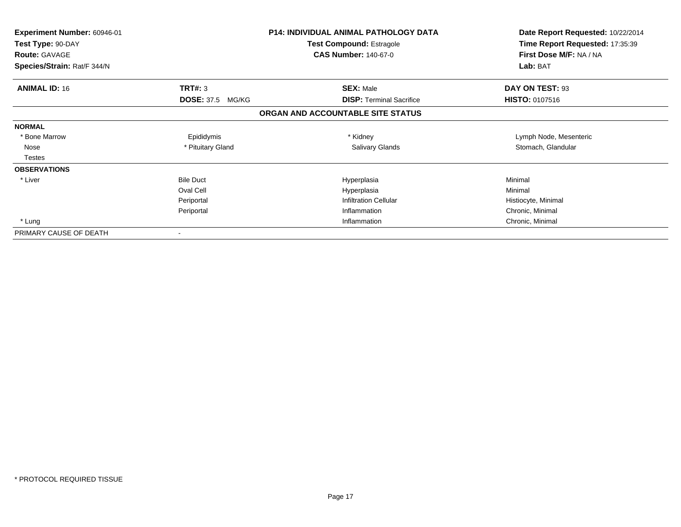| Experiment Number: 60946-01<br>Test Type: 90-DAY<br><b>Route: GAVAGE</b> |                         | <b>P14: INDIVIDUAL ANIMAL PATHOLOGY DATA</b><br>Test Compound: Estragole<br><b>CAS Number: 140-67-0</b> | Date Report Requested: 10/22/2014<br>Time Report Requested: 17:35:39<br>First Dose M/F: NA / NA |
|--------------------------------------------------------------------------|-------------------------|---------------------------------------------------------------------------------------------------------|-------------------------------------------------------------------------------------------------|
| Species/Strain: Rat/F 344/N                                              |                         |                                                                                                         | Lab: BAT                                                                                        |
| <b>ANIMAL ID: 16</b>                                                     | TRT#: 3                 | <b>SEX: Male</b>                                                                                        | DAY ON TEST: 93                                                                                 |
|                                                                          | <b>DOSE: 37.5 MG/KG</b> | <b>DISP:</b> Terminal Sacrifice                                                                         | <b>HISTO: 0107516</b>                                                                           |
|                                                                          |                         | ORGAN AND ACCOUNTABLE SITE STATUS                                                                       |                                                                                                 |
| <b>NORMAL</b>                                                            |                         |                                                                                                         |                                                                                                 |
| * Bone Marrow                                                            | Epididymis              | * Kidney                                                                                                | Lymph Node, Mesenteric                                                                          |
| Nose                                                                     | * Pituitary Gland       | <b>Salivary Glands</b>                                                                                  | Stomach, Glandular                                                                              |
| <b>Testes</b>                                                            |                         |                                                                                                         |                                                                                                 |
| <b>OBSERVATIONS</b>                                                      |                         |                                                                                                         |                                                                                                 |
| * Liver                                                                  | <b>Bile Duct</b>        | Hyperplasia                                                                                             | Minimal                                                                                         |
|                                                                          | Oval Cell               | Hyperplasia                                                                                             | Minimal                                                                                         |
|                                                                          | Periportal              | <b>Infiltration Cellular</b>                                                                            | Histiocyte, Minimal                                                                             |
|                                                                          | Periportal              | Inflammation                                                                                            | Chronic, Minimal                                                                                |
| * Lung                                                                   |                         | Inflammation                                                                                            | Chronic, Minimal                                                                                |
| PRIMARY CAUSE OF DEATH                                                   |                         |                                                                                                         |                                                                                                 |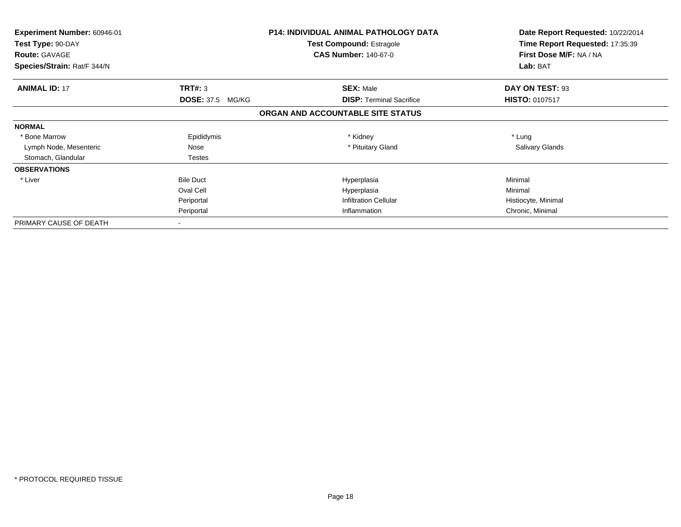| Experiment Number: 60946-01<br>Test Type: 90-DAY<br><b>Route: GAVAGE</b><br>Species/Strain: Rat/F 344/N |                         | <b>P14: INDIVIDUAL ANIMAL PATHOLOGY DATA</b><br><b>Test Compound: Estragole</b><br><b>CAS Number: 140-67-0</b> | Date Report Requested: 10/22/2014<br>Time Report Requested: 17:35:39<br>First Dose M/F: NA / NA<br>Lab: BAT |
|---------------------------------------------------------------------------------------------------------|-------------------------|----------------------------------------------------------------------------------------------------------------|-------------------------------------------------------------------------------------------------------------|
| <b>ANIMAL ID: 17</b>                                                                                    | TRT#: 3                 | <b>SEX: Male</b>                                                                                               | DAY ON TEST: 93                                                                                             |
|                                                                                                         | <b>DOSE: 37.5 MG/KG</b> | <b>DISP:</b> Terminal Sacrifice                                                                                | <b>HISTO: 0107517</b>                                                                                       |
|                                                                                                         |                         | ORGAN AND ACCOUNTABLE SITE STATUS                                                                              |                                                                                                             |
| <b>NORMAL</b>                                                                                           |                         |                                                                                                                |                                                                                                             |
| * Bone Marrow                                                                                           | Epididymis              | * Kidney                                                                                                       | * Lung                                                                                                      |
| Lymph Node, Mesenteric                                                                                  | Nose                    | * Pituitary Gland                                                                                              | <b>Salivary Glands</b>                                                                                      |
| Stomach, Glandular                                                                                      | <b>Testes</b>           |                                                                                                                |                                                                                                             |
| <b>OBSERVATIONS</b>                                                                                     |                         |                                                                                                                |                                                                                                             |
| * Liver                                                                                                 | <b>Bile Duct</b>        | Hyperplasia                                                                                                    | Minimal                                                                                                     |
|                                                                                                         | Oval Cell               | Hyperplasia                                                                                                    | Minimal                                                                                                     |
|                                                                                                         | Periportal              | <b>Infiltration Cellular</b>                                                                                   | Histiocyte, Minimal                                                                                         |
|                                                                                                         | Periportal              | Inflammation                                                                                                   | Chronic, Minimal                                                                                            |
| PRIMARY CAUSE OF DEATH                                                                                  |                         |                                                                                                                |                                                                                                             |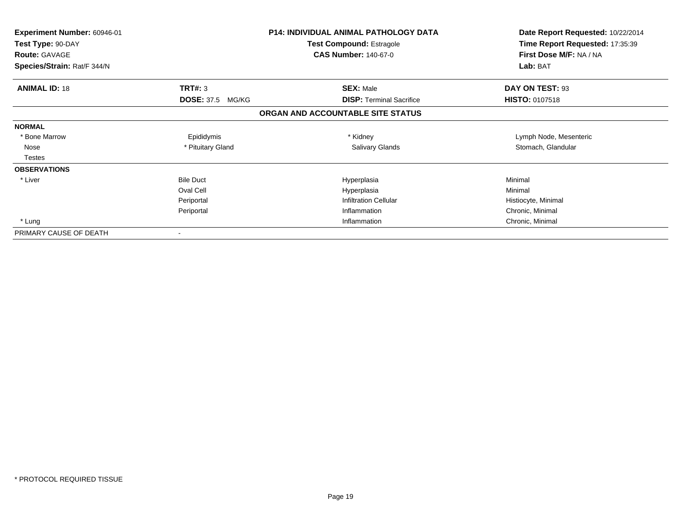| Experiment Number: 60946-01<br>Test Type: 90-DAY<br><b>Route: GAVAGE</b> |                         | <b>P14: INDIVIDUAL ANIMAL PATHOLOGY DATA</b><br>Test Compound: Estragole<br><b>CAS Number: 140-67-0</b> | Date Report Requested: 10/22/2014<br>Time Report Requested: 17:35:39<br>First Dose M/F: NA / NA |
|--------------------------------------------------------------------------|-------------------------|---------------------------------------------------------------------------------------------------------|-------------------------------------------------------------------------------------------------|
| Species/Strain: Rat/F 344/N                                              |                         |                                                                                                         | Lab: BAT                                                                                        |
| <b>ANIMAL ID: 18</b>                                                     | TRT#: 3                 | <b>SEX: Male</b>                                                                                        | DAY ON TEST: 93                                                                                 |
|                                                                          | <b>DOSE: 37.5 MG/KG</b> | <b>DISP:</b> Terminal Sacrifice                                                                         | <b>HISTO: 0107518</b>                                                                           |
|                                                                          |                         | ORGAN AND ACCOUNTABLE SITE STATUS                                                                       |                                                                                                 |
| <b>NORMAL</b>                                                            |                         |                                                                                                         |                                                                                                 |
| * Bone Marrow                                                            | Epididymis              | * Kidney                                                                                                | Lymph Node, Mesenteric                                                                          |
| Nose                                                                     | * Pituitary Gland       | <b>Salivary Glands</b>                                                                                  | Stomach, Glandular                                                                              |
| <b>Testes</b>                                                            |                         |                                                                                                         |                                                                                                 |
| <b>OBSERVATIONS</b>                                                      |                         |                                                                                                         |                                                                                                 |
| * Liver                                                                  | <b>Bile Duct</b>        | Hyperplasia                                                                                             | Minimal                                                                                         |
|                                                                          | Oval Cell               | Hyperplasia                                                                                             | Minimal                                                                                         |
|                                                                          | Periportal              | <b>Infiltration Cellular</b>                                                                            | Histiocyte, Minimal                                                                             |
|                                                                          | Periportal              | Inflammation                                                                                            | Chronic, Minimal                                                                                |
| * Lung                                                                   |                         | Inflammation                                                                                            | Chronic, Minimal                                                                                |
| PRIMARY CAUSE OF DEATH                                                   |                         |                                                                                                         |                                                                                                 |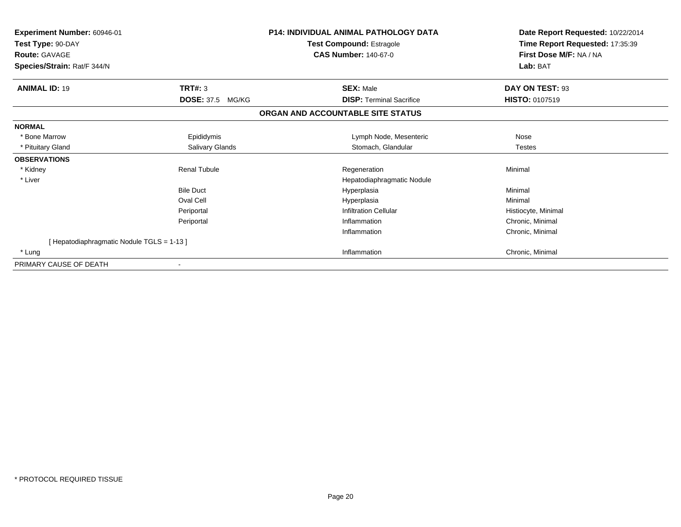| Experiment Number: 60946-01<br>Test Type: 90-DAY<br><b>Route: GAVAGE</b><br>Species/Strain: Rat/F 344/N |                            | <b>P14: INDIVIDUAL ANIMAL PATHOLOGY DATA</b><br><b>Test Compound: Estragole</b><br><b>CAS Number: 140-67-0</b> | Date Report Requested: 10/22/2014<br>Time Report Requested: 17:35:39<br>First Dose M/F: NA / NA<br>Lab: BAT |
|---------------------------------------------------------------------------------------------------------|----------------------------|----------------------------------------------------------------------------------------------------------------|-------------------------------------------------------------------------------------------------------------|
| <b>ANIMAL ID: 19</b>                                                                                    | TRT#: 3                    | <b>SEX: Male</b>                                                                                               | DAY ON TEST: 93                                                                                             |
|                                                                                                         | <b>DOSE: 37.5</b><br>MG/KG | <b>DISP: Terminal Sacrifice</b>                                                                                | <b>HISTO: 0107519</b>                                                                                       |
|                                                                                                         |                            | ORGAN AND ACCOUNTABLE SITE STATUS                                                                              |                                                                                                             |
| <b>NORMAL</b>                                                                                           |                            |                                                                                                                |                                                                                                             |
| * Bone Marrow                                                                                           | Epididymis                 | Lymph Node, Mesenteric                                                                                         | Nose                                                                                                        |
| * Pituitary Gland                                                                                       | Salivary Glands            | Stomach, Glandular                                                                                             | <b>Testes</b>                                                                                               |
| <b>OBSERVATIONS</b>                                                                                     |                            |                                                                                                                |                                                                                                             |
| * Kidney                                                                                                | <b>Renal Tubule</b>        | Regeneration                                                                                                   | Minimal                                                                                                     |
| * Liver                                                                                                 |                            | Hepatodiaphragmatic Nodule                                                                                     |                                                                                                             |
|                                                                                                         | <b>Bile Duct</b>           | Hyperplasia                                                                                                    | Minimal                                                                                                     |
|                                                                                                         | Oval Cell                  | Hyperplasia                                                                                                    | Minimal                                                                                                     |
|                                                                                                         | Periportal                 | <b>Infiltration Cellular</b>                                                                                   | Histiocyte, Minimal                                                                                         |
|                                                                                                         | Periportal                 | Inflammation                                                                                                   | Chronic, Minimal                                                                                            |
|                                                                                                         |                            | Inflammation                                                                                                   | Chronic, Minimal                                                                                            |
| [Hepatodiaphragmatic Nodule TGLS = 1-13]                                                                |                            |                                                                                                                |                                                                                                             |
| * Lung                                                                                                  |                            | Inflammation                                                                                                   | Chronic, Minimal                                                                                            |
| PRIMARY CAUSE OF DEATH                                                                                  |                            |                                                                                                                |                                                                                                             |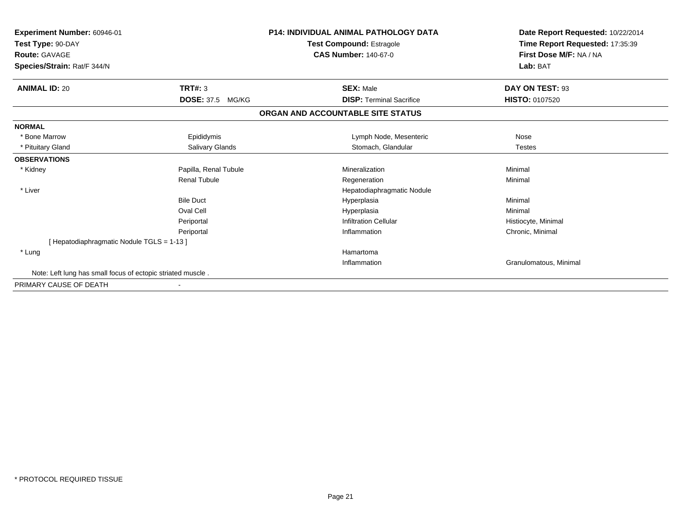| Experiment Number: 60946-01<br>Test Type: 90-DAY<br><b>Route: GAVAGE</b><br>Species/Strain: Rat/F 344/N |                            | <b>P14: INDIVIDUAL ANIMAL PATHOLOGY DATA</b><br><b>Test Compound: Estragole</b><br><b>CAS Number: 140-67-0</b> | Date Report Requested: 10/22/2014<br>Time Report Requested: 17:35:39<br>First Dose M/F: NA / NA<br>Lab: BAT |
|---------------------------------------------------------------------------------------------------------|----------------------------|----------------------------------------------------------------------------------------------------------------|-------------------------------------------------------------------------------------------------------------|
| <b>ANIMAL ID: 20</b>                                                                                    | <b>TRT#: 3</b>             | <b>SEX: Male</b>                                                                                               | DAY ON TEST: 93                                                                                             |
|                                                                                                         | <b>DOSE: 37.5</b><br>MG/KG | <b>DISP: Terminal Sacrifice</b>                                                                                | <b>HISTO: 0107520</b>                                                                                       |
|                                                                                                         |                            | ORGAN AND ACCOUNTABLE SITE STATUS                                                                              |                                                                                                             |
| <b>NORMAL</b>                                                                                           |                            |                                                                                                                |                                                                                                             |
| * Bone Marrow                                                                                           | Epididymis                 | Lymph Node, Mesenteric                                                                                         | Nose                                                                                                        |
| * Pituitary Gland                                                                                       | Salivary Glands            | Stomach, Glandular                                                                                             | <b>Testes</b>                                                                                               |
| <b>OBSERVATIONS</b>                                                                                     |                            |                                                                                                                |                                                                                                             |
| * Kidney                                                                                                | Papilla, Renal Tubule      | Mineralization                                                                                                 | Minimal                                                                                                     |
|                                                                                                         | <b>Renal Tubule</b>        | Regeneration                                                                                                   | Minimal                                                                                                     |
| * Liver                                                                                                 |                            | Hepatodiaphragmatic Nodule                                                                                     |                                                                                                             |
|                                                                                                         | <b>Bile Duct</b>           | Hyperplasia                                                                                                    | Minimal                                                                                                     |
|                                                                                                         | Oval Cell                  | Hyperplasia                                                                                                    | Minimal                                                                                                     |
|                                                                                                         | Periportal                 | <b>Infiltration Cellular</b>                                                                                   | Histiocyte, Minimal                                                                                         |
|                                                                                                         | Periportal                 | Inflammation                                                                                                   | Chronic, Minimal                                                                                            |
| [ Hepatodiaphragmatic Nodule TGLS = 1-13 ]                                                              |                            |                                                                                                                |                                                                                                             |
| * Lung                                                                                                  |                            | Hamartoma                                                                                                      |                                                                                                             |
|                                                                                                         |                            | Inflammation                                                                                                   | Granulomatous, Minimal                                                                                      |
| Note: Left lung has small focus of ectopic striated muscle.                                             |                            |                                                                                                                |                                                                                                             |
| PRIMARY CAUSE OF DEATH                                                                                  |                            |                                                                                                                |                                                                                                             |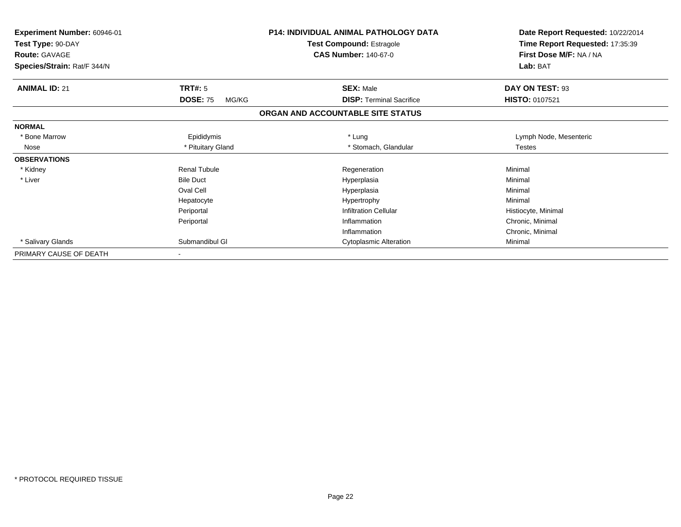| <b>Experiment Number: 60946-01</b><br>Test Type: 90-DAY |                          | <b>P14: INDIVIDUAL ANIMAL PATHOLOGY DATA</b><br><b>Test Compound: Estragole</b> | Date Report Requested: 10/22/2014<br>Time Report Requested: 17:35:39 |
|---------------------------------------------------------|--------------------------|---------------------------------------------------------------------------------|----------------------------------------------------------------------|
| <b>Route: GAVAGE</b>                                    |                          | <b>CAS Number: 140-67-0</b>                                                     | First Dose M/F: NA / NA                                              |
| Species/Strain: Rat/F 344/N                             |                          |                                                                                 | Lab: BAT                                                             |
| <b>ANIMAL ID: 21</b>                                    | TRT#: 5                  | <b>SEX: Male</b>                                                                | DAY ON TEST: 93                                                      |
|                                                         | <b>DOSE: 75</b><br>MG/KG | <b>DISP: Terminal Sacrifice</b>                                                 | HISTO: 0107521                                                       |
|                                                         |                          | ORGAN AND ACCOUNTABLE SITE STATUS                                               |                                                                      |
| <b>NORMAL</b>                                           |                          |                                                                                 |                                                                      |
| * Bone Marrow                                           | Epididymis               | * Lung                                                                          | Lymph Node, Mesenteric                                               |
| Nose                                                    | * Pituitary Gland        | * Stomach, Glandular                                                            | <b>Testes</b>                                                        |
| <b>OBSERVATIONS</b>                                     |                          |                                                                                 |                                                                      |
| * Kidney                                                | <b>Renal Tubule</b>      | Regeneration                                                                    | Minimal                                                              |
| * Liver                                                 | <b>Bile Duct</b>         | Hyperplasia                                                                     | Minimal                                                              |
|                                                         | Oval Cell                | Hyperplasia                                                                     | Minimal                                                              |
|                                                         | Hepatocyte               | Hypertrophy                                                                     | Minimal                                                              |
|                                                         | Periportal               | <b>Infiltration Cellular</b>                                                    | Histiocyte, Minimal                                                  |
|                                                         | Periportal               | Inflammation                                                                    | Chronic, Minimal                                                     |
|                                                         |                          | Inflammation                                                                    | Chronic, Minimal                                                     |
| * Salivary Glands                                       | Submandibul GI           | <b>Cytoplasmic Alteration</b>                                                   | Minimal                                                              |
| PRIMARY CAUSE OF DEATH                                  |                          |                                                                                 |                                                                      |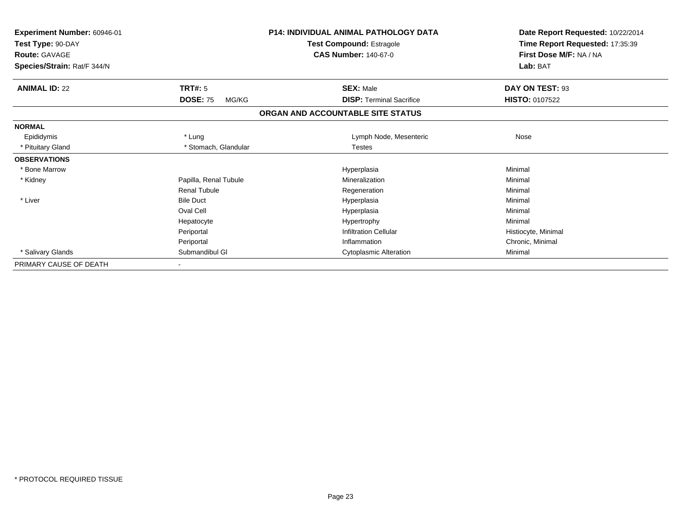| Experiment Number: 60946-01<br>Test Type: 90-DAY<br><b>Route: GAVAGE</b> |                          | <b>P14: INDIVIDUAL ANIMAL PATHOLOGY DATA</b><br><b>Test Compound: Estragole</b><br><b>CAS Number: 140-67-0</b> | Date Report Requested: 10/22/2014<br>Time Report Requested: 17:35:39<br>First Dose M/F: NA / NA |
|--------------------------------------------------------------------------|--------------------------|----------------------------------------------------------------------------------------------------------------|-------------------------------------------------------------------------------------------------|
| Species/Strain: Rat/F 344/N                                              |                          |                                                                                                                | Lab: BAT                                                                                        |
| <b>ANIMAL ID: 22</b>                                                     | <b>TRT#: 5</b>           | <b>SEX: Male</b>                                                                                               | DAY ON TEST: 93                                                                                 |
|                                                                          | <b>DOSE: 75</b><br>MG/KG | <b>DISP: Terminal Sacrifice</b>                                                                                | <b>HISTO: 0107522</b>                                                                           |
|                                                                          |                          | ORGAN AND ACCOUNTABLE SITE STATUS                                                                              |                                                                                                 |
| <b>NORMAL</b>                                                            |                          |                                                                                                                |                                                                                                 |
| Epididymis                                                               | * Lung                   | Lymph Node, Mesenteric                                                                                         | Nose                                                                                            |
| * Pituitary Gland                                                        | * Stomach, Glandular     | <b>Testes</b>                                                                                                  |                                                                                                 |
| <b>OBSERVATIONS</b>                                                      |                          |                                                                                                                |                                                                                                 |
| * Bone Marrow                                                            |                          | Hyperplasia                                                                                                    | Minimal                                                                                         |
| * Kidney                                                                 | Papilla, Renal Tubule    | Mineralization                                                                                                 | Minimal                                                                                         |
|                                                                          | <b>Renal Tubule</b>      | Regeneration                                                                                                   | Minimal                                                                                         |
| * Liver                                                                  | <b>Bile Duct</b>         | Hyperplasia                                                                                                    | Minimal                                                                                         |
|                                                                          | Oval Cell                | Hyperplasia                                                                                                    | Minimal                                                                                         |
|                                                                          | Hepatocyte               | Hypertrophy                                                                                                    | Minimal                                                                                         |
|                                                                          | Periportal               | <b>Infiltration Cellular</b>                                                                                   | Histiocyte, Minimal                                                                             |
|                                                                          | Periportal               | Inflammation                                                                                                   | Chronic, Minimal                                                                                |
| * Salivary Glands                                                        | Submandibul GI           | <b>Cytoplasmic Alteration</b>                                                                                  | Minimal                                                                                         |
| PRIMARY CAUSE OF DEATH                                                   |                          |                                                                                                                |                                                                                                 |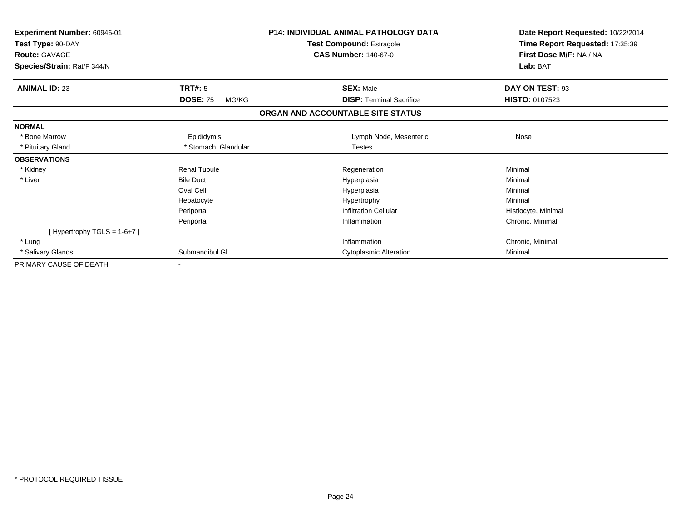| Experiment Number: 60946-01<br>Test Type: 90-DAY<br><b>Route: GAVAGE</b> |                          | <b>P14: INDIVIDUAL ANIMAL PATHOLOGY DATA</b><br><b>Test Compound: Estragole</b><br><b>CAS Number: 140-67-0</b> | Date Report Requested: 10/22/2014<br>Time Report Requested: 17:35:39<br>First Dose M/F: NA / NA |
|--------------------------------------------------------------------------|--------------------------|----------------------------------------------------------------------------------------------------------------|-------------------------------------------------------------------------------------------------|
| Species/Strain: Rat/F 344/N                                              |                          |                                                                                                                | Lab: BAT                                                                                        |
| <b>ANIMAL ID: 23</b>                                                     | <b>TRT#: 5</b>           | <b>SEX: Male</b>                                                                                               | DAY ON TEST: 93                                                                                 |
|                                                                          | <b>DOSE: 75</b><br>MG/KG | <b>DISP: Terminal Sacrifice</b>                                                                                | <b>HISTO: 0107523</b>                                                                           |
|                                                                          |                          | ORGAN AND ACCOUNTABLE SITE STATUS                                                                              |                                                                                                 |
| <b>NORMAL</b>                                                            |                          |                                                                                                                |                                                                                                 |
| * Bone Marrow                                                            | Epididymis               | Lymph Node, Mesenteric                                                                                         | Nose                                                                                            |
| * Pituitary Gland                                                        | * Stomach, Glandular     | <b>Testes</b>                                                                                                  |                                                                                                 |
| <b>OBSERVATIONS</b>                                                      |                          |                                                                                                                |                                                                                                 |
| * Kidney                                                                 | <b>Renal Tubule</b>      | Regeneration                                                                                                   | Minimal                                                                                         |
| * Liver                                                                  | <b>Bile Duct</b>         | Hyperplasia                                                                                                    | Minimal                                                                                         |
|                                                                          | Oval Cell                | Hyperplasia                                                                                                    | Minimal                                                                                         |
|                                                                          | Hepatocyte               | Hypertrophy                                                                                                    | Minimal                                                                                         |
|                                                                          | Periportal               | <b>Infiltration Cellular</b>                                                                                   | Histiocyte, Minimal                                                                             |
|                                                                          | Periportal               | Inflammation                                                                                                   | Chronic, Minimal                                                                                |
| [Hypertrophy TGLS = $1-6+7$ ]                                            |                          |                                                                                                                |                                                                                                 |
| * Lung                                                                   |                          | Inflammation                                                                                                   | Chronic, Minimal                                                                                |
| * Salivary Glands                                                        | Submandibul GI           | <b>Cytoplasmic Alteration</b>                                                                                  | Minimal                                                                                         |
| PRIMARY CAUSE OF DEATH                                                   |                          |                                                                                                                |                                                                                                 |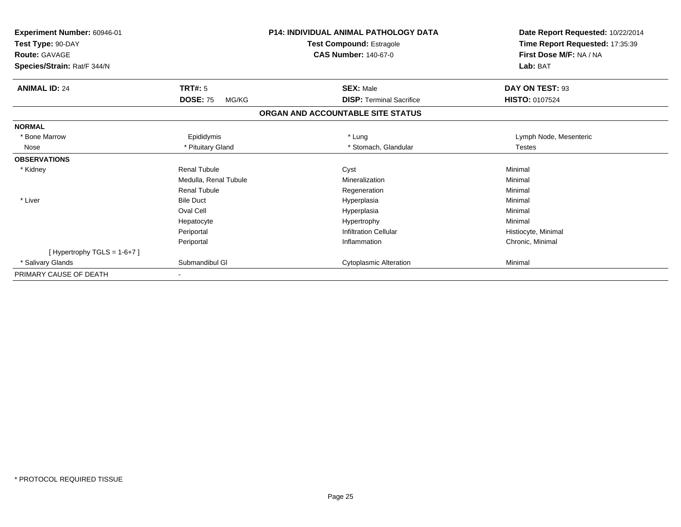| Experiment Number: 60946-01 |                          | <b>P14: INDIVIDUAL ANIMAL PATHOLOGY DATA</b> | Date Report Requested: 10/22/2014 |  |
|-----------------------------|--------------------------|----------------------------------------------|-----------------------------------|--|
| Test Type: 90-DAY           |                          | <b>Test Compound: Estragole</b>              | Time Report Requested: 17:35:39   |  |
| <b>Route: GAVAGE</b>        |                          | <b>CAS Number: 140-67-0</b>                  | First Dose M/F: NA / NA           |  |
| Species/Strain: Rat/F 344/N |                          |                                              | Lab: BAT                          |  |
| <b>ANIMAL ID: 24</b>        | TRT#: 5                  | <b>SEX: Male</b>                             | DAY ON TEST: 93                   |  |
|                             | <b>DOSE: 75</b><br>MG/KG | <b>DISP: Terminal Sacrifice</b>              | <b>HISTO: 0107524</b>             |  |
|                             |                          | ORGAN AND ACCOUNTABLE SITE STATUS            |                                   |  |
| <b>NORMAL</b>               |                          |                                              |                                   |  |
| * Bone Marrow               | Epididymis               | * Lung                                       | Lymph Node, Mesenteric            |  |
| Nose                        | * Pituitary Gland        | * Stomach, Glandular                         | <b>Testes</b>                     |  |
| <b>OBSERVATIONS</b>         |                          |                                              |                                   |  |
| * Kidney                    | <b>Renal Tubule</b>      | Cyst                                         | Minimal                           |  |
|                             | Medulla, Renal Tubule    | Mineralization                               | Minimal                           |  |
|                             | Renal Tubule             | Regeneration                                 | Minimal                           |  |
| * Liver                     | <b>Bile Duct</b>         | Hyperplasia                                  | Minimal                           |  |
|                             | Oval Cell                | Hyperplasia                                  | Minimal                           |  |
|                             | Hepatocyte               | Hypertrophy                                  | Minimal                           |  |
|                             | Periportal               | <b>Infiltration Cellular</b>                 | Histiocyte, Minimal               |  |
|                             | Periportal               | Inflammation                                 | Chronic, Minimal                  |  |
| [Hypertrophy TGLS = 1-6+7]  |                          |                                              |                                   |  |
| <b>Salivary Glands</b>      | Submandibul GI           | <b>Cytoplasmic Alteration</b>                | Minimal                           |  |
| PRIMARY CAUSE OF DEATH      |                          |                                              |                                   |  |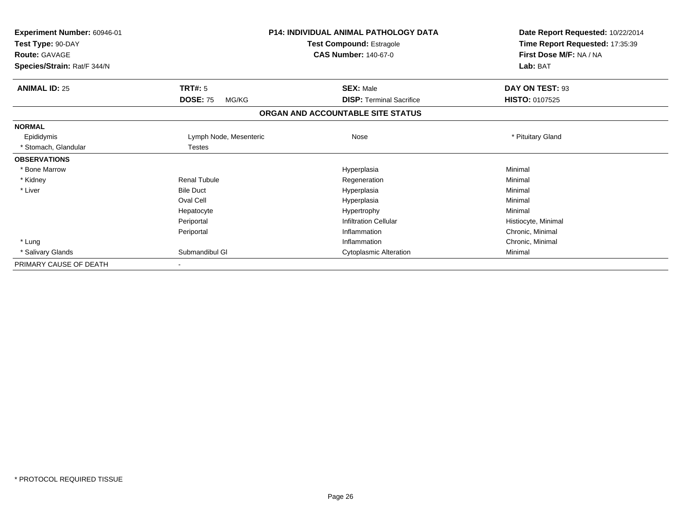| Experiment Number: 60946-01<br>Test Type: 90-DAY<br><b>Route: GAVAGE</b><br>Species/Strain: Rat/F 344/N |                          | <b>P14: INDIVIDUAL ANIMAL PATHOLOGY DATA</b><br><b>Test Compound: Estragole</b><br><b>CAS Number: 140-67-0</b> | Date Report Requested: 10/22/2014<br>Time Report Requested: 17:35:39<br>First Dose M/F: NA / NA<br>Lab: BAT |  |
|---------------------------------------------------------------------------------------------------------|--------------------------|----------------------------------------------------------------------------------------------------------------|-------------------------------------------------------------------------------------------------------------|--|
| <b>ANIMAL ID: 25</b>                                                                                    | <b>TRT#: 5</b>           | <b>SEX: Male</b>                                                                                               | DAY ON TEST: 93                                                                                             |  |
|                                                                                                         | <b>DOSE: 75</b><br>MG/KG | <b>DISP: Terminal Sacrifice</b>                                                                                | <b>HISTO: 0107525</b>                                                                                       |  |
|                                                                                                         |                          | ORGAN AND ACCOUNTABLE SITE STATUS                                                                              |                                                                                                             |  |
| <b>NORMAL</b>                                                                                           |                          |                                                                                                                |                                                                                                             |  |
| Epididymis                                                                                              | Lymph Node, Mesenteric   | Nose                                                                                                           | * Pituitary Gland                                                                                           |  |
| * Stomach, Glandular                                                                                    | Testes                   |                                                                                                                |                                                                                                             |  |
| <b>OBSERVATIONS</b>                                                                                     |                          |                                                                                                                |                                                                                                             |  |
| * Bone Marrow                                                                                           |                          | Hyperplasia                                                                                                    | Minimal                                                                                                     |  |
| * Kidney                                                                                                | <b>Renal Tubule</b>      | Regeneration                                                                                                   | Minimal                                                                                                     |  |
| * Liver                                                                                                 | <b>Bile Duct</b>         | Hyperplasia                                                                                                    | Minimal                                                                                                     |  |
|                                                                                                         | Oval Cell                | Hyperplasia                                                                                                    | Minimal                                                                                                     |  |
|                                                                                                         | Hepatocyte               | Hypertrophy                                                                                                    | Minimal                                                                                                     |  |
|                                                                                                         | Periportal               | <b>Infiltration Cellular</b>                                                                                   | Histiocyte, Minimal                                                                                         |  |
|                                                                                                         | Periportal               | Inflammation                                                                                                   | Chronic, Minimal                                                                                            |  |
| * Lung                                                                                                  |                          | Inflammation                                                                                                   | Chronic, Minimal                                                                                            |  |
| * Salivary Glands                                                                                       | Submandibul GI           | <b>Cytoplasmic Alteration</b>                                                                                  | Minimal                                                                                                     |  |
| PRIMARY CAUSE OF DEATH                                                                                  |                          |                                                                                                                |                                                                                                             |  |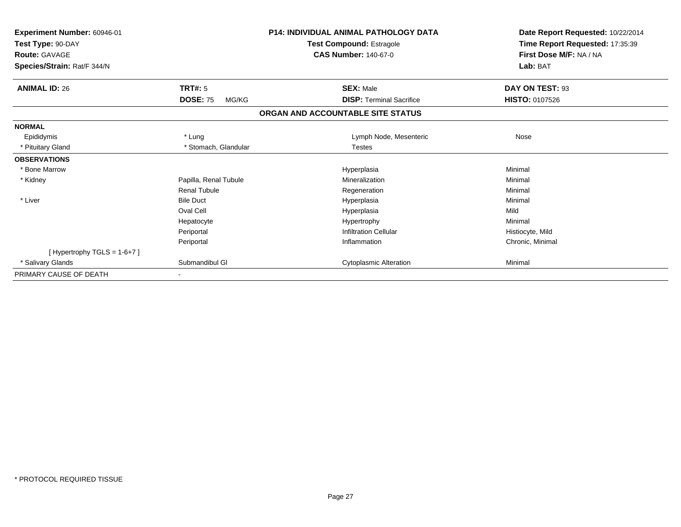| Experiment Number: 60946-01   |                          | <b>P14: INDIVIDUAL ANIMAL PATHOLOGY DATA</b> | Date Report Requested: 10/22/2014 |  |
|-------------------------------|--------------------------|----------------------------------------------|-----------------------------------|--|
| Test Type: 90-DAY             |                          | <b>Test Compound: Estragole</b>              | Time Report Requested: 17:35:39   |  |
| <b>Route: GAVAGE</b>          |                          | <b>CAS Number: 140-67-0</b>                  | First Dose M/F: NA / NA           |  |
| Species/Strain: Rat/F 344/N   |                          |                                              | Lab: BAT                          |  |
| <b>ANIMAL ID: 26</b>          | TRT#: 5                  | <b>SEX: Male</b>                             | DAY ON TEST: 93                   |  |
|                               | <b>DOSE: 75</b><br>MG/KG | <b>DISP: Terminal Sacrifice</b>              | <b>HISTO: 0107526</b>             |  |
|                               |                          | ORGAN AND ACCOUNTABLE SITE STATUS            |                                   |  |
| <b>NORMAL</b>                 |                          |                                              |                                   |  |
| Epididymis                    | * Lung                   | Lymph Node, Mesenteric                       | Nose                              |  |
| * Pituitary Gland             | * Stomach, Glandular     | <b>Testes</b>                                |                                   |  |
| <b>OBSERVATIONS</b>           |                          |                                              |                                   |  |
| * Bone Marrow                 |                          | Hyperplasia                                  | Minimal                           |  |
| * Kidney                      | Papilla, Renal Tubule    | Mineralization                               | Minimal                           |  |
|                               | <b>Renal Tubule</b>      | Regeneration                                 | Minimal                           |  |
| * Liver                       | <b>Bile Duct</b>         | Hyperplasia                                  | Minimal                           |  |
|                               | Oval Cell                | Hyperplasia                                  | Mild                              |  |
|                               | Hepatocyte               | Hypertrophy                                  | Minimal                           |  |
|                               | Periportal               | <b>Infiltration Cellular</b>                 | Histiocyte, Mild                  |  |
|                               | Periportal               | Inflammation                                 | Chronic, Minimal                  |  |
| [Hypertrophy TGLS = $1-6+7$ ] |                          |                                              |                                   |  |
| * Salivary Glands             | Submandibul GI           | <b>Cytoplasmic Alteration</b>                | Minimal                           |  |
| PRIMARY CAUSE OF DEATH        |                          |                                              |                                   |  |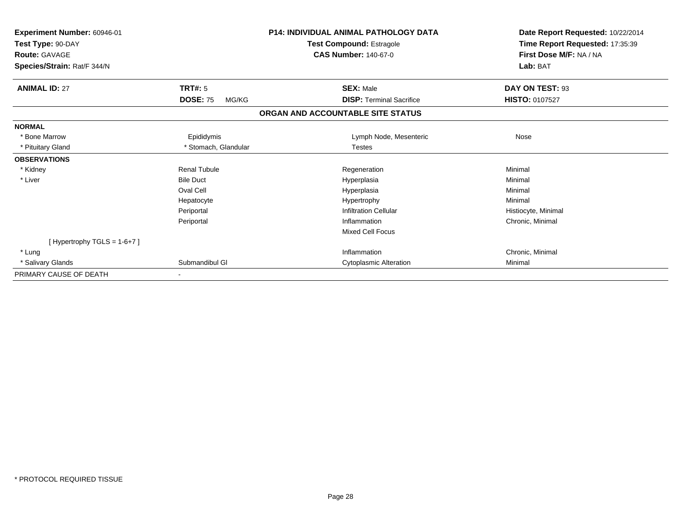| <b>Experiment Number: 60946-01</b><br>Test Type: 90-DAY |                          | <b>P14: INDIVIDUAL ANIMAL PATHOLOGY DATA</b> | Date Report Requested: 10/22/2014 |
|---------------------------------------------------------|--------------------------|----------------------------------------------|-----------------------------------|
|                                                         |                          | <b>Test Compound: Estragole</b>              | Time Report Requested: 17:35:39   |
| <b>Route: GAVAGE</b>                                    |                          | <b>CAS Number: 140-67-0</b>                  | First Dose M/F: NA / NA           |
| Species/Strain: Rat/F 344/N                             |                          |                                              | Lab: BAT                          |
| <b>ANIMAL ID: 27</b>                                    | <b>TRT#: 5</b>           | <b>SEX: Male</b>                             | DAY ON TEST: 93                   |
|                                                         | <b>DOSE: 75</b><br>MG/KG | <b>DISP: Terminal Sacrifice</b>              | <b>HISTO: 0107527</b>             |
|                                                         |                          | ORGAN AND ACCOUNTABLE SITE STATUS            |                                   |
| <b>NORMAL</b>                                           |                          |                                              |                                   |
| * Bone Marrow                                           | Epididymis               | Lymph Node, Mesenteric                       | Nose                              |
| * Pituitary Gland                                       | * Stomach, Glandular     | <b>Testes</b>                                |                                   |
| <b>OBSERVATIONS</b>                                     |                          |                                              |                                   |
| * Kidney                                                | <b>Renal Tubule</b>      | Regeneration                                 | Minimal                           |
| * Liver                                                 | <b>Bile Duct</b>         | Hyperplasia                                  | Minimal                           |
|                                                         | Oval Cell                | Hyperplasia                                  | Minimal                           |
|                                                         | Hepatocyte               | Hypertrophy                                  | Minimal                           |
|                                                         | Periportal               | <b>Infiltration Cellular</b>                 | Histiocyte, Minimal               |
|                                                         | Periportal               | Inflammation                                 | Chronic, Minimal                  |
|                                                         |                          | <b>Mixed Cell Focus</b>                      |                                   |
| [Hypertrophy TGLS = $1-6+7$ ]                           |                          |                                              |                                   |
| * Lung                                                  |                          | Inflammation                                 | Chronic, Minimal                  |
| * Salivary Glands                                       | Submandibul GI           | <b>Cytoplasmic Alteration</b>                | Minimal                           |
| PRIMARY CAUSE OF DEATH                                  |                          |                                              |                                   |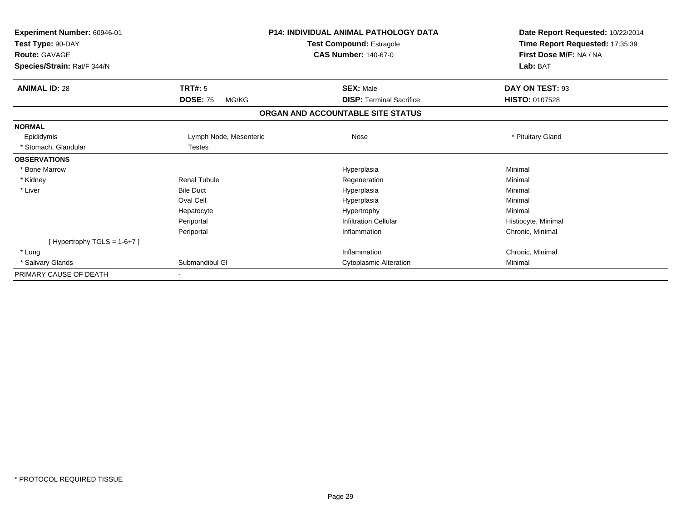| Experiment Number: 60946-01   |                          | <b>P14: INDIVIDUAL ANIMAL PATHOLOGY DATA</b> | Date Report Requested: 10/22/2014 |  |
|-------------------------------|--------------------------|----------------------------------------------|-----------------------------------|--|
| Test Type: 90-DAY             |                          | <b>Test Compound: Estragole</b>              | Time Report Requested: 17:35:39   |  |
| <b>Route: GAVAGE</b>          |                          | <b>CAS Number: 140-67-0</b>                  | First Dose M/F: NA / NA           |  |
| Species/Strain: Rat/F 344/N   |                          |                                              | Lab: BAT                          |  |
| <b>ANIMAL ID: 28</b>          | <b>TRT#: 5</b>           | <b>SEX: Male</b>                             | DAY ON TEST: 93                   |  |
|                               | <b>DOSE: 75</b><br>MG/KG | <b>DISP: Terminal Sacrifice</b>              | <b>HISTO: 0107528</b>             |  |
|                               |                          | ORGAN AND ACCOUNTABLE SITE STATUS            |                                   |  |
| <b>NORMAL</b>                 |                          |                                              |                                   |  |
| Epididymis                    | Lymph Node, Mesenteric   | Nose                                         | * Pituitary Gland                 |  |
| * Stomach, Glandular          | <b>Testes</b>            |                                              |                                   |  |
| <b>OBSERVATIONS</b>           |                          |                                              |                                   |  |
| * Bone Marrow                 |                          | Hyperplasia                                  | Minimal                           |  |
| * Kidney                      | Renal Tubule             | Regeneration                                 | Minimal                           |  |
| * Liver                       | <b>Bile Duct</b>         | Hyperplasia                                  | Minimal                           |  |
|                               | Oval Cell                | Hyperplasia                                  | Minimal                           |  |
|                               | Hepatocyte               | Hypertrophy                                  | Minimal                           |  |
|                               | Periportal               | <b>Infiltration Cellular</b>                 | Histiocyte, Minimal               |  |
|                               | Periportal               | Inflammation                                 | Chronic, Minimal                  |  |
| [Hypertrophy TGLS = $1-6+7$ ] |                          |                                              |                                   |  |
| * Lung                        |                          | Inflammation                                 | Chronic, Minimal                  |  |
| * Salivary Glands             | Submandibul GI           | <b>Cytoplasmic Alteration</b>                | Minimal                           |  |
| PRIMARY CAUSE OF DEATH        |                          |                                              |                                   |  |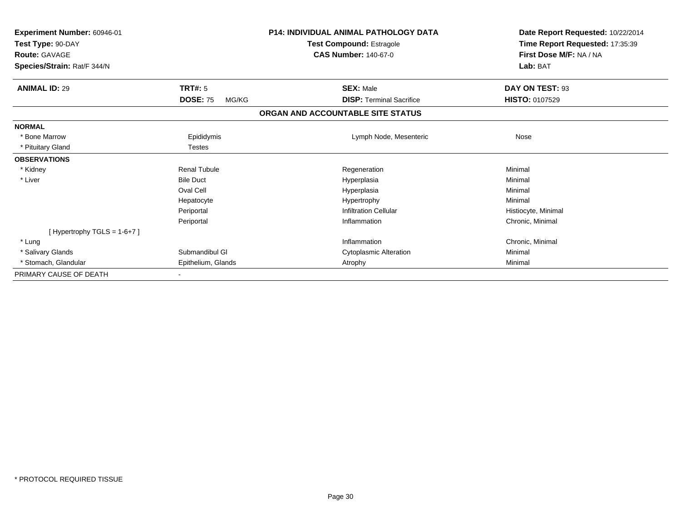| Experiment Number: 60946-01   |                                 | <b>P14: INDIVIDUAL ANIMAL PATHOLOGY DATA</b> | Date Report Requested: 10/22/2014                          |
|-------------------------------|---------------------------------|----------------------------------------------|------------------------------------------------------------|
| Test Type: 90-DAY             | <b>Test Compound: Estragole</b> |                                              | Time Report Requested: 17:35:39<br>First Dose M/F: NA / NA |
| <b>Route: GAVAGE</b>          |                                 | <b>CAS Number: 140-67-0</b>                  |                                                            |
| Species/Strain: Rat/F 344/N   |                                 |                                              | Lab: BAT                                                   |
| <b>ANIMAL ID: 29</b>          | <b>TRT#: 5</b>                  | <b>SEX: Male</b>                             | DAY ON TEST: 93                                            |
|                               | <b>DOSE: 75</b><br>MG/KG        | <b>DISP: Terminal Sacrifice</b>              | <b>HISTO: 0107529</b>                                      |
|                               |                                 | ORGAN AND ACCOUNTABLE SITE STATUS            |                                                            |
| <b>NORMAL</b>                 |                                 |                                              |                                                            |
| * Bone Marrow                 | Epididymis                      | Lymph Node, Mesenteric                       | Nose                                                       |
| * Pituitary Gland             | <b>Testes</b>                   |                                              |                                                            |
| <b>OBSERVATIONS</b>           |                                 |                                              |                                                            |
| * Kidney                      | <b>Renal Tubule</b>             | Regeneration                                 | Minimal                                                    |
| * Liver                       | <b>Bile Duct</b>                | Hyperplasia                                  | Minimal                                                    |
|                               | Oval Cell                       | Hyperplasia                                  | Minimal                                                    |
|                               | Hepatocyte                      | Hypertrophy                                  | Minimal                                                    |
|                               | Periportal                      | <b>Infiltration Cellular</b>                 | Histiocyte, Minimal                                        |
|                               | Periportal                      | Inflammation                                 | Chronic, Minimal                                           |
| [Hypertrophy TGLS = $1-6+7$ ] |                                 |                                              |                                                            |
| * Lung                        |                                 | Inflammation                                 | Chronic, Minimal                                           |
| * Salivary Glands             | Submandibul GI                  | <b>Cytoplasmic Alteration</b>                | Minimal                                                    |
| * Stomach, Glandular          | Epithelium, Glands              | Atrophy                                      | Minimal                                                    |
| PRIMARY CAUSE OF DEATH        |                                 |                                              |                                                            |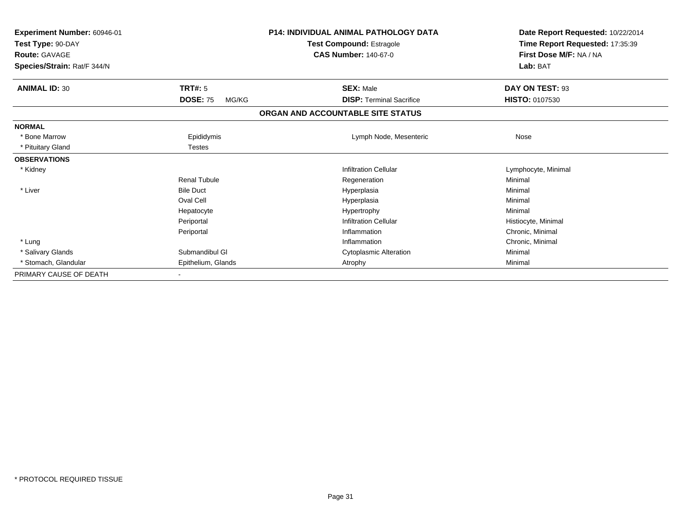| Experiment Number: 60946-01<br>Test Type: 90-DAY<br><b>Route: GAVAGE</b> |                          | <b>P14: INDIVIDUAL ANIMAL PATHOLOGY DATA</b><br><b>Test Compound: Estragole</b><br><b>CAS Number: 140-67-0</b> | Date Report Requested: 10/22/2014<br>Time Report Requested: 17:35:39<br>First Dose M/F: NA / NA<br>Lab: BAT |  |
|--------------------------------------------------------------------------|--------------------------|----------------------------------------------------------------------------------------------------------------|-------------------------------------------------------------------------------------------------------------|--|
| Species/Strain: Rat/F 344/N                                              |                          |                                                                                                                |                                                                                                             |  |
| <b>ANIMAL ID: 30</b>                                                     | TRT#: 5                  | <b>SEX: Male</b>                                                                                               | DAY ON TEST: 93                                                                                             |  |
|                                                                          | <b>DOSE: 75</b><br>MG/KG | <b>DISP: Terminal Sacrifice</b>                                                                                | <b>HISTO: 0107530</b>                                                                                       |  |
|                                                                          |                          | ORGAN AND ACCOUNTABLE SITE STATUS                                                                              |                                                                                                             |  |
| <b>NORMAL</b>                                                            |                          |                                                                                                                |                                                                                                             |  |
| * Bone Marrow                                                            | Epididymis               | Lymph Node, Mesenteric                                                                                         | Nose                                                                                                        |  |
| * Pituitary Gland                                                        | Testes                   |                                                                                                                |                                                                                                             |  |
| <b>OBSERVATIONS</b>                                                      |                          |                                                                                                                |                                                                                                             |  |
| * Kidney                                                                 |                          | <b>Infiltration Cellular</b>                                                                                   | Lymphocyte, Minimal                                                                                         |  |
|                                                                          | <b>Renal Tubule</b>      | Regeneration                                                                                                   | Minimal                                                                                                     |  |
| * Liver                                                                  | <b>Bile Duct</b>         | Hyperplasia                                                                                                    | Minimal                                                                                                     |  |
|                                                                          | Oval Cell                | Hyperplasia                                                                                                    | Minimal                                                                                                     |  |
|                                                                          | Hepatocyte               | Hypertrophy                                                                                                    | Minimal                                                                                                     |  |
|                                                                          | Periportal               | <b>Infiltration Cellular</b>                                                                                   | Histiocyte, Minimal                                                                                         |  |
|                                                                          | Periportal               | Inflammation                                                                                                   | Chronic, Minimal                                                                                            |  |
| * Lung                                                                   |                          | Inflammation                                                                                                   | Chronic, Minimal                                                                                            |  |
| * Salivary Glands                                                        | Submandibul GI           | <b>Cytoplasmic Alteration</b>                                                                                  | Minimal                                                                                                     |  |
| * Stomach, Glandular                                                     | Epithelium, Glands       | Atrophy                                                                                                        | Minimal                                                                                                     |  |
| PRIMARY CAUSE OF DEATH                                                   |                          |                                                                                                                |                                                                                                             |  |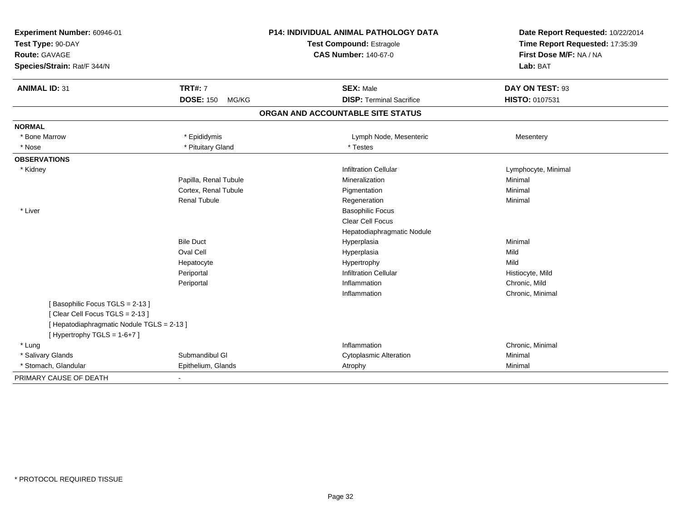| Experiment Number: 60946-01<br>Test Type: 90-DAY<br><b>Route: GAVAGE</b><br>Species/Strain: Rat/F 344/N |                           | P14: INDIVIDUAL ANIMAL PATHOLOGY DATA<br><b>Test Compound: Estragole</b><br><b>CAS Number: 140-67-0</b> | Date Report Requested: 10/22/2014<br>Time Report Requested: 17:35:39<br>First Dose M/F: NA / NA<br>Lab: BAT |  |
|---------------------------------------------------------------------------------------------------------|---------------------------|---------------------------------------------------------------------------------------------------------|-------------------------------------------------------------------------------------------------------------|--|
| <b>ANIMAL ID: 31</b>                                                                                    | <b>TRT#: 7</b>            | <b>SEX: Male</b>                                                                                        | DAY ON TEST: 93                                                                                             |  |
|                                                                                                         | <b>DOSE: 150</b><br>MG/KG | <b>DISP: Terminal Sacrifice</b>                                                                         | HISTO: 0107531                                                                                              |  |
|                                                                                                         |                           | ORGAN AND ACCOUNTABLE SITE STATUS                                                                       |                                                                                                             |  |
| <b>NORMAL</b>                                                                                           |                           |                                                                                                         |                                                                                                             |  |
| * Bone Marrow                                                                                           | * Epididymis              | Lymph Node, Mesenteric                                                                                  | Mesentery                                                                                                   |  |
| * Nose                                                                                                  | * Pituitary Gland         | * Testes                                                                                                |                                                                                                             |  |
| <b>OBSERVATIONS</b>                                                                                     |                           |                                                                                                         |                                                                                                             |  |
| * Kidney                                                                                                |                           | <b>Infiltration Cellular</b>                                                                            | Lymphocyte, Minimal                                                                                         |  |
|                                                                                                         | Papilla, Renal Tubule     | Mineralization                                                                                          | Minimal                                                                                                     |  |
|                                                                                                         | Cortex, Renal Tubule      | Pigmentation                                                                                            | Minimal                                                                                                     |  |
|                                                                                                         | <b>Renal Tubule</b>       | Regeneration                                                                                            | Minimal                                                                                                     |  |
| * Liver                                                                                                 |                           | <b>Basophilic Focus</b>                                                                                 |                                                                                                             |  |
|                                                                                                         |                           | Clear Cell Focus                                                                                        |                                                                                                             |  |
|                                                                                                         |                           | Hepatodiaphragmatic Nodule                                                                              |                                                                                                             |  |
|                                                                                                         | <b>Bile Duct</b>          | Hyperplasia                                                                                             | Minimal                                                                                                     |  |
|                                                                                                         | Oval Cell                 | Hyperplasia                                                                                             | Mild                                                                                                        |  |
|                                                                                                         | Hepatocyte                | Hypertrophy                                                                                             | Mild                                                                                                        |  |
|                                                                                                         | Periportal                | <b>Infiltration Cellular</b>                                                                            | Histiocyte, Mild                                                                                            |  |
|                                                                                                         | Periportal                | Inflammation                                                                                            | Chronic, Mild                                                                                               |  |
|                                                                                                         |                           | Inflammation                                                                                            | Chronic, Minimal                                                                                            |  |
| [Basophilic Focus TGLS = 2-13]                                                                          |                           |                                                                                                         |                                                                                                             |  |
| [Clear Cell Focus TGLS = 2-13]                                                                          |                           |                                                                                                         |                                                                                                             |  |
| [ Hepatodiaphragmatic Nodule TGLS = 2-13 ]                                                              |                           |                                                                                                         |                                                                                                             |  |
| [Hypertrophy TGLS = $1-6+7$ ]                                                                           |                           |                                                                                                         |                                                                                                             |  |
| * Lung                                                                                                  |                           | Inflammation                                                                                            | Chronic, Minimal                                                                                            |  |
| * Salivary Glands                                                                                       | Submandibul GI            | <b>Cytoplasmic Alteration</b>                                                                           | Minimal                                                                                                     |  |
| * Stomach, Glandular                                                                                    | Epithelium, Glands        | Atrophy                                                                                                 | Minimal                                                                                                     |  |
| PRIMARY CAUSE OF DEATH                                                                                  | $\blacksquare$            |                                                                                                         |                                                                                                             |  |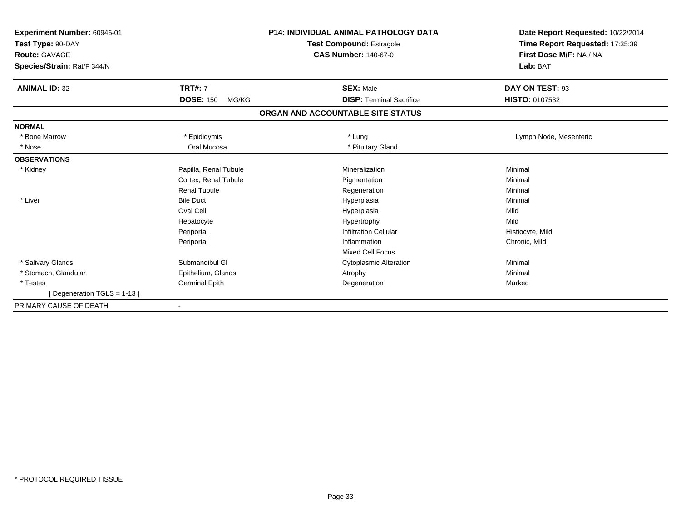| Experiment Number: 60946-01<br>Test Type: 90-DAY<br><b>Route: GAVAGE</b><br>Species/Strain: Rat/F 344/N |                           | <b>P14: INDIVIDUAL ANIMAL PATHOLOGY DATA</b><br><b>Test Compound: Estragole</b><br><b>CAS Number: 140-67-0</b> | Date Report Requested: 10/22/2014<br>Time Report Requested: 17:35:39<br>First Dose M/F: NA / NA<br>Lab: BAT |  |
|---------------------------------------------------------------------------------------------------------|---------------------------|----------------------------------------------------------------------------------------------------------------|-------------------------------------------------------------------------------------------------------------|--|
| <b>ANIMAL ID: 32</b>                                                                                    | <b>TRT#: 7</b>            | <b>SEX: Male</b>                                                                                               | DAY ON TEST: 93                                                                                             |  |
|                                                                                                         | <b>DOSE: 150</b><br>MG/KG | <b>DISP: Terminal Sacrifice</b>                                                                                | HISTO: 0107532                                                                                              |  |
|                                                                                                         |                           | ORGAN AND ACCOUNTABLE SITE STATUS                                                                              |                                                                                                             |  |
| <b>NORMAL</b>                                                                                           |                           |                                                                                                                |                                                                                                             |  |
| * Bone Marrow                                                                                           | * Epididymis              | * Lung                                                                                                         | Lymph Node, Mesenteric                                                                                      |  |
| * Nose                                                                                                  | Oral Mucosa               | * Pituitary Gland                                                                                              |                                                                                                             |  |
| <b>OBSERVATIONS</b>                                                                                     |                           |                                                                                                                |                                                                                                             |  |
| * Kidney                                                                                                | Papilla, Renal Tubule     | Mineralization                                                                                                 | Minimal                                                                                                     |  |
|                                                                                                         | Cortex, Renal Tubule      | Pigmentation                                                                                                   | Minimal                                                                                                     |  |
|                                                                                                         | <b>Renal Tubule</b>       | Regeneration                                                                                                   | Minimal                                                                                                     |  |
| * Liver                                                                                                 | <b>Bile Duct</b>          | Hyperplasia                                                                                                    | Minimal                                                                                                     |  |
|                                                                                                         | Oval Cell                 | Hyperplasia                                                                                                    | Mild                                                                                                        |  |
|                                                                                                         | Hepatocyte                | Hypertrophy                                                                                                    | Mild                                                                                                        |  |
|                                                                                                         | Periportal                | <b>Infiltration Cellular</b>                                                                                   | Histiocyte, Mild                                                                                            |  |
|                                                                                                         | Periportal                | Inflammation                                                                                                   | Chronic, Mild                                                                                               |  |
|                                                                                                         |                           | <b>Mixed Cell Focus</b>                                                                                        |                                                                                                             |  |
| * Salivary Glands                                                                                       | Submandibul GI            | <b>Cytoplasmic Alteration</b>                                                                                  | Minimal                                                                                                     |  |
| * Stomach, Glandular                                                                                    | Epithelium, Glands        | Atrophy                                                                                                        | Minimal                                                                                                     |  |
| * Testes                                                                                                | Germinal Epith            | Degeneration                                                                                                   | Marked                                                                                                      |  |
| [Degeneration TGLS = 1-13]                                                                              |                           |                                                                                                                |                                                                                                             |  |
| PRIMARY CAUSE OF DEATH                                                                                  |                           |                                                                                                                |                                                                                                             |  |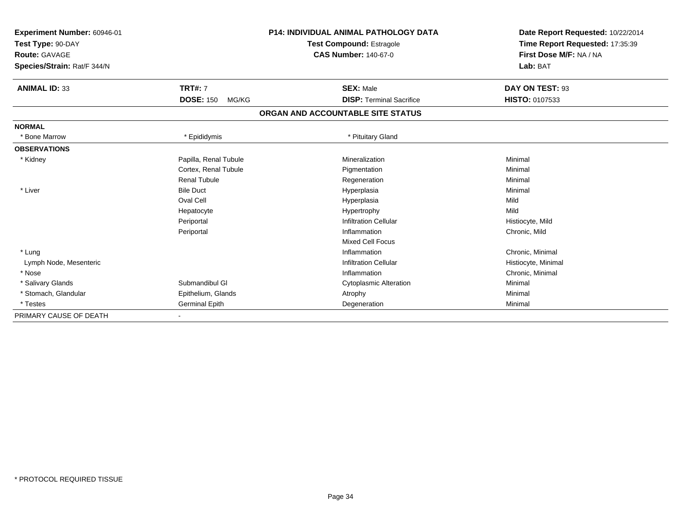| Experiment Number: 60946-01<br>Test Type: 90-DAY<br><b>Route: GAVAGE</b><br>Species/Strain: Rat/F 344/N |                           | <b>P14: INDIVIDUAL ANIMAL PATHOLOGY DATA</b><br><b>Test Compound: Estragole</b><br><b>CAS Number: 140-67-0</b> | Date Report Requested: 10/22/2014<br>Time Report Requested: 17:35:39<br>First Dose M/F: NA / NA<br>Lab: BAT |
|---------------------------------------------------------------------------------------------------------|---------------------------|----------------------------------------------------------------------------------------------------------------|-------------------------------------------------------------------------------------------------------------|
|                                                                                                         |                           |                                                                                                                |                                                                                                             |
| <b>ANIMAL ID: 33</b>                                                                                    | <b>TRT#: 7</b>            | <b>SEX: Male</b>                                                                                               | DAY ON TEST: 93                                                                                             |
|                                                                                                         | <b>DOSE: 150</b><br>MG/KG | <b>DISP: Terminal Sacrifice</b>                                                                                | <b>HISTO: 0107533</b>                                                                                       |
|                                                                                                         |                           | ORGAN AND ACCOUNTABLE SITE STATUS                                                                              |                                                                                                             |
| <b>NORMAL</b>                                                                                           |                           |                                                                                                                |                                                                                                             |
| <b>Bone Marrow</b>                                                                                      | * Epididymis              | * Pituitary Gland                                                                                              |                                                                                                             |
| <b>OBSERVATIONS</b>                                                                                     |                           |                                                                                                                |                                                                                                             |
| * Kidney                                                                                                | Papilla, Renal Tubule     | Mineralization                                                                                                 | Minimal                                                                                                     |
|                                                                                                         | Cortex, Renal Tubule      | Pigmentation                                                                                                   | Minimal                                                                                                     |
|                                                                                                         | <b>Renal Tubule</b>       | Regeneration                                                                                                   | Minimal                                                                                                     |
| * Liver                                                                                                 | <b>Bile Duct</b>          | Hyperplasia                                                                                                    | Minimal                                                                                                     |
|                                                                                                         | Oval Cell                 | Hyperplasia                                                                                                    | Mild                                                                                                        |
|                                                                                                         | Hepatocyte                | Hypertrophy                                                                                                    | Mild                                                                                                        |
|                                                                                                         | Periportal                | <b>Infiltration Cellular</b>                                                                                   | Histiocyte, Mild                                                                                            |
|                                                                                                         | Periportal                | Inflammation                                                                                                   | Chronic, Mild                                                                                               |
|                                                                                                         |                           | <b>Mixed Cell Focus</b>                                                                                        |                                                                                                             |
| * Lung                                                                                                  |                           | Inflammation                                                                                                   | Chronic, Minimal                                                                                            |
| Lymph Node, Mesenteric                                                                                  |                           | <b>Infiltration Cellular</b>                                                                                   | Histiocyte, Minimal                                                                                         |
| * Nose                                                                                                  |                           | Inflammation                                                                                                   | Chronic, Minimal                                                                                            |
| * Salivary Glands                                                                                       | Submandibul GI            | <b>Cytoplasmic Alteration</b>                                                                                  | Minimal                                                                                                     |
| * Stomach, Glandular                                                                                    | Epithelium, Glands        | Atrophy                                                                                                        | Minimal                                                                                                     |
| * Testes                                                                                                | <b>Germinal Epith</b>     | Degeneration                                                                                                   | Minimal                                                                                                     |
| PRIMARY CAUSE OF DEATH                                                                                  |                           |                                                                                                                |                                                                                                             |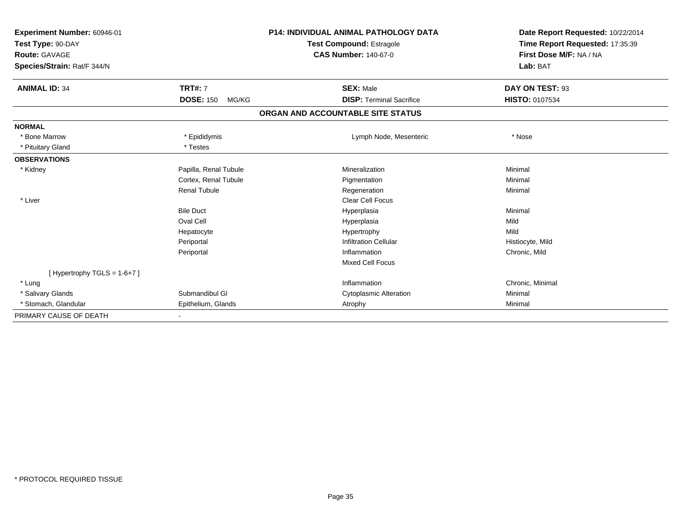| Experiment Number: 60946-01<br>Test Type: 90-DAY<br><b>Route: GAVAGE</b><br>Species/Strain: Rat/F 344/N |                           | <b>P14: INDIVIDUAL ANIMAL PATHOLOGY DATA</b><br><b>Test Compound: Estragole</b><br><b>CAS Number: 140-67-0</b> |                                 | Date Report Requested: 10/22/2014<br>Time Report Requested: 17:35:39<br>First Dose M/F: NA / NA<br>Lab: BAT |  |
|---------------------------------------------------------------------------------------------------------|---------------------------|----------------------------------------------------------------------------------------------------------------|---------------------------------|-------------------------------------------------------------------------------------------------------------|--|
| <b>ANIMAL ID: 34</b>                                                                                    | <b>TRT#: 7</b>            |                                                                                                                | <b>SEX: Male</b>                | DAY ON TEST: 93                                                                                             |  |
|                                                                                                         | <b>DOSE: 150</b><br>MG/KG |                                                                                                                | <b>DISP: Terminal Sacrifice</b> | <b>HISTO: 0107534</b>                                                                                       |  |
|                                                                                                         |                           | ORGAN AND ACCOUNTABLE SITE STATUS                                                                              |                                 |                                                                                                             |  |
| <b>NORMAL</b>                                                                                           |                           |                                                                                                                |                                 |                                                                                                             |  |
| * Bone Marrow                                                                                           | * Epididymis              |                                                                                                                | Lymph Node, Mesenteric          | * Nose                                                                                                      |  |
| * Pituitary Gland                                                                                       | * Testes                  |                                                                                                                |                                 |                                                                                                             |  |
| <b>OBSERVATIONS</b>                                                                                     |                           |                                                                                                                |                                 |                                                                                                             |  |
| * Kidney                                                                                                | Papilla, Renal Tubule     |                                                                                                                | Mineralization                  | Minimal                                                                                                     |  |
|                                                                                                         | Cortex, Renal Tubule      |                                                                                                                | Pigmentation                    | Minimal                                                                                                     |  |
|                                                                                                         | Renal Tubule              |                                                                                                                | Regeneration                    | Minimal                                                                                                     |  |
| * Liver                                                                                                 |                           |                                                                                                                | <b>Clear Cell Focus</b>         |                                                                                                             |  |
|                                                                                                         | <b>Bile Duct</b>          |                                                                                                                | Hyperplasia                     | Minimal                                                                                                     |  |
|                                                                                                         | Oval Cell                 |                                                                                                                | Hyperplasia                     | Mild                                                                                                        |  |
|                                                                                                         | Hepatocyte                |                                                                                                                | Hypertrophy                     | Mild                                                                                                        |  |
|                                                                                                         | Periportal                |                                                                                                                | <b>Infiltration Cellular</b>    | Histiocyte, Mild                                                                                            |  |
|                                                                                                         | Periportal                |                                                                                                                | Inflammation                    | Chronic, Mild                                                                                               |  |
|                                                                                                         |                           |                                                                                                                | <b>Mixed Cell Focus</b>         |                                                                                                             |  |
| [Hypertrophy TGLS = $1-6+7$ ]                                                                           |                           |                                                                                                                |                                 |                                                                                                             |  |
| * Lung                                                                                                  |                           |                                                                                                                | Inflammation                    | Chronic, Minimal                                                                                            |  |
| * Salivary Glands                                                                                       | Submandibul GI            |                                                                                                                | <b>Cytoplasmic Alteration</b>   | Minimal                                                                                                     |  |
| * Stomach, Glandular                                                                                    | Epithelium, Glands        | Atrophy                                                                                                        |                                 | Minimal                                                                                                     |  |
| PRIMARY CAUSE OF DEATH                                                                                  |                           |                                                                                                                |                                 |                                                                                                             |  |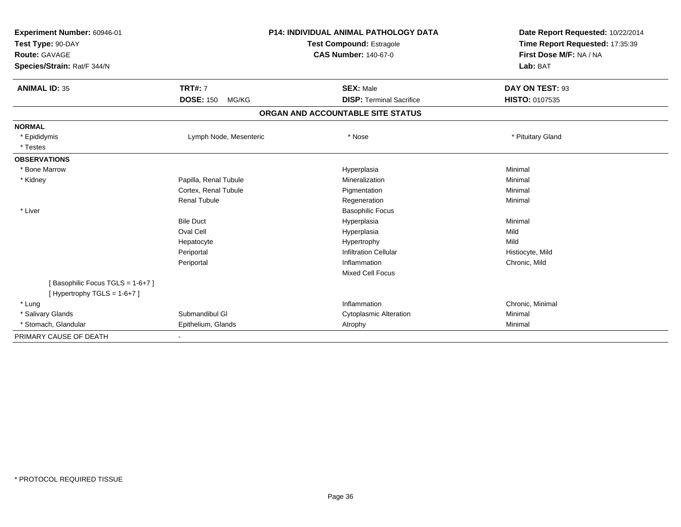| Experiment Number: 60946-01<br>Test Type: 90-DAY<br><b>Route: GAVAGE</b><br>Species/Strain: Rat/F 344/N |                           | <b>P14: INDIVIDUAL ANIMAL PATHOLOGY DATA</b><br><b>Test Compound: Estragole</b><br><b>CAS Number: 140-67-0</b> | Date Report Requested: 10/22/2014<br>Time Report Requested: 17:35:39<br>First Dose M/F: NA / NA<br>Lab: BAT |
|---------------------------------------------------------------------------------------------------------|---------------------------|----------------------------------------------------------------------------------------------------------------|-------------------------------------------------------------------------------------------------------------|
| <b>ANIMAL ID: 35</b>                                                                                    | <b>TRT#: 7</b>            | <b>SEX: Male</b>                                                                                               | DAY ON TEST: 93                                                                                             |
|                                                                                                         | <b>DOSE: 150</b><br>MG/KG | <b>DISP: Terminal Sacrifice</b>                                                                                | HISTO: 0107535                                                                                              |
|                                                                                                         |                           | ORGAN AND ACCOUNTABLE SITE STATUS                                                                              |                                                                                                             |
| <b>NORMAL</b>                                                                                           |                           |                                                                                                                |                                                                                                             |
| * Epididymis                                                                                            | Lymph Node, Mesenteric    | * Nose                                                                                                         | * Pituitary Gland                                                                                           |
| * Testes                                                                                                |                           |                                                                                                                |                                                                                                             |
| <b>OBSERVATIONS</b>                                                                                     |                           |                                                                                                                |                                                                                                             |
| * Bone Marrow                                                                                           |                           | Hyperplasia                                                                                                    | Minimal                                                                                                     |
| * Kidney                                                                                                | Papilla, Renal Tubule     | Mineralization                                                                                                 | Minimal                                                                                                     |
|                                                                                                         | Cortex, Renal Tubule      | Pigmentation                                                                                                   | Minimal                                                                                                     |
|                                                                                                         | <b>Renal Tubule</b>       | Regeneration                                                                                                   | Minimal                                                                                                     |
| * Liver                                                                                                 |                           | <b>Basophilic Focus</b>                                                                                        |                                                                                                             |
|                                                                                                         | <b>Bile Duct</b>          | Hyperplasia                                                                                                    | Minimal                                                                                                     |
|                                                                                                         | Oval Cell                 | Hyperplasia                                                                                                    | Mild                                                                                                        |
|                                                                                                         | Hepatocyte                | Hypertrophy                                                                                                    | Mild                                                                                                        |
|                                                                                                         | Periportal                | <b>Infiltration Cellular</b>                                                                                   | Histiocyte, Mild                                                                                            |
|                                                                                                         | Periportal                | Inflammation                                                                                                   | Chronic, Mild                                                                                               |
|                                                                                                         |                           | <b>Mixed Cell Focus</b>                                                                                        |                                                                                                             |
| [Basophilic Focus TGLS = 1-6+7]                                                                         |                           |                                                                                                                |                                                                                                             |
| [Hypertrophy TGLS = $1-6+7$ ]                                                                           |                           |                                                                                                                |                                                                                                             |
| * Lung                                                                                                  |                           | Inflammation                                                                                                   | Chronic, Minimal                                                                                            |
| * Salivary Glands                                                                                       | Submandibul GI            | <b>Cytoplasmic Alteration</b>                                                                                  | Minimal                                                                                                     |
| * Stomach, Glandular                                                                                    | Epithelium, Glands        | Atrophy                                                                                                        | Minimal                                                                                                     |
| PRIMARY CAUSE OF DEATH                                                                                  |                           |                                                                                                                |                                                                                                             |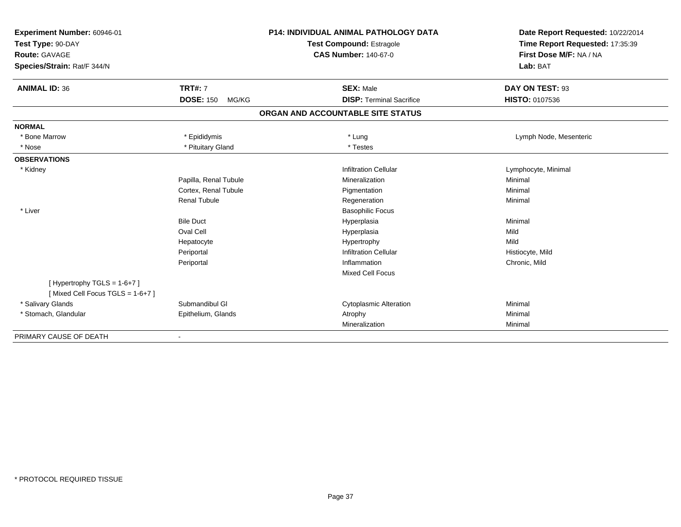| Experiment Number: 60946-01<br>Test Type: 90-DAY<br><b>Route: GAVAGE</b><br>Species/Strain: Rat/F 344/N |                           | <b>P14: INDIVIDUAL ANIMAL PATHOLOGY DATA</b><br><b>Test Compound: Estragole</b><br><b>CAS Number: 140-67-0</b> | Date Report Requested: 10/22/2014<br>Time Report Requested: 17:35:39<br>First Dose M/F: NA / NA<br>Lab: BAT |
|---------------------------------------------------------------------------------------------------------|---------------------------|----------------------------------------------------------------------------------------------------------------|-------------------------------------------------------------------------------------------------------------|
| <b>ANIMAL ID: 36</b>                                                                                    | <b>TRT#: 7</b>            | <b>SEX: Male</b>                                                                                               | DAY ON TEST: 93                                                                                             |
|                                                                                                         | <b>DOSE: 150</b><br>MG/KG | <b>DISP: Terminal Sacrifice</b>                                                                                | HISTO: 0107536                                                                                              |
|                                                                                                         |                           | ORGAN AND ACCOUNTABLE SITE STATUS                                                                              |                                                                                                             |
| <b>NORMAL</b>                                                                                           |                           |                                                                                                                |                                                                                                             |
| * Bone Marrow                                                                                           | * Epididymis              | * Lung                                                                                                         | Lymph Node, Mesenteric                                                                                      |
| * Nose                                                                                                  | * Pituitary Gland         | * Testes                                                                                                       |                                                                                                             |
| <b>OBSERVATIONS</b>                                                                                     |                           |                                                                                                                |                                                                                                             |
| * Kidney                                                                                                |                           | <b>Infiltration Cellular</b>                                                                                   | Lymphocyte, Minimal                                                                                         |
|                                                                                                         | Papilla, Renal Tubule     | Mineralization                                                                                                 | Minimal                                                                                                     |
|                                                                                                         | Cortex, Renal Tubule      | Pigmentation                                                                                                   | Minimal                                                                                                     |
|                                                                                                         | <b>Renal Tubule</b>       | Regeneration                                                                                                   | Minimal                                                                                                     |
| * Liver                                                                                                 |                           | <b>Basophilic Focus</b>                                                                                        |                                                                                                             |
|                                                                                                         | <b>Bile Duct</b>          | Hyperplasia                                                                                                    | Minimal                                                                                                     |
|                                                                                                         | Oval Cell                 | Hyperplasia                                                                                                    | Mild                                                                                                        |
|                                                                                                         | Hepatocyte                | Hypertrophy                                                                                                    | Mild                                                                                                        |
|                                                                                                         | Periportal                | <b>Infiltration Cellular</b>                                                                                   | Histiocyte, Mild                                                                                            |
|                                                                                                         | Periportal                | Inflammation                                                                                                   | Chronic, Mild                                                                                               |
|                                                                                                         |                           | <b>Mixed Cell Focus</b>                                                                                        |                                                                                                             |
| [Hypertrophy TGLS = $1-6+7$ ]                                                                           |                           |                                                                                                                |                                                                                                             |
| [Mixed Cell Focus TGLS = 1-6+7]                                                                         |                           |                                                                                                                |                                                                                                             |
| * Salivary Glands                                                                                       | Submandibul GI            | <b>Cytoplasmic Alteration</b>                                                                                  | Minimal                                                                                                     |
| * Stomach, Glandular                                                                                    | Epithelium, Glands        | Atrophy                                                                                                        | Minimal                                                                                                     |
|                                                                                                         |                           | Mineralization                                                                                                 | Minimal                                                                                                     |
| PRIMARY CAUSE OF DEATH                                                                                  | $\overline{\phantom{a}}$  |                                                                                                                |                                                                                                             |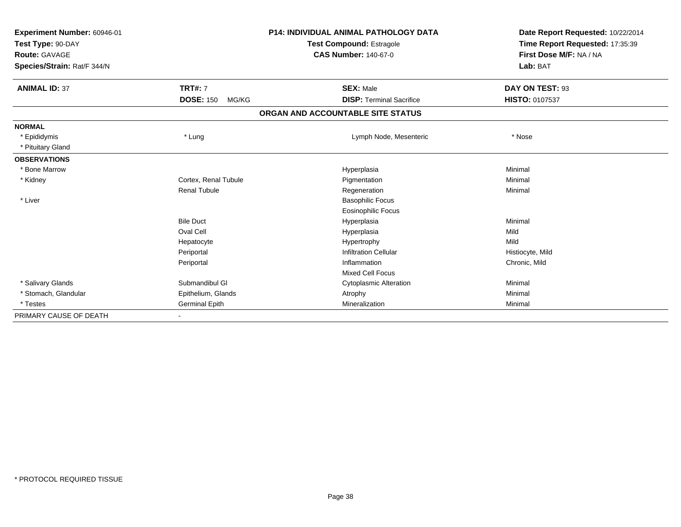| Experiment Number: 60946-01<br>Test Type: 90-DAY<br>Route: GAVAGE<br>Species/Strain: Rat/F 344/N |                           | <b>P14: INDIVIDUAL ANIMAL PATHOLOGY DATA</b><br><b>Test Compound: Estragole</b><br><b>CAS Number: 140-67-0</b> | Date Report Requested: 10/22/2014<br>Time Report Requested: 17:35:39<br>First Dose M/F: NA / NA<br>Lab: BAT |
|--------------------------------------------------------------------------------------------------|---------------------------|----------------------------------------------------------------------------------------------------------------|-------------------------------------------------------------------------------------------------------------|
|                                                                                                  |                           |                                                                                                                |                                                                                                             |
| <b>ANIMAL ID: 37</b>                                                                             | <b>TRT#: 7</b>            | <b>SEX: Male</b>                                                                                               | DAY ON TEST: 93                                                                                             |
|                                                                                                  | <b>DOSE: 150</b><br>MG/KG | <b>DISP: Terminal Sacrifice</b>                                                                                | <b>HISTO: 0107537</b>                                                                                       |
|                                                                                                  |                           | ORGAN AND ACCOUNTABLE SITE STATUS                                                                              |                                                                                                             |
| <b>NORMAL</b>                                                                                    |                           |                                                                                                                |                                                                                                             |
| * Epididymis                                                                                     | * Lung                    | Lymph Node, Mesenteric                                                                                         | * Nose                                                                                                      |
| * Pituitary Gland                                                                                |                           |                                                                                                                |                                                                                                             |
| <b>OBSERVATIONS</b>                                                                              |                           |                                                                                                                |                                                                                                             |
| * Bone Marrow                                                                                    |                           | Hyperplasia                                                                                                    | Minimal                                                                                                     |
| * Kidney                                                                                         | Cortex, Renal Tubule      | Pigmentation                                                                                                   | Minimal                                                                                                     |
|                                                                                                  | <b>Renal Tubule</b>       | Regeneration                                                                                                   | Minimal                                                                                                     |
| * Liver                                                                                          |                           | <b>Basophilic Focus</b>                                                                                        |                                                                                                             |
|                                                                                                  |                           | <b>Eosinophilic Focus</b>                                                                                      |                                                                                                             |
|                                                                                                  | <b>Bile Duct</b>          | Hyperplasia                                                                                                    | Minimal                                                                                                     |
|                                                                                                  | Oval Cell                 | Hyperplasia                                                                                                    | Mild                                                                                                        |
|                                                                                                  | Hepatocyte                | Hypertrophy                                                                                                    | Mild                                                                                                        |
|                                                                                                  | Periportal                | <b>Infiltration Cellular</b>                                                                                   | Histiocyte, Mild                                                                                            |
|                                                                                                  | Periportal                | Inflammation                                                                                                   | Chronic, Mild                                                                                               |
|                                                                                                  |                           | <b>Mixed Cell Focus</b>                                                                                        |                                                                                                             |
| * Salivary Glands                                                                                | Submandibul GI            | <b>Cytoplasmic Alteration</b>                                                                                  | Minimal                                                                                                     |
| * Stomach, Glandular                                                                             | Epithelium, Glands        | Atrophy                                                                                                        | Minimal                                                                                                     |
| * Testes                                                                                         | <b>Germinal Epith</b>     | Mineralization                                                                                                 | Minimal                                                                                                     |
| PRIMARY CAUSE OF DEATH                                                                           |                           |                                                                                                                |                                                                                                             |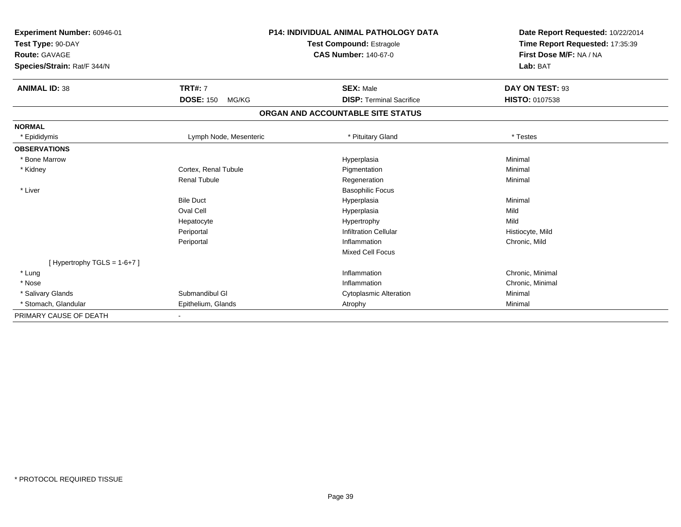| Experiment Number: 60946-01<br>Test Type: 90-DAY<br>Route: GAVAGE<br>Species/Strain: Rat/F 344/N |                           | <b>P14: INDIVIDUAL ANIMAL PATHOLOGY DATA</b><br><b>Test Compound: Estragole</b><br><b>CAS Number: 140-67-0</b> | Date Report Requested: 10/22/2014<br>Time Report Requested: 17:35:39<br>First Dose M/F: NA / NA<br>Lab: BAT |
|--------------------------------------------------------------------------------------------------|---------------------------|----------------------------------------------------------------------------------------------------------------|-------------------------------------------------------------------------------------------------------------|
| <b>ANIMAL ID: 38</b>                                                                             | <b>TRT#: 7</b>            | <b>SEX: Male</b>                                                                                               | DAY ON TEST: 93                                                                                             |
|                                                                                                  | <b>DOSE: 150</b><br>MG/KG | <b>DISP: Terminal Sacrifice</b>                                                                                | <b>HISTO: 0107538</b>                                                                                       |
|                                                                                                  |                           | ORGAN AND ACCOUNTABLE SITE STATUS                                                                              |                                                                                                             |
| <b>NORMAL</b>                                                                                    |                           |                                                                                                                |                                                                                                             |
| * Epididymis                                                                                     | Lymph Node, Mesenteric    | * Pituitary Gland                                                                                              | * Testes                                                                                                    |
| <b>OBSERVATIONS</b>                                                                              |                           |                                                                                                                |                                                                                                             |
| * Bone Marrow                                                                                    |                           | Hyperplasia                                                                                                    | Minimal                                                                                                     |
| * Kidney                                                                                         | Cortex, Renal Tubule      | Pigmentation                                                                                                   | Minimal                                                                                                     |
|                                                                                                  | <b>Renal Tubule</b>       | Regeneration                                                                                                   | Minimal                                                                                                     |
| * Liver                                                                                          |                           | <b>Basophilic Focus</b>                                                                                        |                                                                                                             |
|                                                                                                  | <b>Bile Duct</b>          | Hyperplasia                                                                                                    | Minimal                                                                                                     |
|                                                                                                  | <b>Oval Cell</b>          | Hyperplasia                                                                                                    | Mild                                                                                                        |
|                                                                                                  | Hepatocyte                | Hypertrophy                                                                                                    | Mild                                                                                                        |
|                                                                                                  | Periportal                | <b>Infiltration Cellular</b>                                                                                   | Histiocyte, Mild                                                                                            |
|                                                                                                  | Periportal                | Inflammation                                                                                                   | Chronic, Mild                                                                                               |
|                                                                                                  |                           | <b>Mixed Cell Focus</b>                                                                                        |                                                                                                             |
| [Hypertrophy TGLS = $1-6+7$ ]                                                                    |                           |                                                                                                                |                                                                                                             |
| * Lung                                                                                           |                           | Inflammation                                                                                                   | Chronic, Minimal                                                                                            |
| * Nose                                                                                           |                           | Inflammation                                                                                                   | Chronic, Minimal                                                                                            |
| * Salivary Glands                                                                                | Submandibul GI            | <b>Cytoplasmic Alteration</b>                                                                                  | Minimal                                                                                                     |
| * Stomach, Glandular                                                                             | Epithelium, Glands        | Atrophy                                                                                                        | Minimal                                                                                                     |
| PRIMARY CAUSE OF DEATH                                                                           |                           |                                                                                                                |                                                                                                             |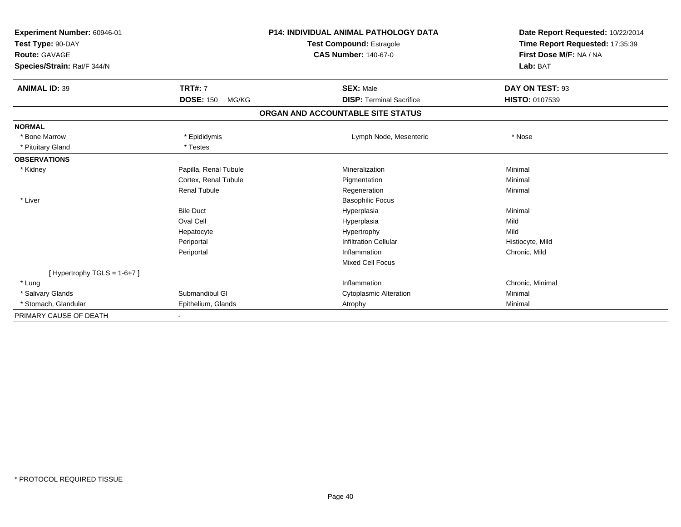| Experiment Number: 60946-01<br>Test Type: 90-DAY<br><b>Route: GAVAGE</b><br>Species/Strain: Rat/F 344/N |                           |                                   | <b>P14: INDIVIDUAL ANIMAL PATHOLOGY DATA</b><br><b>Test Compound: Estragole</b><br><b>CAS Number: 140-67-0</b> | Date Report Requested: 10/22/2014<br>Time Report Requested: 17:35:39<br>First Dose M/F: NA / NA<br>Lab: BAT |
|---------------------------------------------------------------------------------------------------------|---------------------------|-----------------------------------|----------------------------------------------------------------------------------------------------------------|-------------------------------------------------------------------------------------------------------------|
| <b>ANIMAL ID: 39</b>                                                                                    | <b>TRT#: 7</b>            |                                   | <b>SEX: Male</b>                                                                                               | DAY ON TEST: 93                                                                                             |
|                                                                                                         | <b>DOSE: 150</b><br>MG/KG |                                   | <b>DISP: Terminal Sacrifice</b>                                                                                | <b>HISTO: 0107539</b>                                                                                       |
|                                                                                                         |                           | ORGAN AND ACCOUNTABLE SITE STATUS |                                                                                                                |                                                                                                             |
| <b>NORMAL</b>                                                                                           |                           |                                   |                                                                                                                |                                                                                                             |
| * Bone Marrow                                                                                           | * Epididymis              |                                   | Lymph Node, Mesenteric                                                                                         | * Nose                                                                                                      |
| * Pituitary Gland                                                                                       | * Testes                  |                                   |                                                                                                                |                                                                                                             |
| <b>OBSERVATIONS</b>                                                                                     |                           |                                   |                                                                                                                |                                                                                                             |
| * Kidney                                                                                                | Papilla, Renal Tubule     |                                   | Mineralization                                                                                                 | Minimal                                                                                                     |
|                                                                                                         | Cortex, Renal Tubule      |                                   | Pigmentation                                                                                                   | Minimal                                                                                                     |
|                                                                                                         | Renal Tubule              |                                   | Regeneration                                                                                                   | Minimal                                                                                                     |
| * Liver                                                                                                 |                           |                                   | <b>Basophilic Focus</b>                                                                                        |                                                                                                             |
|                                                                                                         | <b>Bile Duct</b>          |                                   | Hyperplasia                                                                                                    | Minimal                                                                                                     |
|                                                                                                         | Oval Cell                 |                                   | Hyperplasia                                                                                                    | Mild                                                                                                        |
|                                                                                                         | Hepatocyte                |                                   | Hypertrophy                                                                                                    | Mild                                                                                                        |
|                                                                                                         | Periportal                |                                   | <b>Infiltration Cellular</b>                                                                                   | Histiocyte, Mild                                                                                            |
|                                                                                                         | Periportal                |                                   | Inflammation                                                                                                   | Chronic, Mild                                                                                               |
|                                                                                                         |                           |                                   | <b>Mixed Cell Focus</b>                                                                                        |                                                                                                             |
| [Hypertrophy TGLS = $1-6+7$ ]                                                                           |                           |                                   |                                                                                                                |                                                                                                             |
| * Lung                                                                                                  |                           |                                   | Inflammation                                                                                                   | Chronic, Minimal                                                                                            |
| * Salivary Glands                                                                                       | Submandibul GI            |                                   | <b>Cytoplasmic Alteration</b>                                                                                  | Minimal                                                                                                     |
| * Stomach, Glandular                                                                                    | Epithelium, Glands        |                                   | Atrophy                                                                                                        | Minimal                                                                                                     |
| PRIMARY CAUSE OF DEATH                                                                                  |                           |                                   |                                                                                                                |                                                                                                             |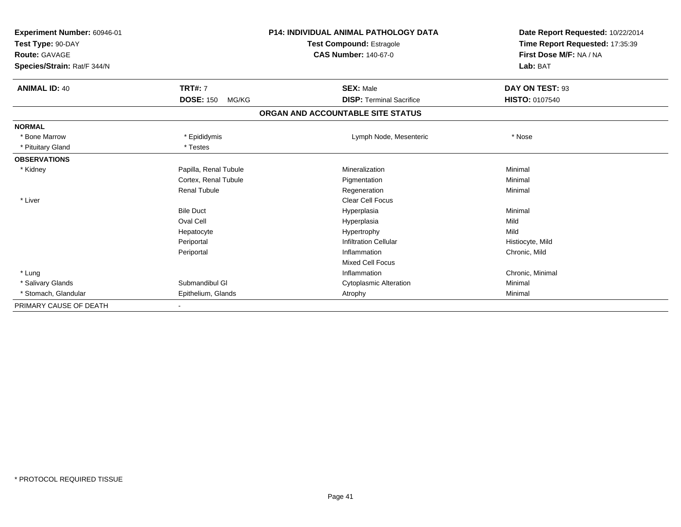| Experiment Number: 60946-01<br>Test Type: 90-DAY<br><b>Route: GAVAGE</b><br>Species/Strain: Rat/F 344/N |                           | <b>P14: INDIVIDUAL ANIMAL PATHOLOGY DATA</b><br><b>Test Compound: Estragole</b><br><b>CAS Number: 140-67-0</b> | Date Report Requested: 10/22/2014<br>Time Report Requested: 17:35:39<br>First Dose M/F: NA / NA<br>Lab: BAT |
|---------------------------------------------------------------------------------------------------------|---------------------------|----------------------------------------------------------------------------------------------------------------|-------------------------------------------------------------------------------------------------------------|
| <b>ANIMAL ID: 40</b>                                                                                    | <b>TRT#: 7</b>            | <b>SEX: Male</b>                                                                                               | DAY ON TEST: 93                                                                                             |
|                                                                                                         | <b>DOSE: 150</b><br>MG/KG | <b>DISP: Terminal Sacrifice</b>                                                                                | HISTO: 0107540                                                                                              |
|                                                                                                         |                           | ORGAN AND ACCOUNTABLE SITE STATUS                                                                              |                                                                                                             |
| <b>NORMAL</b>                                                                                           |                           |                                                                                                                |                                                                                                             |
| * Bone Marrow                                                                                           | * Epididymis              | Lymph Node, Mesenteric                                                                                         | * Nose                                                                                                      |
| * Pituitary Gland                                                                                       | * Testes                  |                                                                                                                |                                                                                                             |
| <b>OBSERVATIONS</b>                                                                                     |                           |                                                                                                                |                                                                                                             |
| * Kidney                                                                                                | Papilla, Renal Tubule     | Mineralization                                                                                                 | Minimal                                                                                                     |
|                                                                                                         | Cortex, Renal Tubule      | Pigmentation                                                                                                   | Minimal                                                                                                     |
|                                                                                                         | <b>Renal Tubule</b>       | Regeneration                                                                                                   | Minimal                                                                                                     |
| * Liver                                                                                                 |                           | <b>Clear Cell Focus</b>                                                                                        |                                                                                                             |
|                                                                                                         | <b>Bile Duct</b>          | Hyperplasia                                                                                                    | Minimal                                                                                                     |
|                                                                                                         | Oval Cell                 | Hyperplasia                                                                                                    | Mild                                                                                                        |
|                                                                                                         | Hepatocyte                | Hypertrophy                                                                                                    | Mild                                                                                                        |
|                                                                                                         | Periportal                | <b>Infiltration Cellular</b>                                                                                   | Histiocyte, Mild                                                                                            |
|                                                                                                         | Periportal                | Inflammation                                                                                                   | Chronic, Mild                                                                                               |
|                                                                                                         |                           | <b>Mixed Cell Focus</b>                                                                                        |                                                                                                             |
| * Lung                                                                                                  |                           | Inflammation                                                                                                   | Chronic, Minimal                                                                                            |
| * Salivary Glands                                                                                       | Submandibul GI            | <b>Cytoplasmic Alteration</b>                                                                                  | Minimal                                                                                                     |
| * Stomach, Glandular                                                                                    | Epithelium, Glands        | Atrophy                                                                                                        | Minimal                                                                                                     |
| PRIMARY CAUSE OF DEATH                                                                                  |                           |                                                                                                                |                                                                                                             |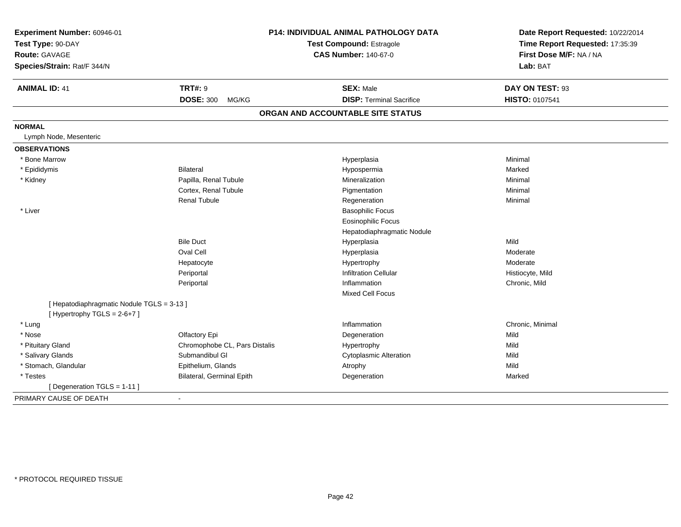| Experiment Number: 60946-01<br>Test Type: 90-DAY<br><b>Route: GAVAGE</b><br>Species/Strain: Rat/F 344/N |                               | P14: INDIVIDUAL ANIMAL PATHOLOGY DATA<br><b>Test Compound: Estragole</b><br><b>CAS Number: 140-67-0</b> | Date Report Requested: 10/22/2014<br>Time Report Requested: 17:35:39<br>First Dose M/F: NA / NA<br>Lab: BAT |  |
|---------------------------------------------------------------------------------------------------------|-------------------------------|---------------------------------------------------------------------------------------------------------|-------------------------------------------------------------------------------------------------------------|--|
| <b>ANIMAL ID: 41</b>                                                                                    | <b>TRT#: 9</b>                | <b>SEX: Male</b>                                                                                        | DAY ON TEST: 93                                                                                             |  |
|                                                                                                         | <b>DOSE: 300</b><br>MG/KG     | <b>DISP: Terminal Sacrifice</b>                                                                         | HISTO: 0107541                                                                                              |  |
|                                                                                                         |                               | ORGAN AND ACCOUNTABLE SITE STATUS                                                                       |                                                                                                             |  |
| <b>NORMAL</b><br>Lymph Node, Mesenteric                                                                 |                               |                                                                                                         |                                                                                                             |  |
| <b>OBSERVATIONS</b>                                                                                     |                               |                                                                                                         |                                                                                                             |  |
| * Bone Marrow                                                                                           |                               | Hyperplasia                                                                                             | Minimal                                                                                                     |  |
| * Epididymis                                                                                            | Bilateral                     | Hypospermia                                                                                             | Marked                                                                                                      |  |
| * Kidney                                                                                                | Papilla, Renal Tubule         | Mineralization                                                                                          | Minimal                                                                                                     |  |
|                                                                                                         | Cortex, Renal Tubule          | Pigmentation                                                                                            | Minimal                                                                                                     |  |
|                                                                                                         | <b>Renal Tubule</b>           | Regeneration                                                                                            | Minimal                                                                                                     |  |
| * Liver                                                                                                 |                               | <b>Basophilic Focus</b>                                                                                 |                                                                                                             |  |
|                                                                                                         |                               | <b>Eosinophilic Focus</b>                                                                               |                                                                                                             |  |
|                                                                                                         |                               | Hepatodiaphragmatic Nodule                                                                              |                                                                                                             |  |
|                                                                                                         | <b>Bile Duct</b>              | Hyperplasia                                                                                             | Mild                                                                                                        |  |
|                                                                                                         | Oval Cell                     | Hyperplasia                                                                                             | Moderate                                                                                                    |  |
|                                                                                                         | Hepatocyte                    | Hypertrophy                                                                                             | Moderate                                                                                                    |  |
|                                                                                                         | Periportal                    | <b>Infiltration Cellular</b>                                                                            | Histiocyte, Mild                                                                                            |  |
|                                                                                                         | Periportal                    | Inflammation                                                                                            | Chronic, Mild                                                                                               |  |
|                                                                                                         |                               | Mixed Cell Focus                                                                                        |                                                                                                             |  |
| [ Hepatodiaphragmatic Nodule TGLS = 3-13 ]<br>[Hypertrophy TGLS = 2-6+7]                                |                               |                                                                                                         |                                                                                                             |  |
| * Lung                                                                                                  |                               | Inflammation                                                                                            | Chronic, Minimal                                                                                            |  |
| * Nose                                                                                                  | Olfactory Epi                 | Degeneration                                                                                            | Mild                                                                                                        |  |
| * Pituitary Gland                                                                                       | Chromophobe CL, Pars Distalis | Hypertrophy                                                                                             | Mild                                                                                                        |  |
| * Salivary Glands                                                                                       | Submandibul GI                | <b>Cytoplasmic Alteration</b>                                                                           | Mild                                                                                                        |  |
| * Stomach, Glandular                                                                                    | Epithelium, Glands            | Atrophy                                                                                                 | Mild                                                                                                        |  |
| * Testes                                                                                                | Bilateral, Germinal Epith     | Degeneration                                                                                            | Marked                                                                                                      |  |
| [ Degeneration TGLS = 1-11 ]                                                                            |                               |                                                                                                         |                                                                                                             |  |
| PRIMARY CAUSE OF DEATH                                                                                  | $\blacksquare$                |                                                                                                         |                                                                                                             |  |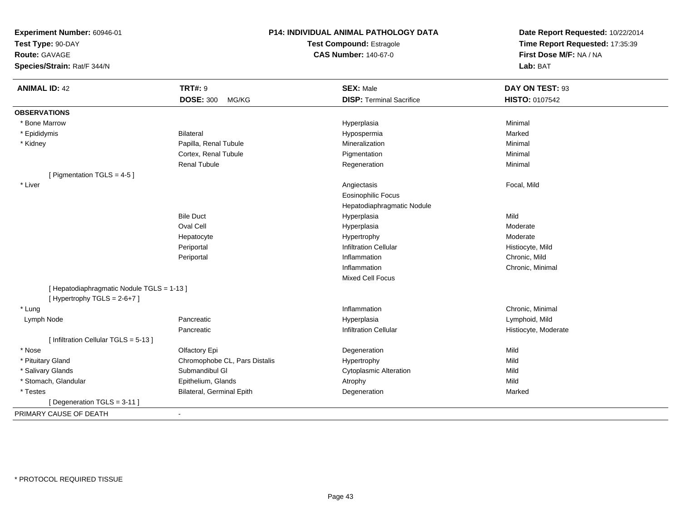**Test Type:** 90-DAY

**Route:** GAVAGE

**Species/Strain:** Rat/F 344/N

## **P14: INDIVIDUAL ANIMAL PATHOLOGY DATA**

**Test Compound:** Estragole**CAS Number:** 140-67-0

| <b>ANIMAL ID: 42</b>                       | <b>TRT#: 9</b>                | <b>SEX: Male</b>                | DAY ON TEST: 93      |
|--------------------------------------------|-------------------------------|---------------------------------|----------------------|
|                                            | <b>DOSE: 300</b><br>MG/KG     | <b>DISP: Terminal Sacrifice</b> | HISTO: 0107542       |
| <b>OBSERVATIONS</b>                        |                               |                                 |                      |
| <b>Bone Marrow</b>                         |                               | Hyperplasia                     | Minimal              |
| * Epididymis                               | <b>Bilateral</b>              | Hypospermia                     | Marked               |
| * Kidney                                   | Papilla, Renal Tubule         | Mineralization                  | Minimal              |
|                                            | Cortex, Renal Tubule          | Pigmentation                    | Minimal              |
|                                            | <b>Renal Tubule</b>           | Regeneration                    | Minimal              |
| [ Pigmentation TGLS = 4-5 ]                |                               |                                 |                      |
| * Liver                                    |                               | Angiectasis                     | Focal, Mild          |
|                                            |                               | <b>Eosinophilic Focus</b>       |                      |
|                                            |                               | Hepatodiaphragmatic Nodule      |                      |
|                                            | <b>Bile Duct</b>              | Hyperplasia                     | Mild                 |
|                                            | Oval Cell                     | Hyperplasia                     | Moderate             |
|                                            | Hepatocyte                    | Hypertrophy                     | Moderate             |
|                                            | Periportal                    | <b>Infiltration Cellular</b>    | Histiocyte, Mild     |
|                                            | Periportal                    | Inflammation                    | Chronic, Mild        |
|                                            |                               | Inflammation                    | Chronic, Minimal     |
|                                            |                               | Mixed Cell Focus                |                      |
| [ Hepatodiaphragmatic Nodule TGLS = 1-13 ] |                               |                                 |                      |
| [Hypertrophy TGLS = $2-6+7$ ]              |                               |                                 |                      |
| * Lung                                     |                               | Inflammation                    | Chronic, Minimal     |
| Lymph Node                                 | Pancreatic                    | Hyperplasia                     | Lymphoid, Mild       |
|                                            | Pancreatic                    | <b>Infiltration Cellular</b>    | Histiocyte, Moderate |
| [ Infiltration Cellular TGLS = 5-13 ]      |                               |                                 |                      |
| * Nose                                     | Olfactory Epi                 | Degeneration                    | Mild                 |
| * Pituitary Gland                          | Chromophobe CL, Pars Distalis | Hypertrophy                     | Mild                 |
| * Salivary Glands                          | Submandibul GI                | <b>Cytoplasmic Alteration</b>   | Mild                 |
| * Stomach, Glandular                       | Epithelium, Glands            | Atrophy                         | Mild                 |
| * Testes                                   | Bilateral, Germinal Epith     | Degeneration                    | Marked               |
| [ Degeneration TGLS = 3-11 ]               |                               |                                 |                      |
| PRIMARY CAUSE OF DEATH                     | $\blacksquare$                |                                 |                      |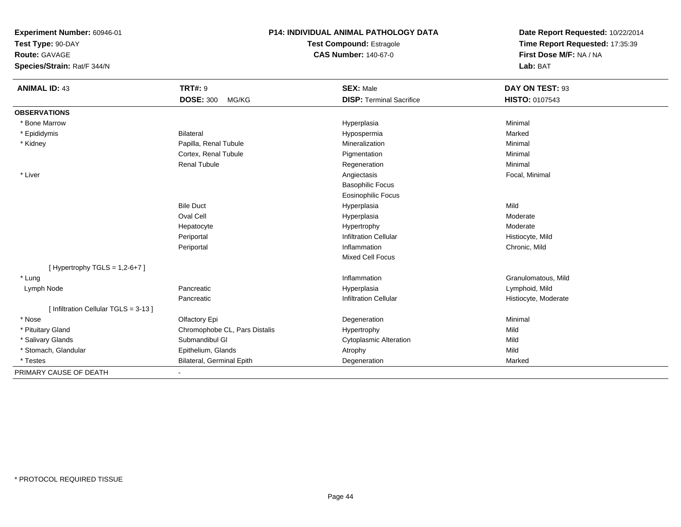**Test Type:** 90-DAY

**Route:** GAVAGE

**Species/Strain:** Rat/F 344/N

## **P14: INDIVIDUAL ANIMAL PATHOLOGY DATA**

**Test Compound:** Estragole**CAS Number:** 140-67-0

| <b>ANIMAL ID: 43</b>                  | <b>TRT#: 9</b>                | <b>SEX: Male</b>                | DAY ON TEST: 93      |
|---------------------------------------|-------------------------------|---------------------------------|----------------------|
|                                       | <b>DOSE: 300</b><br>MG/KG     | <b>DISP: Terminal Sacrifice</b> | HISTO: 0107543       |
| <b>OBSERVATIONS</b>                   |                               |                                 |                      |
| * Bone Marrow                         |                               | Hyperplasia                     | Minimal              |
| * Epididymis                          | <b>Bilateral</b>              | Hypospermia                     | Marked               |
| * Kidney                              | Papilla, Renal Tubule         | Mineralization                  | Minimal              |
|                                       | Cortex, Renal Tubule          | Pigmentation                    | Minimal              |
|                                       | <b>Renal Tubule</b>           | Regeneration                    | Minimal              |
| * Liver                               |                               | Angiectasis                     | Focal, Minimal       |
|                                       |                               | <b>Basophilic Focus</b>         |                      |
|                                       |                               | <b>Eosinophilic Focus</b>       |                      |
|                                       | <b>Bile Duct</b>              | Hyperplasia                     | Mild                 |
|                                       | Oval Cell                     | Hyperplasia                     | Moderate             |
|                                       | Hepatocyte                    | Hypertrophy                     | Moderate             |
|                                       | Periportal                    | <b>Infiltration Cellular</b>    | Histiocyte, Mild     |
|                                       | Periportal                    | Inflammation                    | Chronic, Mild        |
|                                       |                               | Mixed Cell Focus                |                      |
| [Hypertrophy TGLS = $1,2-6+7$ ]       |                               |                                 |                      |
| * Lung                                |                               | Inflammation                    | Granulomatous, Mild  |
| Lymph Node                            | Pancreatic                    | Hyperplasia                     | Lymphoid, Mild       |
|                                       | Pancreatic                    | <b>Infiltration Cellular</b>    | Histiocyte, Moderate |
| [ Infiltration Cellular TGLS = 3-13 ] |                               |                                 |                      |
| * Nose                                | Olfactory Epi                 | Degeneration                    | Minimal              |
| * Pituitary Gland                     | Chromophobe CL, Pars Distalis | Hypertrophy                     | Mild                 |
| * Salivary Glands                     | Submandibul GI                | <b>Cytoplasmic Alteration</b>   | Mild                 |
| * Stomach, Glandular                  | Epithelium, Glands            | Atrophy                         | Mild                 |
| * Testes                              | Bilateral, Germinal Epith     | Degeneration                    | Marked               |
| PRIMARY CAUSE OF DEATH                |                               |                                 |                      |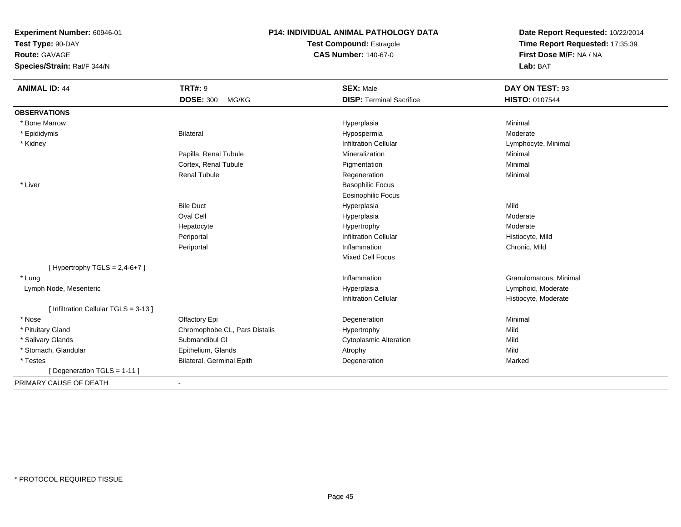**Test Type:** 90-DAY

**Route:** GAVAGE

**Species/Strain:** Rat/F 344/N

## **P14: INDIVIDUAL ANIMAL PATHOLOGY DATA**

**Test Compound:** Estragole**CAS Number:** 140-67-0

| <b>ANIMAL ID: 44</b>                  | <b>TRT#: 9</b>                | <b>SEX: Male</b>                | DAY ON TEST: 93        |
|---------------------------------------|-------------------------------|---------------------------------|------------------------|
|                                       | <b>DOSE: 300</b><br>MG/KG     | <b>DISP: Terminal Sacrifice</b> | <b>HISTO: 0107544</b>  |
| <b>OBSERVATIONS</b>                   |                               |                                 |                        |
| * Bone Marrow                         |                               | Hyperplasia                     | Minimal                |
| * Epididymis                          | <b>Bilateral</b>              | Hypospermia                     | Moderate               |
| * Kidney                              |                               | <b>Infiltration Cellular</b>    | Lymphocyte, Minimal    |
|                                       | Papilla, Renal Tubule         | Mineralization                  | Minimal                |
|                                       | Cortex, Renal Tubule          | Pigmentation                    | Minimal                |
|                                       | <b>Renal Tubule</b>           | Regeneration                    | Minimal                |
| * Liver                               |                               | <b>Basophilic Focus</b>         |                        |
|                                       |                               | <b>Eosinophilic Focus</b>       |                        |
|                                       | <b>Bile Duct</b>              | Hyperplasia                     | Mild                   |
|                                       | Oval Cell                     | Hyperplasia                     | Moderate               |
|                                       | Hepatocyte                    | Hypertrophy                     | Moderate               |
|                                       | Periportal                    | <b>Infiltration Cellular</b>    | Histiocyte, Mild       |
|                                       | Periportal                    | Inflammation                    | Chronic, Mild          |
|                                       |                               | <b>Mixed Cell Focus</b>         |                        |
| [Hypertrophy TGLS = $2,4-6+7$ ]       |                               |                                 |                        |
| * Lung                                |                               | Inflammation                    | Granulomatous, Minimal |
| Lymph Node, Mesenteric                |                               | Hyperplasia                     | Lymphoid, Moderate     |
|                                       |                               | <b>Infiltration Cellular</b>    | Histiocyte, Moderate   |
| [ Infiltration Cellular TGLS = 3-13 ] |                               |                                 |                        |
| * Nose                                | Olfactory Epi                 | Degeneration                    | Minimal                |
| * Pituitary Gland                     | Chromophobe CL, Pars Distalis | Hypertrophy                     | Mild                   |
| * Salivary Glands                     | Submandibul GI                | <b>Cytoplasmic Alteration</b>   | Mild                   |
| * Stomach, Glandular                  | Epithelium, Glands            | Atrophy                         | Mild                   |
| * Testes                              | Bilateral, Germinal Epith     | Degeneration                    | Marked                 |
| [ Degeneration TGLS = $1-11$ ]        |                               |                                 |                        |
| PRIMARY CAUSE OF DEATH                | $\overline{\phantom{a}}$      |                                 |                        |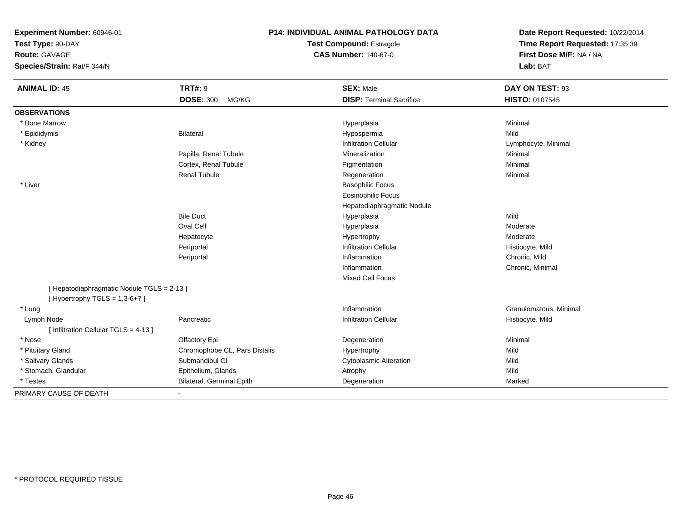**Test Type:** 90-DAY

**Route:** GAVAGE

**Species/Strain:** Rat/F 344/N

## **P14: INDIVIDUAL ANIMAL PATHOLOGY DATA**

**Test Compound:** Estragole**CAS Number:** 140-67-0

| <b>ANIMAL ID: 45</b>                       | <b>TRT#: 9</b>                   | <b>SEX: Male</b>                | DAY ON TEST: 93        |
|--------------------------------------------|----------------------------------|---------------------------------|------------------------|
|                                            | <b>DOSE: 300</b><br>MG/KG        | <b>DISP: Terminal Sacrifice</b> | HISTO: 0107545         |
| <b>OBSERVATIONS</b>                        |                                  |                                 |                        |
| * Bone Marrow                              |                                  | Hyperplasia                     | Minimal                |
| * Epididymis                               | Bilateral                        | Hypospermia                     | Mild                   |
| * Kidney                                   |                                  | <b>Infiltration Cellular</b>    | Lymphocyte, Minimal    |
|                                            | Papilla, Renal Tubule            | Mineralization                  | Minimal                |
|                                            | Cortex, Renal Tubule             | Pigmentation                    | Minimal                |
|                                            | <b>Renal Tubule</b>              | Regeneration                    | Minimal                |
| * Liver                                    |                                  | <b>Basophilic Focus</b>         |                        |
|                                            |                                  | <b>Eosinophilic Focus</b>       |                        |
|                                            |                                  | Hepatodiaphragmatic Nodule      |                        |
|                                            | <b>Bile Duct</b>                 | Hyperplasia                     | Mild                   |
|                                            | Oval Cell                        | Hyperplasia                     | Moderate               |
|                                            | Hepatocyte                       | Hypertrophy                     | Moderate               |
|                                            | Periportal                       | <b>Infiltration Cellular</b>    | Histiocyte, Mild       |
|                                            | Periportal                       | Inflammation                    | Chronic, Mild          |
|                                            |                                  | Inflammation                    | Chronic, Minimal       |
|                                            |                                  | <b>Mixed Cell Focus</b>         |                        |
| [ Hepatodiaphragmatic Nodule TGLS = 2-13 ] |                                  |                                 |                        |
| [Hypertrophy TGLS = $1,3-6+7$ ]            |                                  |                                 |                        |
| * Lung                                     |                                  | Inflammation                    | Granulomatous, Minimal |
| Lymph Node                                 | Pancreatic                       | <b>Infiltration Cellular</b>    | Histiocyte, Mild       |
| [Infiltration Cellular TGLS = 4-13]        |                                  |                                 |                        |
| * Nose                                     | Olfactory Epi                    | Degeneration                    | Minimal                |
| * Pituitary Gland                          | Chromophobe CL, Pars Distalis    | Hypertrophy                     | Mild                   |
| * Salivary Glands                          | Submandibul GI                   | <b>Cytoplasmic Alteration</b>   | Mild                   |
| * Stomach, Glandular                       | Epithelium, Glands               | Atrophy                         | Mild                   |
| * Testes                                   | <b>Bilateral, Germinal Epith</b> | Degeneration                    | Marked                 |
| PRIMARY CAUSE OF DEATH                     | $\blacksquare$                   |                                 |                        |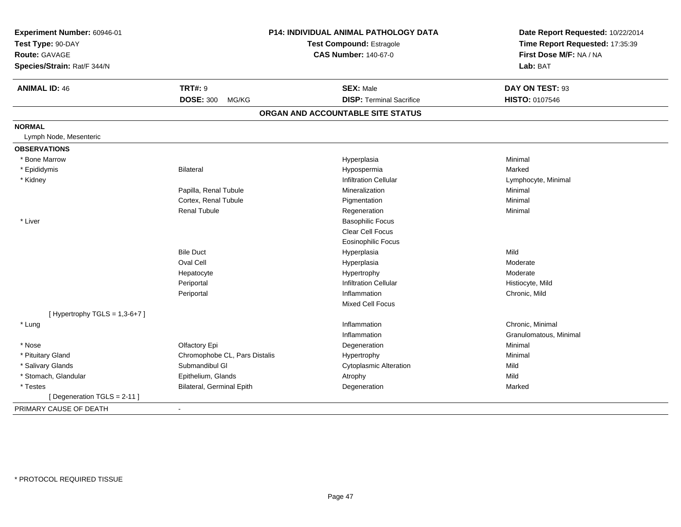| Experiment Number: 60946-01<br>Test Type: 90-DAY<br>Route: GAVAGE<br>Species/Strain: Rat/F 344/N |                               | P14: INDIVIDUAL ANIMAL PATHOLOGY DATA<br><b>Test Compound: Estragole</b><br><b>CAS Number: 140-67-0</b> | Date Report Requested: 10/22/2014<br>Time Report Requested: 17:35:39<br>First Dose M/F: NA / NA<br>Lab: BAT |  |
|--------------------------------------------------------------------------------------------------|-------------------------------|---------------------------------------------------------------------------------------------------------|-------------------------------------------------------------------------------------------------------------|--|
| <b>ANIMAL ID: 46</b>                                                                             | <b>TRT#: 9</b>                | <b>SEX: Male</b>                                                                                        | DAY ON TEST: 93                                                                                             |  |
|                                                                                                  | <b>DOSE: 300</b><br>MG/KG     | <b>DISP: Terminal Sacrifice</b>                                                                         | HISTO: 0107546                                                                                              |  |
|                                                                                                  |                               | ORGAN AND ACCOUNTABLE SITE STATUS                                                                       |                                                                                                             |  |
| <b>NORMAL</b>                                                                                    |                               |                                                                                                         |                                                                                                             |  |
| Lymph Node, Mesenteric                                                                           |                               |                                                                                                         |                                                                                                             |  |
| <b>OBSERVATIONS</b>                                                                              |                               |                                                                                                         |                                                                                                             |  |
| * Bone Marrow                                                                                    |                               | Hyperplasia                                                                                             | Minimal                                                                                                     |  |
| * Epididymis                                                                                     | <b>Bilateral</b>              | Hypospermia                                                                                             | Marked                                                                                                      |  |
| * Kidney                                                                                         |                               | <b>Infiltration Cellular</b>                                                                            | Lymphocyte, Minimal                                                                                         |  |
|                                                                                                  | Papilla, Renal Tubule         | Mineralization                                                                                          | Minimal                                                                                                     |  |
|                                                                                                  | Cortex, Renal Tubule          | Pigmentation                                                                                            | Minimal                                                                                                     |  |
|                                                                                                  | <b>Renal Tubule</b>           | Regeneration                                                                                            | Minimal                                                                                                     |  |
| * Liver                                                                                          |                               | <b>Basophilic Focus</b>                                                                                 |                                                                                                             |  |
|                                                                                                  |                               | <b>Clear Cell Focus</b>                                                                                 |                                                                                                             |  |
|                                                                                                  |                               | <b>Eosinophilic Focus</b>                                                                               |                                                                                                             |  |
|                                                                                                  | <b>Bile Duct</b>              | Hyperplasia                                                                                             | Mild                                                                                                        |  |
|                                                                                                  | Oval Cell                     | Hyperplasia                                                                                             | Moderate                                                                                                    |  |
|                                                                                                  | Hepatocyte                    | Hypertrophy                                                                                             | Moderate                                                                                                    |  |
|                                                                                                  | Periportal                    | <b>Infiltration Cellular</b>                                                                            | Histiocyte, Mild                                                                                            |  |
|                                                                                                  | Periportal                    | Inflammation                                                                                            | Chronic, Mild                                                                                               |  |
|                                                                                                  |                               | Mixed Cell Focus                                                                                        |                                                                                                             |  |
| [Hypertrophy TGLS = $1,3-6+7$ ]                                                                  |                               |                                                                                                         |                                                                                                             |  |
| * Lung                                                                                           |                               | Inflammation                                                                                            | Chronic, Minimal                                                                                            |  |
|                                                                                                  |                               | Inflammation                                                                                            | Granulomatous, Minimal                                                                                      |  |
| * Nose                                                                                           | Olfactory Epi                 | Degeneration                                                                                            | Minimal                                                                                                     |  |
| * Pituitary Gland                                                                                | Chromophobe CL, Pars Distalis | Hypertrophy                                                                                             | Minimal                                                                                                     |  |
| * Salivary Glands                                                                                | Submandibul GI                | <b>Cytoplasmic Alteration</b>                                                                           | Mild                                                                                                        |  |
| * Stomach, Glandular                                                                             | Epithelium, Glands            | Atrophy                                                                                                 | Mild                                                                                                        |  |
| * Testes                                                                                         | Bilateral, Germinal Epith     | Degeneration                                                                                            | Marked                                                                                                      |  |
| [ Degeneration TGLS = 2-11 ]                                                                     |                               |                                                                                                         |                                                                                                             |  |
| PRIMARY CAUSE OF DEATH                                                                           | $\blacksquare$                |                                                                                                         |                                                                                                             |  |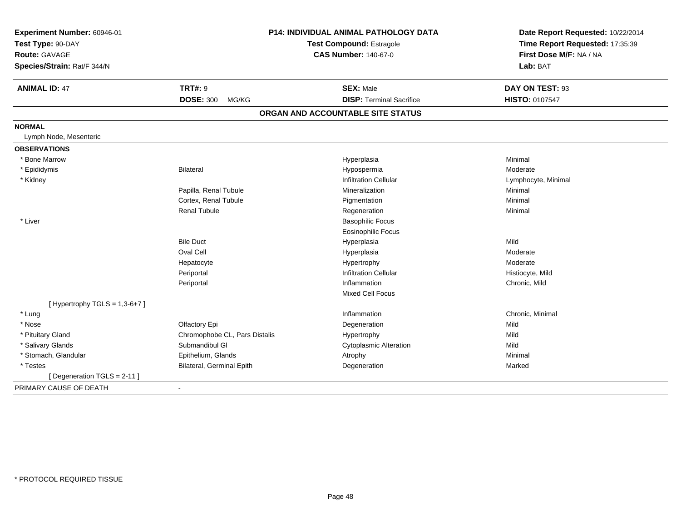| Experiment Number: 60946-01<br>Test Type: 90-DAY |                                  | <b>P14: INDIVIDUAL ANIMAL PATHOLOGY DATA</b><br>Test Compound: Estragole<br><b>CAS Number: 140-67-0</b> | Date Report Requested: 10/22/2014<br>Time Report Requested: 17:35:39<br>First Dose M/F: NA / NA |
|--------------------------------------------------|----------------------------------|---------------------------------------------------------------------------------------------------------|-------------------------------------------------------------------------------------------------|
| Route: GAVAGE<br>Species/Strain: Rat/F 344/N     |                                  |                                                                                                         | Lab: BAT                                                                                        |
| <b>ANIMAL ID: 47</b>                             | <b>TRT#: 9</b>                   | <b>SEX: Male</b>                                                                                        | DAY ON TEST: 93                                                                                 |
|                                                  | <b>DOSE: 300</b><br>MG/KG        | <b>DISP: Terminal Sacrifice</b>                                                                         | HISTO: 0107547                                                                                  |
|                                                  |                                  | ORGAN AND ACCOUNTABLE SITE STATUS                                                                       |                                                                                                 |
| <b>NORMAL</b>                                    |                                  |                                                                                                         |                                                                                                 |
| Lymph Node, Mesenteric                           |                                  |                                                                                                         |                                                                                                 |
| <b>OBSERVATIONS</b>                              |                                  |                                                                                                         |                                                                                                 |
| * Bone Marrow                                    |                                  | Hyperplasia                                                                                             | Minimal                                                                                         |
| * Epididymis                                     | Bilateral                        | Hypospermia                                                                                             | Moderate                                                                                        |
| * Kidney                                         |                                  | <b>Infiltration Cellular</b>                                                                            | Lymphocyte, Minimal                                                                             |
|                                                  | Papilla, Renal Tubule            | Mineralization                                                                                          | Minimal                                                                                         |
|                                                  | Cortex, Renal Tubule             | Pigmentation                                                                                            | Minimal                                                                                         |
|                                                  | <b>Renal Tubule</b>              | Regeneration                                                                                            | Minimal                                                                                         |
| * Liver                                          |                                  | <b>Basophilic Focus</b>                                                                                 |                                                                                                 |
|                                                  |                                  | <b>Eosinophilic Focus</b>                                                                               |                                                                                                 |
|                                                  | <b>Bile Duct</b>                 | Hyperplasia                                                                                             | Mild                                                                                            |
|                                                  | Oval Cell                        | Hyperplasia                                                                                             | Moderate                                                                                        |
|                                                  | Hepatocyte                       | Hypertrophy                                                                                             | Moderate                                                                                        |
|                                                  | Periportal                       | <b>Infiltration Cellular</b>                                                                            | Histiocyte, Mild                                                                                |
|                                                  | Periportal                       | Inflammation                                                                                            | Chronic, Mild                                                                                   |
|                                                  |                                  | <b>Mixed Cell Focus</b>                                                                                 |                                                                                                 |
| [Hypertrophy TGLS = $1,3-6+7$ ]                  |                                  |                                                                                                         |                                                                                                 |
| * Lung                                           |                                  | Inflammation                                                                                            | Chronic, Minimal                                                                                |
| * Nose                                           | Olfactory Epi                    | Degeneration                                                                                            | Mild                                                                                            |
| * Pituitary Gland                                | Chromophobe CL, Pars Distalis    | Hypertrophy                                                                                             | Mild                                                                                            |
| * Salivary Glands                                | Submandibul GI                   | <b>Cytoplasmic Alteration</b>                                                                           | Mild                                                                                            |
| * Stomach, Glandular                             | Epithelium, Glands               | Atrophy                                                                                                 | Minimal                                                                                         |
| * Testes                                         | <b>Bilateral, Germinal Epith</b> | Degeneration                                                                                            | Marked                                                                                          |
| [ Degeneration TGLS = 2-11 ]                     |                                  |                                                                                                         |                                                                                                 |
| PRIMARY CAUSE OF DEATH                           | $\blacksquare$                   |                                                                                                         |                                                                                                 |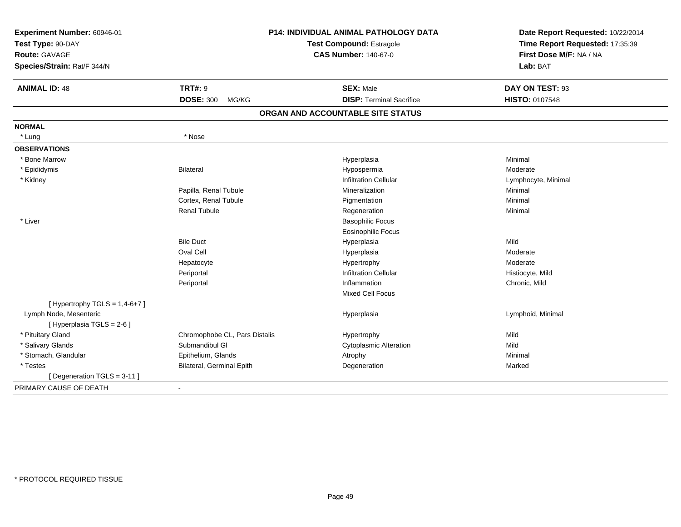| Experiment Number: 60946-01     |                               | <b>P14: INDIVIDUAL ANIMAL PATHOLOGY DATA</b> | Date Report Requested: 10/22/2014 |
|---------------------------------|-------------------------------|----------------------------------------------|-----------------------------------|
| Test Type: 90-DAY               |                               | Test Compound: Estragole                     | Time Report Requested: 17:35:39   |
| <b>Route: GAVAGE</b>            |                               | <b>CAS Number: 140-67-0</b>                  | First Dose M/F: NA / NA           |
| Species/Strain: Rat/F 344/N     |                               |                                              | Lab: BAT                          |
| <b>ANIMAL ID: 48</b>            | <b>TRT#: 9</b>                | <b>SEX: Male</b>                             | DAY ON TEST: 93                   |
|                                 | <b>DOSE: 300</b><br>MG/KG     | <b>DISP: Terminal Sacrifice</b>              | HISTO: 0107548                    |
|                                 |                               | ORGAN AND ACCOUNTABLE SITE STATUS            |                                   |
| <b>NORMAL</b>                   |                               |                                              |                                   |
| * Lung                          | * Nose                        |                                              |                                   |
| <b>OBSERVATIONS</b>             |                               |                                              |                                   |
| * Bone Marrow                   |                               | Hyperplasia                                  | Minimal                           |
| * Epididymis                    | Bilateral                     | Hypospermia                                  | Moderate                          |
| * Kidney                        |                               | <b>Infiltration Cellular</b>                 | Lymphocyte, Minimal               |
|                                 | Papilla, Renal Tubule         | Mineralization                               | Minimal                           |
|                                 | Cortex, Renal Tubule          | Pigmentation                                 | Minimal                           |
|                                 | <b>Renal Tubule</b>           | Regeneration                                 | Minimal                           |
| * Liver                         |                               | <b>Basophilic Focus</b>                      |                                   |
|                                 |                               | Eosinophilic Focus                           |                                   |
|                                 | <b>Bile Duct</b>              | Hyperplasia                                  | Mild                              |
|                                 | Oval Cell                     | Hyperplasia                                  | Moderate                          |
|                                 | Hepatocyte                    | Hypertrophy                                  | Moderate                          |
|                                 | Periportal                    | <b>Infiltration Cellular</b>                 | Histiocyte, Mild                  |
|                                 | Periportal                    | Inflammation                                 | Chronic, Mild                     |
|                                 |                               | <b>Mixed Cell Focus</b>                      |                                   |
| [Hypertrophy TGLS = $1,4-6+7$ ] |                               |                                              |                                   |
| Lymph Node, Mesenteric          |                               | Hyperplasia                                  | Lymphoid, Minimal                 |
| [ Hyperplasia TGLS = 2-6 ]      |                               |                                              |                                   |
| * Pituitary Gland               | Chromophobe CL, Pars Distalis | Hypertrophy                                  | Mild                              |
| * Salivary Glands               | Submandibul GI                | Cytoplasmic Alteration                       | Mild                              |
| * Stomach, Glandular            | Epithelium, Glands            | Atrophy                                      | Minimal                           |
| * Testes                        | Bilateral, Germinal Epith     | Degeneration                                 | Marked                            |
| [ Degeneration TGLS = 3-11 ]    |                               |                                              |                                   |
| PRIMARY CAUSE OF DEATH          |                               |                                              |                                   |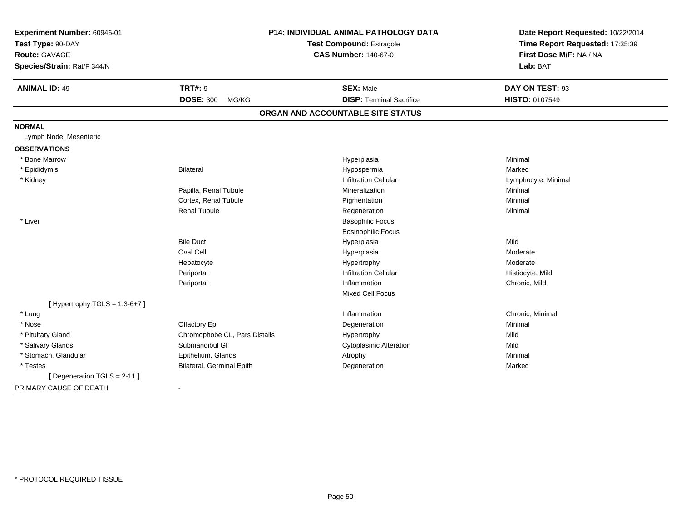| Experiment Number: 60946-01<br>Test Type: 90-DAY |                               | <b>P14: INDIVIDUAL ANIMAL PATHOLOGY DATA</b><br>Test Compound: Estragole | Date Report Requested: 10/22/2014<br>Time Report Requested: 17:35:39 |
|--------------------------------------------------|-------------------------------|--------------------------------------------------------------------------|----------------------------------------------------------------------|
| Route: GAVAGE                                    |                               | <b>CAS Number: 140-67-0</b>                                              | First Dose M/F: NA / NA                                              |
| Species/Strain: Rat/F 344/N                      |                               |                                                                          | Lab: BAT                                                             |
| <b>ANIMAL ID: 49</b>                             | <b>TRT#: 9</b>                | <b>SEX: Male</b>                                                         | DAY ON TEST: 93                                                      |
|                                                  | <b>DOSE: 300</b><br>MG/KG     | <b>DISP: Terminal Sacrifice</b>                                          | HISTO: 0107549                                                       |
|                                                  |                               | ORGAN AND ACCOUNTABLE SITE STATUS                                        |                                                                      |
| <b>NORMAL</b>                                    |                               |                                                                          |                                                                      |
| Lymph Node, Mesenteric                           |                               |                                                                          |                                                                      |
| <b>OBSERVATIONS</b>                              |                               |                                                                          |                                                                      |
| * Bone Marrow                                    |                               | Hyperplasia                                                              | Minimal                                                              |
| * Epididymis                                     | <b>Bilateral</b>              | Hypospermia                                                              | Marked                                                               |
| * Kidney                                         |                               | <b>Infiltration Cellular</b>                                             | Lymphocyte, Minimal                                                  |
|                                                  | Papilla, Renal Tubule         | Mineralization                                                           | Minimal                                                              |
|                                                  | Cortex, Renal Tubule          | Pigmentation                                                             | Minimal                                                              |
|                                                  | <b>Renal Tubule</b>           | Regeneration                                                             | Minimal                                                              |
| * Liver                                          |                               | <b>Basophilic Focus</b>                                                  |                                                                      |
|                                                  |                               | <b>Eosinophilic Focus</b>                                                |                                                                      |
|                                                  | <b>Bile Duct</b>              | Hyperplasia                                                              | Mild                                                                 |
|                                                  | Oval Cell                     | Hyperplasia                                                              | Moderate                                                             |
|                                                  | Hepatocyte                    | Hypertrophy                                                              | Moderate                                                             |
|                                                  | Periportal                    | <b>Infiltration Cellular</b>                                             | Histiocyte, Mild                                                     |
|                                                  | Periportal                    | Inflammation                                                             | Chronic, Mild                                                        |
|                                                  |                               | <b>Mixed Cell Focus</b>                                                  |                                                                      |
| [Hypertrophy TGLS = $1,3-6+7$ ]                  |                               |                                                                          |                                                                      |
| * Lung                                           |                               | Inflammation                                                             | Chronic, Minimal                                                     |
| * Nose                                           | Olfactory Epi                 | Degeneration                                                             | Minimal                                                              |
| * Pituitary Gland                                | Chromophobe CL, Pars Distalis | Hypertrophy                                                              | Mild                                                                 |
| * Salivary Glands                                | Submandibul GI                | Cytoplasmic Alteration                                                   | Mild                                                                 |
| * Stomach, Glandular                             | Epithelium, Glands            | Atrophy                                                                  | Minimal                                                              |
| * Testes                                         | Bilateral, Germinal Epith     | Degeneration                                                             | Marked                                                               |
| [ Degeneration TGLS = 2-11 ]                     |                               |                                                                          |                                                                      |
| PRIMARY CAUSE OF DEATH                           | $\blacksquare$                |                                                                          |                                                                      |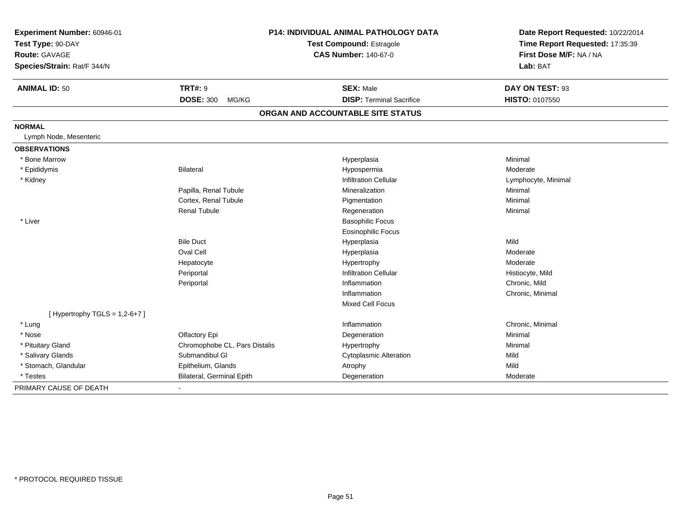| Experiment Number: 60946-01     |                               | <b>P14: INDIVIDUAL ANIMAL PATHOLOGY DATA</b> | Date Report Requested: 10/22/2014 |
|---------------------------------|-------------------------------|----------------------------------------------|-----------------------------------|
| Test Type: 90-DAY               |                               | <b>Test Compound: Estragole</b>              | Time Report Requested: 17:35:39   |
| Route: GAVAGE                   |                               | <b>CAS Number: 140-67-0</b>                  | First Dose M/F: NA / NA           |
| Species/Strain: Rat/F 344/N     |                               |                                              | Lab: BAT                          |
| <b>ANIMAL ID: 50</b>            | <b>TRT#: 9</b>                | <b>SEX: Male</b>                             | DAY ON TEST: 93                   |
|                                 | <b>DOSE: 300</b><br>MG/KG     | <b>DISP: Terminal Sacrifice</b>              | HISTO: 0107550                    |
|                                 |                               | ORGAN AND ACCOUNTABLE SITE STATUS            |                                   |
| <b>NORMAL</b>                   |                               |                                              |                                   |
| Lymph Node, Mesenteric          |                               |                                              |                                   |
| <b>OBSERVATIONS</b>             |                               |                                              |                                   |
| * Bone Marrow                   |                               | Hyperplasia                                  | Minimal                           |
| * Epididymis                    | Bilateral                     | Hypospermia                                  | Moderate                          |
| * Kidney                        |                               | <b>Infiltration Cellular</b>                 | Lymphocyte, Minimal               |
|                                 | Papilla, Renal Tubule         | Mineralization                               | Minimal                           |
|                                 | Cortex, Renal Tubule          | Pigmentation                                 | Minimal                           |
|                                 | <b>Renal Tubule</b>           | Regeneration                                 | Minimal                           |
| * Liver                         |                               | <b>Basophilic Focus</b>                      |                                   |
|                                 |                               | <b>Eosinophilic Focus</b>                    |                                   |
|                                 | <b>Bile Duct</b>              | Hyperplasia                                  | Mild                              |
|                                 | Oval Cell                     | Hyperplasia                                  | Moderate                          |
|                                 | Hepatocyte                    | Hypertrophy                                  | Moderate                          |
|                                 | Periportal                    | <b>Infiltration Cellular</b>                 | Histiocyte, Mild                  |
|                                 | Periportal                    | Inflammation                                 | Chronic, Mild                     |
|                                 |                               | Inflammation                                 | Chronic, Minimal                  |
|                                 |                               | <b>Mixed Cell Focus</b>                      |                                   |
| [Hypertrophy TGLS = $1,2-6+7$ ] |                               |                                              |                                   |
| * Lung                          |                               | Inflammation                                 | Chronic, Minimal                  |
| * Nose                          | Olfactory Epi                 | Degeneration                                 | Minimal                           |
| * Pituitary Gland               | Chromophobe CL, Pars Distalis | Hypertrophy                                  | Minimal                           |
| * Salivary Glands               | Submandibul GI                | <b>Cytoplasmic Alteration</b>                | Mild                              |
| * Stomach, Glandular            | Epithelium, Glands            | Atrophy                                      | Mild                              |
| * Testes                        | Bilateral, Germinal Epith     | Degeneration                                 | Moderate                          |
| PRIMARY CAUSE OF DEATH          | $\sim$                        |                                              |                                   |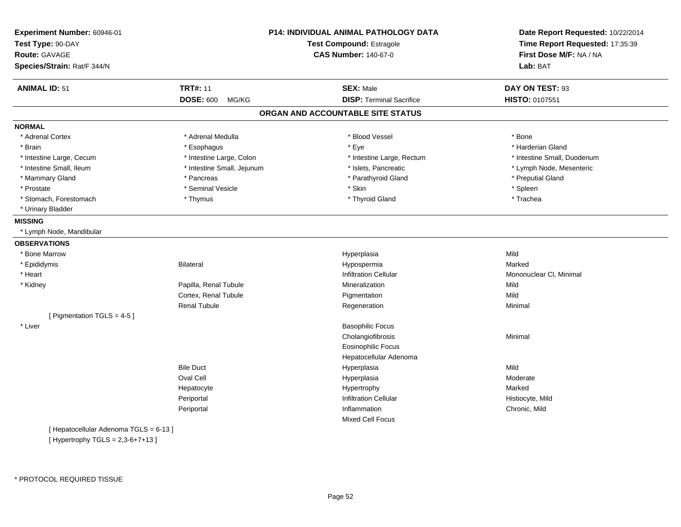| Experiment Number: 60946-01<br>Test Type: 90-DAY<br><b>Route: GAVAGE</b><br>Species/Strain: Rat/F 344/N |                            | P14: INDIVIDUAL ANIMAL PATHOLOGY DATA<br>Test Compound: Estragole<br><b>CAS Number: 140-67-0</b> | Date Report Requested: 10/22/2014<br>Time Report Requested: 17:35:39<br>First Dose M/F: NA / NA<br>Lab: BAT |
|---------------------------------------------------------------------------------------------------------|----------------------------|--------------------------------------------------------------------------------------------------|-------------------------------------------------------------------------------------------------------------|
| <b>ANIMAL ID: 51</b>                                                                                    | <b>TRT#: 11</b>            | <b>SEX: Male</b>                                                                                 | DAY ON TEST: 93                                                                                             |
|                                                                                                         | <b>DOSE: 600</b><br>MG/KG  | <b>DISP: Terminal Sacrifice</b>                                                                  | <b>HISTO: 0107551</b>                                                                                       |
|                                                                                                         |                            |                                                                                                  |                                                                                                             |
|                                                                                                         |                            | ORGAN AND ACCOUNTABLE SITE STATUS                                                                |                                                                                                             |
| <b>NORMAL</b>                                                                                           |                            |                                                                                                  |                                                                                                             |
| * Adrenal Cortex                                                                                        | * Adrenal Medulla          | * Blood Vessel                                                                                   | * Bone                                                                                                      |
| * Brain                                                                                                 | * Esophagus                | * Eye                                                                                            | * Harderian Gland                                                                                           |
| * Intestine Large, Cecum                                                                                | * Intestine Large, Colon   | * Intestine Large, Rectum                                                                        | * Intestine Small, Duodenum                                                                                 |
| * Intestine Small, Ileum                                                                                | * Intestine Small, Jejunum | * Islets, Pancreatic                                                                             | * Lymph Node, Mesenteric                                                                                    |
| * Mammary Gland                                                                                         | * Pancreas                 | * Parathyroid Gland                                                                              | * Preputial Gland                                                                                           |
| * Prostate                                                                                              | * Seminal Vesicle          | * Skin                                                                                           | * Spleen                                                                                                    |
| * Stomach, Forestomach                                                                                  | * Thymus                   | * Thyroid Gland                                                                                  | * Trachea                                                                                                   |
| * Urinary Bladder                                                                                       |                            |                                                                                                  |                                                                                                             |
| <b>MISSING</b>                                                                                          |                            |                                                                                                  |                                                                                                             |
| * Lymph Node, Mandibular                                                                                |                            |                                                                                                  |                                                                                                             |
| <b>OBSERVATIONS</b>                                                                                     |                            |                                                                                                  |                                                                                                             |
| * Bone Marrow                                                                                           |                            | Hyperplasia                                                                                      | Mild                                                                                                        |
| * Epididymis                                                                                            | <b>Bilateral</b>           | Hypospermia                                                                                      | Marked                                                                                                      |
| * Heart                                                                                                 |                            | <b>Infiltration Cellular</b>                                                                     | Mononuclear CI, Minimal                                                                                     |
| * Kidney                                                                                                | Papilla, Renal Tubule      | Mineralization                                                                                   | Mild                                                                                                        |
|                                                                                                         | Cortex, Renal Tubule       | Pigmentation                                                                                     | Mild                                                                                                        |
|                                                                                                         | <b>Renal Tubule</b>        | Regeneration                                                                                     | Minimal                                                                                                     |
| [ Pigmentation TGLS = 4-5 ]                                                                             |                            |                                                                                                  |                                                                                                             |
| * Liver                                                                                                 |                            | <b>Basophilic Focus</b>                                                                          |                                                                                                             |
|                                                                                                         |                            | Cholangiofibrosis                                                                                | Minimal                                                                                                     |
|                                                                                                         |                            | <b>Eosinophilic Focus</b>                                                                        |                                                                                                             |
|                                                                                                         |                            | Hepatocellular Adenoma                                                                           |                                                                                                             |
|                                                                                                         | <b>Bile Duct</b>           | Hyperplasia                                                                                      | Mild                                                                                                        |
|                                                                                                         | Oval Cell                  | Hyperplasia                                                                                      | Moderate                                                                                                    |
|                                                                                                         | Hepatocyte                 | Hypertrophy                                                                                      | Marked                                                                                                      |
|                                                                                                         | Periportal                 | <b>Infiltration Cellular</b>                                                                     | Histiocyte, Mild                                                                                            |
|                                                                                                         | Periportal                 | Inflammation                                                                                     | Chronic, Mild                                                                                               |
|                                                                                                         |                            | Mixed Cell Focus                                                                                 |                                                                                                             |
| [ Hepatocellular Adenoma TGLS = 6-13 ]                                                                  |                            |                                                                                                  |                                                                                                             |
| [Hypertrophy TGLS = $2,3-6+7+13$ ]                                                                      |                            |                                                                                                  |                                                                                                             |
|                                                                                                         |                            |                                                                                                  |                                                                                                             |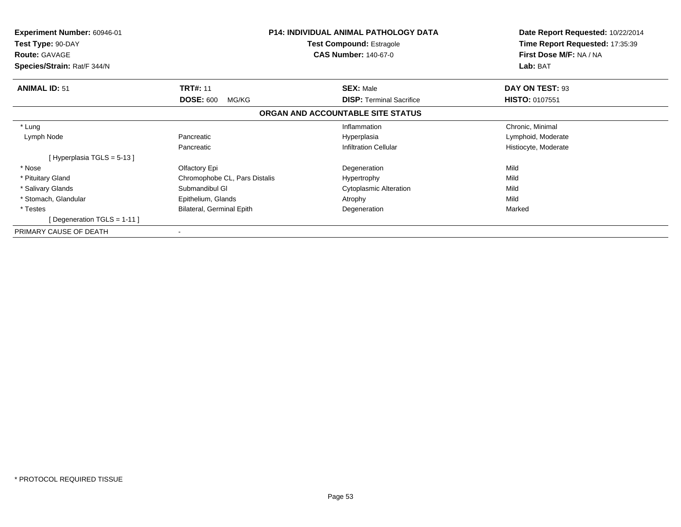| Experiment Number: 60946-01<br>Test Type: 90-DAY<br><b>Route: GAVAGE</b><br>Species/Strain: Rat/F 344/N |                               | <b>P14: INDIVIDUAL ANIMAL PATHOLOGY DATA</b><br><b>Test Compound: Estragole</b><br><b>CAS Number: 140-67-0</b> | Date Report Requested: 10/22/2014<br>Time Report Requested: 17:35:39<br>First Dose M/F: NA / NA<br>Lab: BAT |
|---------------------------------------------------------------------------------------------------------|-------------------------------|----------------------------------------------------------------------------------------------------------------|-------------------------------------------------------------------------------------------------------------|
|                                                                                                         |                               |                                                                                                                |                                                                                                             |
| <b>ANIMAL ID: 51</b>                                                                                    | <b>TRT#: 11</b>               | <b>SEX: Male</b>                                                                                               | DAY ON TEST: 93                                                                                             |
|                                                                                                         | <b>DOSE: 600</b><br>MG/KG     | <b>DISP:</b> Terminal Sacrifice                                                                                | <b>HISTO: 0107551</b>                                                                                       |
|                                                                                                         |                               | ORGAN AND ACCOUNTABLE SITE STATUS                                                                              |                                                                                                             |
| * Lung                                                                                                  |                               | Inflammation                                                                                                   | Chronic, Minimal                                                                                            |
| Lymph Node                                                                                              | Pancreatic                    | Hyperplasia                                                                                                    | Lymphoid, Moderate                                                                                          |
|                                                                                                         | Pancreatic                    | <b>Infiltration Cellular</b>                                                                                   | Histiocyte, Moderate                                                                                        |
| [Hyperplasia TGLS = 5-13]                                                                               |                               |                                                                                                                |                                                                                                             |
| * Nose                                                                                                  | Olfactory Epi                 | Degeneration                                                                                                   | Mild                                                                                                        |
| * Pituitary Gland                                                                                       | Chromophobe CL, Pars Distalis | Hypertrophy                                                                                                    | Mild                                                                                                        |
| * Salivary Glands                                                                                       | Submandibul GI                | Cytoplasmic Alteration                                                                                         | Mild                                                                                                        |
| * Stomach, Glandular                                                                                    | Epithelium, Glands            | Atrophy                                                                                                        | Mild                                                                                                        |
| * Testes                                                                                                | Bilateral, Germinal Epith     | Degeneration                                                                                                   | Marked                                                                                                      |
| [Degeneration TGLS = $1-11$ ]                                                                           |                               |                                                                                                                |                                                                                                             |
| PRIMARY CAUSE OF DEATH                                                                                  |                               |                                                                                                                |                                                                                                             |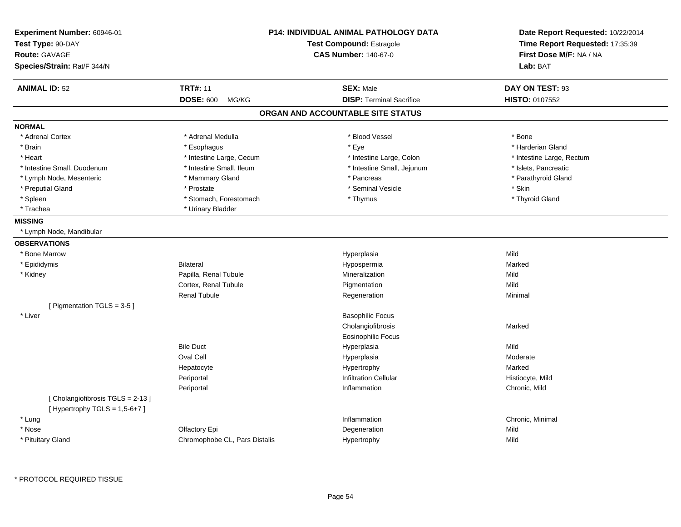| Experiment Number: 60946-01<br>Test Type: 90-DAY<br><b>Route: GAVAGE</b><br>Species/Strain: Rat/F 344/N |                               | <b>P14: INDIVIDUAL ANIMAL PATHOLOGY DATA</b><br><b>Test Compound: Estragole</b><br><b>CAS Number: 140-67-0</b> | Date Report Requested: 10/22/2014<br>Time Report Requested: 17:35:39<br>First Dose M/F: NA / NA<br>Lab: BAT |
|---------------------------------------------------------------------------------------------------------|-------------------------------|----------------------------------------------------------------------------------------------------------------|-------------------------------------------------------------------------------------------------------------|
| <b>ANIMAL ID: 52</b>                                                                                    | <b>TRT#: 11</b>               | <b>SEX: Male</b>                                                                                               | DAY ON TEST: 93                                                                                             |
|                                                                                                         | <b>DOSE: 600</b><br>MG/KG     | <b>DISP: Terminal Sacrifice</b>                                                                                | <b>HISTO: 0107552</b>                                                                                       |
|                                                                                                         |                               | ORGAN AND ACCOUNTABLE SITE STATUS                                                                              |                                                                                                             |
| <b>NORMAL</b>                                                                                           |                               |                                                                                                                |                                                                                                             |
| * Adrenal Cortex                                                                                        | * Adrenal Medulla             | * Blood Vessel                                                                                                 | * Bone                                                                                                      |
| * Brain                                                                                                 | * Esophagus                   | * Eye                                                                                                          | * Harderian Gland                                                                                           |
| * Heart                                                                                                 | * Intestine Large, Cecum      | * Intestine Large, Colon                                                                                       | * Intestine Large, Rectum                                                                                   |
| * Intestine Small, Duodenum                                                                             | * Intestine Small, Ileum      | * Intestine Small, Jejunum                                                                                     | * Islets, Pancreatic                                                                                        |
| * Lymph Node, Mesenteric                                                                                | * Mammary Gland               | * Pancreas                                                                                                     | * Parathyroid Gland                                                                                         |
| * Preputial Gland                                                                                       | * Prostate                    | * Seminal Vesicle                                                                                              | * Skin                                                                                                      |
| $*$ Spleen                                                                                              | * Stomach, Forestomach        | * Thymus                                                                                                       | * Thyroid Gland                                                                                             |
| * Trachea                                                                                               | * Urinary Bladder             |                                                                                                                |                                                                                                             |
| <b>MISSING</b>                                                                                          |                               |                                                                                                                |                                                                                                             |
| * Lymph Node, Mandibular                                                                                |                               |                                                                                                                |                                                                                                             |
| <b>OBSERVATIONS</b>                                                                                     |                               |                                                                                                                |                                                                                                             |
| * Bone Marrow                                                                                           |                               | Hyperplasia                                                                                                    | Mild                                                                                                        |
| * Epididymis                                                                                            | <b>Bilateral</b>              | Hypospermia                                                                                                    | Marked                                                                                                      |
| * Kidney                                                                                                | Papilla, Renal Tubule         | Mineralization                                                                                                 | Mild                                                                                                        |
|                                                                                                         | Cortex, Renal Tubule          | Pigmentation                                                                                                   | Mild                                                                                                        |
|                                                                                                         | <b>Renal Tubule</b>           | Regeneration                                                                                                   | Minimal                                                                                                     |
| [ Pigmentation TGLS = 3-5 ]                                                                             |                               |                                                                                                                |                                                                                                             |
| * Liver                                                                                                 |                               | <b>Basophilic Focus</b>                                                                                        |                                                                                                             |
|                                                                                                         |                               | Cholangiofibrosis                                                                                              | Marked                                                                                                      |
|                                                                                                         |                               | <b>Eosinophilic Focus</b>                                                                                      |                                                                                                             |
|                                                                                                         | <b>Bile Duct</b>              | Hyperplasia                                                                                                    | Mild                                                                                                        |
|                                                                                                         | Oval Cell                     | Hyperplasia                                                                                                    | Moderate                                                                                                    |
|                                                                                                         | Hepatocyte                    | Hypertrophy                                                                                                    | Marked                                                                                                      |
|                                                                                                         | Periportal                    | <b>Infiltration Cellular</b>                                                                                   | Histiocyte, Mild                                                                                            |
|                                                                                                         | Periportal                    | Inflammation                                                                                                   | Chronic, Mild                                                                                               |
| [Cholangiofibrosis TGLS = 2-13]<br>[Hypertrophy TGLS = $1,5-6+7$ ]                                      |                               |                                                                                                                |                                                                                                             |
| * Lung                                                                                                  |                               | Inflammation                                                                                                   | Chronic, Minimal                                                                                            |
| * Nose                                                                                                  | Olfactory Epi                 | Degeneration                                                                                                   | Mild                                                                                                        |
| * Pituitary Gland                                                                                       | Chromophobe CL, Pars Distalis | Hypertrophy                                                                                                    | Mild                                                                                                        |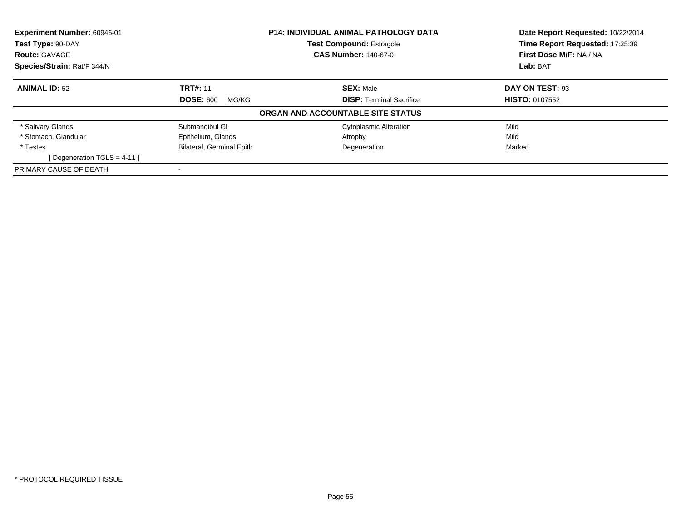| Experiment Number: 60946-01   |                                  | <b>P14: INDIVIDUAL ANIMAL PATHOLOGY DATA</b> | Date Report Requested: 10/22/2014 |
|-------------------------------|----------------------------------|----------------------------------------------|-----------------------------------|
| Test Type: 90-DAY             | <b>Test Compound: Estragole</b>  |                                              | Time Report Requested: 17:35:39   |
| <b>Route: GAVAGE</b>          |                                  | <b>CAS Number: 140-67-0</b>                  | First Dose M/F: NA / NA           |
| Species/Strain: Rat/F 344/N   |                                  |                                              | Lab: BAT                          |
| <b>ANIMAL ID: 52</b>          | <b>TRT#: 11</b>                  | <b>SEX: Male</b>                             | DAY ON TEST: 93                   |
|                               | <b>DOSE: 600</b><br>MG/KG        | <b>DISP:</b> Terminal Sacrifice              | <b>HISTO: 0107552</b>             |
|                               |                                  | ORGAN AND ACCOUNTABLE SITE STATUS            |                                   |
| * Salivary Glands             | Submandibul GI                   | <b>Cytoplasmic Alteration</b>                | Mild                              |
| * Stomach. Glandular          | Epithelium, Glands               | Atrophy                                      | Mild                              |
| * Testes                      | <b>Bilateral, Germinal Epith</b> | Degeneration                                 | Marked                            |
| [Degeneration TGLS = $4-11$ ] |                                  |                                              |                                   |
| PRIMARY CAUSE OF DEATH        |                                  |                                              |                                   |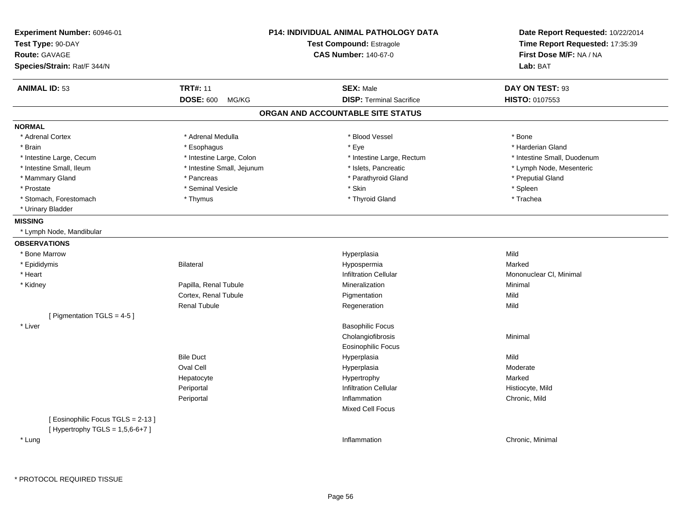| Route: GAVAGE<br>Species/Strain: Rat/F 344/N |                            | <b>CAS Number: 140-67-0</b>       | First Dose M/F: NA / NA<br>Lab: BAT |
|----------------------------------------------|----------------------------|-----------------------------------|-------------------------------------|
| <b>ANIMAL ID: 53</b>                         | <b>TRT#: 11</b>            | <b>SEX: Male</b>                  | DAY ON TEST: 93                     |
|                                              | <b>DOSE: 600</b><br>MG/KG  | <b>DISP: Terminal Sacrifice</b>   | <b>HISTO: 0107553</b>               |
|                                              |                            | ORGAN AND ACCOUNTABLE SITE STATUS |                                     |
| <b>NORMAL</b>                                |                            |                                   |                                     |
| * Adrenal Cortex                             | * Adrenal Medulla          | * Blood Vessel                    | * Bone                              |
| * Brain                                      | * Esophagus                | * Eye                             | * Harderian Gland                   |
| * Intestine Large, Cecum                     | * Intestine Large, Colon   | * Intestine Large, Rectum         | * Intestine Small, Duodenum         |
| * Intestine Small, Ileum                     | * Intestine Small, Jejunum | * Islets, Pancreatic              | * Lymph Node, Mesenteric            |
| * Mammary Gland                              | * Pancreas                 | * Parathyroid Gland               | * Preputial Gland                   |
| * Prostate                                   | * Seminal Vesicle          | * Skin                            | * Spleen                            |
| * Stomach, Forestomach                       | * Thymus                   | * Thyroid Gland                   | * Trachea                           |
| * Urinary Bladder                            |                            |                                   |                                     |
| <b>MISSING</b>                               |                            |                                   |                                     |
| * Lymph Node, Mandibular                     |                            |                                   |                                     |
| <b>OBSERVATIONS</b>                          |                            |                                   |                                     |
| * Bone Marrow                                |                            | Hyperplasia                       | Mild                                |
| * Epididymis                                 | Bilateral                  | Hypospermia                       | Marked                              |
| * Heart                                      |                            | <b>Infiltration Cellular</b>      | Mononuclear CI, Minimal             |
| * Kidney                                     | Papilla, Renal Tubule      | Mineralization                    | Minimal                             |
|                                              | Cortex, Renal Tubule       | Pigmentation                      | Mild                                |
|                                              | <b>Renal Tubule</b>        | Regeneration                      | Mild                                |
| [ Pigmentation TGLS = 4-5 ]                  |                            |                                   |                                     |
| * Liver                                      |                            | <b>Basophilic Focus</b>           |                                     |
|                                              |                            | Cholangiofibrosis                 | Minimal                             |
|                                              |                            | <b>Eosinophilic Focus</b>         |                                     |
|                                              | <b>Bile Duct</b>           | Hyperplasia                       | Mild                                |
|                                              | <b>Oval Cell</b>           | Hyperplasia                       | Moderate                            |
|                                              | Hepatocyte                 | Hypertrophy                       | Marked                              |
|                                              | Periportal                 | <b>Infiltration Cellular</b>      | Histiocyte, Mild                    |
|                                              | Periportal                 | Inflammation                      | Chronic, Mild                       |
|                                              |                            | <b>Mixed Cell Focus</b>           |                                     |
| [Eosinophilic Focus TGLS = 2-13]             |                            |                                   |                                     |
| [Hypertrophy TGLS = $1,5,6-6+7$ ]            |                            |                                   |                                     |
| * Lung                                       |                            | Inflammation                      | Chronic, Minimal                    |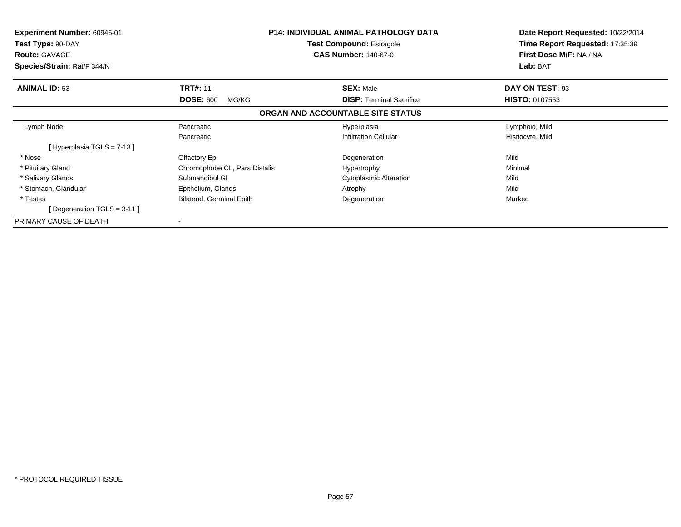| <b>Experiment Number: 60946-01</b><br>Test Type: 90-DAY<br><b>Route: GAVAGE</b><br>Species/Strain: Rat/F 344/N |                               | <b>P14: INDIVIDUAL ANIMAL PATHOLOGY DATA</b><br><b>Test Compound: Estragole</b><br><b>CAS Number: 140-67-0</b> | Date Report Requested: 10/22/2014<br>Time Report Requested: 17:35:39<br>First Dose M/F: NA / NA<br>Lab: BAT |
|----------------------------------------------------------------------------------------------------------------|-------------------------------|----------------------------------------------------------------------------------------------------------------|-------------------------------------------------------------------------------------------------------------|
| <b>ANIMAL ID: 53</b>                                                                                           | <b>TRT#: 11</b>               | <b>SEX: Male</b>                                                                                               | DAY ON TEST: 93                                                                                             |
|                                                                                                                | <b>DOSE: 600</b><br>MG/KG     | <b>DISP:</b> Terminal Sacrifice                                                                                | <b>HISTO: 0107553</b>                                                                                       |
|                                                                                                                |                               | ORGAN AND ACCOUNTABLE SITE STATUS                                                                              |                                                                                                             |
| Lymph Node                                                                                                     | Pancreatic                    | Hyperplasia                                                                                                    | Lymphoid, Mild                                                                                              |
|                                                                                                                | Pancreatic                    | <b>Infiltration Cellular</b>                                                                                   | Histiocyte, Mild                                                                                            |
| Hyperplasia TGLS = 7-13 ]                                                                                      |                               |                                                                                                                |                                                                                                             |
| * Nose                                                                                                         | Olfactory Epi                 | Degeneration                                                                                                   | Mild                                                                                                        |
| * Pituitary Gland                                                                                              | Chromophobe CL, Pars Distalis | Hypertrophy                                                                                                    | Minimal                                                                                                     |
| * Salivary Glands                                                                                              | Submandibul GI                | <b>Cytoplasmic Alteration</b>                                                                                  | Mild                                                                                                        |
| * Stomach, Glandular                                                                                           | Epithelium, Glands            | Atrophy                                                                                                        | Mild                                                                                                        |
| * Testes                                                                                                       | Bilateral, Germinal Epith     | Degeneration                                                                                                   | Marked                                                                                                      |
| Degeneration TGLS = 3-11 ]                                                                                     |                               |                                                                                                                |                                                                                                             |
| PRIMARY CAUSE OF DEATH                                                                                         | ۰                             |                                                                                                                |                                                                                                             |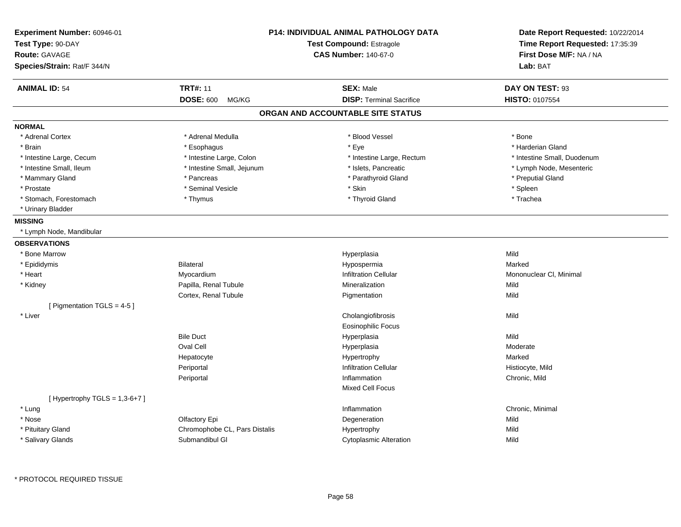| Experiment Number: 60946-01<br>Test Type: 90-DAY<br>Route: GAVAGE<br>Species/Strain: Rat/F 344/N |                               | P14: INDIVIDUAL ANIMAL PATHOLOGY DATA<br>Test Compound: Estragole<br><b>CAS Number: 140-67-0</b> | Date Report Requested: 10/22/2014<br>Time Report Requested: 17:35:39<br>First Dose M/F: NA / NA<br>Lab: BAT |
|--------------------------------------------------------------------------------------------------|-------------------------------|--------------------------------------------------------------------------------------------------|-------------------------------------------------------------------------------------------------------------|
| <b>ANIMAL ID: 54</b>                                                                             | <b>TRT#: 11</b>               | <b>SEX: Male</b>                                                                                 | DAY ON TEST: 93                                                                                             |
|                                                                                                  | <b>DOSE: 600</b><br>MG/KG     | <b>DISP: Terminal Sacrifice</b>                                                                  | HISTO: 0107554                                                                                              |
|                                                                                                  |                               | ORGAN AND ACCOUNTABLE SITE STATUS                                                                |                                                                                                             |
| <b>NORMAL</b>                                                                                    |                               |                                                                                                  |                                                                                                             |
| * Adrenal Cortex                                                                                 | * Adrenal Medulla             | * Blood Vessel                                                                                   | * Bone                                                                                                      |
| * Brain                                                                                          | * Esophagus                   | * Eye                                                                                            | * Harderian Gland                                                                                           |
| * Intestine Large, Cecum                                                                         | * Intestine Large, Colon      | * Intestine Large, Rectum                                                                        | * Intestine Small, Duodenum                                                                                 |
| * Intestine Small, Ileum                                                                         | * Intestine Small, Jejunum    | * Islets, Pancreatic                                                                             | * Lymph Node, Mesenteric                                                                                    |
| * Mammary Gland                                                                                  | * Pancreas                    | * Parathyroid Gland                                                                              | * Preputial Gland                                                                                           |
| * Prostate                                                                                       | * Seminal Vesicle             | * Skin                                                                                           | * Spleen                                                                                                    |
| * Stomach, Forestomach                                                                           | * Thymus                      | * Thyroid Gland                                                                                  | * Trachea                                                                                                   |
| * Urinary Bladder                                                                                |                               |                                                                                                  |                                                                                                             |
| <b>MISSING</b>                                                                                   |                               |                                                                                                  |                                                                                                             |
| * Lymph Node, Mandibular                                                                         |                               |                                                                                                  |                                                                                                             |
| <b>OBSERVATIONS</b>                                                                              |                               |                                                                                                  |                                                                                                             |
| * Bone Marrow                                                                                    |                               | Hyperplasia                                                                                      | Mild                                                                                                        |
| * Epididymis                                                                                     | <b>Bilateral</b>              | Hypospermia                                                                                      | Marked                                                                                                      |
| * Heart                                                                                          | Myocardium                    | <b>Infiltration Cellular</b>                                                                     | Mononuclear CI, Minimal                                                                                     |
| * Kidney                                                                                         | Papilla, Renal Tubule         | Mineralization                                                                                   | Mild                                                                                                        |
|                                                                                                  | Cortex, Renal Tubule          | Pigmentation                                                                                     | Mild                                                                                                        |
| [ Pigmentation TGLS = 4-5 ]                                                                      |                               |                                                                                                  |                                                                                                             |
| * Liver                                                                                          |                               | Cholangiofibrosis                                                                                | Mild                                                                                                        |
|                                                                                                  |                               | <b>Eosinophilic Focus</b>                                                                        |                                                                                                             |
|                                                                                                  | <b>Bile Duct</b>              | Hyperplasia                                                                                      | Mild                                                                                                        |
|                                                                                                  | <b>Oval Cell</b>              | Hyperplasia                                                                                      | Moderate                                                                                                    |
|                                                                                                  | Hepatocyte                    | Hypertrophy                                                                                      | Marked                                                                                                      |
|                                                                                                  | Periportal                    | <b>Infiltration Cellular</b>                                                                     | Histiocyte, Mild                                                                                            |
|                                                                                                  | Periportal                    | Inflammation                                                                                     | Chronic, Mild                                                                                               |
|                                                                                                  |                               | <b>Mixed Cell Focus</b>                                                                          |                                                                                                             |
| [Hypertrophy TGLS = $1,3-6+7$ ]                                                                  |                               |                                                                                                  |                                                                                                             |
| * Lung                                                                                           |                               | Inflammation                                                                                     | Chronic, Minimal                                                                                            |
| * Nose                                                                                           | Olfactory Epi                 | Degeneration                                                                                     | Mild                                                                                                        |
| * Pituitary Gland                                                                                | Chromophobe CL, Pars Distalis | Hypertrophy                                                                                      | Mild                                                                                                        |
| * Salivary Glands                                                                                | Submandibul GI                | <b>Cytoplasmic Alteration</b>                                                                    | Mild                                                                                                        |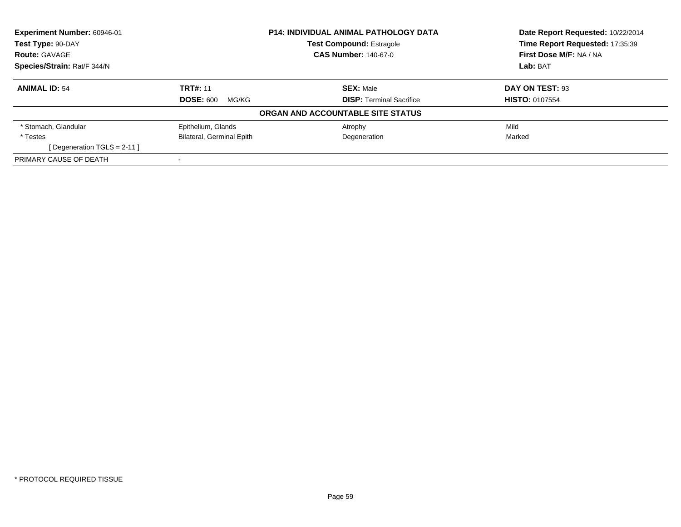| Experiment Number: 60946-01<br><b>P14: INDIVIDUAL ANIMAL PATHOLOGY DATA</b><br>Test Type: 90-DAY<br><b>Test Compound: Estragole</b> |                                  |                                   | Date Report Requested: 10/22/2014 |
|-------------------------------------------------------------------------------------------------------------------------------------|----------------------------------|-----------------------------------|-----------------------------------|
|                                                                                                                                     |                                  | Time Report Requested: 17:35:39   |                                   |
| <b>Route: GAVAGE</b>                                                                                                                |                                  | <b>CAS Number: 140-67-0</b>       | First Dose M/F: NA / NA           |
| Species/Strain: Rat/F 344/N                                                                                                         |                                  |                                   | Lab: BAT                          |
| <b>ANIMAL ID: 54</b>                                                                                                                | <b>TRT#: 11</b>                  | <b>SEX: Male</b>                  | DAY ON TEST: 93                   |
|                                                                                                                                     | <b>DOSE: 600</b><br>MG/KG        | <b>DISP:</b> Terminal Sacrifice   | <b>HISTO: 0107554</b>             |
|                                                                                                                                     |                                  | ORGAN AND ACCOUNTABLE SITE STATUS |                                   |
| * Stomach, Glandular                                                                                                                | Epithelium, Glands               | Atrophy                           | Mild                              |
| * Testes                                                                                                                            | <b>Bilateral, Germinal Epith</b> | Degeneration                      | Marked                            |
| [Degeneration TGLS = $2-11$ ]                                                                                                       |                                  |                                   |                                   |
| PRIMARY CAUSE OF DEATH                                                                                                              |                                  |                                   |                                   |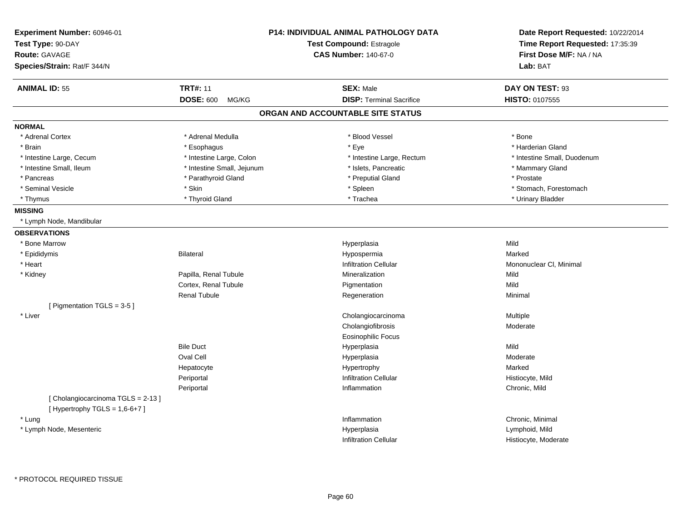| Experiment Number: 60946-01<br>Test Type: 90-DAY<br><b>Route: GAVAGE</b> |                            | <b>P14: INDIVIDUAL ANIMAL PATHOLOGY DATA</b><br>Test Compound: Estragole<br><b>CAS Number: 140-67-0</b> | Date Report Requested: 10/22/2014<br>Time Report Requested: 17:35:39<br>First Dose M/F: NA / NA |
|--------------------------------------------------------------------------|----------------------------|---------------------------------------------------------------------------------------------------------|-------------------------------------------------------------------------------------------------|
| Species/Strain: Rat/F 344/N                                              |                            |                                                                                                         | Lab: BAT                                                                                        |
| <b>ANIMAL ID: 55</b>                                                     | <b>TRT#: 11</b>            | <b>SEX: Male</b>                                                                                        | DAY ON TEST: 93                                                                                 |
|                                                                          | <b>DOSE: 600</b><br>MG/KG  | <b>DISP: Terminal Sacrifice</b>                                                                         | HISTO: 0107555                                                                                  |
|                                                                          |                            | ORGAN AND ACCOUNTABLE SITE STATUS                                                                       |                                                                                                 |
| <b>NORMAL</b>                                                            |                            |                                                                                                         |                                                                                                 |
| * Adrenal Cortex                                                         | * Adrenal Medulla          | * Blood Vessel                                                                                          | * Bone                                                                                          |
| * Brain                                                                  | * Esophagus                | * Eye                                                                                                   | * Harderian Gland                                                                               |
| * Intestine Large, Cecum                                                 | * Intestine Large, Colon   | * Intestine Large, Rectum                                                                               | * Intestine Small, Duodenum                                                                     |
| * Intestine Small, Ileum                                                 | * Intestine Small, Jejunum | * Islets, Pancreatic                                                                                    | * Mammary Gland                                                                                 |
| * Pancreas                                                               | * Parathyroid Gland        | * Preputial Gland                                                                                       | * Prostate                                                                                      |
| * Seminal Vesicle                                                        | * Skin                     | * Spleen                                                                                                | * Stomach, Forestomach                                                                          |
| * Thymus                                                                 | * Thyroid Gland            | * Trachea                                                                                               | * Urinary Bladder                                                                               |
| <b>MISSING</b>                                                           |                            |                                                                                                         |                                                                                                 |
| * Lymph Node, Mandibular                                                 |                            |                                                                                                         |                                                                                                 |
| <b>OBSERVATIONS</b>                                                      |                            |                                                                                                         |                                                                                                 |
| * Bone Marrow                                                            |                            | Hyperplasia                                                                                             | Mild                                                                                            |
| * Epididymis                                                             | Bilateral                  | Hypospermia                                                                                             | Marked                                                                                          |
| * Heart                                                                  |                            | <b>Infiltration Cellular</b>                                                                            | Mononuclear CI, Minimal                                                                         |
| * Kidney                                                                 | Papilla, Renal Tubule      | Mineralization                                                                                          | Mild                                                                                            |
|                                                                          | Cortex, Renal Tubule       | Pigmentation                                                                                            | Mild                                                                                            |
|                                                                          | <b>Renal Tubule</b>        | Regeneration                                                                                            | Minimal                                                                                         |
| [ Pigmentation TGLS = 3-5 ]                                              |                            |                                                                                                         |                                                                                                 |
| * Liver                                                                  |                            | Cholangiocarcinoma                                                                                      | Multiple                                                                                        |
|                                                                          |                            | Cholangiofibrosis                                                                                       | Moderate                                                                                        |
|                                                                          |                            | Eosinophilic Focus                                                                                      |                                                                                                 |
|                                                                          | <b>Bile Duct</b>           | Hyperplasia                                                                                             | Mild                                                                                            |
|                                                                          | Oval Cell                  | Hyperplasia                                                                                             | Moderate                                                                                        |
|                                                                          | Hepatocyte                 | Hypertrophy                                                                                             | Marked                                                                                          |
|                                                                          | Periportal                 | <b>Infiltration Cellular</b>                                                                            | Histiocyte, Mild                                                                                |
|                                                                          | Periportal                 | Inflammation                                                                                            | Chronic, Mild                                                                                   |
| [Cholangiocarcinoma TGLS = 2-13]                                         |                            |                                                                                                         |                                                                                                 |
| [Hypertrophy TGLS = $1,6-6+7$ ]                                          |                            |                                                                                                         |                                                                                                 |
| * Lung                                                                   |                            | Inflammation                                                                                            | Chronic, Minimal                                                                                |
| * Lymph Node, Mesenteric                                                 |                            | Hyperplasia                                                                                             | Lymphoid, Mild                                                                                  |
|                                                                          |                            |                                                                                                         |                                                                                                 |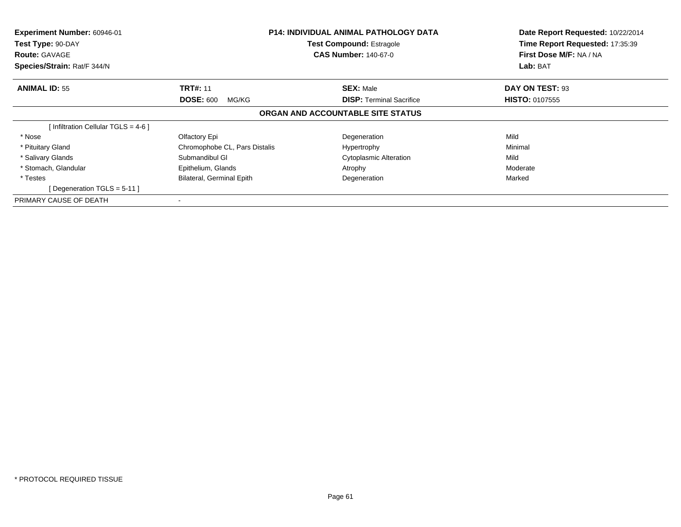| Experiment Number: 60946-01<br>Test Type: 90-DAY<br><b>Route: GAVAGE</b><br>Species/Strain: Rat/F 344/N | <b>P14: INDIVIDUAL ANIMAL PATHOLOGY DATA</b><br><b>Test Compound: Estragole</b><br><b>CAS Number: 140-67-0</b> |                                   | Date Report Requested: 10/22/2014<br>Time Report Requested: 17:35:39<br>First Dose M/F: NA / NA<br>Lab: BAT |
|---------------------------------------------------------------------------------------------------------|----------------------------------------------------------------------------------------------------------------|-----------------------------------|-------------------------------------------------------------------------------------------------------------|
| <b>ANIMAL ID: 55</b>                                                                                    | <b>TRT#: 11</b>                                                                                                | <b>SEX: Male</b>                  | DAY ON TEST: 93                                                                                             |
|                                                                                                         | <b>DOSE: 600</b><br>MG/KG                                                                                      | <b>DISP:</b> Terminal Sacrifice   | <b>HISTO: 0107555</b>                                                                                       |
|                                                                                                         |                                                                                                                | ORGAN AND ACCOUNTABLE SITE STATUS |                                                                                                             |
| [ Infiltration Cellular TGLS = 4-6 ]                                                                    |                                                                                                                |                                   |                                                                                                             |
| * Nose                                                                                                  | Olfactory Epi                                                                                                  | Degeneration                      | Mild                                                                                                        |
| * Pituitary Gland                                                                                       | Chromophobe CL, Pars Distalis                                                                                  | Hypertrophy                       | Minimal                                                                                                     |
| * Salivary Glands                                                                                       | Submandibul GI                                                                                                 | <b>Cytoplasmic Alteration</b>     | Mild                                                                                                        |
| * Stomach, Glandular                                                                                    | Epithelium, Glands                                                                                             | Atrophy                           | Moderate                                                                                                    |
| * Testes<br>[Degeneration TGLS = $5-11$ ]                                                               | Bilateral, Germinal Epith                                                                                      | Degeneration                      | Marked                                                                                                      |
| PRIMARY CAUSE OF DEATH                                                                                  |                                                                                                                |                                   |                                                                                                             |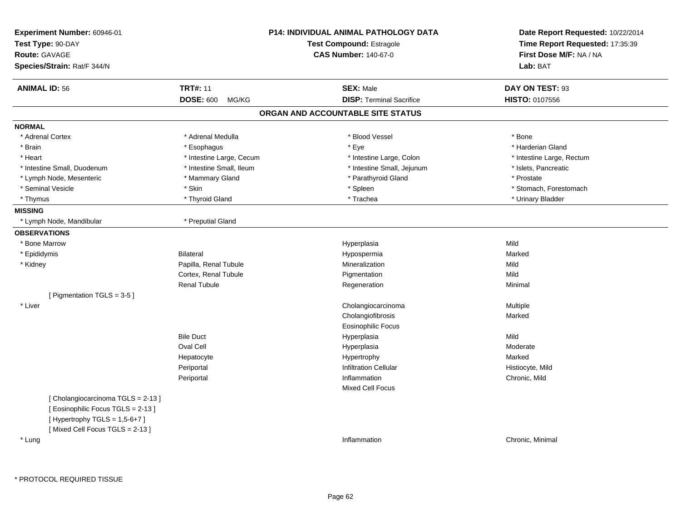| Experiment Number: 60946-01<br>Test Type: 90-DAY<br><b>Route: GAVAGE</b><br>Species/Strain: Rat/F 344/N |                           | P14: INDIVIDUAL ANIMAL PATHOLOGY DATA<br><b>Test Compound: Estragole</b><br><b>CAS Number: 140-67-0</b> | Date Report Requested: 10/22/2014<br>Time Report Requested: 17:35:39<br>First Dose M/F: NA / NA<br>Lab: BAT |
|---------------------------------------------------------------------------------------------------------|---------------------------|---------------------------------------------------------------------------------------------------------|-------------------------------------------------------------------------------------------------------------|
| <b>ANIMAL ID: 56</b>                                                                                    | <b>TRT#: 11</b>           | <b>SEX: Male</b>                                                                                        | DAY ON TEST: 93                                                                                             |
|                                                                                                         | <b>DOSE: 600</b><br>MG/KG | <b>DISP: Terminal Sacrifice</b>                                                                         | HISTO: 0107556                                                                                              |
|                                                                                                         |                           | ORGAN AND ACCOUNTABLE SITE STATUS                                                                       |                                                                                                             |
| <b>NORMAL</b>                                                                                           |                           |                                                                                                         |                                                                                                             |
| * Adrenal Cortex                                                                                        | * Adrenal Medulla         | * Blood Vessel                                                                                          | * Bone                                                                                                      |
| * Brain                                                                                                 | * Esophagus               | * Eye                                                                                                   | * Harderian Gland                                                                                           |
| * Heart                                                                                                 | * Intestine Large, Cecum  | * Intestine Large, Colon                                                                                | * Intestine Large, Rectum                                                                                   |
| * Intestine Small, Duodenum                                                                             | * Intestine Small, Ileum  | * Intestine Small, Jejunum                                                                              | * Islets, Pancreatic                                                                                        |
| * Lymph Node, Mesenteric                                                                                | * Mammary Gland           | * Parathyroid Gland                                                                                     | * Prostate                                                                                                  |
| * Seminal Vesicle                                                                                       | * Skin                    | * Spleen                                                                                                | * Stomach, Forestomach                                                                                      |
| * Thymus                                                                                                | * Thyroid Gland           | * Trachea                                                                                               | * Urinary Bladder                                                                                           |
| <b>MISSING</b>                                                                                          |                           |                                                                                                         |                                                                                                             |
| * Lymph Node, Mandibular                                                                                | * Preputial Gland         |                                                                                                         |                                                                                                             |
| <b>OBSERVATIONS</b>                                                                                     |                           |                                                                                                         |                                                                                                             |
| * Bone Marrow                                                                                           |                           | Hyperplasia                                                                                             | Mild                                                                                                        |
| * Epididymis                                                                                            | <b>Bilateral</b>          | Hypospermia                                                                                             | Marked                                                                                                      |
| * Kidney                                                                                                | Papilla, Renal Tubule     | Mineralization                                                                                          | Mild                                                                                                        |
|                                                                                                         | Cortex, Renal Tubule      | Pigmentation                                                                                            | Mild                                                                                                        |
|                                                                                                         | <b>Renal Tubule</b>       | Regeneration                                                                                            | Minimal                                                                                                     |
| [ Pigmentation TGLS = 3-5 ]                                                                             |                           |                                                                                                         |                                                                                                             |
| * Liver                                                                                                 |                           | Cholangiocarcinoma                                                                                      | Multiple                                                                                                    |
|                                                                                                         |                           | Cholangiofibrosis                                                                                       | Marked                                                                                                      |
|                                                                                                         |                           | Eosinophilic Focus                                                                                      |                                                                                                             |
|                                                                                                         | <b>Bile Duct</b>          | Hyperplasia                                                                                             | Mild                                                                                                        |
|                                                                                                         | Oval Cell                 | Hyperplasia                                                                                             | Moderate                                                                                                    |
|                                                                                                         | Hepatocyte                | Hypertrophy                                                                                             | Marked                                                                                                      |
|                                                                                                         | Periportal                | <b>Infiltration Cellular</b>                                                                            | Histiocyte, Mild                                                                                            |
|                                                                                                         | Periportal                | Inflammation                                                                                            | Chronic, Mild                                                                                               |
|                                                                                                         |                           | <b>Mixed Cell Focus</b>                                                                                 |                                                                                                             |
| [Cholangiocarcinoma TGLS = 2-13]<br>[Eosinophilic Focus TGLS = 2-13]<br>[Hypertrophy TGLS = $1,5-6+7$ ] |                           |                                                                                                         |                                                                                                             |
| [Mixed Cell Focus TGLS = 2-13]<br>* Lung                                                                |                           | Inflammation                                                                                            | Chronic, Minimal                                                                                            |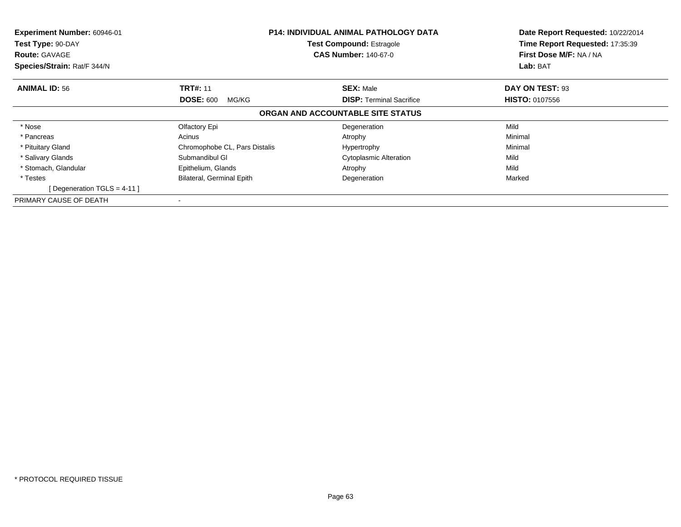| Experiment Number: 60946-01<br>Test Type: 90-DAY<br><b>Route: GAVAGE</b><br>Species/Strain: Rat/F 344/N |                               | <b>P14: INDIVIDUAL ANIMAL PATHOLOGY DATA</b><br><b>Test Compound: Estragole</b><br><b>CAS Number: 140-67-0</b> | Date Report Requested: 10/22/2014<br>Time Report Requested: 17:35:39<br>First Dose M/F: NA / NA<br>Lab: BAT |
|---------------------------------------------------------------------------------------------------------|-------------------------------|----------------------------------------------------------------------------------------------------------------|-------------------------------------------------------------------------------------------------------------|
| <b>ANIMAL ID: 56</b>                                                                                    | <b>TRT#: 11</b>               | <b>SEX: Male</b>                                                                                               | DAY ON TEST: 93                                                                                             |
|                                                                                                         | <b>DOSE: 600</b><br>MG/KG     | <b>DISP: Terminal Sacrifice</b>                                                                                | <b>HISTO: 0107556</b>                                                                                       |
|                                                                                                         |                               | ORGAN AND ACCOUNTABLE SITE STATUS                                                                              |                                                                                                             |
| * Nose                                                                                                  | Olfactory Epi                 | Degeneration                                                                                                   | Mild                                                                                                        |
| * Pancreas                                                                                              | Acinus                        | Atrophy                                                                                                        | Minimal                                                                                                     |
| * Pituitary Gland                                                                                       | Chromophobe CL, Pars Distalis | Hypertrophy                                                                                                    | Minimal                                                                                                     |
| * Salivary Glands                                                                                       | Submandibul GI                | <b>Cytoplasmic Alteration</b>                                                                                  | Mild                                                                                                        |
| * Stomach, Glandular                                                                                    | Epithelium, Glands            | Atrophy                                                                                                        | Mild                                                                                                        |
| * Testes                                                                                                | Bilateral, Germinal Epith     | Degeneration                                                                                                   | Marked                                                                                                      |
| [Degeneration TGLS = 4-11]                                                                              |                               |                                                                                                                |                                                                                                             |
| PRIMARY CAUSE OF DEATH                                                                                  |                               |                                                                                                                |                                                                                                             |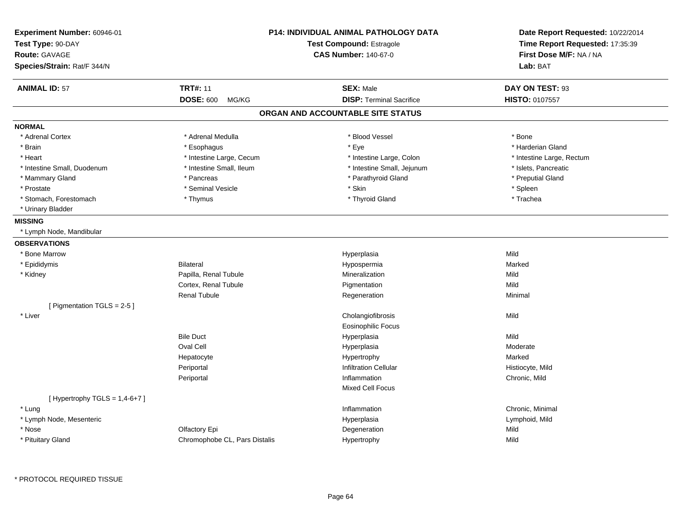| Experiment Number: 60946-01<br>Test Type: 90-DAY<br><b>Route: GAVAGE</b><br>Species/Strain: Rat/F 344/N |                               | <b>P14: INDIVIDUAL ANIMAL PATHOLOGY DATA</b><br><b>Test Compound: Estragole</b><br><b>CAS Number: 140-67-0</b> | Date Report Requested: 10/22/2014<br>Time Report Requested: 17:35:39<br>First Dose M/F: NA / NA<br>Lab: BAT |
|---------------------------------------------------------------------------------------------------------|-------------------------------|----------------------------------------------------------------------------------------------------------------|-------------------------------------------------------------------------------------------------------------|
| <b>ANIMAL ID: 57</b>                                                                                    | <b>TRT#: 11</b>               | <b>SEX: Male</b>                                                                                               | DAY ON TEST: 93                                                                                             |
|                                                                                                         | <b>DOSE: 600</b><br>MG/KG     | <b>DISP: Terminal Sacrifice</b>                                                                                | <b>HISTO: 0107557</b>                                                                                       |
|                                                                                                         |                               | ORGAN AND ACCOUNTABLE SITE STATUS                                                                              |                                                                                                             |
| <b>NORMAL</b>                                                                                           |                               |                                                                                                                |                                                                                                             |
| * Adrenal Cortex                                                                                        | * Adrenal Medulla             | * Blood Vessel                                                                                                 | * Bone                                                                                                      |
| * Brain                                                                                                 | * Esophagus                   | * Eye                                                                                                          | * Harderian Gland                                                                                           |
| * Heart                                                                                                 | * Intestine Large, Cecum      | * Intestine Large, Colon                                                                                       | * Intestine Large, Rectum                                                                                   |
| * Intestine Small, Duodenum                                                                             | * Intestine Small, Ileum      | * Intestine Small, Jejunum                                                                                     | * Islets, Pancreatic                                                                                        |
| * Mammary Gland                                                                                         | * Pancreas                    | * Parathyroid Gland                                                                                            | * Preputial Gland                                                                                           |
| * Prostate                                                                                              | * Seminal Vesicle             | * Skin                                                                                                         | * Spleen                                                                                                    |
| * Stomach, Forestomach                                                                                  | * Thymus                      | * Thyroid Gland                                                                                                | * Trachea                                                                                                   |
| * Urinary Bladder                                                                                       |                               |                                                                                                                |                                                                                                             |
| <b>MISSING</b>                                                                                          |                               |                                                                                                                |                                                                                                             |
| * Lymph Node, Mandibular                                                                                |                               |                                                                                                                |                                                                                                             |
| <b>OBSERVATIONS</b>                                                                                     |                               |                                                                                                                |                                                                                                             |
| * Bone Marrow                                                                                           |                               | Hyperplasia                                                                                                    | Mild                                                                                                        |
| * Epididymis                                                                                            | <b>Bilateral</b>              | Hypospermia                                                                                                    | Marked                                                                                                      |
| * Kidney                                                                                                | Papilla, Renal Tubule         | Mineralization                                                                                                 | Mild                                                                                                        |
|                                                                                                         | Cortex, Renal Tubule          | Pigmentation                                                                                                   | Mild                                                                                                        |
|                                                                                                         | <b>Renal Tubule</b>           | Regeneration                                                                                                   | Minimal                                                                                                     |
| [ Pigmentation TGLS = 2-5 ]                                                                             |                               |                                                                                                                |                                                                                                             |
| * Liver                                                                                                 |                               | Cholangiofibrosis                                                                                              | Mild                                                                                                        |
|                                                                                                         |                               | <b>Eosinophilic Focus</b>                                                                                      |                                                                                                             |
|                                                                                                         | <b>Bile Duct</b>              | Hyperplasia                                                                                                    | Mild                                                                                                        |
|                                                                                                         | Oval Cell                     | Hyperplasia                                                                                                    | Moderate                                                                                                    |
|                                                                                                         | Hepatocyte                    | Hypertrophy                                                                                                    | Marked                                                                                                      |
|                                                                                                         | Periportal                    | <b>Infiltration Cellular</b>                                                                                   | Histiocyte, Mild                                                                                            |
|                                                                                                         | Periportal                    | Inflammation                                                                                                   | Chronic, Mild                                                                                               |
|                                                                                                         |                               | Mixed Cell Focus                                                                                               |                                                                                                             |
| [Hypertrophy TGLS = $1,4-6+7$ ]                                                                         |                               |                                                                                                                |                                                                                                             |
| * Lung                                                                                                  |                               | Inflammation                                                                                                   | Chronic, Minimal                                                                                            |
| * Lymph Node, Mesenteric                                                                                |                               | Hyperplasia                                                                                                    | Lymphoid, Mild                                                                                              |
| * Nose                                                                                                  | Olfactory Epi                 | Degeneration                                                                                                   | Mild                                                                                                        |
| * Pituitary Gland                                                                                       | Chromophobe CL, Pars Distalis | Hypertrophy                                                                                                    | Mild                                                                                                        |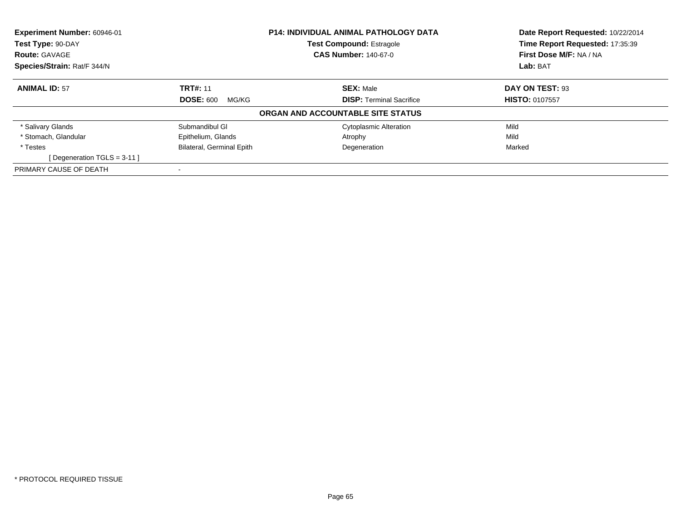| Experiment Number: 60946-01<br><b>P14: INDIVIDUAL ANIMAL PATHOLOGY DATA</b><br><b>Test Compound: Estragole</b><br>Test Type: 90-DAY |                                  |                                   | Date Report Requested: 10/22/2014<br>Time Report Requested: 17:35:39 |  |
|-------------------------------------------------------------------------------------------------------------------------------------|----------------------------------|-----------------------------------|----------------------------------------------------------------------|--|
|                                                                                                                                     |                                  |                                   |                                                                      |  |
| <b>Route: GAVAGE</b>                                                                                                                |                                  | <b>CAS Number: 140-67-0</b>       | First Dose M/F: NA / NA                                              |  |
| Species/Strain: Rat/F 344/N                                                                                                         |                                  |                                   | Lab: BAT                                                             |  |
| <b>ANIMAL ID: 57</b>                                                                                                                | <b>TRT#: 11</b>                  | <b>SEX: Male</b>                  | DAY ON TEST: 93                                                      |  |
|                                                                                                                                     | <b>DOSE: 600</b><br>MG/KG        | <b>DISP:</b> Terminal Sacrifice   | <b>HISTO: 0107557</b>                                                |  |
|                                                                                                                                     |                                  | ORGAN AND ACCOUNTABLE SITE STATUS |                                                                      |  |
| * Salivary Glands                                                                                                                   | Submandibul GI                   | <b>Cytoplasmic Alteration</b>     | Mild                                                                 |  |
| * Stomach. Glandular                                                                                                                | Epithelium, Glands               | Atrophy                           | Mild                                                                 |  |
| * Testes                                                                                                                            | <b>Bilateral, Germinal Epith</b> | Degeneration                      | Marked                                                               |  |
| [Degeneration TGLS = $3-11$ ]                                                                                                       |                                  |                                   |                                                                      |  |
| PRIMARY CAUSE OF DEATH                                                                                                              |                                  |                                   |                                                                      |  |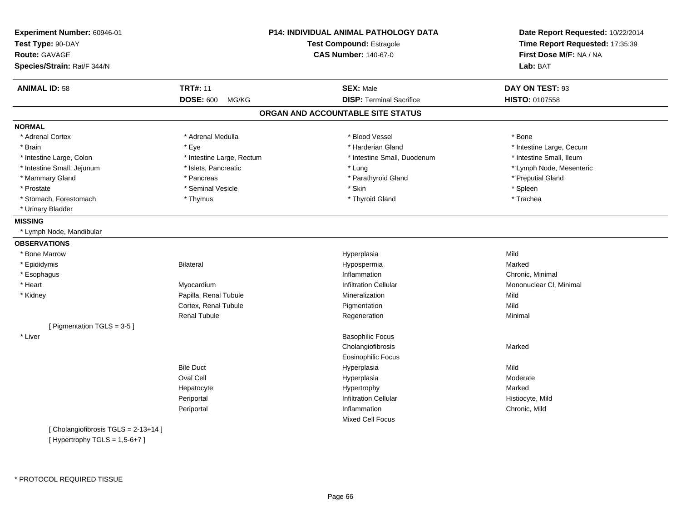| Experiment Number: 60946-01<br>Test Type: 90-DAY<br><b>Route: GAVAGE</b><br>Species/Strain: Rat/F 344/N |                           | P14: INDIVIDUAL ANIMAL PATHOLOGY DATA<br>Test Compound: Estragole<br><b>CAS Number: 140-67-0</b> | Date Report Requested: 10/22/2014<br>Time Report Requested: 17:35:39<br>First Dose M/F: NA / NA<br>Lab: BAT |
|---------------------------------------------------------------------------------------------------------|---------------------------|--------------------------------------------------------------------------------------------------|-------------------------------------------------------------------------------------------------------------|
| <b>ANIMAL ID: 58</b>                                                                                    | <b>TRT#: 11</b>           | <b>SEX: Male</b>                                                                                 | DAY ON TEST: 93                                                                                             |
|                                                                                                         | <b>DOSE: 600</b><br>MG/KG | <b>DISP: Terminal Sacrifice</b>                                                                  | HISTO: 0107558                                                                                              |
|                                                                                                         |                           | ORGAN AND ACCOUNTABLE SITE STATUS                                                                |                                                                                                             |
| <b>NORMAL</b>                                                                                           |                           |                                                                                                  |                                                                                                             |
| * Adrenal Cortex                                                                                        | * Adrenal Medulla         | * Blood Vessel                                                                                   | * Bone                                                                                                      |
| * Brain                                                                                                 | * Eye                     | * Harderian Gland                                                                                | * Intestine Large, Cecum                                                                                    |
| * Intestine Large, Colon                                                                                | * Intestine Large, Rectum | * Intestine Small, Duodenum                                                                      | * Intestine Small, Ileum                                                                                    |
| * Intestine Small, Jejunum                                                                              | * Islets, Pancreatic      | * Lung                                                                                           | * Lymph Node, Mesenteric                                                                                    |
| * Mammary Gland                                                                                         | * Pancreas                | * Parathyroid Gland                                                                              | * Preputial Gland                                                                                           |
| * Prostate                                                                                              | * Seminal Vesicle         | * Skin                                                                                           | * Spleen                                                                                                    |
| * Stomach, Forestomach                                                                                  | * Thymus                  | * Thyroid Gland                                                                                  | * Trachea                                                                                                   |
| * Urinary Bladder                                                                                       |                           |                                                                                                  |                                                                                                             |
| <b>MISSING</b>                                                                                          |                           |                                                                                                  |                                                                                                             |
| * Lymph Node, Mandibular                                                                                |                           |                                                                                                  |                                                                                                             |
| <b>OBSERVATIONS</b>                                                                                     |                           |                                                                                                  |                                                                                                             |
| * Bone Marrow                                                                                           |                           | Hyperplasia                                                                                      | Mild                                                                                                        |
| * Epididymis                                                                                            | <b>Bilateral</b>          | Hypospermia                                                                                      | Marked                                                                                                      |
| * Esophagus                                                                                             |                           | Inflammation                                                                                     | Chronic, Minimal                                                                                            |
| * Heart                                                                                                 | Myocardium                | <b>Infiltration Cellular</b>                                                                     | Mononuclear CI, Minimal                                                                                     |
| * Kidney                                                                                                | Papilla, Renal Tubule     | Mineralization                                                                                   | Mild                                                                                                        |
|                                                                                                         | Cortex, Renal Tubule      | Pigmentation                                                                                     | Mild                                                                                                        |
|                                                                                                         | <b>Renal Tubule</b>       | Regeneration                                                                                     | Minimal                                                                                                     |
| [ Pigmentation TGLS = 3-5 ]                                                                             |                           |                                                                                                  |                                                                                                             |
| * Liver                                                                                                 |                           | <b>Basophilic Focus</b>                                                                          |                                                                                                             |
|                                                                                                         |                           | Cholangiofibrosis                                                                                | Marked                                                                                                      |
|                                                                                                         |                           | <b>Eosinophilic Focus</b>                                                                        |                                                                                                             |
|                                                                                                         | <b>Bile Duct</b>          | Hyperplasia                                                                                      | Mild                                                                                                        |
|                                                                                                         | Oval Cell                 | Hyperplasia                                                                                      | Moderate                                                                                                    |
|                                                                                                         | Hepatocyte                | Hypertrophy                                                                                      | Marked                                                                                                      |
|                                                                                                         | Periportal                | <b>Infiltration Cellular</b>                                                                     | Histiocyte, Mild                                                                                            |
|                                                                                                         | Periportal                | Inflammation                                                                                     | Chronic, Mild                                                                                               |
|                                                                                                         |                           | <b>Mixed Cell Focus</b>                                                                          |                                                                                                             |
| [Cholangiofibrosis TGLS = 2-13+14]                                                                      |                           |                                                                                                  |                                                                                                             |
| [Hypertrophy TGLS = $1,5-6+7$ ]                                                                         |                           |                                                                                                  |                                                                                                             |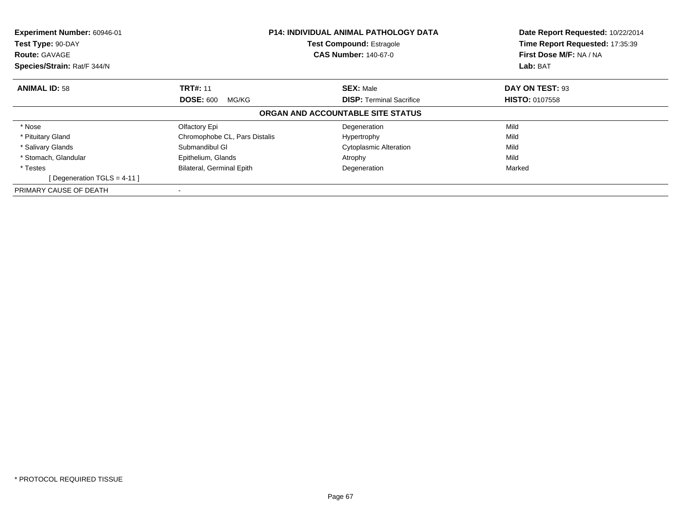| Experiment Number: 60946-01<br>Test Type: 90-DAY<br><b>Route: GAVAGE</b> | <b>P14: INDIVIDUAL ANIMAL PATHOLOGY DATA</b><br><b>Test Compound: Estragole</b><br><b>CAS Number: 140-67-0</b> |                                   | Date Report Requested: 10/22/2014<br>Time Report Requested: 17:35:39<br>First Dose M/F: NA / NA |
|--------------------------------------------------------------------------|----------------------------------------------------------------------------------------------------------------|-----------------------------------|-------------------------------------------------------------------------------------------------|
| Species/Strain: Rat/F 344/N                                              |                                                                                                                |                                   | Lab: BAT                                                                                        |
| <b>ANIMAL ID: 58</b>                                                     | <b>TRT#: 11</b>                                                                                                | <b>SEX: Male</b>                  | DAY ON TEST: 93                                                                                 |
|                                                                          | <b>DOSE: 600</b><br>MG/KG                                                                                      | <b>DISP:</b> Terminal Sacrifice   | <b>HISTO: 0107558</b>                                                                           |
|                                                                          |                                                                                                                | ORGAN AND ACCOUNTABLE SITE STATUS |                                                                                                 |
| * Nose                                                                   | Olfactory Epi                                                                                                  | Degeneration                      | Mild                                                                                            |
| * Pituitary Gland                                                        | Chromophobe CL, Pars Distalis                                                                                  | Hypertrophy                       | Mild                                                                                            |
| * Salivary Glands                                                        | Submandibul GI                                                                                                 | <b>Cytoplasmic Alteration</b>     | Mild                                                                                            |
| * Stomach, Glandular                                                     | Epithelium, Glands                                                                                             | Atrophy                           | Mild                                                                                            |
| * Testes                                                                 | <b>Bilateral, Germinal Epith</b>                                                                               | Degeneration                      | Marked                                                                                          |
| [Degeneration TGLS = $4-11$ ]                                            |                                                                                                                |                                   |                                                                                                 |
| PRIMARY CAUSE OF DEATH                                                   |                                                                                                                |                                   |                                                                                                 |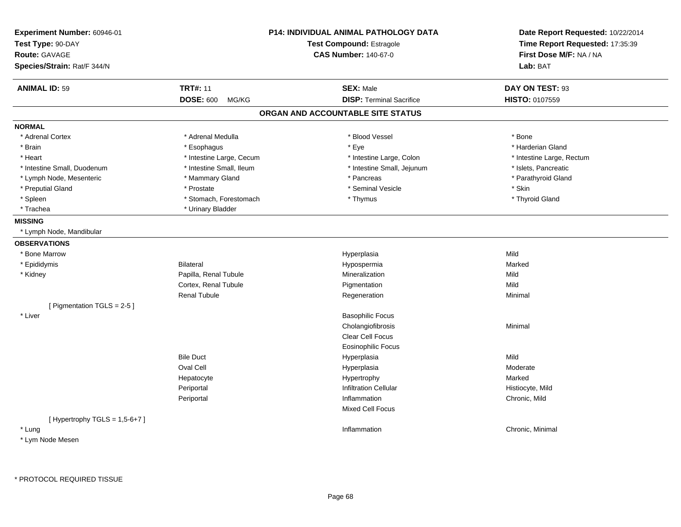| Experiment Number: 60946-01<br>Test Type: 90-DAY |                           | <b>P14: INDIVIDUAL ANIMAL PATHOLOGY DATA</b><br><b>Test Compound: Estragole</b> | Date Report Requested: 10/22/2014<br>Time Report Requested: 17:35:39 |  |
|--------------------------------------------------|---------------------------|---------------------------------------------------------------------------------|----------------------------------------------------------------------|--|
| Route: GAVAGE                                    |                           | <b>CAS Number: 140-67-0</b>                                                     | First Dose M/F: NA / NA                                              |  |
| Species/Strain: Rat/F 344/N                      |                           |                                                                                 | Lab: BAT                                                             |  |
|                                                  |                           |                                                                                 |                                                                      |  |
| <b>ANIMAL ID: 59</b>                             | <b>TRT#: 11</b>           | <b>SEX: Male</b>                                                                | DAY ON TEST: 93                                                      |  |
|                                                  | <b>DOSE: 600</b><br>MG/KG | <b>DISP: Terminal Sacrifice</b>                                                 | <b>HISTO: 0107559</b>                                                |  |
|                                                  |                           | ORGAN AND ACCOUNTABLE SITE STATUS                                               |                                                                      |  |
| <b>NORMAL</b>                                    |                           |                                                                                 |                                                                      |  |
| * Adrenal Cortex                                 | * Adrenal Medulla         | * Blood Vessel                                                                  | * Bone                                                               |  |
| * Brain                                          | * Esophagus               | * Eye                                                                           | * Harderian Gland                                                    |  |
| * Heart                                          | * Intestine Large, Cecum  | * Intestine Large, Colon                                                        | * Intestine Large, Rectum                                            |  |
| * Intestine Small, Duodenum                      | * Intestine Small, Ileum  | * Intestine Small, Jejunum                                                      | * Islets, Pancreatic                                                 |  |
| * Lymph Node, Mesenteric                         | * Mammary Gland           | * Pancreas                                                                      | * Parathyroid Gland                                                  |  |
| * Preputial Gland                                | * Prostate                | * Seminal Vesicle                                                               | * Skin                                                               |  |
| $*$ Spleen                                       | * Stomach, Forestomach    | * Thymus                                                                        | * Thyroid Gland                                                      |  |
| * Trachea                                        | * Urinary Bladder         |                                                                                 |                                                                      |  |
| <b>MISSING</b>                                   |                           |                                                                                 |                                                                      |  |
| * Lymph Node, Mandibular                         |                           |                                                                                 |                                                                      |  |
| <b>OBSERVATIONS</b>                              |                           |                                                                                 |                                                                      |  |
| * Bone Marrow                                    |                           | Hyperplasia                                                                     | Mild                                                                 |  |
| * Epididymis                                     | <b>Bilateral</b>          | Hypospermia                                                                     | Marked                                                               |  |
| * Kidney                                         | Papilla, Renal Tubule     | Mineralization                                                                  | Mild                                                                 |  |
|                                                  | Cortex, Renal Tubule      | Pigmentation                                                                    | Mild                                                                 |  |
|                                                  | <b>Renal Tubule</b>       | Regeneration                                                                    | Minimal                                                              |  |
| [ Pigmentation TGLS = 2-5 ]                      |                           |                                                                                 |                                                                      |  |
| * Liver                                          |                           | <b>Basophilic Focus</b>                                                         |                                                                      |  |
|                                                  |                           | Cholangiofibrosis                                                               | Minimal                                                              |  |
|                                                  |                           | Clear Cell Focus                                                                |                                                                      |  |
|                                                  |                           | <b>Eosinophilic Focus</b>                                                       |                                                                      |  |
|                                                  | <b>Bile Duct</b>          | Hyperplasia                                                                     | Mild                                                                 |  |
|                                                  | Oval Cell                 | Hyperplasia                                                                     | Moderate                                                             |  |
|                                                  | Hepatocyte                | Hypertrophy                                                                     | Marked                                                               |  |
|                                                  | Periportal                | <b>Infiltration Cellular</b>                                                    | Histiocyte, Mild                                                     |  |
|                                                  | Periportal                | Inflammation                                                                    | Chronic, Mild                                                        |  |
|                                                  |                           | <b>Mixed Cell Focus</b>                                                         |                                                                      |  |
| [ Hypertrophy $TGLS = 1,5-6+7$ ]                 |                           |                                                                                 |                                                                      |  |
| * Lung                                           |                           | Inflammation                                                                    | Chronic, Minimal                                                     |  |
| * Lym Node Mesen                                 |                           |                                                                                 |                                                                      |  |
|                                                  |                           |                                                                                 |                                                                      |  |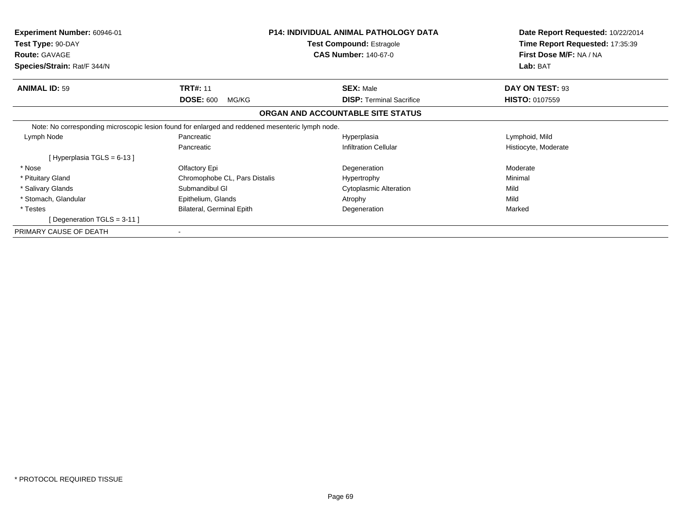| Experiment Number: 60946-01<br>Test Type: 90-DAY                                                 |                               | <b>P14: INDIVIDUAL ANIMAL PATHOLOGY DATA</b><br><b>Test Compound: Estragole</b> | Date Report Requested: 10/22/2014<br>Time Report Requested: 17:35:39 |
|--------------------------------------------------------------------------------------------------|-------------------------------|---------------------------------------------------------------------------------|----------------------------------------------------------------------|
| <b>Route: GAVAGE</b>                                                                             |                               | <b>CAS Number: 140-67-0</b>                                                     | First Dose M/F: NA / NA                                              |
| Species/Strain: Rat/F 344/N                                                                      |                               |                                                                                 | Lab: BAT                                                             |
| <b>ANIMAL ID: 59</b>                                                                             | <b>TRT#: 11</b>               | <b>SEX: Male</b>                                                                | DAY ON TEST: 93                                                      |
|                                                                                                  | <b>DOSE: 600</b><br>MG/KG     | <b>DISP:</b> Terminal Sacrifice                                                 | <b>HISTO: 0107559</b>                                                |
|                                                                                                  |                               | ORGAN AND ACCOUNTABLE SITE STATUS                                               |                                                                      |
| Note: No corresponding microscopic lesion found for enlarged and reddened mesenteric lymph node. |                               |                                                                                 |                                                                      |
| Lymph Node                                                                                       | Pancreatic                    | Hyperplasia                                                                     | Lymphoid, Mild                                                       |
|                                                                                                  | Pancreatic                    | <b>Infiltration Cellular</b>                                                    | Histiocyte, Moderate                                                 |
| [Hyperplasia TGLS = 6-13]                                                                        |                               |                                                                                 |                                                                      |
| * Nose                                                                                           | Olfactory Epi                 | Degeneration                                                                    | Moderate                                                             |
| * Pituitary Gland                                                                                | Chromophobe CL, Pars Distalis | Hypertrophy                                                                     | Minimal                                                              |
| * Salivary Glands                                                                                | Submandibul GI                | <b>Cytoplasmic Alteration</b>                                                   | Mild                                                                 |
| * Stomach, Glandular                                                                             | Epithelium, Glands            | Atrophy                                                                         | Mild                                                                 |
| * Testes                                                                                         | Bilateral, Germinal Epith     | Degeneration                                                                    | Marked                                                               |
| [Degeneration TGLS = $3-11$ ]                                                                    |                               |                                                                                 |                                                                      |
| PRIMARY CAUSE OF DEATH                                                                           |                               |                                                                                 |                                                                      |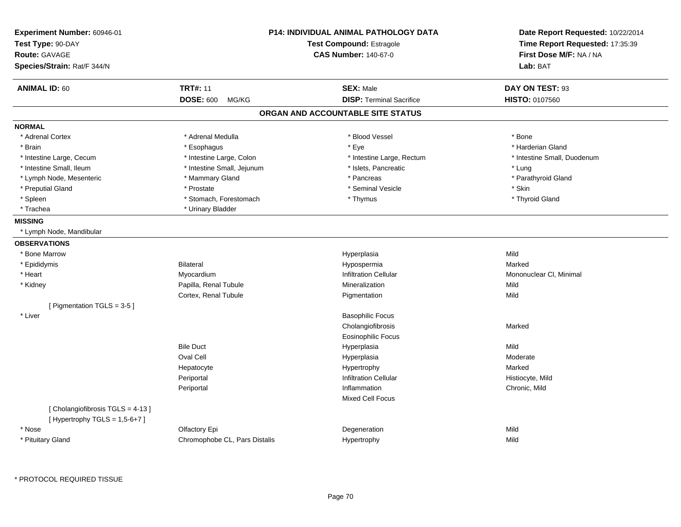| <b>Experiment Number: 60946-01</b><br>Test Type: 90-DAY<br><b>Route: GAVAGE</b><br>Species/Strain: Rat/F 344/N | P14: INDIVIDUAL ANIMAL PATHOLOGY DATA<br><b>Test Compound: Estragole</b><br><b>CAS Number: 140-67-0</b> |                                   | Date Report Requested: 10/22/2014<br>Time Report Requested: 17:35:39<br>First Dose M/F: NA / NA<br>Lab: BAT |
|----------------------------------------------------------------------------------------------------------------|---------------------------------------------------------------------------------------------------------|-----------------------------------|-------------------------------------------------------------------------------------------------------------|
| <b>ANIMAL ID: 60</b>                                                                                           | <b>TRT#: 11</b>                                                                                         | <b>SEX: Male</b>                  | DAY ON TEST: 93                                                                                             |
|                                                                                                                | <b>DOSE: 600</b><br>MG/KG                                                                               | <b>DISP: Terminal Sacrifice</b>   | HISTO: 0107560                                                                                              |
|                                                                                                                |                                                                                                         | ORGAN AND ACCOUNTABLE SITE STATUS |                                                                                                             |
| <b>NORMAL</b>                                                                                                  |                                                                                                         |                                   |                                                                                                             |
| * Adrenal Cortex                                                                                               | * Adrenal Medulla                                                                                       | * Blood Vessel                    | * Bone                                                                                                      |
| * Brain                                                                                                        | * Esophagus                                                                                             | * Eye                             | * Harderian Gland                                                                                           |
| * Intestine Large, Cecum                                                                                       | * Intestine Large, Colon                                                                                | * Intestine Large, Rectum         | * Intestine Small, Duodenum                                                                                 |
| * Intestine Small, Ileum                                                                                       | * Intestine Small, Jejunum                                                                              | * Islets, Pancreatic              | * Lung                                                                                                      |
| * Lymph Node, Mesenteric                                                                                       | * Mammary Gland                                                                                         | * Pancreas                        | * Parathyroid Gland                                                                                         |
| * Preputial Gland                                                                                              | * Prostate                                                                                              | * Seminal Vesicle                 | * Skin                                                                                                      |
| * Spleen                                                                                                       | * Stomach, Forestomach                                                                                  | * Thymus                          | * Thyroid Gland                                                                                             |
| * Trachea                                                                                                      | * Urinary Bladder                                                                                       |                                   |                                                                                                             |
| <b>MISSING</b>                                                                                                 |                                                                                                         |                                   |                                                                                                             |
| * Lymph Node, Mandibular                                                                                       |                                                                                                         |                                   |                                                                                                             |
| <b>OBSERVATIONS</b>                                                                                            |                                                                                                         |                                   |                                                                                                             |
| * Bone Marrow                                                                                                  |                                                                                                         | Hyperplasia                       | Mild                                                                                                        |
| * Epididymis                                                                                                   | <b>Bilateral</b>                                                                                        | Hypospermia                       | Marked                                                                                                      |
| * Heart                                                                                                        | Myocardium                                                                                              | <b>Infiltration Cellular</b>      | Mononuclear CI, Minimal                                                                                     |
| * Kidney                                                                                                       | Papilla, Renal Tubule                                                                                   | Mineralization                    | Mild                                                                                                        |
|                                                                                                                | Cortex, Renal Tubule                                                                                    | Pigmentation                      | Mild                                                                                                        |
| [ Pigmentation TGLS = 3-5 ]                                                                                    |                                                                                                         |                                   |                                                                                                             |
| * Liver                                                                                                        |                                                                                                         | <b>Basophilic Focus</b>           |                                                                                                             |
|                                                                                                                |                                                                                                         | Cholangiofibrosis                 | Marked                                                                                                      |
|                                                                                                                |                                                                                                         | <b>Eosinophilic Focus</b>         |                                                                                                             |
|                                                                                                                | <b>Bile Duct</b>                                                                                        | Hyperplasia                       | Mild                                                                                                        |
|                                                                                                                | Oval Cell                                                                                               | Hyperplasia                       | Moderate                                                                                                    |
|                                                                                                                | Hepatocyte                                                                                              | Hypertrophy                       | Marked                                                                                                      |
|                                                                                                                | Periportal                                                                                              | <b>Infiltration Cellular</b>      | Histiocyte, Mild                                                                                            |
|                                                                                                                | Periportal                                                                                              | Inflammation                      | Chronic, Mild                                                                                               |
|                                                                                                                |                                                                                                         | <b>Mixed Cell Focus</b>           |                                                                                                             |
| [Cholangiofibrosis TGLS = 4-13]<br>[Hypertrophy TGLS = $1,5-6+7$ ]                                             |                                                                                                         |                                   |                                                                                                             |
| * Nose                                                                                                         | Olfactory Epi                                                                                           | Degeneration                      | Mild                                                                                                        |
| * Pituitary Gland                                                                                              | Chromophobe CL, Pars Distalis                                                                           | Hypertrophy                       | Mild                                                                                                        |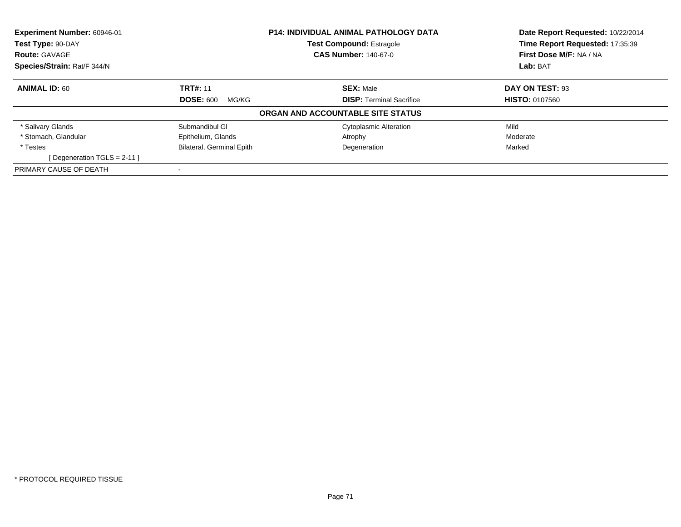| Experiment Number: 60946-01 |                                  | <b>P14: INDIVIDUAL ANIMAL PATHOLOGY DATA</b> | Date Report Requested: 10/22/2014 |
|-----------------------------|----------------------------------|----------------------------------------------|-----------------------------------|
| Test Type: 90-DAY           |                                  | <b>Test Compound: Estragole</b>              | Time Report Requested: 17:35:39   |
| <b>Route: GAVAGE</b>        |                                  | <b>CAS Number: 140-67-0</b>                  | First Dose M/F: NA / NA           |
| Species/Strain: Rat/F 344/N |                                  |                                              | Lab: BAT                          |
| <b>ANIMAL ID: 60</b>        | <b>TRT#: 11</b>                  | <b>SEX: Male</b>                             | DAY ON TEST: 93                   |
|                             | <b>DOSE: 600</b><br>MG/KG        | <b>DISP:</b> Terminal Sacrifice              | <b>HISTO: 0107560</b>             |
|                             |                                  | ORGAN AND ACCOUNTABLE SITE STATUS            |                                   |
| * Salivary Glands           | Submandibul GI                   | <b>Cytoplasmic Alteration</b>                | Mild                              |
| * Stomach, Glandular        | Epithelium, Glands               | Atrophy                                      | Moderate                          |
| * Testes                    | <b>Bilateral, Germinal Epith</b> | Degeneration                                 | Marked                            |
| [Degeneration TGLS = 2-11]  |                                  |                                              |                                   |
| PRIMARY CAUSE OF DEATH      |                                  |                                              |                                   |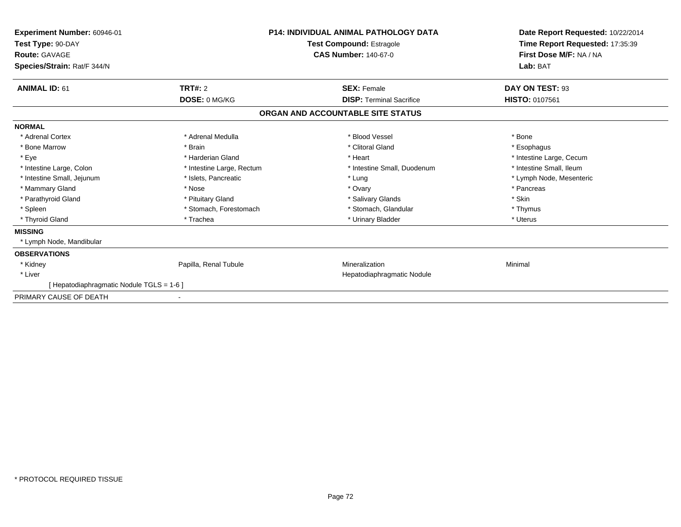| Experiment Number: 60946-01<br>Test Type: 90-DAY<br><b>Route: GAVAGE</b><br>Species/Strain: Rat/F 344/N | <b>P14: INDIVIDUAL ANIMAL PATHOLOGY DATA</b><br>Test Compound: Estragole<br><b>CAS Number: 140-67-0</b> |                                   | Date Report Requested: 10/22/2014<br>Time Report Requested: 17:35:39<br>First Dose M/F: NA / NA<br>Lab: BAT |
|---------------------------------------------------------------------------------------------------------|---------------------------------------------------------------------------------------------------------|-----------------------------------|-------------------------------------------------------------------------------------------------------------|
| <b>ANIMAL ID: 61</b>                                                                                    | <b>TRT#: 2</b>                                                                                          | <b>SEX: Female</b>                | DAY ON TEST: 93                                                                                             |
|                                                                                                         | DOSE: 0 MG/KG                                                                                           | <b>DISP: Terminal Sacrifice</b>   | HISTO: 0107561                                                                                              |
|                                                                                                         |                                                                                                         | ORGAN AND ACCOUNTABLE SITE STATUS |                                                                                                             |
| <b>NORMAL</b>                                                                                           |                                                                                                         |                                   |                                                                                                             |
| * Adrenal Cortex                                                                                        | * Adrenal Medulla                                                                                       | * Blood Vessel                    | * Bone                                                                                                      |
| * Bone Marrow                                                                                           | * Brain                                                                                                 | * Clitoral Gland                  | * Esophagus                                                                                                 |
| * Eye                                                                                                   | * Harderian Gland                                                                                       | * Heart                           | * Intestine Large, Cecum                                                                                    |
| * Intestine Large, Colon                                                                                | * Intestine Large, Rectum                                                                               | * Intestine Small, Duodenum       | * Intestine Small, Ileum                                                                                    |
| * Intestine Small, Jejunum                                                                              | * Islets, Pancreatic                                                                                    | * Lung                            | * Lymph Node, Mesenteric                                                                                    |
| * Mammary Gland                                                                                         | * Nose                                                                                                  | * Ovary                           | * Pancreas                                                                                                  |
| * Parathyroid Gland                                                                                     | * Pituitary Gland                                                                                       | * Salivary Glands                 | * Skin                                                                                                      |
| * Spleen                                                                                                | * Stomach, Forestomach                                                                                  | * Stomach, Glandular              | * Thymus                                                                                                    |
| * Thyroid Gland                                                                                         | * Trachea                                                                                               | * Urinary Bladder                 | * Uterus                                                                                                    |
| <b>MISSING</b>                                                                                          |                                                                                                         |                                   |                                                                                                             |
| * Lymph Node, Mandibular                                                                                |                                                                                                         |                                   |                                                                                                             |
| <b>OBSERVATIONS</b>                                                                                     |                                                                                                         |                                   |                                                                                                             |
| * Kidney                                                                                                | Papilla, Renal Tubule                                                                                   | Mineralization                    | Minimal                                                                                                     |
| * Liver                                                                                                 |                                                                                                         | Hepatodiaphragmatic Nodule        |                                                                                                             |
| [ Hepatodiaphragmatic Nodule TGLS = 1-6 ]                                                               |                                                                                                         |                                   |                                                                                                             |
| PRIMARY CAUSE OF DEATH                                                                                  | $\overline{\phantom{a}}$                                                                                |                                   |                                                                                                             |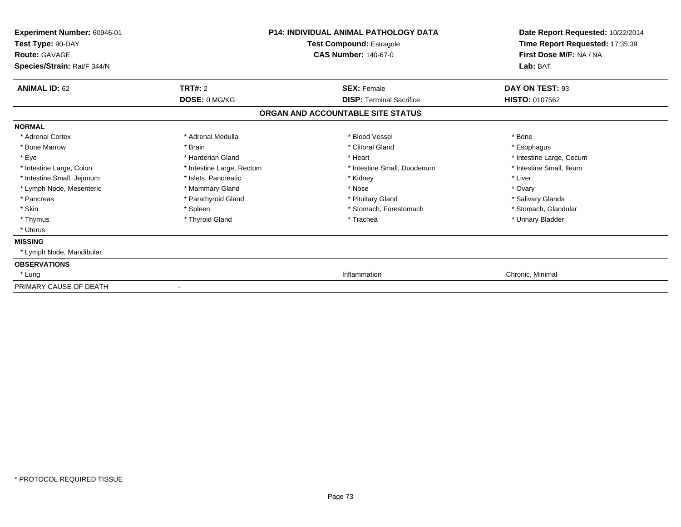| Experiment Number: 60946-01<br>Test Type: 90-DAY<br><b>Route: GAVAGE</b> |                           | <b>P14: INDIVIDUAL ANIMAL PATHOLOGY DATA</b><br>Test Compound: Estragole<br><b>CAS Number: 140-67-0</b> | Date Report Requested: 10/22/2014<br>Time Report Requested: 17:35:39<br>First Dose M/F: NA / NA |  |
|--------------------------------------------------------------------------|---------------------------|---------------------------------------------------------------------------------------------------------|-------------------------------------------------------------------------------------------------|--|
| Species/Strain: Rat/F 344/N                                              |                           |                                                                                                         | Lab: BAT                                                                                        |  |
| <b>ANIMAL ID: 62</b>                                                     | <b>TRT#: 2</b>            | <b>SEX: Female</b>                                                                                      | DAY ON TEST: 93                                                                                 |  |
|                                                                          | DOSE: 0 MG/KG             | <b>DISP: Terminal Sacrifice</b>                                                                         | <b>HISTO: 0107562</b>                                                                           |  |
|                                                                          |                           | ORGAN AND ACCOUNTABLE SITE STATUS                                                                       |                                                                                                 |  |
| <b>NORMAL</b>                                                            |                           |                                                                                                         |                                                                                                 |  |
| * Adrenal Cortex                                                         | * Adrenal Medulla         | * Blood Vessel                                                                                          | * Bone                                                                                          |  |
| * Bone Marrow                                                            | * Brain                   | * Clitoral Gland                                                                                        | * Esophagus                                                                                     |  |
| * Eye                                                                    | * Harderian Gland         | * Heart                                                                                                 | * Intestine Large, Cecum                                                                        |  |
| * Intestine Large, Colon                                                 | * Intestine Large, Rectum | * Intestine Small, Duodenum                                                                             | * Intestine Small, Ileum                                                                        |  |
| * Intestine Small, Jejunum                                               | * Islets, Pancreatic      | * Kidney                                                                                                | * Liver                                                                                         |  |
| * Lymph Node, Mesenteric                                                 | * Mammary Gland           | * Nose                                                                                                  | * Ovary                                                                                         |  |
| * Pancreas                                                               | * Parathyroid Gland       | * Pituitary Gland                                                                                       | * Salivary Glands                                                                               |  |
| * Skin                                                                   | * Spleen                  | * Stomach, Forestomach                                                                                  | * Stomach, Glandular                                                                            |  |
| * Thymus                                                                 | * Thyroid Gland           | * Trachea                                                                                               | * Urinary Bladder                                                                               |  |
| * Uterus                                                                 |                           |                                                                                                         |                                                                                                 |  |
| <b>MISSING</b>                                                           |                           |                                                                                                         |                                                                                                 |  |
| * Lymph Node, Mandibular                                                 |                           |                                                                                                         |                                                                                                 |  |
| <b>OBSERVATIONS</b>                                                      |                           |                                                                                                         |                                                                                                 |  |
| * Lung                                                                   |                           | Inflammation                                                                                            | Chronic, Minimal                                                                                |  |
| PRIMARY CAUSE OF DEATH                                                   |                           |                                                                                                         |                                                                                                 |  |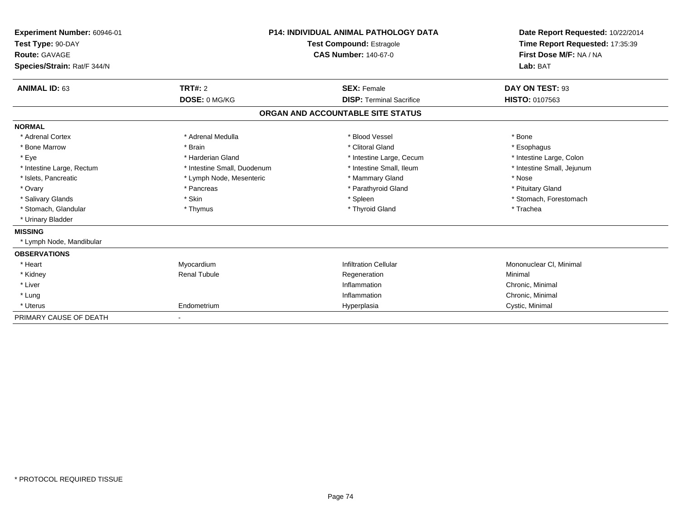| Experiment Number: 60946-01<br>Test Type: 90-DAY<br>Route: GAVAGE<br>Species/Strain: Rat/F 344/N |                             | <b>P14: INDIVIDUAL ANIMAL PATHOLOGY DATA</b><br><b>Test Compound: Estragole</b><br><b>CAS Number: 140-67-0</b> | Date Report Requested: 10/22/2014<br>Time Report Requested: 17:35:39<br>First Dose M/F: NA / NA<br>Lab: BAT |
|--------------------------------------------------------------------------------------------------|-----------------------------|----------------------------------------------------------------------------------------------------------------|-------------------------------------------------------------------------------------------------------------|
| <b>ANIMAL ID: 63</b>                                                                             | TRT#: 2                     | <b>SEX: Female</b>                                                                                             | DAY ON TEST: 93                                                                                             |
|                                                                                                  | DOSE: 0 MG/KG               | <b>DISP: Terminal Sacrifice</b>                                                                                | <b>HISTO: 0107563</b>                                                                                       |
|                                                                                                  |                             | ORGAN AND ACCOUNTABLE SITE STATUS                                                                              |                                                                                                             |
| <b>NORMAL</b>                                                                                    |                             |                                                                                                                |                                                                                                             |
| * Adrenal Cortex                                                                                 | * Adrenal Medulla           | * Blood Vessel                                                                                                 | * Bone                                                                                                      |
| * Bone Marrow                                                                                    | * Brain                     | * Clitoral Gland                                                                                               | * Esophagus                                                                                                 |
| * Eye                                                                                            | * Harderian Gland           | * Intestine Large, Cecum                                                                                       | * Intestine Large, Colon                                                                                    |
| * Intestine Large, Rectum                                                                        | * Intestine Small, Duodenum | * Intestine Small. Ileum                                                                                       | * Intestine Small, Jejunum                                                                                  |
| * Islets, Pancreatic                                                                             | * Lymph Node, Mesenteric    | * Mammary Gland                                                                                                | * Nose                                                                                                      |
| * Ovary                                                                                          | * Pancreas                  | * Parathyroid Gland                                                                                            | * Pituitary Gland                                                                                           |
| * Salivary Glands                                                                                | * Skin                      | * Spleen                                                                                                       | * Stomach, Forestomach                                                                                      |
| * Stomach, Glandular                                                                             | * Thymus                    | * Thyroid Gland                                                                                                | * Trachea                                                                                                   |
| * Urinary Bladder                                                                                |                             |                                                                                                                |                                                                                                             |
| <b>MISSING</b>                                                                                   |                             |                                                                                                                |                                                                                                             |
| Lymph Node, Mandibular                                                                           |                             |                                                                                                                |                                                                                                             |
| <b>OBSERVATIONS</b>                                                                              |                             |                                                                                                                |                                                                                                             |
| * Heart                                                                                          | Myocardium                  | <b>Infiltration Cellular</b>                                                                                   | Mononuclear CI, Minimal                                                                                     |
| * Kidney                                                                                         | <b>Renal Tubule</b>         | Regeneration                                                                                                   | Minimal                                                                                                     |
| * Liver                                                                                          |                             | Inflammation                                                                                                   | Chronic, Minimal                                                                                            |
| * Lung                                                                                           |                             | Inflammation                                                                                                   | Chronic, Minimal                                                                                            |
| * Uterus                                                                                         | Endometrium                 | Hyperplasia                                                                                                    | Cystic, Minimal                                                                                             |
| PRIMARY CAUSE OF DEATH                                                                           | ٠                           |                                                                                                                |                                                                                                             |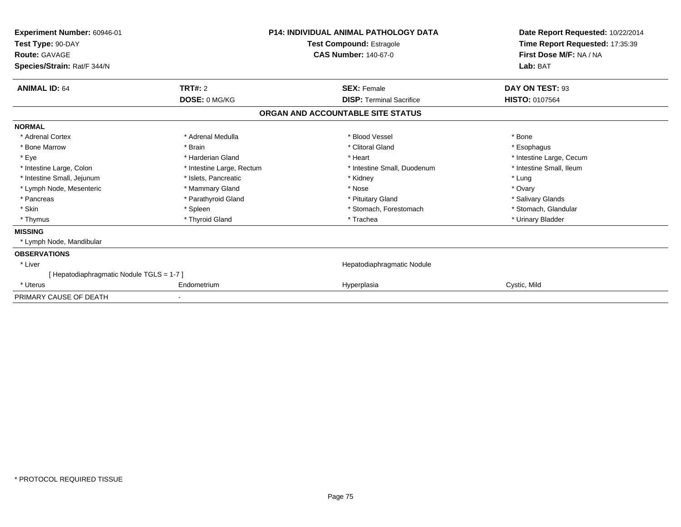| Experiment Number: 60946-01<br>Test Type: 90-DAY<br><b>Route: GAVAGE</b><br>Species/Strain: Rat/F 344/N | <b>P14: INDIVIDUAL ANIMAL PATHOLOGY DATA</b><br>Test Compound: Estragole<br><b>CAS Number: 140-67-0</b> |                                   | Date Report Requested: 10/22/2014<br>Time Report Requested: 17:35:39<br>First Dose M/F: NA / NA<br>Lab: BAT |
|---------------------------------------------------------------------------------------------------------|---------------------------------------------------------------------------------------------------------|-----------------------------------|-------------------------------------------------------------------------------------------------------------|
| <b>ANIMAL ID: 64</b>                                                                                    | <b>TRT#: 2</b>                                                                                          | <b>SEX: Female</b>                | DAY ON TEST: 93                                                                                             |
|                                                                                                         | DOSE: 0 MG/KG                                                                                           | <b>DISP: Terminal Sacrifice</b>   | <b>HISTO: 0107564</b>                                                                                       |
|                                                                                                         |                                                                                                         | ORGAN AND ACCOUNTABLE SITE STATUS |                                                                                                             |
| <b>NORMAL</b>                                                                                           |                                                                                                         |                                   |                                                                                                             |
| * Adrenal Cortex                                                                                        | * Adrenal Medulla                                                                                       | * Blood Vessel                    | * Bone                                                                                                      |
| * Bone Marrow                                                                                           | * Brain                                                                                                 | * Clitoral Gland                  | * Esophagus                                                                                                 |
| * Eye                                                                                                   | * Harderian Gland                                                                                       | * Heart                           | * Intestine Large, Cecum                                                                                    |
| * Intestine Large, Colon                                                                                | * Intestine Large, Rectum                                                                               | * Intestine Small, Duodenum       | * Intestine Small. Ileum                                                                                    |
| * Intestine Small, Jejunum                                                                              | * Islets, Pancreatic                                                                                    | * Kidney                          | * Lung                                                                                                      |
| * Lymph Node, Mesenteric                                                                                | * Mammary Gland                                                                                         | * Nose                            | * Ovary                                                                                                     |
| * Pancreas                                                                                              | * Parathyroid Gland                                                                                     | * Pituitary Gland                 | * Salivary Glands                                                                                           |
| * Skin                                                                                                  | * Spleen                                                                                                | * Stomach, Forestomach            | * Stomach, Glandular                                                                                        |
| * Thymus                                                                                                | * Thyroid Gland                                                                                         | * Trachea                         | * Urinary Bladder                                                                                           |
| <b>MISSING</b>                                                                                          |                                                                                                         |                                   |                                                                                                             |
| * Lymph Node, Mandibular                                                                                |                                                                                                         |                                   |                                                                                                             |
| <b>OBSERVATIONS</b>                                                                                     |                                                                                                         |                                   |                                                                                                             |
| * Liver                                                                                                 |                                                                                                         | Hepatodiaphragmatic Nodule        |                                                                                                             |
| [Hepatodiaphragmatic Nodule TGLS = 1-7]                                                                 |                                                                                                         |                                   |                                                                                                             |
| * Uterus                                                                                                | Endometrium                                                                                             | Hyperplasia                       | Cystic, Mild                                                                                                |
| PRIMARY CAUSE OF DEATH                                                                                  |                                                                                                         |                                   |                                                                                                             |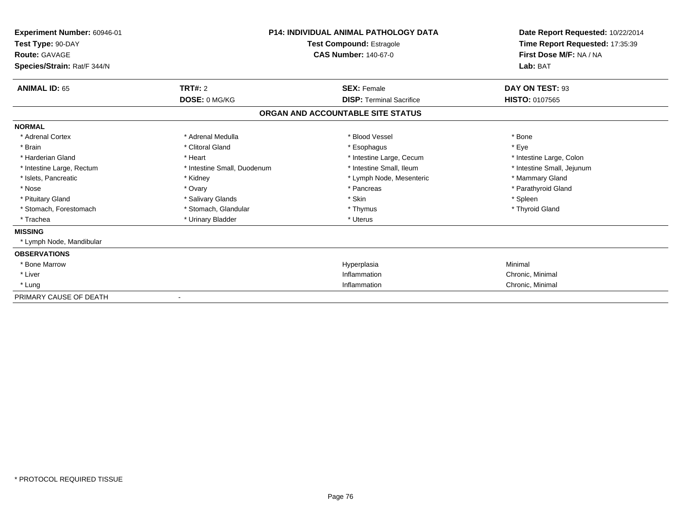| Experiment Number: 60946-01<br>Test Type: 90-DAY<br>Route: GAVAGE<br>Species/Strain: Rat/F 344/N | <b>P14: INDIVIDUAL ANIMAL PATHOLOGY DATA</b><br><b>Test Compound: Estragole</b><br><b>CAS Number: 140-67-0</b> |                                   | Date Report Requested: 10/22/2014<br>Time Report Requested: 17:35:39<br>First Dose M/F: NA / NA<br>Lab: BAT |
|--------------------------------------------------------------------------------------------------|----------------------------------------------------------------------------------------------------------------|-----------------------------------|-------------------------------------------------------------------------------------------------------------|
| <b>ANIMAL ID: 65</b>                                                                             | <b>TRT#: 2</b>                                                                                                 | <b>SEX: Female</b>                | DAY ON TEST: 93                                                                                             |
|                                                                                                  | DOSE: 0 MG/KG                                                                                                  | <b>DISP: Terminal Sacrifice</b>   | <b>HISTO: 0107565</b>                                                                                       |
|                                                                                                  |                                                                                                                | ORGAN AND ACCOUNTABLE SITE STATUS |                                                                                                             |
| <b>NORMAL</b>                                                                                    |                                                                                                                |                                   |                                                                                                             |
| * Adrenal Cortex                                                                                 | * Adrenal Medulla                                                                                              | * Blood Vessel                    | * Bone                                                                                                      |
| * Brain                                                                                          | * Clitoral Gland                                                                                               | * Esophagus                       | * Eye                                                                                                       |
| * Harderian Gland                                                                                | * Heart                                                                                                        | * Intestine Large, Cecum          | * Intestine Large, Colon                                                                                    |
| * Intestine Large, Rectum                                                                        | * Intestine Small, Duodenum                                                                                    | * Intestine Small, Ileum          | * Intestine Small, Jejunum                                                                                  |
| * Islets, Pancreatic                                                                             | * Kidney                                                                                                       | * Lymph Node, Mesenteric          | * Mammary Gland                                                                                             |
| * Nose                                                                                           | * Ovary                                                                                                        | * Pancreas                        | * Parathyroid Gland                                                                                         |
| * Pituitary Gland                                                                                | * Salivary Glands                                                                                              | * Skin                            | * Spleen                                                                                                    |
| * Stomach, Forestomach                                                                           | * Stomach, Glandular                                                                                           | * Thymus                          | * Thyroid Gland                                                                                             |
| * Trachea                                                                                        | * Urinary Bladder                                                                                              | * Uterus                          |                                                                                                             |
| <b>MISSING</b>                                                                                   |                                                                                                                |                                   |                                                                                                             |
| * Lymph Node, Mandibular                                                                         |                                                                                                                |                                   |                                                                                                             |
| <b>OBSERVATIONS</b>                                                                              |                                                                                                                |                                   |                                                                                                             |
| * Bone Marrow                                                                                    |                                                                                                                | Hyperplasia                       | Minimal                                                                                                     |
| * Liver                                                                                          |                                                                                                                | Inflammation                      | Chronic, Minimal                                                                                            |
| * Lung                                                                                           |                                                                                                                | Inflammation                      | Chronic, Minimal                                                                                            |
| PRIMARY CAUSE OF DEATH                                                                           |                                                                                                                |                                   |                                                                                                             |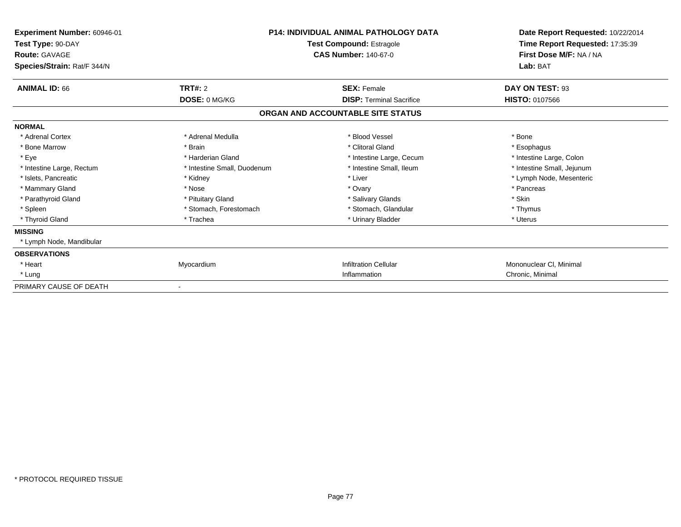| Experiment Number: 60946-01<br>Test Type: 90-DAY    |                             | <b>P14: INDIVIDUAL ANIMAL PATHOLOGY DATA</b><br><b>Test Compound: Estragole</b> |                                     |  |
|-----------------------------------------------------|-----------------------------|---------------------------------------------------------------------------------|-------------------------------------|--|
| <b>Route: GAVAGE</b><br>Species/Strain: Rat/F 344/N |                             | <b>CAS Number: 140-67-0</b>                                                     | First Dose M/F: NA / NA<br>Lab: BAT |  |
| <b>ANIMAL ID: 66</b>                                | TRT#: 2                     | <b>SEX: Female</b>                                                              | DAY ON TEST: 93                     |  |
|                                                     | DOSE: 0 MG/KG               | <b>DISP: Terminal Sacrifice</b>                                                 | <b>HISTO: 0107566</b>               |  |
|                                                     |                             | ORGAN AND ACCOUNTABLE SITE STATUS                                               |                                     |  |
| <b>NORMAL</b>                                       |                             |                                                                                 |                                     |  |
| * Adrenal Cortex                                    | * Adrenal Medulla           | * Blood Vessel                                                                  | * Bone                              |  |
| * Bone Marrow                                       | * Brain                     | * Clitoral Gland                                                                | * Esophagus                         |  |
| * Eye                                               | * Harderian Gland           | * Intestine Large, Cecum                                                        | * Intestine Large, Colon            |  |
| * Intestine Large, Rectum                           | * Intestine Small, Duodenum | * Intestine Small, Ileum                                                        | * Intestine Small, Jejunum          |  |
| * Islets, Pancreatic                                | * Kidney                    | * Liver                                                                         | * Lymph Node, Mesenteric            |  |
| * Mammary Gland                                     | * Nose                      | * Ovary                                                                         | * Pancreas                          |  |
| * Parathyroid Gland                                 | * Pituitary Gland           | * Salivary Glands                                                               | * Skin                              |  |
| * Spleen                                            | * Stomach, Forestomach      | * Stomach, Glandular                                                            | * Thymus                            |  |
| * Thyroid Gland                                     | * Trachea                   | * Urinary Bladder                                                               | * Uterus                            |  |
| <b>MISSING</b>                                      |                             |                                                                                 |                                     |  |
| * Lymph Node, Mandibular                            |                             |                                                                                 |                                     |  |
| <b>OBSERVATIONS</b>                                 |                             |                                                                                 |                                     |  |
| * Heart                                             | Myocardium                  | <b>Infiltration Cellular</b>                                                    | Mononuclear CI, Minimal             |  |
| * Lung                                              |                             | Inflammation                                                                    | Chronic, Minimal                    |  |
| PRIMARY CAUSE OF DEATH                              |                             |                                                                                 |                                     |  |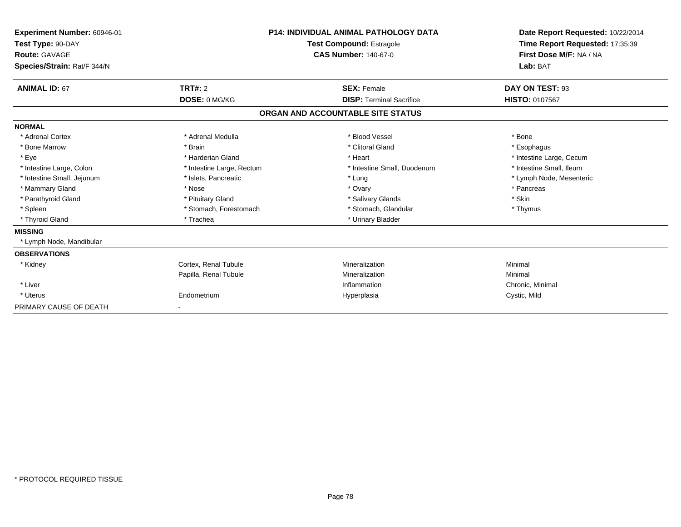| Experiment Number: 60946-01<br>Test Type: 90-DAY<br><b>Route: GAVAGE</b><br>Species/Strain: Rat/F 344/N |                           | <b>P14: INDIVIDUAL ANIMAL PATHOLOGY DATA</b><br><b>Test Compound: Estragole</b><br><b>CAS Number: 140-67-0</b> | Date Report Requested: 10/22/2014<br>Time Report Requested: 17:35:39<br>First Dose M/F: NA / NA<br>Lab: BAT |
|---------------------------------------------------------------------------------------------------------|---------------------------|----------------------------------------------------------------------------------------------------------------|-------------------------------------------------------------------------------------------------------------|
| <b>ANIMAL ID: 67</b>                                                                                    | TRT#: 2                   | <b>SEX: Female</b>                                                                                             | DAY ON TEST: 93                                                                                             |
|                                                                                                         | DOSE: 0 MG/KG             | <b>DISP: Terminal Sacrifice</b>                                                                                | HISTO: 0107567                                                                                              |
|                                                                                                         |                           | ORGAN AND ACCOUNTABLE SITE STATUS                                                                              |                                                                                                             |
| <b>NORMAL</b>                                                                                           |                           |                                                                                                                |                                                                                                             |
| * Adrenal Cortex                                                                                        | * Adrenal Medulla         | * Blood Vessel                                                                                                 | * Bone                                                                                                      |
| * Bone Marrow                                                                                           | * Brain                   | * Clitoral Gland                                                                                               | * Esophagus                                                                                                 |
| * Eye                                                                                                   | * Harderian Gland         | * Heart                                                                                                        | * Intestine Large, Cecum                                                                                    |
| * Intestine Large, Colon                                                                                | * Intestine Large, Rectum | * Intestine Small, Duodenum                                                                                    | * Intestine Small, Ileum                                                                                    |
| * Intestine Small, Jejunum                                                                              | * Islets, Pancreatic      | * Lung                                                                                                         | * Lymph Node, Mesenteric                                                                                    |
| * Mammary Gland                                                                                         | * Nose                    | * Ovary                                                                                                        | * Pancreas                                                                                                  |
| * Parathyroid Gland                                                                                     | * Pituitary Gland         | * Salivary Glands                                                                                              | * Skin                                                                                                      |
| * Spleen                                                                                                | * Stomach, Forestomach    | * Stomach, Glandular                                                                                           | * Thymus                                                                                                    |
| * Thyroid Gland                                                                                         | * Trachea                 | * Urinary Bladder                                                                                              |                                                                                                             |
| <b>MISSING</b>                                                                                          |                           |                                                                                                                |                                                                                                             |
| * Lymph Node, Mandibular                                                                                |                           |                                                                                                                |                                                                                                             |
| <b>OBSERVATIONS</b>                                                                                     |                           |                                                                                                                |                                                                                                             |
| * Kidney                                                                                                | Cortex, Renal Tubule      | Mineralization                                                                                                 | Minimal                                                                                                     |
|                                                                                                         | Papilla, Renal Tubule     | Mineralization                                                                                                 | Minimal                                                                                                     |
| * Liver                                                                                                 |                           | Inflammation                                                                                                   | Chronic, Minimal                                                                                            |
| * Uterus                                                                                                | Endometrium               | Hyperplasia                                                                                                    | Cystic, Mild                                                                                                |
| PRIMARY CAUSE OF DEATH                                                                                  |                           |                                                                                                                |                                                                                                             |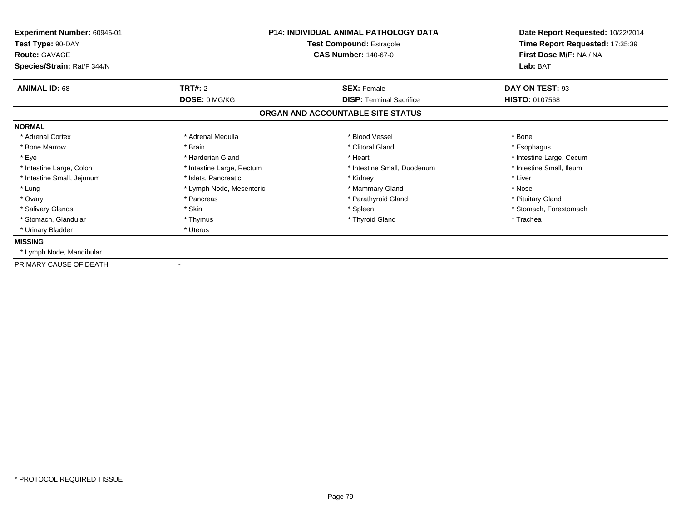| Experiment Number: 60946-01<br>Test Type: 90-DAY<br><b>Route: GAVAGE</b><br>Species/Strain: Rat/F 344/N |                                 | <b>P14: INDIVIDUAL ANIMAL PATHOLOGY DATA</b><br><b>Test Compound: Estragole</b><br><b>CAS Number: 140-67-0</b> | Date Report Requested: 10/22/2014<br>Time Report Requested: 17:35:39<br>First Dose M/F: NA / NA<br>Lab: BAT |  |
|---------------------------------------------------------------------------------------------------------|---------------------------------|----------------------------------------------------------------------------------------------------------------|-------------------------------------------------------------------------------------------------------------|--|
| <b>ANIMAL ID: 68</b>                                                                                    | <b>TRT#: 2</b><br>DOSE: 0 MG/KG | <b>SEX: Female</b><br><b>DISP: Terminal Sacrifice</b>                                                          | DAY ON TEST: 93<br><b>HISTO: 0107568</b>                                                                    |  |
|                                                                                                         |                                 | ORGAN AND ACCOUNTABLE SITE STATUS                                                                              |                                                                                                             |  |
| <b>NORMAL</b>                                                                                           |                                 |                                                                                                                |                                                                                                             |  |
| * Adrenal Cortex                                                                                        | * Adrenal Medulla               | * Blood Vessel                                                                                                 | * Bone                                                                                                      |  |
| * Bone Marrow                                                                                           | * Brain                         | * Clitoral Gland                                                                                               | * Esophagus                                                                                                 |  |
| * Eye                                                                                                   | * Harderian Gland               | * Heart                                                                                                        | * Intestine Large, Cecum                                                                                    |  |
| * Intestine Large, Colon                                                                                | * Intestine Large, Rectum       | * Intestine Small, Duodenum                                                                                    | * Intestine Small, Ileum                                                                                    |  |
| * Intestine Small, Jejunum                                                                              | * Islets, Pancreatic            | * Kidney                                                                                                       | * Liver                                                                                                     |  |
| * Lung                                                                                                  | * Lymph Node, Mesenteric        | * Mammary Gland                                                                                                | * Nose                                                                                                      |  |
| * Ovary                                                                                                 | * Pancreas                      | * Parathyroid Gland                                                                                            | * Pituitary Gland                                                                                           |  |
| * Salivary Glands                                                                                       | * Skin                          | * Spleen                                                                                                       | * Stomach, Forestomach                                                                                      |  |
| * Stomach, Glandular                                                                                    | * Thymus                        | * Thyroid Gland                                                                                                | * Trachea                                                                                                   |  |
| * Urinary Bladder                                                                                       | * Uterus                        |                                                                                                                |                                                                                                             |  |
| <b>MISSING</b>                                                                                          |                                 |                                                                                                                |                                                                                                             |  |
| * Lymph Node, Mandibular                                                                                |                                 |                                                                                                                |                                                                                                             |  |
| PRIMARY CAUSE OF DEATH                                                                                  |                                 |                                                                                                                |                                                                                                             |  |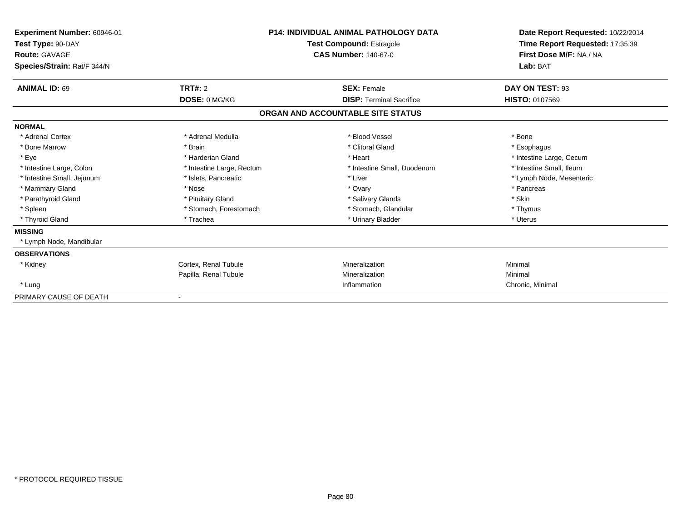| Experiment Number: 60946-01<br>Test Type: 90-DAY<br><b>Route: GAVAGE</b><br>Species/Strain: Rat/F 344/N | <b>P14: INDIVIDUAL ANIMAL PATHOLOGY DATA</b><br><b>Test Compound: Estragole</b><br><b>CAS Number: 140-67-0</b> |                                   | Date Report Requested: 10/22/2014<br>Time Report Requested: 17:35:39<br>First Dose M/F: NA / NA<br>Lab: BAT |
|---------------------------------------------------------------------------------------------------------|----------------------------------------------------------------------------------------------------------------|-----------------------------------|-------------------------------------------------------------------------------------------------------------|
| <b>ANIMAL ID: 69</b>                                                                                    | TRT#: 2                                                                                                        | <b>SEX: Female</b>                | DAY ON TEST: 93                                                                                             |
|                                                                                                         | DOSE: 0 MG/KG                                                                                                  | <b>DISP:</b> Terminal Sacrifice   | <b>HISTO: 0107569</b>                                                                                       |
|                                                                                                         |                                                                                                                | ORGAN AND ACCOUNTABLE SITE STATUS |                                                                                                             |
| <b>NORMAL</b>                                                                                           |                                                                                                                |                                   |                                                                                                             |
| * Adrenal Cortex                                                                                        | * Adrenal Medulla                                                                                              | * Blood Vessel                    | * Bone                                                                                                      |
| * Bone Marrow                                                                                           | * Brain                                                                                                        | * Clitoral Gland                  | * Esophagus                                                                                                 |
| * Eye                                                                                                   | * Harderian Gland                                                                                              | * Heart                           | * Intestine Large, Cecum                                                                                    |
| * Intestine Large, Colon                                                                                | * Intestine Large, Rectum                                                                                      | * Intestine Small, Duodenum       | * Intestine Small. Ileum                                                                                    |
| * Intestine Small, Jejunum                                                                              | * Islets, Pancreatic                                                                                           | * Liver                           | * Lymph Node, Mesenteric                                                                                    |
| * Mammary Gland                                                                                         | * Nose                                                                                                         | * Ovary                           | * Pancreas                                                                                                  |
| * Parathyroid Gland                                                                                     | * Pituitary Gland                                                                                              | * Salivary Glands                 | * Skin                                                                                                      |
| * Spleen                                                                                                | * Stomach, Forestomach                                                                                         | * Stomach, Glandular              | * Thymus                                                                                                    |
| * Thyroid Gland                                                                                         | * Trachea                                                                                                      | * Urinary Bladder                 | * Uterus                                                                                                    |
| <b>MISSING</b>                                                                                          |                                                                                                                |                                   |                                                                                                             |
| * Lymph Node, Mandibular                                                                                |                                                                                                                |                                   |                                                                                                             |
| <b>OBSERVATIONS</b>                                                                                     |                                                                                                                |                                   |                                                                                                             |
| * Kidney                                                                                                | Cortex. Renal Tubule                                                                                           | Mineralization                    | Minimal                                                                                                     |
|                                                                                                         | Papilla, Renal Tubule                                                                                          | Mineralization                    | Minimal                                                                                                     |
| * Lung                                                                                                  |                                                                                                                | Inflammation                      | Chronic, Minimal                                                                                            |
| PRIMARY CAUSE OF DEATH                                                                                  |                                                                                                                |                                   |                                                                                                             |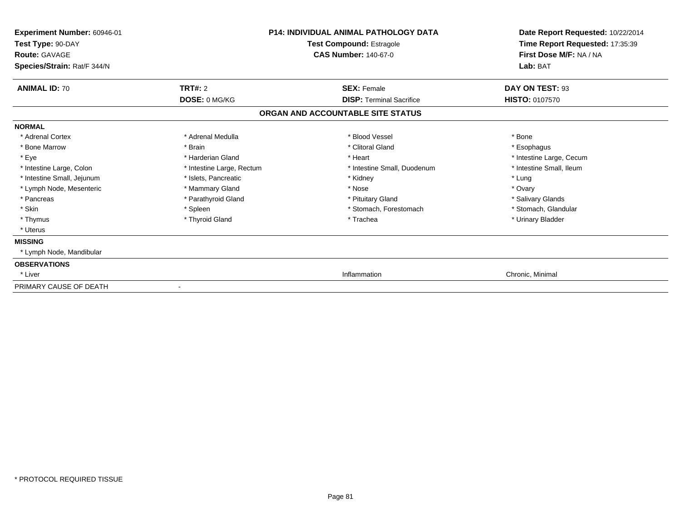| Experiment Number: 60946-01<br>Test Type: 90-DAY<br><b>Route: GAVAGE</b> |                           | <b>P14: INDIVIDUAL ANIMAL PATHOLOGY DATA</b><br>Test Compound: Estragole<br><b>CAS Number: 140-67-0</b> | Date Report Requested: 10/22/2014<br>Time Report Requested: 17:35:39<br>First Dose M/F: NA / NA |
|--------------------------------------------------------------------------|---------------------------|---------------------------------------------------------------------------------------------------------|-------------------------------------------------------------------------------------------------|
| Species/Strain: Rat/F 344/N                                              |                           |                                                                                                         | Lab: BAT                                                                                        |
| <b>ANIMAL ID: 70</b>                                                     | <b>TRT#: 2</b>            | <b>SEX: Female</b>                                                                                      | DAY ON TEST: 93                                                                                 |
|                                                                          | DOSE: 0 MG/KG             | <b>DISP: Terminal Sacrifice</b>                                                                         | <b>HISTO: 0107570</b>                                                                           |
|                                                                          |                           | ORGAN AND ACCOUNTABLE SITE STATUS                                                                       |                                                                                                 |
| <b>NORMAL</b>                                                            |                           |                                                                                                         |                                                                                                 |
| * Adrenal Cortex                                                         | * Adrenal Medulla         | * Blood Vessel                                                                                          | * Bone                                                                                          |
| * Bone Marrow                                                            | * Brain                   | * Clitoral Gland                                                                                        | * Esophagus                                                                                     |
| * Eye                                                                    | * Harderian Gland         | * Heart                                                                                                 | * Intestine Large, Cecum                                                                        |
| * Intestine Large, Colon                                                 | * Intestine Large, Rectum | * Intestine Small, Duodenum                                                                             | * Intestine Small, Ileum                                                                        |
| * Intestine Small, Jejunum                                               | * Islets, Pancreatic      | * Kidney                                                                                                | * Lung                                                                                          |
| * Lymph Node, Mesenteric                                                 | * Mammary Gland           | * Nose                                                                                                  | * Ovary                                                                                         |
| * Pancreas                                                               | * Parathyroid Gland       | * Pituitary Gland                                                                                       | * Salivary Glands                                                                               |
| * Skin                                                                   | * Spleen                  | * Stomach, Forestomach                                                                                  | * Stomach, Glandular                                                                            |
| * Thymus                                                                 | * Thyroid Gland           | * Trachea                                                                                               | * Urinary Bladder                                                                               |
| * Uterus                                                                 |                           |                                                                                                         |                                                                                                 |
| <b>MISSING</b>                                                           |                           |                                                                                                         |                                                                                                 |
| * Lymph Node, Mandibular                                                 |                           |                                                                                                         |                                                                                                 |
| <b>OBSERVATIONS</b>                                                      |                           |                                                                                                         |                                                                                                 |
| * Liver                                                                  |                           | Inflammation                                                                                            | Chronic, Minimal                                                                                |
| PRIMARY CAUSE OF DEATH                                                   |                           |                                                                                                         |                                                                                                 |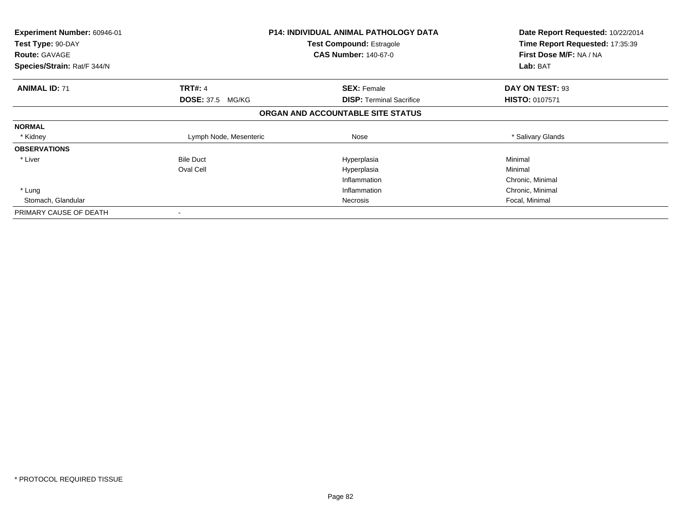| <b>Experiment Number: 60946-01</b><br>Test Type: 90-DAY |                         | <b>P14: INDIVIDUAL ANIMAL PATHOLOGY DATA</b><br><b>Test Compound: Estragole</b> | Date Report Requested: 10/22/2014<br>Time Report Requested: 17:35:39 |
|---------------------------------------------------------|-------------------------|---------------------------------------------------------------------------------|----------------------------------------------------------------------|
| <b>Route: GAVAGE</b>                                    |                         | <b>CAS Number: 140-67-0</b>                                                     | First Dose M/F: NA / NA                                              |
| Species/Strain: Rat/F 344/N                             |                         |                                                                                 | Lab: BAT                                                             |
| <b>ANIMAL ID: 71</b>                                    | <b>TRT#: 4</b>          | <b>SEX: Female</b>                                                              | DAY ON TEST: 93                                                      |
|                                                         | <b>DOSE: 37.5 MG/KG</b> | <b>DISP: Terminal Sacrifice</b>                                                 | <b>HISTO: 0107571</b>                                                |
|                                                         |                         | ORGAN AND ACCOUNTABLE SITE STATUS                                               |                                                                      |
| <b>NORMAL</b>                                           |                         |                                                                                 |                                                                      |
| * Kidney                                                | Lymph Node, Mesenteric  | Nose                                                                            | * Salivary Glands                                                    |
| <b>OBSERVATIONS</b>                                     |                         |                                                                                 |                                                                      |
| * Liver                                                 | <b>Bile Duct</b>        | Hyperplasia                                                                     | Minimal                                                              |
|                                                         | Oval Cell               | Hyperplasia                                                                     | Minimal                                                              |
|                                                         |                         | Inflammation                                                                    | Chronic, Minimal                                                     |
| * Lung                                                  |                         | Inflammation                                                                    | Chronic, Minimal                                                     |
| Stomach, Glandular                                      |                         | Necrosis                                                                        | Focal, Minimal                                                       |
| PRIMARY CAUSE OF DEATH                                  |                         |                                                                                 |                                                                      |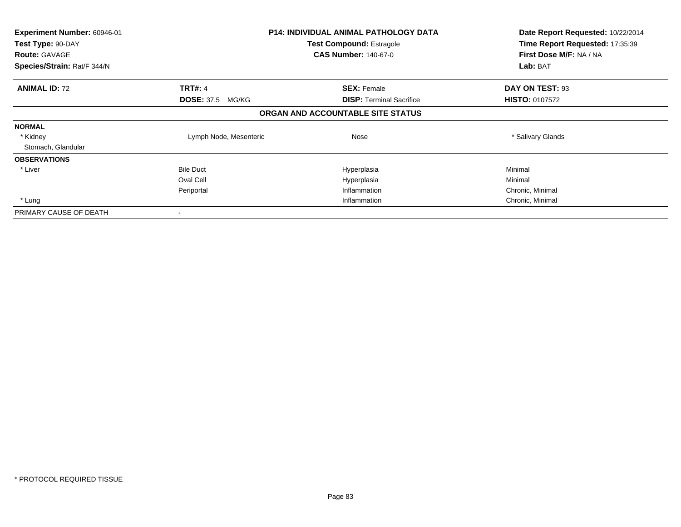| <b>Experiment Number: 60946-01</b> |                         | <b>P14: INDIVIDUAL ANIMAL PATHOLOGY DATA</b> | Date Report Requested: 10/22/2014<br>Time Report Requested: 17:35:39 |
|------------------------------------|-------------------------|----------------------------------------------|----------------------------------------------------------------------|
| Test Type: 90-DAY                  |                         | <b>Test Compound: Estragole</b>              |                                                                      |
| <b>Route: GAVAGE</b>               |                         | <b>CAS Number: 140-67-0</b>                  | First Dose M/F: NA / NA                                              |
| Species/Strain: Rat/F 344/N        |                         |                                              | Lab: BAT                                                             |
| <b>ANIMAL ID: 72</b>               | <b>TRT#: 4</b>          | <b>SEX: Female</b>                           | DAY ON TEST: 93                                                      |
|                                    | <b>DOSE: 37.5 MG/KG</b> | <b>DISP:</b> Terminal Sacrifice              | <b>HISTO: 0107572</b>                                                |
|                                    |                         | ORGAN AND ACCOUNTABLE SITE STATUS            |                                                                      |
| <b>NORMAL</b>                      |                         |                                              |                                                                      |
| * Kidney                           | Lymph Node, Mesenteric  | Nose                                         | * Salivary Glands                                                    |
| Stomach, Glandular                 |                         |                                              |                                                                      |
| <b>OBSERVATIONS</b>                |                         |                                              |                                                                      |
| * Liver                            | <b>Bile Duct</b>        | Hyperplasia                                  | Minimal                                                              |
|                                    | Oval Cell               | Hyperplasia                                  | Minimal                                                              |
|                                    | Periportal              | Inflammation                                 | Chronic, Minimal                                                     |
| * Lung                             |                         | Inflammation                                 | Chronic, Minimal                                                     |
| PRIMARY CAUSE OF DEATH             |                         |                                              |                                                                      |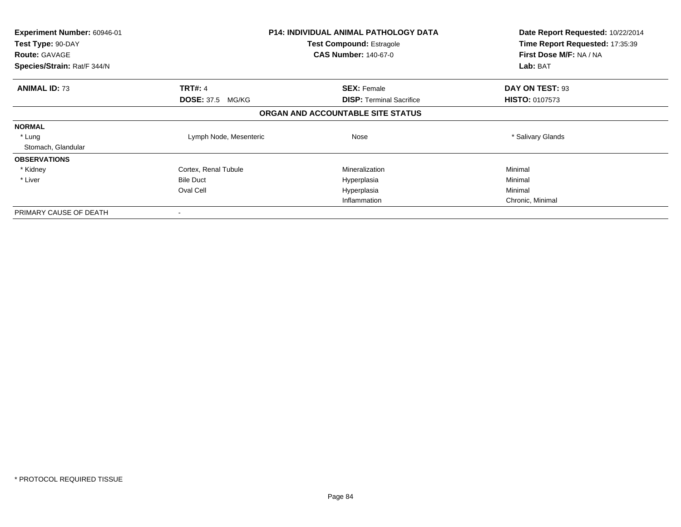| <b>Experiment Number: 60946-01</b><br>Test Type: 90-DAY<br><b>Route: GAVAGE</b> |                         | <b>P14: INDIVIDUAL ANIMAL PATHOLOGY DATA</b><br><b>Test Compound: Estragole</b><br><b>CAS Number: 140-67-0</b> | Date Report Requested: 10/22/2014<br>Time Report Requested: 17:35:39<br>First Dose M/F: NA / NA |  |
|---------------------------------------------------------------------------------|-------------------------|----------------------------------------------------------------------------------------------------------------|-------------------------------------------------------------------------------------------------|--|
| Species/Strain: Rat/F 344/N                                                     |                         |                                                                                                                | Lab: BAT                                                                                        |  |
| <b>ANIMAL ID: 73</b>                                                            | <b>TRT#: 4</b>          | <b>SEX: Female</b>                                                                                             | DAY ON TEST: 93                                                                                 |  |
|                                                                                 | <b>DOSE: 37.5 MG/KG</b> | <b>DISP: Terminal Sacrifice</b>                                                                                | <b>HISTO: 0107573</b>                                                                           |  |
|                                                                                 |                         | ORGAN AND ACCOUNTABLE SITE STATUS                                                                              |                                                                                                 |  |
| <b>NORMAL</b>                                                                   |                         |                                                                                                                |                                                                                                 |  |
| * Lung                                                                          | Lymph Node, Mesenteric  | Nose                                                                                                           | * Salivary Glands                                                                               |  |
| Stomach, Glandular                                                              |                         |                                                                                                                |                                                                                                 |  |
| <b>OBSERVATIONS</b>                                                             |                         |                                                                                                                |                                                                                                 |  |
| * Kidney                                                                        | Cortex, Renal Tubule    | Mineralization                                                                                                 | Minimal                                                                                         |  |
| * Liver                                                                         | <b>Bile Duct</b>        | Hyperplasia                                                                                                    | Minimal                                                                                         |  |
|                                                                                 | Oval Cell               | Hyperplasia                                                                                                    | Minimal                                                                                         |  |
|                                                                                 |                         | Inflammation                                                                                                   | Chronic, Minimal                                                                                |  |
| PRIMARY CAUSE OF DEATH                                                          |                         |                                                                                                                |                                                                                                 |  |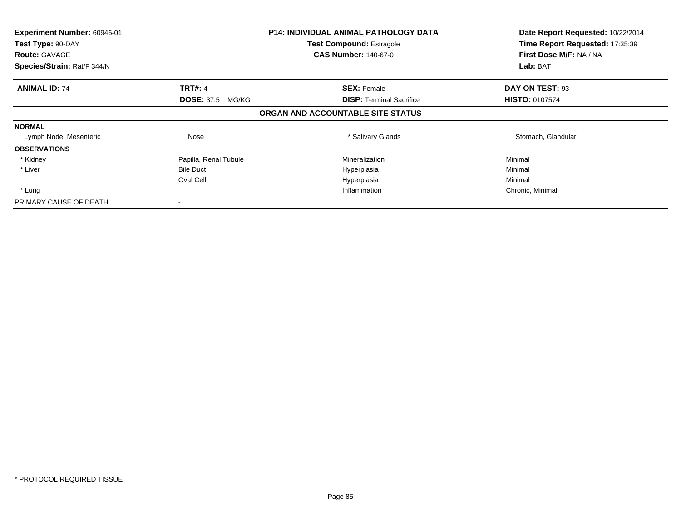| Experiment Number: 60946-01<br>Test Type: 90-DAY<br><b>Route: GAVAGE</b><br>Species/Strain: Rat/F 344/N |                         | <b>P14: INDIVIDUAL ANIMAL PATHOLOGY DATA</b><br><b>Test Compound: Estragole</b><br><b>CAS Number: 140-67-0</b> | Date Report Requested: 10/22/2014<br>Time Report Requested: 17:35:39<br>First Dose M/F: NA / NA<br><b>Lab: BAT</b> |
|---------------------------------------------------------------------------------------------------------|-------------------------|----------------------------------------------------------------------------------------------------------------|--------------------------------------------------------------------------------------------------------------------|
|                                                                                                         |                         |                                                                                                                |                                                                                                                    |
| <b>ANIMAL ID: 74</b>                                                                                    | <b>TRT#: 4</b>          | <b>SEX: Female</b>                                                                                             | DAY ON TEST: 93                                                                                                    |
|                                                                                                         | <b>DOSE: 37.5 MG/KG</b> | <b>DISP:</b> Terminal Sacrifice                                                                                | <b>HISTO: 0107574</b>                                                                                              |
|                                                                                                         |                         | ORGAN AND ACCOUNTABLE SITE STATUS                                                                              |                                                                                                                    |
| <b>NORMAL</b>                                                                                           |                         |                                                                                                                |                                                                                                                    |
| Lymph Node, Mesenteric                                                                                  | Nose                    | * Salivary Glands                                                                                              | Stomach, Glandular                                                                                                 |
| <b>OBSERVATIONS</b>                                                                                     |                         |                                                                                                                |                                                                                                                    |
| * Kidney                                                                                                | Papilla, Renal Tubule   | Mineralization                                                                                                 | Minimal                                                                                                            |
| * Liver                                                                                                 | <b>Bile Duct</b>        | Hyperplasia                                                                                                    | Minimal                                                                                                            |
|                                                                                                         | Oval Cell               | Hyperplasia                                                                                                    | Minimal                                                                                                            |
| * Lung                                                                                                  |                         | Inflammation                                                                                                   | Chronic, Minimal                                                                                                   |
| PRIMARY CAUSE OF DEATH                                                                                  |                         |                                                                                                                |                                                                                                                    |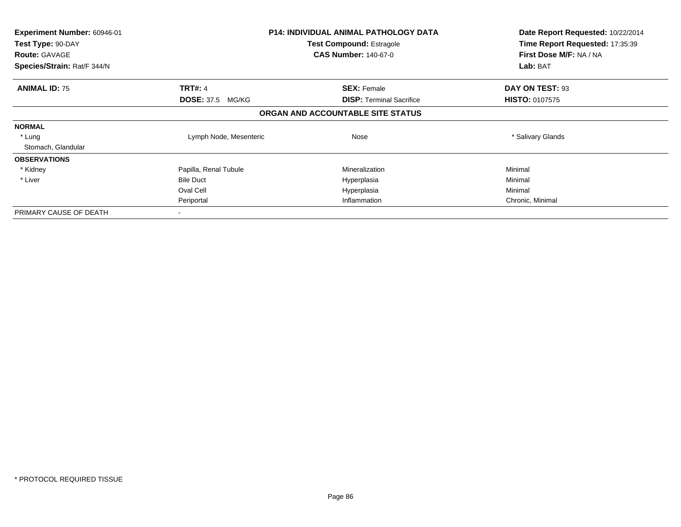| Experiment Number: 60946-01               |                         | <b>P14: INDIVIDUAL ANIMAL PATHOLOGY DATA</b>                   | Date Report Requested: 10/22/2014                          |
|-------------------------------------------|-------------------------|----------------------------------------------------------------|------------------------------------------------------------|
| Test Type: 90-DAY<br><b>Route: GAVAGE</b> |                         | <b>Test Compound: Estragole</b><br><b>CAS Number: 140-67-0</b> | Time Report Requested: 17:35:39<br>First Dose M/F: NA / NA |
| Species/Strain: Rat/F 344/N               |                         |                                                                | Lab: BAT                                                   |
| <b>ANIMAL ID: 75</b>                      | <b>TRT#: 4</b>          | <b>SEX: Female</b>                                             | DAY ON TEST: 93                                            |
|                                           | <b>DOSE: 37.5 MG/KG</b> | <b>DISP:</b> Terminal Sacrifice                                | <b>HISTO: 0107575</b>                                      |
|                                           |                         | ORGAN AND ACCOUNTABLE SITE STATUS                              |                                                            |
| <b>NORMAL</b>                             |                         |                                                                |                                                            |
| * Lung                                    | Lymph Node, Mesenteric  | Nose                                                           | * Salivary Glands                                          |
| Stomach, Glandular                        |                         |                                                                |                                                            |
| <b>OBSERVATIONS</b>                       |                         |                                                                |                                                            |
| * Kidney                                  | Papilla, Renal Tubule   | Mineralization                                                 | Minimal                                                    |
| * Liver                                   | <b>Bile Duct</b>        | Hyperplasia                                                    | Minimal                                                    |
|                                           | Oval Cell               | Hyperplasia                                                    | Minimal                                                    |
|                                           | Periportal              | Inflammation                                                   | Chronic, Minimal                                           |
| PRIMARY CAUSE OF DEATH                    |                         |                                                                |                                                            |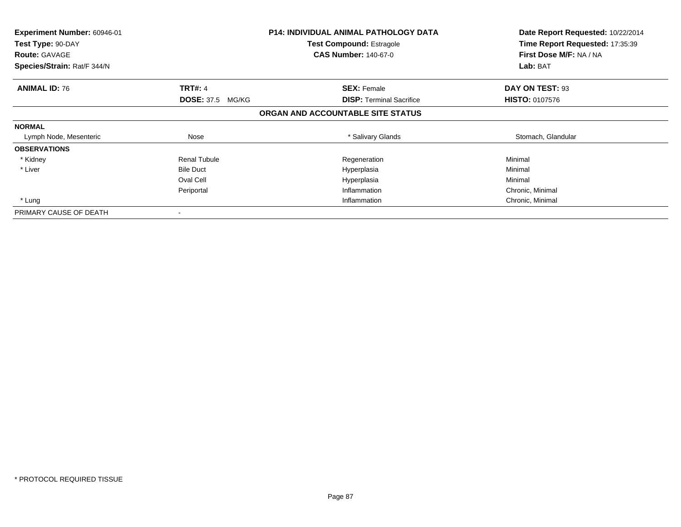| <b>Experiment Number: 60946-01</b><br>Test Type: 90-DAY |                         | <b>P14: INDIVIDUAL ANIMAL PATHOLOGY DATA</b><br><b>Test Compound: Estragole</b><br><b>CAS Number: 140-67-0</b> | Date Report Requested: 10/22/2014<br>Time Report Requested: 17:35:39<br>First Dose M/F: NA / NA |
|---------------------------------------------------------|-------------------------|----------------------------------------------------------------------------------------------------------------|-------------------------------------------------------------------------------------------------|
| <b>Route: GAVAGE</b><br>Species/Strain: Rat/F 344/N     |                         |                                                                                                                | Lab: BAT                                                                                        |
| <b>ANIMAL ID: 76</b>                                    | <b>TRT#: 4</b>          | <b>SEX: Female</b>                                                                                             | DAY ON TEST: 93                                                                                 |
|                                                         | <b>DOSE: 37.5 MG/KG</b> | <b>DISP: Terminal Sacrifice</b>                                                                                | <b>HISTO: 0107576</b>                                                                           |
|                                                         |                         | ORGAN AND ACCOUNTABLE SITE STATUS                                                                              |                                                                                                 |
| <b>NORMAL</b>                                           |                         |                                                                                                                |                                                                                                 |
| Lymph Node, Mesenteric                                  | Nose                    | * Salivary Glands                                                                                              | Stomach, Glandular                                                                              |
| <b>OBSERVATIONS</b>                                     |                         |                                                                                                                |                                                                                                 |
| * Kidney                                                | <b>Renal Tubule</b>     | Regeneration                                                                                                   | Minimal                                                                                         |
| * Liver                                                 | <b>Bile Duct</b>        | Hyperplasia                                                                                                    | Minimal                                                                                         |
|                                                         | Oval Cell               | Hyperplasia                                                                                                    | Minimal                                                                                         |
|                                                         | Periportal              | Inflammation                                                                                                   | Chronic, Minimal                                                                                |
| * Lung                                                  |                         | Inflammation                                                                                                   | Chronic, Minimal                                                                                |
| PRIMARY CAUSE OF DEATH                                  |                         |                                                                                                                |                                                                                                 |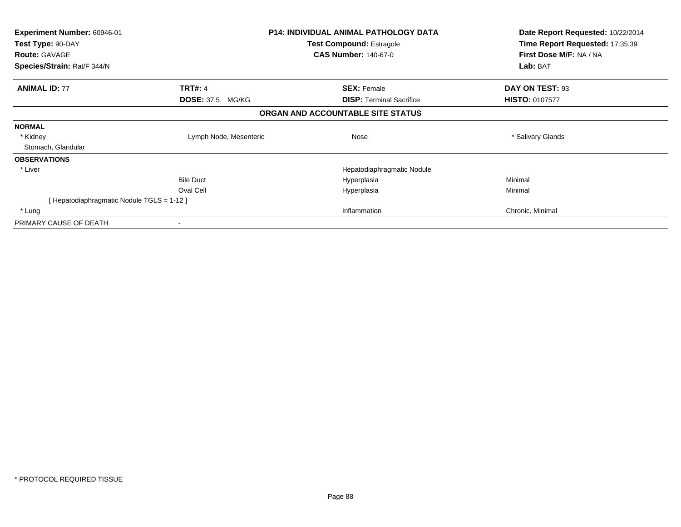| Experiment Number: 60946-01              |                         | <b>P14: INDIVIDUAL ANIMAL PATHOLOGY DATA</b> | Date Report Requested: 10/22/2014 |
|------------------------------------------|-------------------------|----------------------------------------------|-----------------------------------|
| Test Type: 90-DAY                        |                         | <b>Test Compound: Estragole</b>              | Time Report Requested: 17:35:39   |
| <b>Route: GAVAGE</b>                     |                         | <b>CAS Number: 140-67-0</b>                  | First Dose M/F: NA / NA           |
| Species/Strain: Rat/F 344/N              |                         |                                              | Lab: BAT                          |
| <b>ANIMAL ID: 77</b>                     | <b>TRT#: 4</b>          | <b>SEX: Female</b>                           | DAY ON TEST: 93                   |
|                                          | <b>DOSE: 37.5 MG/KG</b> | <b>DISP:</b> Terminal Sacrifice              | <b>HISTO: 0107577</b>             |
|                                          |                         | ORGAN AND ACCOUNTABLE SITE STATUS            |                                   |
| <b>NORMAL</b>                            |                         |                                              |                                   |
| * Kidney                                 | Lymph Node, Mesenteric  | Nose                                         | * Salivary Glands                 |
| Stomach, Glandular                       |                         |                                              |                                   |
| <b>OBSERVATIONS</b>                      |                         |                                              |                                   |
| * Liver                                  |                         | Hepatodiaphragmatic Nodule                   |                                   |
|                                          | <b>Bile Duct</b>        | Hyperplasia                                  | Minimal                           |
|                                          | Oval Cell               | Hyperplasia                                  | Minimal                           |
| [Hepatodiaphragmatic Nodule TGLS = 1-12] |                         |                                              |                                   |
| * Lung                                   |                         | Inflammation                                 | Chronic, Minimal                  |
| PRIMARY CAUSE OF DEATH                   |                         |                                              |                                   |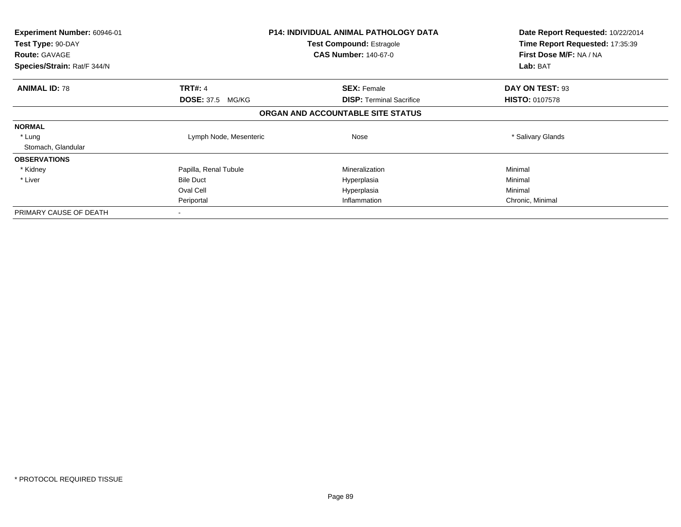| Experiment Number: 60946-01               |                         | <b>P14: INDIVIDUAL ANIMAL PATHOLOGY DATA</b><br><b>Test Compound: Estragole</b> | Date Report Requested: 10/22/2014<br>Time Report Requested: 17:35:39 |
|-------------------------------------------|-------------------------|---------------------------------------------------------------------------------|----------------------------------------------------------------------|
| Test Type: 90-DAY<br><b>Route: GAVAGE</b> |                         | <b>CAS Number: 140-67-0</b>                                                     | First Dose M/F: NA / NA                                              |
| Species/Strain: Rat/F 344/N               |                         |                                                                                 | Lab: BAT                                                             |
| <b>ANIMAL ID: 78</b>                      | <b>TRT#: 4</b>          | <b>SEX: Female</b>                                                              | DAY ON TEST: 93                                                      |
|                                           | <b>DOSE: 37.5 MG/KG</b> | <b>DISP:</b> Terminal Sacrifice                                                 | <b>HISTO: 0107578</b>                                                |
|                                           |                         | ORGAN AND ACCOUNTABLE SITE STATUS                                               |                                                                      |
| <b>NORMAL</b>                             |                         |                                                                                 |                                                                      |
| * Lung                                    | Lymph Node, Mesenteric  | Nose                                                                            | * Salivary Glands                                                    |
| Stomach, Glandular                        |                         |                                                                                 |                                                                      |
| <b>OBSERVATIONS</b>                       |                         |                                                                                 |                                                                      |
| * Kidney                                  | Papilla, Renal Tubule   | Mineralization                                                                  | Minimal                                                              |
| * Liver                                   | <b>Bile Duct</b>        | Hyperplasia                                                                     | Minimal                                                              |
|                                           | Oval Cell               | Hyperplasia                                                                     | Minimal                                                              |
|                                           | Periportal              | Inflammation                                                                    | Chronic, Minimal                                                     |
| PRIMARY CAUSE OF DEATH                    |                         |                                                                                 |                                                                      |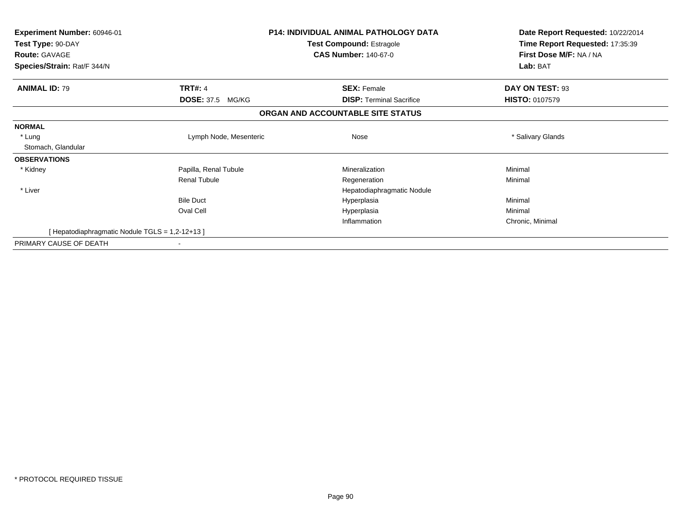| <b>Experiment Number: 60946-01</b>            |                            | <b>P14: INDIVIDUAL ANIMAL PATHOLOGY DATA</b> | Date Report Requested: 10/22/2014<br>Time Report Requested: 17:35:39 |
|-----------------------------------------------|----------------------------|----------------------------------------------|----------------------------------------------------------------------|
| Test Type: 90-DAY                             |                            | <b>Test Compound: Estragole</b>              |                                                                      |
| <b>Route: GAVAGE</b>                          |                            | <b>CAS Number: 140-67-0</b>                  | First Dose M/F: NA / NA                                              |
| Species/Strain: Rat/F 344/N                   |                            |                                              | Lab: BAT                                                             |
| <b>ANIMAL ID: 79</b>                          | <b>TRT#: 4</b>             | <b>SEX: Female</b>                           | DAY ON TEST: 93                                                      |
|                                               | <b>DOSE: 37.5</b><br>MG/KG | <b>DISP:</b> Terminal Sacrifice              | <b>HISTO: 0107579</b>                                                |
|                                               |                            | ORGAN AND ACCOUNTABLE SITE STATUS            |                                                                      |
| <b>NORMAL</b>                                 |                            |                                              |                                                                      |
| * Lung                                        | Lymph Node, Mesenteric     | Nose                                         | * Salivary Glands                                                    |
| Stomach, Glandular                            |                            |                                              |                                                                      |
| <b>OBSERVATIONS</b>                           |                            |                                              |                                                                      |
| * Kidney                                      | Papilla, Renal Tubule      | Mineralization                               | Minimal                                                              |
|                                               | <b>Renal Tubule</b>        | Regeneration                                 | Minimal                                                              |
| * Liver                                       |                            | Hepatodiaphragmatic Nodule                   |                                                                      |
|                                               | <b>Bile Duct</b>           | Hyperplasia                                  | Minimal                                                              |
|                                               | Oval Cell                  | Hyperplasia                                  | Minimal                                                              |
|                                               |                            | Inflammation                                 | Chronic, Minimal                                                     |
| [Hepatodiaphragmatic Nodule TGLS = 1,2-12+13] |                            |                                              |                                                                      |
| PRIMARY CAUSE OF DEATH                        |                            |                                              |                                                                      |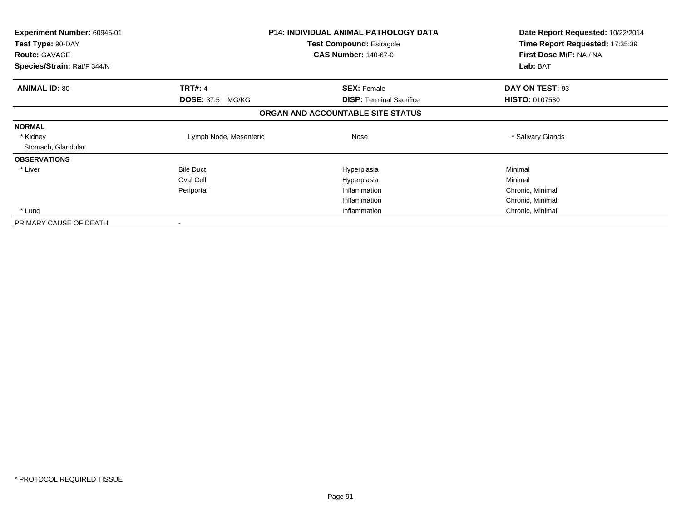| <b>Experiment Number: 60946-01</b><br>Test Type: 90-DAY<br><b>Route: GAVAGE</b><br>Species/Strain: Rat/F 344/N |                                           | <b>P14: INDIVIDUAL ANIMAL PATHOLOGY DATA</b><br>Test Compound: Estragole<br><b>CAS Number: 140-67-0</b> | Date Report Requested: 10/22/2014<br>Time Report Requested: 17:35:39<br>First Dose M/F: NA / NA<br>Lab: BAT |
|----------------------------------------------------------------------------------------------------------------|-------------------------------------------|---------------------------------------------------------------------------------------------------------|-------------------------------------------------------------------------------------------------------------|
|                                                                                                                |                                           |                                                                                                         |                                                                                                             |
| <b>ANIMAL ID: 80</b>                                                                                           | <b>TRT#: 4</b><br><b>DOSE: 37.5 MG/KG</b> | <b>SEX: Female</b><br><b>DISP:</b> Terminal Sacrifice                                                   | DAY ON TEST: 93<br><b>HISTO: 0107580</b>                                                                    |
|                                                                                                                |                                           | ORGAN AND ACCOUNTABLE SITE STATUS                                                                       |                                                                                                             |
| <b>NORMAL</b>                                                                                                  |                                           |                                                                                                         |                                                                                                             |
| * Kidney                                                                                                       | Lymph Node, Mesenteric                    | Nose                                                                                                    | * Salivary Glands                                                                                           |
| Stomach, Glandular                                                                                             |                                           |                                                                                                         |                                                                                                             |
| <b>OBSERVATIONS</b>                                                                                            |                                           |                                                                                                         |                                                                                                             |
| * Liver                                                                                                        | <b>Bile Duct</b>                          | Hyperplasia                                                                                             | Minimal                                                                                                     |
|                                                                                                                | Oval Cell                                 | Hyperplasia                                                                                             | Minimal                                                                                                     |
|                                                                                                                | Periportal                                | Inflammation                                                                                            | Chronic, Minimal                                                                                            |
|                                                                                                                |                                           | Inflammation                                                                                            | Chronic, Minimal                                                                                            |
| * Lung                                                                                                         |                                           | Inflammation                                                                                            | Chronic, Minimal                                                                                            |
| PRIMARY CAUSE OF DEATH                                                                                         |                                           |                                                                                                         |                                                                                                             |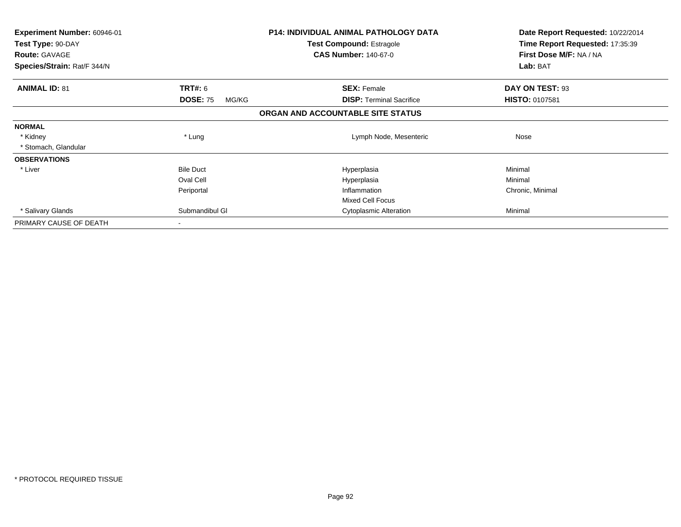| Experiment Number: 60946-01<br>Test Type: 90-DAY |                          | <b>P14: INDIVIDUAL ANIMAL PATHOLOGY DATA</b><br>Test Compound: Estragole | Date Report Requested: 10/22/2014<br>Time Report Requested: 17:35:39 |  |
|--------------------------------------------------|--------------------------|--------------------------------------------------------------------------|----------------------------------------------------------------------|--|
| <b>Route: GAVAGE</b>                             |                          | <b>CAS Number: 140-67-0</b>                                              | First Dose M/F: NA / NA                                              |  |
| Species/Strain: Rat/F 344/N                      |                          |                                                                          | Lab: BAT                                                             |  |
| <b>ANIMAL ID: 81</b>                             | <b>TRT#: 6</b>           | <b>SEX: Female</b>                                                       | DAY ON TEST: 93                                                      |  |
|                                                  | <b>DOSE: 75</b><br>MG/KG | <b>DISP:</b> Terminal Sacrifice                                          | HISTO: 0107581                                                       |  |
|                                                  |                          | ORGAN AND ACCOUNTABLE SITE STATUS                                        |                                                                      |  |
| <b>NORMAL</b>                                    |                          |                                                                          |                                                                      |  |
| * Kidney                                         | * Lung                   | Lymph Node, Mesenteric                                                   | Nose                                                                 |  |
| * Stomach, Glandular                             |                          |                                                                          |                                                                      |  |
| <b>OBSERVATIONS</b>                              |                          |                                                                          |                                                                      |  |
| * Liver                                          | <b>Bile Duct</b>         | Hyperplasia                                                              | Minimal                                                              |  |
|                                                  | Oval Cell                | Hyperplasia                                                              | Minimal                                                              |  |
|                                                  | Periportal               | Inflammation                                                             | Chronic, Minimal                                                     |  |
|                                                  |                          | <b>Mixed Cell Focus</b>                                                  |                                                                      |  |
| * Salivary Glands                                | Submandibul GI           | Cytoplasmic Alteration                                                   | Minimal                                                              |  |
| PRIMARY CAUSE OF DEATH                           |                          |                                                                          |                                                                      |  |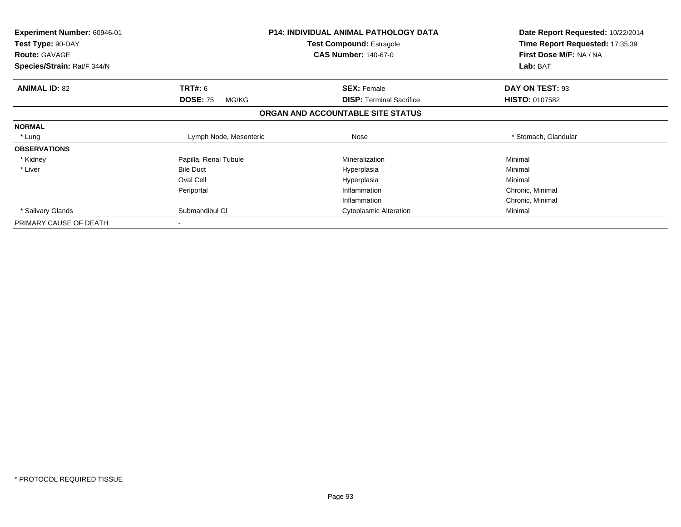| <b>Experiment Number: 60946-01</b><br>Test Type: 90-DAY<br><b>Route: GAVAGE</b><br>Species/Strain: Rat/F 344/N |                          | <b>P14: INDIVIDUAL ANIMAL PATHOLOGY DATA</b><br><b>Test Compound: Estragole</b><br><b>CAS Number: 140-67-0</b> | Date Report Requested: 10/22/2014<br>Time Report Requested: 17:35:39<br>First Dose M/F: NA / NA<br>Lab: BAT |
|----------------------------------------------------------------------------------------------------------------|--------------------------|----------------------------------------------------------------------------------------------------------------|-------------------------------------------------------------------------------------------------------------|
| <b>ANIMAL ID: 82</b>                                                                                           | <b>TRT#: 6</b>           | <b>SEX: Female</b>                                                                                             | DAY ON TEST: 93                                                                                             |
|                                                                                                                | <b>DOSE: 75</b><br>MG/KG | <b>DISP:</b> Terminal Sacrifice                                                                                | <b>HISTO: 0107582</b>                                                                                       |
|                                                                                                                |                          | ORGAN AND ACCOUNTABLE SITE STATUS                                                                              |                                                                                                             |
| <b>NORMAL</b>                                                                                                  |                          |                                                                                                                |                                                                                                             |
| * Lung                                                                                                         | Lymph Node, Mesenteric   | Nose                                                                                                           | * Stomach, Glandular                                                                                        |
| <b>OBSERVATIONS</b>                                                                                            |                          |                                                                                                                |                                                                                                             |
| * Kidney                                                                                                       | Papilla, Renal Tubule    | Mineralization                                                                                                 | Minimal                                                                                                     |
| * Liver                                                                                                        | <b>Bile Duct</b>         | Hyperplasia                                                                                                    | Minimal                                                                                                     |
|                                                                                                                | Oval Cell                | Hyperplasia                                                                                                    | Minimal                                                                                                     |
|                                                                                                                | Periportal               | Inflammation                                                                                                   | Chronic, Minimal                                                                                            |
|                                                                                                                |                          | Inflammation                                                                                                   | Chronic, Minimal                                                                                            |
| * Salivary Glands                                                                                              | Submandibul GI           | <b>Cytoplasmic Alteration</b>                                                                                  | Minimal                                                                                                     |
| PRIMARY CAUSE OF DEATH                                                                                         | $\overline{\phantom{a}}$ |                                                                                                                |                                                                                                             |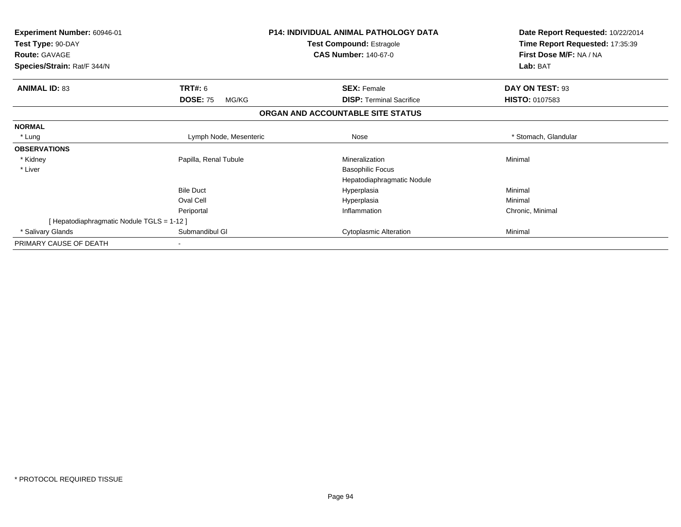| <b>Experiment Number: 60946-01</b><br>Test Type: 90-DAY<br><b>Route: GAVAGE</b><br>Species/Strain: Rat/F 344/N |                          | <b>P14: INDIVIDUAL ANIMAL PATHOLOGY DATA</b><br><b>Test Compound: Estragole</b><br><b>CAS Number: 140-67-0</b> | Date Report Requested: 10/22/2014<br>Time Report Requested: 17:35:39<br>First Dose M/F: NA / NA<br>Lab: BAT |
|----------------------------------------------------------------------------------------------------------------|--------------------------|----------------------------------------------------------------------------------------------------------------|-------------------------------------------------------------------------------------------------------------|
| <b>ANIMAL ID: 83</b>                                                                                           | <b>TRT#: 6</b>           | <b>SEX: Female</b>                                                                                             | DAY ON TEST: 93                                                                                             |
|                                                                                                                | <b>DOSE: 75</b><br>MG/KG | <b>DISP:</b> Terminal Sacrifice                                                                                | <b>HISTO: 0107583</b>                                                                                       |
|                                                                                                                |                          | ORGAN AND ACCOUNTABLE SITE STATUS                                                                              |                                                                                                             |
| <b>NORMAL</b>                                                                                                  |                          |                                                                                                                |                                                                                                             |
| * Lung                                                                                                         | Lymph Node, Mesenteric   | Nose                                                                                                           | * Stomach, Glandular                                                                                        |
| <b>OBSERVATIONS</b>                                                                                            |                          |                                                                                                                |                                                                                                             |
| * Kidney                                                                                                       | Papilla, Renal Tubule    | Mineralization                                                                                                 | Minimal                                                                                                     |
| * Liver                                                                                                        |                          | <b>Basophilic Focus</b>                                                                                        |                                                                                                             |
|                                                                                                                |                          | Hepatodiaphragmatic Nodule                                                                                     |                                                                                                             |
|                                                                                                                | <b>Bile Duct</b>         | Hyperplasia                                                                                                    | Minimal                                                                                                     |
|                                                                                                                | Oval Cell                | Hyperplasia                                                                                                    | Minimal                                                                                                     |
|                                                                                                                | Periportal               | Inflammation                                                                                                   | Chronic, Minimal                                                                                            |
| [ Hepatodiaphragmatic Nodule TGLS = 1-12 ]                                                                     |                          |                                                                                                                |                                                                                                             |
| * Salivary Glands                                                                                              | Submandibul GI           | <b>Cytoplasmic Alteration</b>                                                                                  | Minimal                                                                                                     |
| PRIMARY CAUSE OF DEATH                                                                                         |                          |                                                                                                                |                                                                                                             |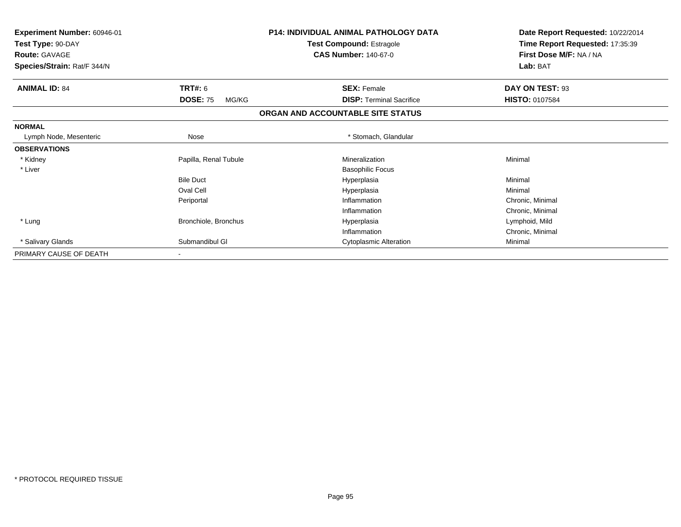| <b>Experiment Number: 60946-01</b><br>Test Type: 90-DAY<br><b>Route: GAVAGE</b><br>Species/Strain: Rat/F 344/N |                          | <b>P14: INDIVIDUAL ANIMAL PATHOLOGY DATA</b><br><b>Test Compound: Estragole</b><br><b>CAS Number: 140-67-0</b> | Date Report Requested: 10/22/2014<br>Time Report Requested: 17:35:39<br>First Dose M/F: NA / NA<br>Lab: BAT |
|----------------------------------------------------------------------------------------------------------------|--------------------------|----------------------------------------------------------------------------------------------------------------|-------------------------------------------------------------------------------------------------------------|
| <b>ANIMAL ID: 84</b>                                                                                           | TRT#: 6                  | <b>SEX: Female</b>                                                                                             | DAY ON TEST: 93                                                                                             |
|                                                                                                                | <b>DOSE: 75</b><br>MG/KG | <b>DISP:</b> Terminal Sacrifice                                                                                | <b>HISTO: 0107584</b>                                                                                       |
|                                                                                                                |                          | ORGAN AND ACCOUNTABLE SITE STATUS                                                                              |                                                                                                             |
| <b>NORMAL</b>                                                                                                  |                          |                                                                                                                |                                                                                                             |
| Lymph Node, Mesenteric                                                                                         | Nose                     | * Stomach, Glandular                                                                                           |                                                                                                             |
| <b>OBSERVATIONS</b>                                                                                            |                          |                                                                                                                |                                                                                                             |
| * Kidney                                                                                                       | Papilla, Renal Tubule    | Mineralization                                                                                                 | Minimal                                                                                                     |
| * Liver                                                                                                        |                          | <b>Basophilic Focus</b>                                                                                        |                                                                                                             |
|                                                                                                                | <b>Bile Duct</b>         | Hyperplasia                                                                                                    | Minimal                                                                                                     |
|                                                                                                                | Oval Cell                | Hyperplasia                                                                                                    | Minimal                                                                                                     |
|                                                                                                                | Periportal               | Inflammation                                                                                                   | Chronic, Minimal                                                                                            |
|                                                                                                                |                          | Inflammation                                                                                                   | Chronic, Minimal                                                                                            |
| * Lung                                                                                                         | Bronchiole, Bronchus     | Hyperplasia                                                                                                    | Lymphoid, Mild                                                                                              |
|                                                                                                                |                          | Inflammation                                                                                                   | Chronic, Minimal                                                                                            |
| * Salivary Glands                                                                                              | Submandibul GI           | <b>Cytoplasmic Alteration</b>                                                                                  | Minimal                                                                                                     |
| PRIMARY CAUSE OF DEATH                                                                                         |                          |                                                                                                                |                                                                                                             |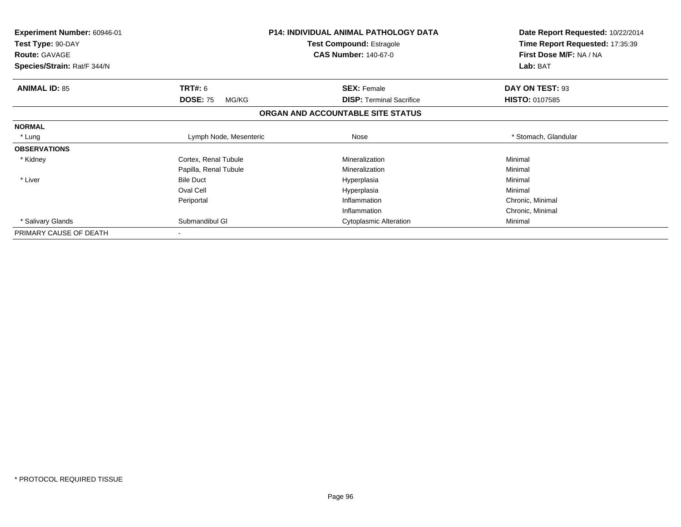| Experiment Number: 60946-01<br>Test Type: 90-DAY<br><b>Route: GAVAGE</b><br>Species/Strain: Rat/F 344/N |                          | <b>P14: INDIVIDUAL ANIMAL PATHOLOGY DATA</b><br><b>Test Compound: Estragole</b><br><b>CAS Number: 140-67-0</b> | Date Report Requested: 10/22/2014<br>Time Report Requested: 17:35:39<br>First Dose M/F: NA / NA<br>Lab: BAT |
|---------------------------------------------------------------------------------------------------------|--------------------------|----------------------------------------------------------------------------------------------------------------|-------------------------------------------------------------------------------------------------------------|
| <b>ANIMAL ID: 85</b>                                                                                    | <b>TRT#: 6</b>           | <b>SEX: Female</b>                                                                                             | DAY ON TEST: 93                                                                                             |
|                                                                                                         | <b>DOSE: 75</b><br>MG/KG | <b>DISP:</b> Terminal Sacrifice                                                                                | <b>HISTO: 0107585</b>                                                                                       |
|                                                                                                         |                          | ORGAN AND ACCOUNTABLE SITE STATUS                                                                              |                                                                                                             |
| <b>NORMAL</b>                                                                                           |                          |                                                                                                                |                                                                                                             |
| * Lung                                                                                                  | Lymph Node, Mesenteric   | Nose                                                                                                           | * Stomach, Glandular                                                                                        |
| <b>OBSERVATIONS</b>                                                                                     |                          |                                                                                                                |                                                                                                             |
| * Kidney                                                                                                | Cortex, Renal Tubule     | Mineralization                                                                                                 | Minimal                                                                                                     |
|                                                                                                         | Papilla, Renal Tubule    | Mineralization                                                                                                 | Minimal                                                                                                     |
| * Liver                                                                                                 | <b>Bile Duct</b>         | Hyperplasia                                                                                                    | Minimal                                                                                                     |
|                                                                                                         | Oval Cell                | Hyperplasia                                                                                                    | Minimal                                                                                                     |
|                                                                                                         | Periportal               | Inflammation                                                                                                   | Chronic, Minimal                                                                                            |
|                                                                                                         |                          | Inflammation                                                                                                   | Chronic, Minimal                                                                                            |
| * Salivary Glands                                                                                       | Submandibul GI           | <b>Cytoplasmic Alteration</b>                                                                                  | Minimal                                                                                                     |
| PRIMARY CAUSE OF DEATH                                                                                  |                          |                                                                                                                |                                                                                                             |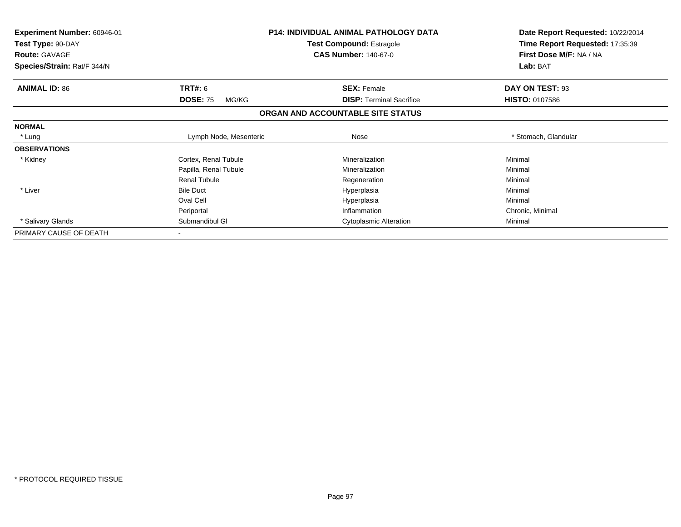| <b>Experiment Number: 60946-01</b><br>Test Type: 90-DAY<br><b>Route: GAVAGE</b> |                          | <b>P14: INDIVIDUAL ANIMAL PATHOLOGY DATA</b><br><b>Test Compound: Estragole</b><br><b>CAS Number: 140-67-0</b> | Date Report Requested: 10/22/2014<br>Time Report Requested: 17:35:39<br>First Dose M/F: NA / NA |
|---------------------------------------------------------------------------------|--------------------------|----------------------------------------------------------------------------------------------------------------|-------------------------------------------------------------------------------------------------|
| Species/Strain: Rat/F 344/N                                                     |                          |                                                                                                                | Lab: BAT                                                                                        |
| <b>ANIMAL ID: 86</b>                                                            | <b>TRT#: 6</b>           | <b>SEX: Female</b>                                                                                             | DAY ON TEST: 93                                                                                 |
|                                                                                 | <b>DOSE: 75</b><br>MG/KG | <b>DISP:</b> Terminal Sacrifice                                                                                | <b>HISTO: 0107586</b>                                                                           |
|                                                                                 |                          | ORGAN AND ACCOUNTABLE SITE STATUS                                                                              |                                                                                                 |
| <b>NORMAL</b>                                                                   |                          |                                                                                                                |                                                                                                 |
| * Lung                                                                          | Lymph Node, Mesenteric   | Nose                                                                                                           | * Stomach, Glandular                                                                            |
| <b>OBSERVATIONS</b>                                                             |                          |                                                                                                                |                                                                                                 |
| * Kidney                                                                        | Cortex, Renal Tubule     | Mineralization                                                                                                 | Minimal                                                                                         |
|                                                                                 | Papilla, Renal Tubule    | Mineralization                                                                                                 | Minimal                                                                                         |
|                                                                                 | <b>Renal Tubule</b>      | Regeneration                                                                                                   | Minimal                                                                                         |
| * Liver                                                                         | <b>Bile Duct</b>         | Hyperplasia                                                                                                    | Minimal                                                                                         |
|                                                                                 | Oval Cell                | Hyperplasia                                                                                                    | Minimal                                                                                         |
|                                                                                 | Periportal               | Inflammation                                                                                                   | Chronic, Minimal                                                                                |
| * Salivary Glands                                                               | Submandibul GI           | <b>Cytoplasmic Alteration</b>                                                                                  | Minimal                                                                                         |
| PRIMARY CAUSE OF DEATH                                                          |                          |                                                                                                                |                                                                                                 |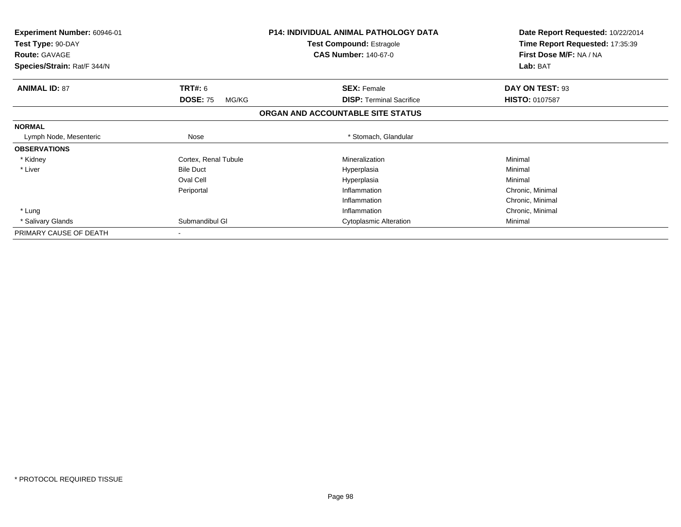| Experiment Number: 60946-01<br>Test Type: 90-DAY<br><b>Route: GAVAGE</b> |                          | <b>P14: INDIVIDUAL ANIMAL PATHOLOGY DATA</b><br><b>Test Compound: Estragole</b><br><b>CAS Number: 140-67-0</b> | Date Report Requested: 10/22/2014<br>Time Report Requested: 17:35:39<br>First Dose M/F: NA / NA |
|--------------------------------------------------------------------------|--------------------------|----------------------------------------------------------------------------------------------------------------|-------------------------------------------------------------------------------------------------|
| Species/Strain: Rat/F 344/N                                              |                          |                                                                                                                | Lab: BAT                                                                                        |
| <b>ANIMAL ID: 87</b>                                                     | <b>TRT#: 6</b>           | <b>SEX: Female</b>                                                                                             | DAY ON TEST: 93                                                                                 |
|                                                                          | <b>DOSE: 75</b><br>MG/KG | <b>DISP:</b> Terminal Sacrifice                                                                                | <b>HISTO: 0107587</b>                                                                           |
|                                                                          |                          | ORGAN AND ACCOUNTABLE SITE STATUS                                                                              |                                                                                                 |
| <b>NORMAL</b>                                                            |                          |                                                                                                                |                                                                                                 |
| Lymph Node, Mesenteric                                                   | Nose                     | * Stomach, Glandular                                                                                           |                                                                                                 |
| <b>OBSERVATIONS</b>                                                      |                          |                                                                                                                |                                                                                                 |
| * Kidney                                                                 | Cortex, Renal Tubule     | Mineralization                                                                                                 | Minimal                                                                                         |
| * Liver                                                                  | <b>Bile Duct</b>         | Hyperplasia                                                                                                    | Minimal                                                                                         |
|                                                                          | Oval Cell                | Hyperplasia                                                                                                    | Minimal                                                                                         |
|                                                                          | Periportal               | Inflammation                                                                                                   | Chronic, Minimal                                                                                |
|                                                                          |                          | Inflammation                                                                                                   | Chronic, Minimal                                                                                |
| * Lung                                                                   |                          | Inflammation                                                                                                   | Chronic, Minimal                                                                                |
| * Salivary Glands                                                        | Submandibul GI           | <b>Cytoplasmic Alteration</b>                                                                                  | Minimal                                                                                         |
| PRIMARY CAUSE OF DEATH                                                   |                          |                                                                                                                |                                                                                                 |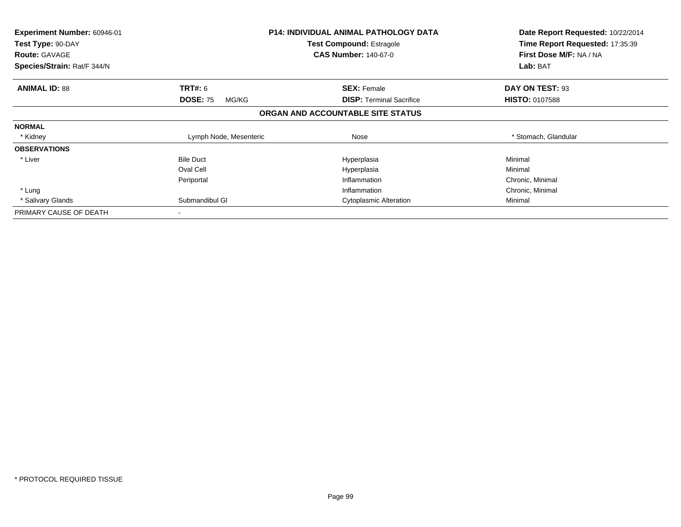| <b>Experiment Number: 60946-01</b><br>Test Type: 90-DAY<br><b>Route: GAVAGE</b> |                          | <b>P14: INDIVIDUAL ANIMAL PATHOLOGY DATA</b><br><b>Test Compound: Estragole</b><br><b>CAS Number: 140-67-0</b> | Date Report Requested: 10/22/2014<br>Time Report Requested: 17:35:39<br>First Dose M/F: NA / NA |
|---------------------------------------------------------------------------------|--------------------------|----------------------------------------------------------------------------------------------------------------|-------------------------------------------------------------------------------------------------|
| Species/Strain: Rat/F 344/N                                                     |                          |                                                                                                                | Lab: BAT                                                                                        |
| <b>ANIMAL ID: 88</b>                                                            | <b>TRT#: 6</b>           | <b>SEX: Female</b>                                                                                             | DAY ON TEST: 93                                                                                 |
|                                                                                 | <b>DOSE: 75</b><br>MG/KG | <b>DISP: Terminal Sacrifice</b>                                                                                | <b>HISTO: 0107588</b>                                                                           |
|                                                                                 |                          | ORGAN AND ACCOUNTABLE SITE STATUS                                                                              |                                                                                                 |
| <b>NORMAL</b>                                                                   |                          |                                                                                                                |                                                                                                 |
| * Kidney                                                                        | Lymph Node, Mesenteric   | Nose                                                                                                           | * Stomach, Glandular                                                                            |
| <b>OBSERVATIONS</b>                                                             |                          |                                                                                                                |                                                                                                 |
| * Liver                                                                         | <b>Bile Duct</b>         | Hyperplasia                                                                                                    | Minimal                                                                                         |
|                                                                                 | Oval Cell                | Hyperplasia                                                                                                    | Minimal                                                                                         |
|                                                                                 | Periportal               | Inflammation                                                                                                   | Chronic, Minimal                                                                                |
| * Lung                                                                          |                          | Inflammation                                                                                                   | Chronic, Minimal                                                                                |
| * Salivary Glands                                                               | Submandibul GI           | <b>Cytoplasmic Alteration</b>                                                                                  | Minimal                                                                                         |
| PRIMARY CAUSE OF DEATH                                                          | $\overline{\phantom{a}}$ |                                                                                                                |                                                                                                 |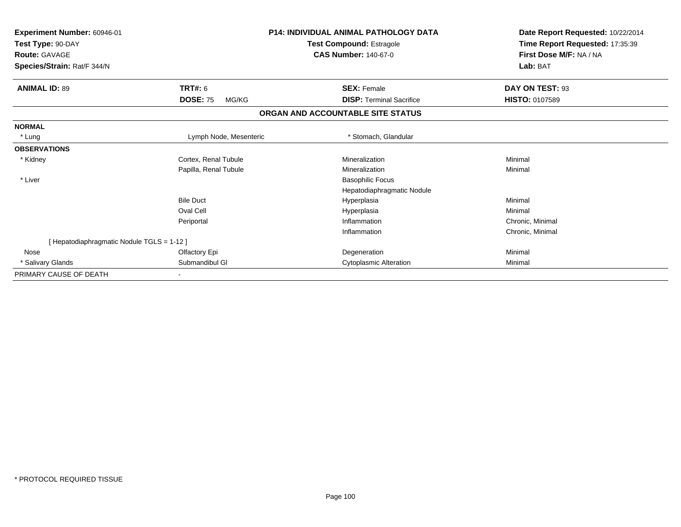| Experiment Number: 60946-01              |                          | <b>P14: INDIVIDUAL ANIMAL PATHOLOGY DATA</b> | Date Report Requested: 10/22/2014 |  |
|------------------------------------------|--------------------------|----------------------------------------------|-----------------------------------|--|
| Test Type: 90-DAY                        |                          | <b>Test Compound: Estragole</b>              | Time Report Requested: 17:35:39   |  |
| <b>Route: GAVAGE</b>                     |                          | <b>CAS Number: 140-67-0</b>                  | First Dose M/F: NA / NA           |  |
| Species/Strain: Rat/F 344/N              |                          |                                              | Lab: BAT                          |  |
| <b>ANIMAL ID: 89</b>                     | <b>TRT#: 6</b>           | <b>SEX: Female</b>                           | DAY ON TEST: 93                   |  |
|                                          | <b>DOSE: 75</b><br>MG/KG | <b>DISP: Terminal Sacrifice</b>              | <b>HISTO: 0107589</b>             |  |
|                                          |                          | ORGAN AND ACCOUNTABLE SITE STATUS            |                                   |  |
| <b>NORMAL</b>                            |                          |                                              |                                   |  |
| * Lung                                   | Lymph Node, Mesenteric   | * Stomach, Glandular                         |                                   |  |
| <b>OBSERVATIONS</b>                      |                          |                                              |                                   |  |
| * Kidney                                 | Cortex, Renal Tubule     | Mineralization                               | Minimal                           |  |
|                                          | Papilla, Renal Tubule    | Mineralization                               | Minimal                           |  |
| * Liver                                  |                          | <b>Basophilic Focus</b>                      |                                   |  |
|                                          |                          | Hepatodiaphragmatic Nodule                   |                                   |  |
|                                          | <b>Bile Duct</b>         | Hyperplasia                                  | Minimal                           |  |
|                                          | Oval Cell                | Hyperplasia                                  | Minimal                           |  |
|                                          | Periportal               | Inflammation                                 | Chronic, Minimal                  |  |
|                                          |                          | Inflammation                                 | Chronic, Minimal                  |  |
| [Hepatodiaphragmatic Nodule TGLS = 1-12] |                          |                                              |                                   |  |
| Nose                                     | Olfactory Epi            | Degeneration                                 | Minimal                           |  |
| * Salivary Glands                        | Submandibul GI           | <b>Cytoplasmic Alteration</b>                | Minimal                           |  |
| PRIMARY CAUSE OF DEATH                   |                          |                                              |                                   |  |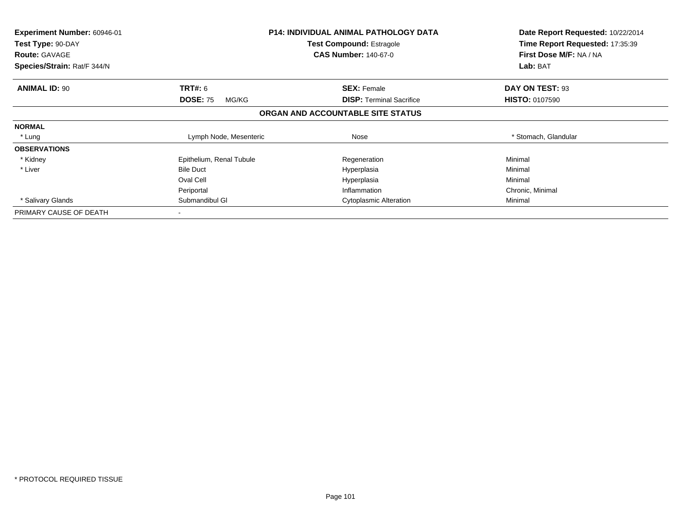| <b>Experiment Number: 60946-01</b> |                          | <b>P14: INDIVIDUAL ANIMAL PATHOLOGY DATA</b> | Date Report Requested: 10/22/2014 |
|------------------------------------|--------------------------|----------------------------------------------|-----------------------------------|
| Test Type: 90-DAY                  |                          | <b>Test Compound: Estragole</b>              | Time Report Requested: 17:35:39   |
| <b>Route: GAVAGE</b>               |                          | <b>CAS Number: 140-67-0</b>                  | First Dose M/F: NA / NA           |
| Species/Strain: Rat/F 344/N        |                          |                                              | Lab: BAT                          |
| <b>ANIMAL ID: 90</b>               | <b>TRT#: 6</b>           | <b>SEX: Female</b>                           | DAY ON TEST: 93                   |
|                                    | <b>DOSE: 75</b><br>MG/KG | <b>DISP: Terminal Sacrifice</b>              | <b>HISTO: 0107590</b>             |
|                                    |                          | ORGAN AND ACCOUNTABLE SITE STATUS            |                                   |
| <b>NORMAL</b>                      |                          |                                              |                                   |
| * Lung                             | Lymph Node, Mesenteric   | Nose                                         | * Stomach, Glandular              |
| <b>OBSERVATIONS</b>                |                          |                                              |                                   |
| * Kidney                           | Epithelium, Renal Tubule | Regeneration                                 | Minimal                           |
| * Liver                            | <b>Bile Duct</b>         | Hyperplasia                                  | Minimal                           |
|                                    | Oval Cell                | Hyperplasia                                  | Minimal                           |
|                                    | Periportal               | Inflammation                                 | Chronic, Minimal                  |
| * Salivary Glands                  | Submandibul GI           | <b>Cytoplasmic Alteration</b>                | Minimal                           |
| PRIMARY CAUSE OF DEATH             |                          |                                              |                                   |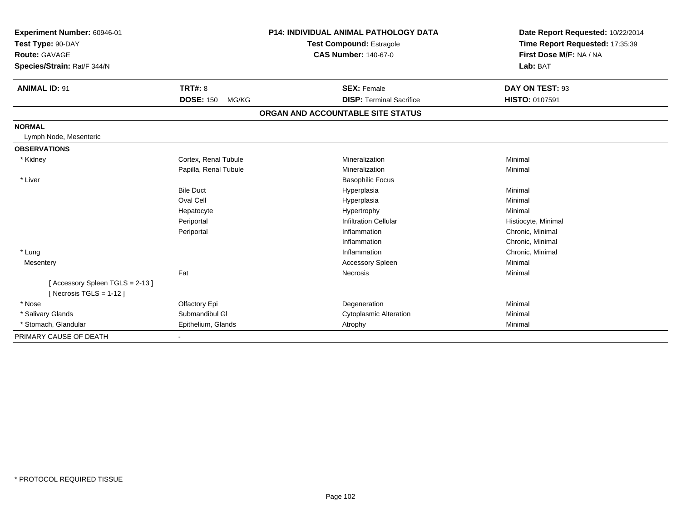| Experiment Number: 60946-01<br>Test Type: 90-DAY<br>Route: GAVAGE<br>Species/Strain: Rat/F 344/N<br><b>ANIMAL ID: 91</b> | <b>TRT#: 8</b>            | <b>P14: INDIVIDUAL ANIMAL PATHOLOGY DATA</b><br>Test Compound: Estragole<br><b>CAS Number: 140-67-0</b><br><b>SEX: Female</b> | Date Report Requested: 10/22/2014<br>Time Report Requested: 17:35:39<br>First Dose M/F: NA / NA<br>Lab: BAT<br>DAY ON TEST: 93 |
|--------------------------------------------------------------------------------------------------------------------------|---------------------------|-------------------------------------------------------------------------------------------------------------------------------|--------------------------------------------------------------------------------------------------------------------------------|
|                                                                                                                          | <b>DOSE: 150</b><br>MG/KG | <b>DISP: Terminal Sacrifice</b>                                                                                               | HISTO: 0107591                                                                                                                 |
|                                                                                                                          |                           | ORGAN AND ACCOUNTABLE SITE STATUS                                                                                             |                                                                                                                                |
| <b>NORMAL</b>                                                                                                            |                           |                                                                                                                               |                                                                                                                                |
| Lymph Node, Mesenteric                                                                                                   |                           |                                                                                                                               |                                                                                                                                |
| <b>OBSERVATIONS</b>                                                                                                      |                           |                                                                                                                               |                                                                                                                                |
| * Kidney                                                                                                                 | Cortex, Renal Tubule      | Mineralization                                                                                                                | Minimal                                                                                                                        |
|                                                                                                                          | Papilla, Renal Tubule     | Mineralization                                                                                                                | Minimal                                                                                                                        |
| * Liver                                                                                                                  |                           | <b>Basophilic Focus</b>                                                                                                       |                                                                                                                                |
|                                                                                                                          | <b>Bile Duct</b>          | Hyperplasia                                                                                                                   | Minimal                                                                                                                        |
|                                                                                                                          | Oval Cell                 | Hyperplasia                                                                                                                   | Minimal                                                                                                                        |
|                                                                                                                          | Hepatocyte                | Hypertrophy                                                                                                                   | Minimal                                                                                                                        |
|                                                                                                                          | Periportal                | <b>Infiltration Cellular</b>                                                                                                  | Histiocyte, Minimal                                                                                                            |
|                                                                                                                          | Periportal                | Inflammation                                                                                                                  | Chronic, Minimal                                                                                                               |
|                                                                                                                          |                           | Inflammation                                                                                                                  | Chronic, Minimal                                                                                                               |
| * Lung                                                                                                                   |                           | Inflammation                                                                                                                  | Chronic, Minimal                                                                                                               |
| Mesentery                                                                                                                |                           | <b>Accessory Spleen</b>                                                                                                       | Minimal                                                                                                                        |
|                                                                                                                          | Fat                       | Necrosis                                                                                                                      | Minimal                                                                                                                        |
| [Accessory Spleen TGLS = 2-13]<br>[ Necrosis $TGLS = 1-12$ ]                                                             |                           |                                                                                                                               |                                                                                                                                |
| * Nose                                                                                                                   | Olfactory Epi             | Degeneration                                                                                                                  | Minimal                                                                                                                        |
| * Salivary Glands                                                                                                        | Submandibul GI            | <b>Cytoplasmic Alteration</b>                                                                                                 | Minimal                                                                                                                        |
| * Stomach, Glandular                                                                                                     | Epithelium, Glands        | Atrophy                                                                                                                       | Minimal                                                                                                                        |
| PRIMARY CAUSE OF DEATH                                                                                                   | $\overline{\phantom{a}}$  |                                                                                                                               |                                                                                                                                |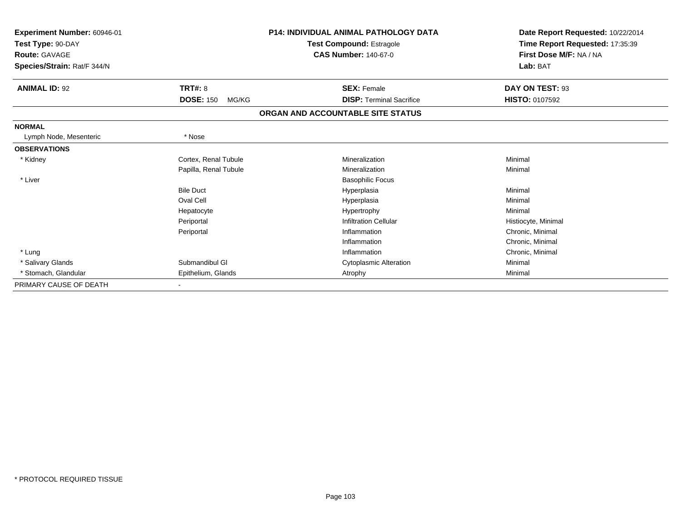| Experiment Number: 60946-01<br>Test Type: 90-DAY |                           | <b>P14: INDIVIDUAL ANIMAL PATHOLOGY DATA</b> | Date Report Requested: 10/22/2014 |
|--------------------------------------------------|---------------------------|----------------------------------------------|-----------------------------------|
|                                                  |                           | <b>Test Compound: Estragole</b>              | Time Report Requested: 17:35:39   |
| <b>Route: GAVAGE</b>                             |                           | <b>CAS Number: 140-67-0</b>                  | First Dose M/F: NA / NA           |
| Species/Strain: Rat/F 344/N                      |                           |                                              | Lab: BAT                          |
| <b>ANIMAL ID: 92</b>                             | <b>TRT#: 8</b>            | <b>SEX: Female</b>                           | DAY ON TEST: 93                   |
|                                                  | <b>DOSE: 150</b><br>MG/KG | <b>DISP: Terminal Sacrifice</b>              | <b>HISTO: 0107592</b>             |
|                                                  |                           | ORGAN AND ACCOUNTABLE SITE STATUS            |                                   |
| <b>NORMAL</b>                                    |                           |                                              |                                   |
| Lymph Node, Mesenteric                           | * Nose                    |                                              |                                   |
| <b>OBSERVATIONS</b>                              |                           |                                              |                                   |
| * Kidney                                         | Cortex, Renal Tubule      | Mineralization                               | Minimal                           |
|                                                  | Papilla, Renal Tubule     | Mineralization                               | Minimal                           |
| * Liver                                          |                           | <b>Basophilic Focus</b>                      |                                   |
|                                                  | <b>Bile Duct</b>          | Hyperplasia                                  | Minimal                           |
|                                                  | Oval Cell                 | Hyperplasia                                  | Minimal                           |
|                                                  | Hepatocyte                | Hypertrophy                                  | Minimal                           |
|                                                  | Periportal                | <b>Infiltration Cellular</b>                 | Histiocyte, Minimal               |
|                                                  | Periportal                | Inflammation                                 | Chronic, Minimal                  |
|                                                  |                           | Inflammation                                 | Chronic, Minimal                  |
| * Lung                                           |                           | Inflammation                                 | Chronic, Minimal                  |
| * Salivary Glands                                | Submandibul GI            | <b>Cytoplasmic Alteration</b>                | Minimal                           |
| * Stomach, Glandular                             | Epithelium, Glands        | Atrophy                                      | Minimal                           |
| PRIMARY CAUSE OF DEATH                           |                           |                                              |                                   |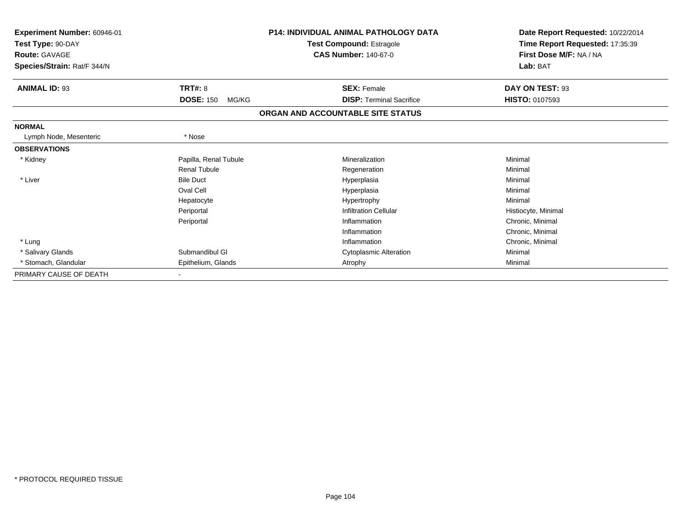| Experiment Number: 60946-01<br>Test Type: 90-DAY |                           | <b>P14: INDIVIDUAL ANIMAL PATHOLOGY DATA</b> | Date Report Requested: 10/22/2014<br>Time Report Requested: 17:35:39 |  |
|--------------------------------------------------|---------------------------|----------------------------------------------|----------------------------------------------------------------------|--|
|                                                  |                           | <b>Test Compound: Estragole</b>              |                                                                      |  |
| <b>Route: GAVAGE</b>                             |                           | <b>CAS Number: 140-67-0</b>                  | First Dose M/F: NA / NA                                              |  |
| Species/Strain: Rat/F 344/N                      |                           |                                              | Lab: BAT                                                             |  |
| <b>ANIMAL ID: 93</b>                             | <b>TRT#: 8</b>            | <b>SEX: Female</b>                           | DAY ON TEST: 93                                                      |  |
|                                                  | <b>DOSE: 150</b><br>MG/KG | <b>DISP: Terminal Sacrifice</b>              | <b>HISTO: 0107593</b>                                                |  |
|                                                  |                           | ORGAN AND ACCOUNTABLE SITE STATUS            |                                                                      |  |
| <b>NORMAL</b>                                    |                           |                                              |                                                                      |  |
| Lymph Node, Mesenteric                           | * Nose                    |                                              |                                                                      |  |
| <b>OBSERVATIONS</b>                              |                           |                                              |                                                                      |  |
| * Kidney                                         | Papilla, Renal Tubule     | Mineralization                               | Minimal                                                              |  |
|                                                  | Renal Tubule              | Regeneration                                 | Minimal                                                              |  |
| * Liver                                          | <b>Bile Duct</b>          | Hyperplasia                                  | Minimal                                                              |  |
|                                                  | Oval Cell                 | Hyperplasia                                  | Minimal                                                              |  |
|                                                  | Hepatocyte                | Hypertrophy                                  | Minimal                                                              |  |
|                                                  | Periportal                | <b>Infiltration Cellular</b>                 | Histiocyte, Minimal                                                  |  |
|                                                  | Periportal                | Inflammation                                 | Chronic, Minimal                                                     |  |
|                                                  |                           | Inflammation                                 | Chronic, Minimal                                                     |  |
| * Lung                                           |                           | Inflammation                                 | Chronic, Minimal                                                     |  |
| * Salivary Glands                                | Submandibul GI            | <b>Cytoplasmic Alteration</b>                | Minimal                                                              |  |
| * Stomach, Glandular                             | Epithelium, Glands        | Atrophy                                      | Minimal                                                              |  |
| PRIMARY CAUSE OF DEATH                           |                           |                                              |                                                                      |  |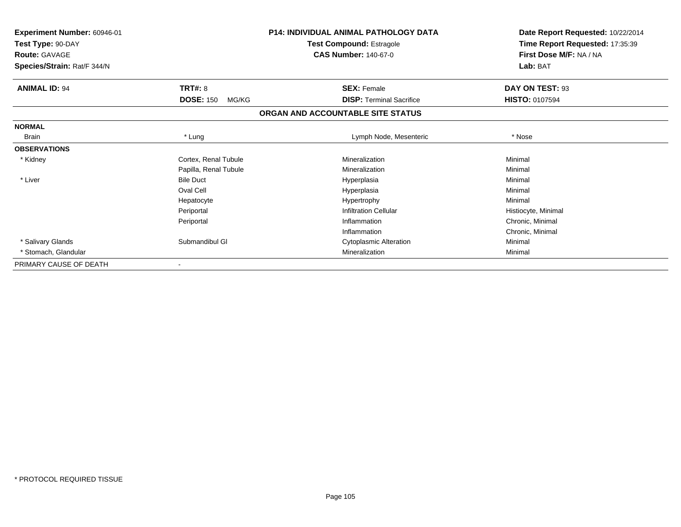| Experiment Number: 60946-01<br>Test Type: 90-DAY<br><b>Route: GAVAGE</b><br>Species/Strain: Rat/F 344/N |                           | <b>P14: INDIVIDUAL ANIMAL PATHOLOGY DATA</b><br><b>Test Compound: Estragole</b><br><b>CAS Number: 140-67-0</b> | Date Report Requested: 10/22/2014<br>Time Report Requested: 17:35:39<br>First Dose M/F: NA / NA<br>Lab: BAT |
|---------------------------------------------------------------------------------------------------------|---------------------------|----------------------------------------------------------------------------------------------------------------|-------------------------------------------------------------------------------------------------------------|
| <b>ANIMAL ID: 94</b>                                                                                    | <b>TRT#: 8</b>            | <b>SEX: Female</b>                                                                                             | DAY ON TEST: 93                                                                                             |
|                                                                                                         | <b>DOSE: 150</b><br>MG/KG | <b>DISP:</b> Terminal Sacrifice                                                                                | <b>HISTO: 0107594</b>                                                                                       |
|                                                                                                         |                           | ORGAN AND ACCOUNTABLE SITE STATUS                                                                              |                                                                                                             |
| <b>NORMAL</b>                                                                                           |                           |                                                                                                                |                                                                                                             |
| <b>Brain</b>                                                                                            | * Lung                    | Lymph Node, Mesenteric                                                                                         | * Nose                                                                                                      |
| <b>OBSERVATIONS</b>                                                                                     |                           |                                                                                                                |                                                                                                             |
| * Kidney                                                                                                | Cortex, Renal Tubule      | Mineralization                                                                                                 | Minimal                                                                                                     |
|                                                                                                         | Papilla, Renal Tubule     | Mineralization                                                                                                 | Minimal                                                                                                     |
| * Liver                                                                                                 | <b>Bile Duct</b>          | Hyperplasia                                                                                                    | Minimal                                                                                                     |
|                                                                                                         | Oval Cell                 | Hyperplasia                                                                                                    | Minimal                                                                                                     |
|                                                                                                         | Hepatocyte                | Hypertrophy                                                                                                    | Minimal                                                                                                     |
|                                                                                                         | Periportal                | <b>Infiltration Cellular</b>                                                                                   | Histiocyte, Minimal                                                                                         |
|                                                                                                         | Periportal                | Inflammation                                                                                                   | Chronic, Minimal                                                                                            |
|                                                                                                         |                           | Inflammation                                                                                                   | Chronic, Minimal                                                                                            |
| * Salivary Glands                                                                                       | Submandibul GI            | <b>Cytoplasmic Alteration</b>                                                                                  | Minimal                                                                                                     |
| * Stomach, Glandular                                                                                    |                           | Mineralization                                                                                                 | Minimal                                                                                                     |
| PRIMARY CAUSE OF DEATH                                                                                  |                           |                                                                                                                |                                                                                                             |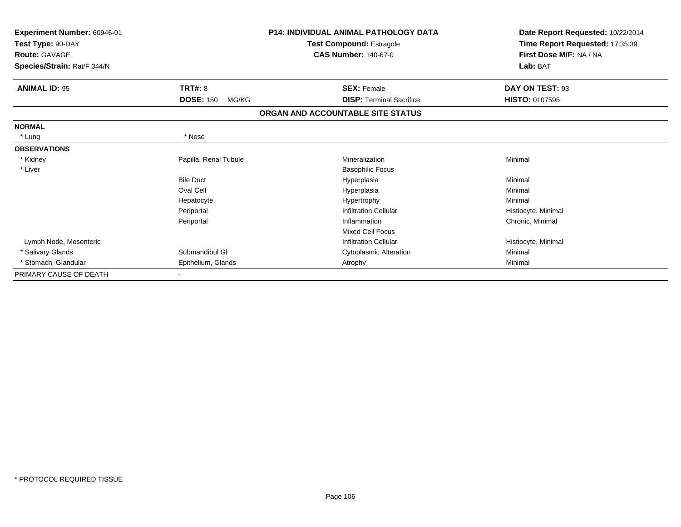| Experiment Number: 60946-01<br>Test Type: 90-DAY<br><b>Route: GAVAGE</b> |                           | <b>P14: INDIVIDUAL ANIMAL PATHOLOGY DATA</b><br>Test Compound: Estragole<br><b>CAS Number: 140-67-0</b> | Date Report Requested: 10/22/2014<br>Time Report Requested: 17:35:39<br>First Dose M/F: NA / NA |
|--------------------------------------------------------------------------|---------------------------|---------------------------------------------------------------------------------------------------------|-------------------------------------------------------------------------------------------------|
| Species/Strain: Rat/F 344/N                                              |                           |                                                                                                         | Lab: BAT                                                                                        |
| <b>ANIMAL ID: 95</b>                                                     | <b>TRT#: 8</b>            | <b>SEX: Female</b>                                                                                      | DAY ON TEST: 93                                                                                 |
|                                                                          | <b>DOSE: 150</b><br>MG/KG | <b>DISP: Terminal Sacrifice</b>                                                                         | <b>HISTO: 0107595</b>                                                                           |
|                                                                          |                           | ORGAN AND ACCOUNTABLE SITE STATUS                                                                       |                                                                                                 |
| <b>NORMAL</b>                                                            |                           |                                                                                                         |                                                                                                 |
| * Lung                                                                   | * Nose                    |                                                                                                         |                                                                                                 |
| <b>OBSERVATIONS</b>                                                      |                           |                                                                                                         |                                                                                                 |
| * Kidney                                                                 | Papilla, Renal Tubule     | Mineralization                                                                                          | Minimal                                                                                         |
| * Liver                                                                  |                           | <b>Basophilic Focus</b>                                                                                 |                                                                                                 |
|                                                                          | <b>Bile Duct</b>          | Hyperplasia                                                                                             | Minimal                                                                                         |
|                                                                          | Oval Cell                 | Hyperplasia                                                                                             | Minimal                                                                                         |
|                                                                          | Hepatocyte                | Hypertrophy                                                                                             | Minimal                                                                                         |
|                                                                          | Periportal                | <b>Infiltration Cellular</b>                                                                            | Histiocyte, Minimal                                                                             |
|                                                                          | Periportal                | Inflammation                                                                                            | Chronic, Minimal                                                                                |
|                                                                          |                           | <b>Mixed Cell Focus</b>                                                                                 |                                                                                                 |
| Lymph Node, Mesenteric                                                   |                           | <b>Infiltration Cellular</b>                                                                            | Histiocyte, Minimal                                                                             |
| * Salivary Glands                                                        | Submandibul GI            | Cytoplasmic Alteration                                                                                  | Minimal                                                                                         |
| * Stomach, Glandular                                                     | Epithelium, Glands        | Atrophy                                                                                                 | Minimal                                                                                         |
| PRIMARY CAUSE OF DEATH                                                   |                           |                                                                                                         |                                                                                                 |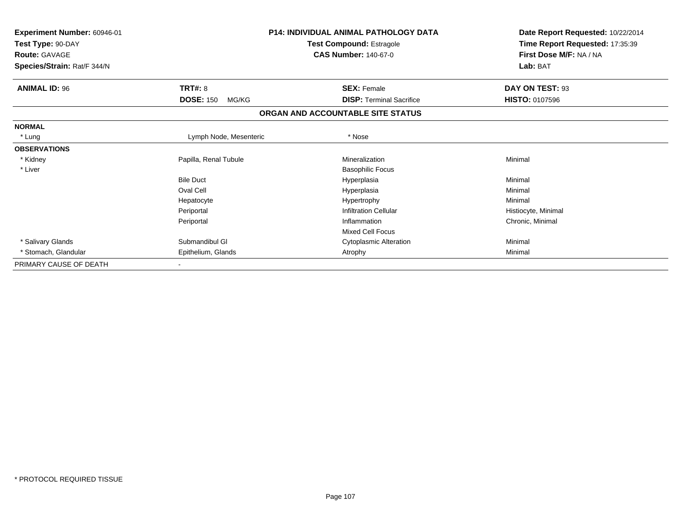| Experiment Number: 60946-01<br>Test Type: 90-DAY<br><b>Route: GAVAGE</b><br>Species/Strain: Rat/F 344/N |                           | <b>P14: INDIVIDUAL ANIMAL PATHOLOGY DATA</b><br><b>Test Compound: Estragole</b><br><b>CAS Number: 140-67-0</b> | Date Report Requested: 10/22/2014<br>Time Report Requested: 17:35:39<br>First Dose M/F: NA / NA<br>Lab: BAT |
|---------------------------------------------------------------------------------------------------------|---------------------------|----------------------------------------------------------------------------------------------------------------|-------------------------------------------------------------------------------------------------------------|
| <b>ANIMAL ID: 96</b>                                                                                    | TRT#: 8                   | <b>SEX: Female</b>                                                                                             | DAY ON TEST: 93                                                                                             |
|                                                                                                         | <b>DOSE: 150</b><br>MG/KG | <b>DISP: Terminal Sacrifice</b>                                                                                | <b>HISTO: 0107596</b>                                                                                       |
|                                                                                                         |                           | ORGAN AND ACCOUNTABLE SITE STATUS                                                                              |                                                                                                             |
| <b>NORMAL</b>                                                                                           |                           |                                                                                                                |                                                                                                             |
| * Lung                                                                                                  | Lymph Node, Mesenteric    | * Nose                                                                                                         |                                                                                                             |
| <b>OBSERVATIONS</b>                                                                                     |                           |                                                                                                                |                                                                                                             |
| * Kidney                                                                                                | Papilla, Renal Tubule     | Mineralization                                                                                                 | Minimal                                                                                                     |
| * Liver                                                                                                 |                           | <b>Basophilic Focus</b>                                                                                        |                                                                                                             |
|                                                                                                         | <b>Bile Duct</b>          | Hyperplasia                                                                                                    | Minimal                                                                                                     |
|                                                                                                         | Oval Cell                 | Hyperplasia                                                                                                    | Minimal                                                                                                     |
|                                                                                                         | Hepatocyte                | Hypertrophy                                                                                                    | Minimal                                                                                                     |
|                                                                                                         | Periportal                | <b>Infiltration Cellular</b>                                                                                   | Histiocyte, Minimal                                                                                         |
|                                                                                                         | Periportal                | Inflammation                                                                                                   | Chronic, Minimal                                                                                            |
|                                                                                                         |                           | <b>Mixed Cell Focus</b>                                                                                        |                                                                                                             |
| * Salivary Glands                                                                                       | Submandibul GI            | <b>Cytoplasmic Alteration</b>                                                                                  | Minimal                                                                                                     |
| * Stomach, Glandular                                                                                    | Epithelium, Glands        | Atrophy                                                                                                        | Minimal                                                                                                     |
| PRIMARY CAUSE OF DEATH                                                                                  |                           |                                                                                                                |                                                                                                             |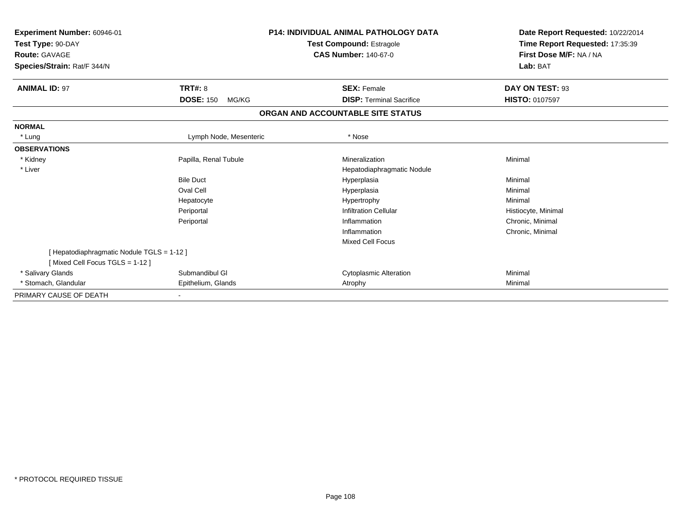| <b>Experiment Number: 60946-01</b><br>Test Type: 90-DAY<br><b>Route: GAVAGE</b><br>Species/Strain: Rat/F 344/N |                           | <b>P14: INDIVIDUAL ANIMAL PATHOLOGY DATA</b><br><b>Test Compound: Estragole</b><br><b>CAS Number: 140-67-0</b> | Date Report Requested: 10/22/2014<br>Time Report Requested: 17:35:39<br>First Dose M/F: NA / NA<br>Lab: BAT |
|----------------------------------------------------------------------------------------------------------------|---------------------------|----------------------------------------------------------------------------------------------------------------|-------------------------------------------------------------------------------------------------------------|
| <b>ANIMAL ID: 97</b>                                                                                           | <b>TRT#: 8</b>            | <b>SEX: Female</b>                                                                                             | DAY ON TEST: 93                                                                                             |
|                                                                                                                | <b>DOSE: 150</b><br>MG/KG | <b>DISP: Terminal Sacrifice</b>                                                                                | <b>HISTO: 0107597</b>                                                                                       |
|                                                                                                                |                           | ORGAN AND ACCOUNTABLE SITE STATUS                                                                              |                                                                                                             |
| <b>NORMAL</b>                                                                                                  |                           |                                                                                                                |                                                                                                             |
| * Lung                                                                                                         | Lymph Node, Mesenteric    | * Nose                                                                                                         |                                                                                                             |
| <b>OBSERVATIONS</b>                                                                                            |                           |                                                                                                                |                                                                                                             |
| * Kidney                                                                                                       | Papilla, Renal Tubule     | Mineralization                                                                                                 | Minimal                                                                                                     |
| * Liver                                                                                                        |                           | Hepatodiaphragmatic Nodule                                                                                     |                                                                                                             |
|                                                                                                                | <b>Bile Duct</b>          | Hyperplasia                                                                                                    | Minimal                                                                                                     |
|                                                                                                                | Oval Cell                 | Hyperplasia                                                                                                    | Minimal                                                                                                     |
|                                                                                                                | Hepatocyte                | Hypertrophy                                                                                                    | Minimal                                                                                                     |
|                                                                                                                | Periportal                | <b>Infiltration Cellular</b>                                                                                   | Histiocyte, Minimal                                                                                         |
|                                                                                                                | Periportal                | Inflammation                                                                                                   | Chronic, Minimal                                                                                            |
|                                                                                                                |                           | Inflammation                                                                                                   | Chronic, Minimal                                                                                            |
|                                                                                                                |                           | <b>Mixed Cell Focus</b>                                                                                        |                                                                                                             |
| [Hepatodiaphragmatic Nodule TGLS = 1-12]<br>[Mixed Cell Focus TGLS = 1-12]                                     |                           |                                                                                                                |                                                                                                             |
| * Salivary Glands                                                                                              | Submandibul GI            | <b>Cytoplasmic Alteration</b>                                                                                  | Minimal                                                                                                     |
| * Stomach, Glandular                                                                                           | Epithelium, Glands        | Atrophy                                                                                                        | Minimal                                                                                                     |
| PRIMARY CAUSE OF DEATH                                                                                         |                           |                                                                                                                |                                                                                                             |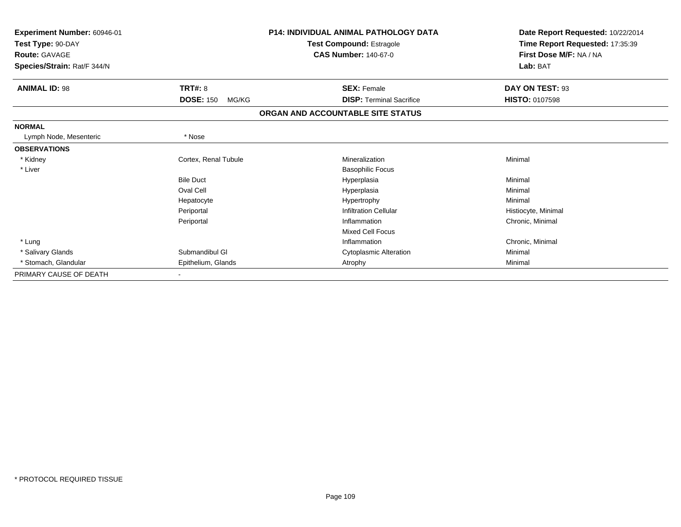| Experiment Number: 60946-01 |                           | <b>P14: INDIVIDUAL ANIMAL PATHOLOGY DATA</b> | Date Report Requested: 10/22/2014                          |  |
|-----------------------------|---------------------------|----------------------------------------------|------------------------------------------------------------|--|
| Test Type: 90-DAY           |                           | <b>Test Compound: Estragole</b>              | Time Report Requested: 17:35:39<br>First Dose M/F: NA / NA |  |
| <b>Route: GAVAGE</b>        |                           | <b>CAS Number: 140-67-0</b>                  |                                                            |  |
| Species/Strain: Rat/F 344/N |                           |                                              | Lab: BAT                                                   |  |
| <b>ANIMAL ID: 98</b>        | <b>TRT#: 8</b>            | <b>SEX: Female</b>                           | DAY ON TEST: 93                                            |  |
|                             | <b>DOSE: 150</b><br>MG/KG | <b>DISP: Terminal Sacrifice</b>              | <b>HISTO: 0107598</b>                                      |  |
|                             |                           | ORGAN AND ACCOUNTABLE SITE STATUS            |                                                            |  |
| <b>NORMAL</b>               |                           |                                              |                                                            |  |
| Lymph Node, Mesenteric      | * Nose                    |                                              |                                                            |  |
| <b>OBSERVATIONS</b>         |                           |                                              |                                                            |  |
| * Kidney                    | Cortex, Renal Tubule      | Mineralization                               | Minimal                                                    |  |
| * Liver                     |                           | <b>Basophilic Focus</b>                      |                                                            |  |
|                             | <b>Bile Duct</b>          | Hyperplasia                                  | Minimal                                                    |  |
|                             | Oval Cell                 | Hyperplasia                                  | Minimal                                                    |  |
|                             | Hepatocyte                | Hypertrophy                                  | Minimal                                                    |  |
|                             | Periportal                | <b>Infiltration Cellular</b>                 | Histiocyte, Minimal                                        |  |
|                             | Periportal                | Inflammation                                 | Chronic, Minimal                                           |  |
|                             |                           | <b>Mixed Cell Focus</b>                      |                                                            |  |
| * Lung                      |                           | Inflammation                                 | Chronic, Minimal                                           |  |
| * Salivary Glands           | Submandibul GI            | <b>Cytoplasmic Alteration</b>                | Minimal                                                    |  |
| * Stomach, Glandular        | Epithelium, Glands        | Atrophy                                      | Minimal                                                    |  |
| PRIMARY CAUSE OF DEATH      |                           |                                              |                                                            |  |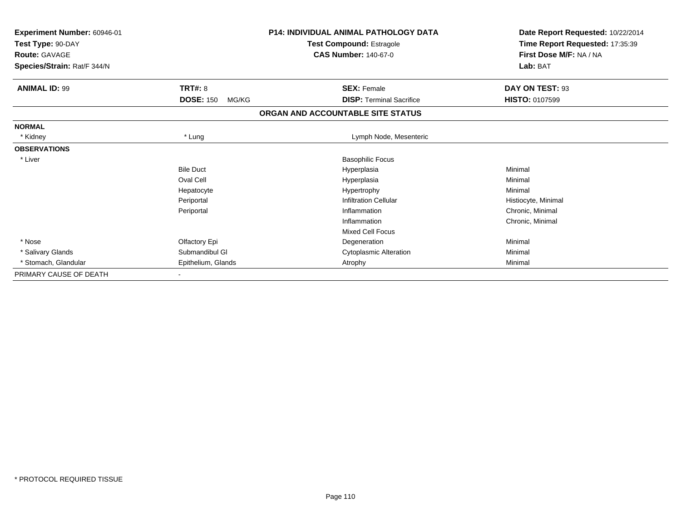| <b>Experiment Number: 60946-01</b><br>Test Type: 90-DAY<br><b>Route: GAVAGE</b><br>Species/Strain: Rat/F 344/N |                           | <b>P14: INDIVIDUAL ANIMAL PATHOLOGY DATA</b><br><b>Test Compound: Estragole</b><br><b>CAS Number: 140-67-0</b> | Date Report Requested: 10/22/2014<br>Time Report Requested: 17:35:39<br>First Dose M/F: NA / NA<br>Lab: BAT |  |
|----------------------------------------------------------------------------------------------------------------|---------------------------|----------------------------------------------------------------------------------------------------------------|-------------------------------------------------------------------------------------------------------------|--|
| <b>ANIMAL ID: 99</b>                                                                                           | <b>TRT#: 8</b>            | <b>SEX: Female</b>                                                                                             | DAY ON TEST: 93                                                                                             |  |
|                                                                                                                | <b>DOSE: 150</b><br>MG/KG | <b>DISP: Terminal Sacrifice</b>                                                                                | <b>HISTO: 0107599</b>                                                                                       |  |
|                                                                                                                |                           | ORGAN AND ACCOUNTABLE SITE STATUS                                                                              |                                                                                                             |  |
| <b>NORMAL</b>                                                                                                  |                           |                                                                                                                |                                                                                                             |  |
| * Kidney                                                                                                       | * Lung                    | Lymph Node, Mesenteric                                                                                         |                                                                                                             |  |
| <b>OBSERVATIONS</b>                                                                                            |                           |                                                                                                                |                                                                                                             |  |
| * Liver                                                                                                        |                           | <b>Basophilic Focus</b>                                                                                        |                                                                                                             |  |
|                                                                                                                | <b>Bile Duct</b>          | Hyperplasia                                                                                                    | Minimal                                                                                                     |  |
|                                                                                                                | Oval Cell                 | Hyperplasia                                                                                                    | Minimal                                                                                                     |  |
|                                                                                                                | Hepatocyte                | Hypertrophy                                                                                                    | Minimal                                                                                                     |  |
|                                                                                                                | Periportal                | <b>Infiltration Cellular</b>                                                                                   | Histiocyte, Minimal                                                                                         |  |
|                                                                                                                | Periportal                | Inflammation                                                                                                   | Chronic, Minimal                                                                                            |  |
|                                                                                                                |                           | Inflammation                                                                                                   | Chronic, Minimal                                                                                            |  |
|                                                                                                                |                           | <b>Mixed Cell Focus</b>                                                                                        |                                                                                                             |  |
| * Nose                                                                                                         | Olfactory Epi             | Degeneration                                                                                                   | Minimal                                                                                                     |  |
| * Salivary Glands                                                                                              | Submandibul GI            | <b>Cytoplasmic Alteration</b>                                                                                  | Minimal                                                                                                     |  |
| * Stomach, Glandular                                                                                           | Epithelium, Glands        | Atrophy                                                                                                        | Minimal                                                                                                     |  |
| PRIMARY CAUSE OF DEATH                                                                                         |                           |                                                                                                                |                                                                                                             |  |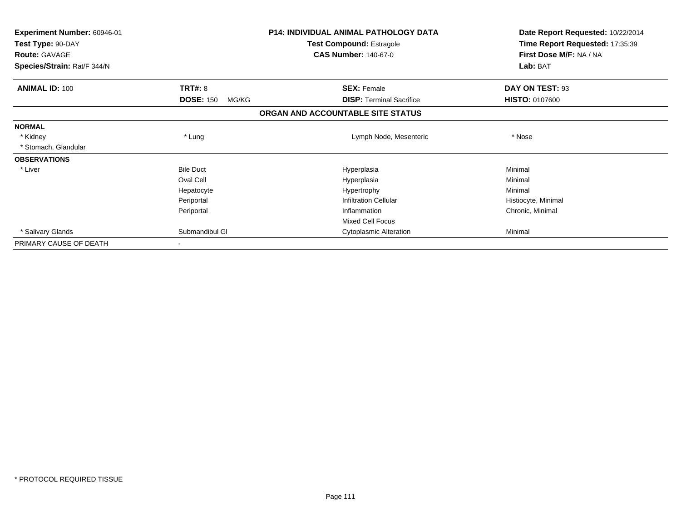| Experiment Number: 60946-01<br>Test Type: 90-DAY<br><b>Route: GAVAGE</b> |                           | <b>P14: INDIVIDUAL ANIMAL PATHOLOGY DATA</b><br><b>Test Compound: Estragole</b><br><b>CAS Number: 140-67-0</b> | Date Report Requested: 10/22/2014<br>Time Report Requested: 17:35:39<br>First Dose M/F: NA / NA |
|--------------------------------------------------------------------------|---------------------------|----------------------------------------------------------------------------------------------------------------|-------------------------------------------------------------------------------------------------|
| Species/Strain: Rat/F 344/N                                              |                           |                                                                                                                | Lab: BAT                                                                                        |
| <b>ANIMAL ID: 100</b>                                                    | <b>TRT#: 8</b>            | <b>SEX: Female</b>                                                                                             | DAY ON TEST: 93                                                                                 |
|                                                                          | <b>DOSE: 150</b><br>MG/KG | <b>DISP:</b> Terminal Sacrifice                                                                                | <b>HISTO: 0107600</b>                                                                           |
|                                                                          |                           | ORGAN AND ACCOUNTABLE SITE STATUS                                                                              |                                                                                                 |
| <b>NORMAL</b>                                                            |                           |                                                                                                                |                                                                                                 |
| * Kidney                                                                 | * Lung                    | Lymph Node, Mesenteric                                                                                         | * Nose                                                                                          |
| * Stomach, Glandular                                                     |                           |                                                                                                                |                                                                                                 |
| <b>OBSERVATIONS</b>                                                      |                           |                                                                                                                |                                                                                                 |
| * Liver                                                                  | <b>Bile Duct</b>          | Hyperplasia                                                                                                    | Minimal                                                                                         |
|                                                                          | Oval Cell                 | Hyperplasia                                                                                                    | Minimal                                                                                         |
|                                                                          | Hepatocyte                | Hypertrophy                                                                                                    | Minimal                                                                                         |
|                                                                          | Periportal                | <b>Infiltration Cellular</b>                                                                                   | Histiocyte, Minimal                                                                             |
|                                                                          | Periportal                | Inflammation                                                                                                   | Chronic, Minimal                                                                                |
|                                                                          |                           | <b>Mixed Cell Focus</b>                                                                                        |                                                                                                 |
| * Salivary Glands                                                        | Submandibul GI            | <b>Cytoplasmic Alteration</b>                                                                                  | Minimal                                                                                         |
| PRIMARY CAUSE OF DEATH                                                   |                           |                                                                                                                |                                                                                                 |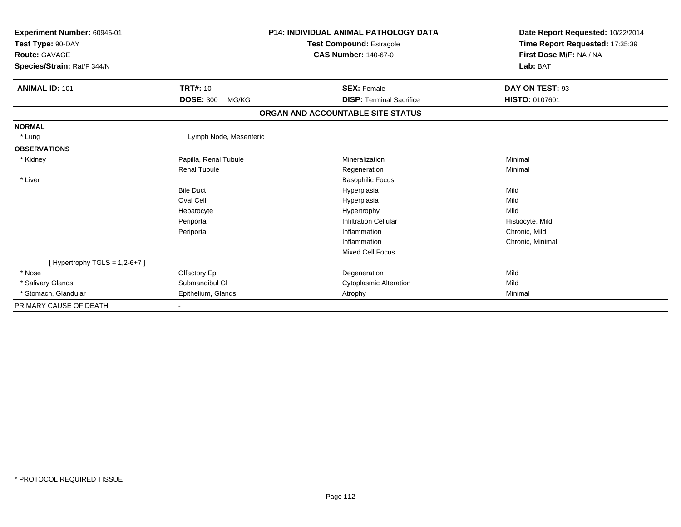| Experiment Number: 60946-01<br>Test Type: 90-DAY<br>Route: GAVAGE<br>Species/Strain: Rat/F 344/N |                           | <b>P14: INDIVIDUAL ANIMAL PATHOLOGY DATA</b><br><b>Test Compound: Estragole</b><br><b>CAS Number: 140-67-0</b> | Date Report Requested: 10/22/2014<br>Time Report Requested: 17:35:39<br>First Dose M/F: NA / NA<br>Lab: BAT |  |
|--------------------------------------------------------------------------------------------------|---------------------------|----------------------------------------------------------------------------------------------------------------|-------------------------------------------------------------------------------------------------------------|--|
| <b>ANIMAL ID: 101</b>                                                                            | <b>TRT#: 10</b>           | <b>SEX: Female</b>                                                                                             | DAY ON TEST: 93                                                                                             |  |
|                                                                                                  | <b>DOSE: 300</b><br>MG/KG | <b>DISP: Terminal Sacrifice</b>                                                                                | <b>HISTO: 0107601</b>                                                                                       |  |
|                                                                                                  |                           | ORGAN AND ACCOUNTABLE SITE STATUS                                                                              |                                                                                                             |  |
| <b>NORMAL</b>                                                                                    |                           |                                                                                                                |                                                                                                             |  |
| * Lung                                                                                           | Lymph Node, Mesenteric    |                                                                                                                |                                                                                                             |  |
| <b>OBSERVATIONS</b>                                                                              |                           |                                                                                                                |                                                                                                             |  |
| * Kidney                                                                                         | Papilla, Renal Tubule     | Mineralization                                                                                                 | Minimal                                                                                                     |  |
|                                                                                                  | <b>Renal Tubule</b>       | Regeneration                                                                                                   | Minimal                                                                                                     |  |
| * Liver                                                                                          |                           | <b>Basophilic Focus</b>                                                                                        |                                                                                                             |  |
|                                                                                                  | <b>Bile Duct</b>          | Hyperplasia                                                                                                    | Mild                                                                                                        |  |
|                                                                                                  | Oval Cell                 | Hyperplasia                                                                                                    | Mild                                                                                                        |  |
|                                                                                                  | Hepatocyte                | Hypertrophy                                                                                                    | Mild                                                                                                        |  |
|                                                                                                  | Periportal                | <b>Infiltration Cellular</b>                                                                                   | Histiocyte, Mild                                                                                            |  |
|                                                                                                  | Periportal                | Inflammation                                                                                                   | Chronic, Mild                                                                                               |  |
|                                                                                                  |                           | Inflammation                                                                                                   | Chronic, Minimal                                                                                            |  |
|                                                                                                  |                           | <b>Mixed Cell Focus</b>                                                                                        |                                                                                                             |  |
| [Hypertrophy TGLS = $1,2-6+7$ ]                                                                  |                           |                                                                                                                |                                                                                                             |  |
| * Nose                                                                                           | Olfactory Epi             | Degeneration                                                                                                   | Mild                                                                                                        |  |
| * Salivary Glands                                                                                | Submandibul GI            | <b>Cytoplasmic Alteration</b>                                                                                  | Mild                                                                                                        |  |
| * Stomach, Glandular                                                                             | Epithelium, Glands        | Atrophy                                                                                                        | Minimal                                                                                                     |  |
| PRIMARY CAUSE OF DEATH                                                                           |                           |                                                                                                                |                                                                                                             |  |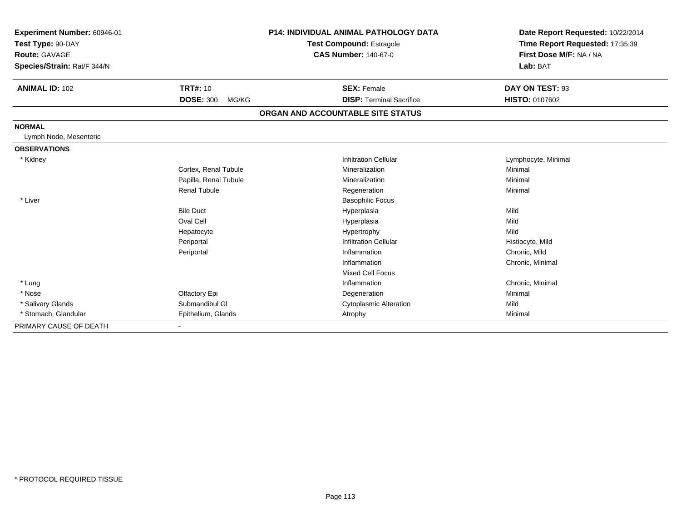| Experiment Number: 60946-01<br>Test Type: 90-DAY<br><b>Route: GAVAGE</b><br>Species/Strain: Rat/F 344/N |                                     | <b>P14: INDIVIDUAL ANIMAL PATHOLOGY DATA</b><br><b>Test Compound: Estragole</b><br><b>CAS Number: 140-67-0</b> | Date Report Requested: 10/22/2014<br>Time Report Requested: 17:35:39<br>First Dose M/F: NA / NA<br>Lab: BAT |
|---------------------------------------------------------------------------------------------------------|-------------------------------------|----------------------------------------------------------------------------------------------------------------|-------------------------------------------------------------------------------------------------------------|
| <b>ANIMAL ID: 102</b>                                                                                   | <b>TRT#: 10</b><br><b>DOSE: 300</b> | <b>SEX: Female</b><br><b>DISP: Terminal Sacrifice</b>                                                          | DAY ON TEST: 93                                                                                             |
|                                                                                                         | MG/KG                               |                                                                                                                | <b>HISTO: 0107602</b>                                                                                       |
|                                                                                                         |                                     | ORGAN AND ACCOUNTABLE SITE STATUS                                                                              |                                                                                                             |
| <b>NORMAL</b>                                                                                           |                                     |                                                                                                                |                                                                                                             |
| Lymph Node, Mesenteric                                                                                  |                                     |                                                                                                                |                                                                                                             |
| <b>OBSERVATIONS</b>                                                                                     |                                     |                                                                                                                |                                                                                                             |
| * Kidney                                                                                                |                                     | <b>Infiltration Cellular</b>                                                                                   | Lymphocyte, Minimal                                                                                         |
|                                                                                                         | Cortex, Renal Tubule                | Mineralization                                                                                                 | Minimal                                                                                                     |
|                                                                                                         | Papilla, Renal Tubule               | Mineralization                                                                                                 | Minimal                                                                                                     |
|                                                                                                         | <b>Renal Tubule</b>                 | Regeneration                                                                                                   | Minimal                                                                                                     |
| * Liver                                                                                                 |                                     | <b>Basophilic Focus</b>                                                                                        |                                                                                                             |
|                                                                                                         | <b>Bile Duct</b>                    | Hyperplasia                                                                                                    | Mild                                                                                                        |
|                                                                                                         | Oval Cell                           | Hyperplasia                                                                                                    | Mild                                                                                                        |
|                                                                                                         | Hepatocyte                          | Hypertrophy                                                                                                    | Mild                                                                                                        |
|                                                                                                         | Periportal                          | <b>Infiltration Cellular</b>                                                                                   | Histiocyte, Mild                                                                                            |
|                                                                                                         | Periportal                          | Inflammation                                                                                                   | Chronic, Mild                                                                                               |
|                                                                                                         |                                     | Inflammation                                                                                                   | Chronic, Minimal                                                                                            |
|                                                                                                         |                                     | <b>Mixed Cell Focus</b>                                                                                        |                                                                                                             |
| * Lung                                                                                                  |                                     | Inflammation                                                                                                   | Chronic, Minimal                                                                                            |
| * Nose                                                                                                  | Olfactory Epi                       | Degeneration                                                                                                   | Minimal                                                                                                     |
| * Salivary Glands                                                                                       | Submandibul GI                      | <b>Cytoplasmic Alteration</b>                                                                                  | Mild                                                                                                        |
| * Stomach, Glandular                                                                                    | Epithelium, Glands                  | Atrophy                                                                                                        | Minimal                                                                                                     |
| PRIMARY CAUSE OF DEATH                                                                                  | $\blacksquare$                      |                                                                                                                |                                                                                                             |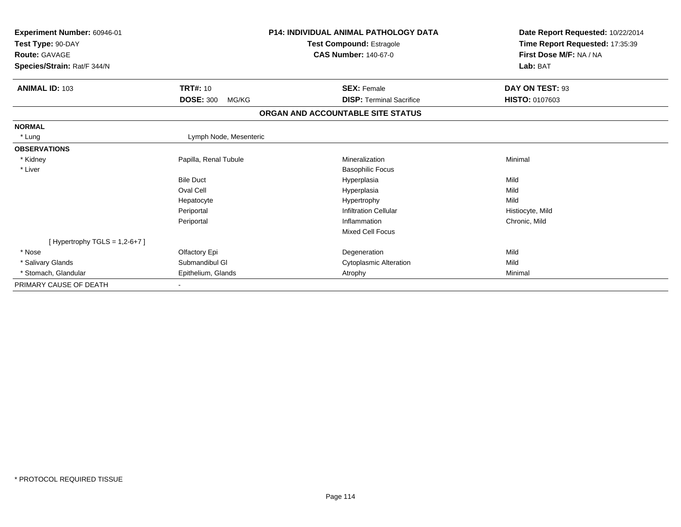| <b>Experiment Number: 60946-01</b><br>Test Type: 90-DAY<br><b>Route: GAVAGE</b><br>Species/Strain: Rat/F 344/N |                           | <b>P14: INDIVIDUAL ANIMAL PATHOLOGY DATA</b><br>Test Compound: Estragole<br><b>CAS Number: 140-67-0</b> | Date Report Requested: 10/22/2014<br>Time Report Requested: 17:35:39<br>First Dose M/F: NA / NA<br>Lab: BAT |
|----------------------------------------------------------------------------------------------------------------|---------------------------|---------------------------------------------------------------------------------------------------------|-------------------------------------------------------------------------------------------------------------|
| <b>ANIMAL ID: 103</b>                                                                                          | <b>TRT#: 10</b>           | <b>SEX: Female</b>                                                                                      | DAY ON TEST: 93                                                                                             |
|                                                                                                                | <b>DOSE: 300</b><br>MG/KG | <b>DISP: Terminal Sacrifice</b>                                                                         | <b>HISTO: 0107603</b>                                                                                       |
|                                                                                                                |                           | ORGAN AND ACCOUNTABLE SITE STATUS                                                                       |                                                                                                             |
| <b>NORMAL</b>                                                                                                  |                           |                                                                                                         |                                                                                                             |
| * Lung                                                                                                         | Lymph Node, Mesenteric    |                                                                                                         |                                                                                                             |
| <b>OBSERVATIONS</b>                                                                                            |                           |                                                                                                         |                                                                                                             |
| * Kidney                                                                                                       | Papilla, Renal Tubule     | Mineralization                                                                                          | Minimal                                                                                                     |
| * Liver                                                                                                        |                           | <b>Basophilic Focus</b>                                                                                 |                                                                                                             |
|                                                                                                                | <b>Bile Duct</b>          | Hyperplasia                                                                                             | Mild                                                                                                        |
|                                                                                                                | Oval Cell                 | Hyperplasia                                                                                             | Mild                                                                                                        |
|                                                                                                                | Hepatocyte                | Hypertrophy                                                                                             | Mild                                                                                                        |
|                                                                                                                | Periportal                | <b>Infiltration Cellular</b>                                                                            | Histiocyte, Mild                                                                                            |
|                                                                                                                | Periportal                | Inflammation                                                                                            | Chronic, Mild                                                                                               |
|                                                                                                                |                           | Mixed Cell Focus                                                                                        |                                                                                                             |
| [Hypertrophy TGLS = $1,2-6+7$ ]                                                                                |                           |                                                                                                         |                                                                                                             |
| * Nose                                                                                                         | Olfactory Epi             | Degeneration                                                                                            | Mild                                                                                                        |
| * Salivary Glands                                                                                              | Submandibul GI            | <b>Cytoplasmic Alteration</b>                                                                           | Mild                                                                                                        |
| * Stomach, Glandular                                                                                           | Epithelium, Glands        | Atrophy                                                                                                 | Minimal                                                                                                     |
| PRIMARY CAUSE OF DEATH                                                                                         |                           |                                                                                                         |                                                                                                             |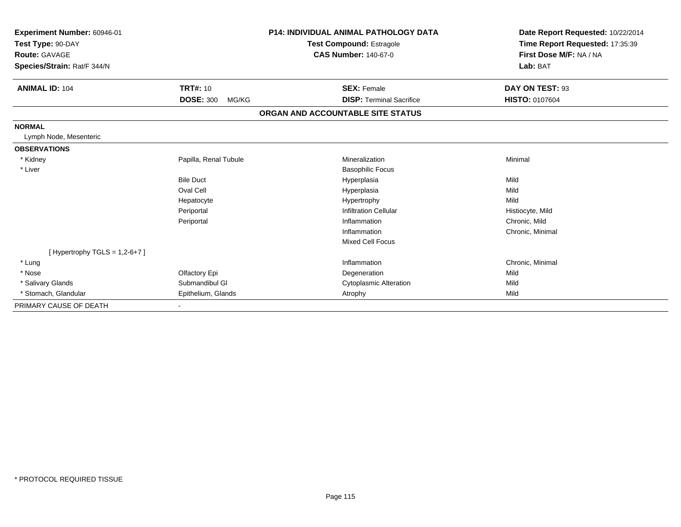| Experiment Number: 60946-01<br>Test Type: 90-DAY<br>Route: GAVAGE<br>Species/Strain: Rat/F 344/N |                           | <b>P14: INDIVIDUAL ANIMAL PATHOLOGY DATA</b><br><b>Test Compound: Estragole</b><br><b>CAS Number: 140-67-0</b> | Date Report Requested: 10/22/2014<br>Time Report Requested: 17:35:39<br>First Dose M/F: NA / NA<br>Lab: BAT |
|--------------------------------------------------------------------------------------------------|---------------------------|----------------------------------------------------------------------------------------------------------------|-------------------------------------------------------------------------------------------------------------|
| <b>ANIMAL ID: 104</b>                                                                            | <b>TRT#: 10</b>           | <b>SEX: Female</b>                                                                                             | DAY ON TEST: 93                                                                                             |
|                                                                                                  | <b>DOSE: 300</b><br>MG/KG | <b>DISP: Terminal Sacrifice</b>                                                                                | <b>HISTO: 0107604</b>                                                                                       |
|                                                                                                  |                           | ORGAN AND ACCOUNTABLE SITE STATUS                                                                              |                                                                                                             |
| <b>NORMAL</b>                                                                                    |                           |                                                                                                                |                                                                                                             |
| Lymph Node, Mesenteric                                                                           |                           |                                                                                                                |                                                                                                             |
| <b>OBSERVATIONS</b>                                                                              |                           |                                                                                                                |                                                                                                             |
| * Kidney                                                                                         | Papilla, Renal Tubule     | Mineralization                                                                                                 | Minimal                                                                                                     |
| * Liver                                                                                          |                           | <b>Basophilic Focus</b>                                                                                        |                                                                                                             |
|                                                                                                  | <b>Bile Duct</b>          | Hyperplasia                                                                                                    | Mild                                                                                                        |
|                                                                                                  | Oval Cell                 | Hyperplasia                                                                                                    | Mild                                                                                                        |
|                                                                                                  | Hepatocyte                | Hypertrophy                                                                                                    | Mild                                                                                                        |
|                                                                                                  | Periportal                | <b>Infiltration Cellular</b>                                                                                   | Histiocyte, Mild                                                                                            |
|                                                                                                  | Periportal                | Inflammation                                                                                                   | Chronic, Mild                                                                                               |
|                                                                                                  |                           | Inflammation                                                                                                   | Chronic, Minimal                                                                                            |
|                                                                                                  |                           | <b>Mixed Cell Focus</b>                                                                                        |                                                                                                             |
| [Hypertrophy TGLS = $1,2-6+7$ ]                                                                  |                           |                                                                                                                |                                                                                                             |
| * Lung                                                                                           |                           | Inflammation                                                                                                   | Chronic, Minimal                                                                                            |
| * Nose                                                                                           | Olfactory Epi             | Degeneration                                                                                                   | Mild                                                                                                        |
| * Salivary Glands                                                                                | Submandibul GI            | <b>Cytoplasmic Alteration</b>                                                                                  | Mild                                                                                                        |
| * Stomach, Glandular                                                                             | Epithelium, Glands        | Atrophy                                                                                                        | Mild                                                                                                        |
| PRIMARY CAUSE OF DEATH                                                                           | ٠                         |                                                                                                                |                                                                                                             |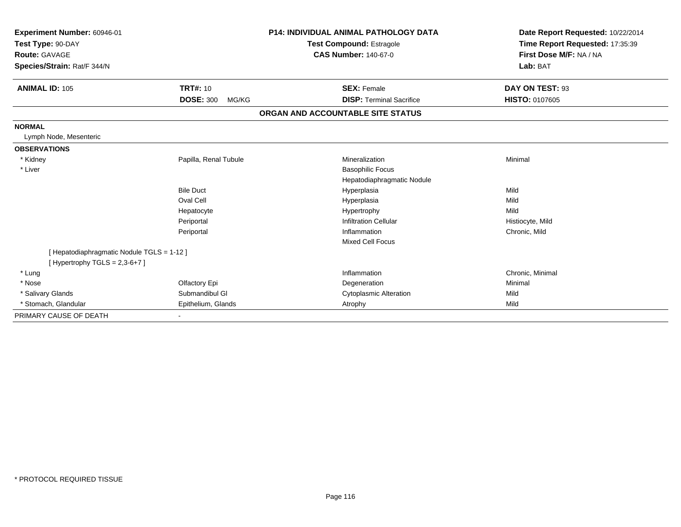| Experiment Number: 60946-01<br>Test Type: 90-DAY<br>Route: GAVAGE<br>Species/Strain: Rat/F 344/N |                           | <b>P14: INDIVIDUAL ANIMAL PATHOLOGY DATA</b><br><b>Test Compound: Estragole</b><br><b>CAS Number: 140-67-0</b> |                                                       | Date Report Requested: 10/22/2014<br>Time Report Requested: 17:35:39<br>First Dose M/F: NA / NA<br>Lab: BAT |
|--------------------------------------------------------------------------------------------------|---------------------------|----------------------------------------------------------------------------------------------------------------|-------------------------------------------------------|-------------------------------------------------------------------------------------------------------------|
| <b>ANIMAL ID: 105</b>                                                                            | <b>TRT#: 10</b>           |                                                                                                                | <b>SEX: Female</b>                                    | DAY ON TEST: 93                                                                                             |
|                                                                                                  | <b>DOSE: 300</b><br>MG/KG |                                                                                                                | <b>DISP:</b> Terminal Sacrifice                       | <b>HISTO: 0107605</b>                                                                                       |
|                                                                                                  |                           | ORGAN AND ACCOUNTABLE SITE STATUS                                                                              |                                                       |                                                                                                             |
| <b>NORMAL</b>                                                                                    |                           |                                                                                                                |                                                       |                                                                                                             |
| Lymph Node, Mesenteric                                                                           |                           |                                                                                                                |                                                       |                                                                                                             |
| <b>OBSERVATIONS</b>                                                                              |                           |                                                                                                                |                                                       |                                                                                                             |
| * Kidney                                                                                         | Papilla, Renal Tubule     |                                                                                                                | Mineralization                                        | Minimal                                                                                                     |
| * Liver                                                                                          |                           |                                                                                                                | <b>Basophilic Focus</b><br>Hepatodiaphragmatic Nodule |                                                                                                             |
|                                                                                                  | <b>Bile Duct</b>          |                                                                                                                | Hyperplasia                                           | Mild                                                                                                        |
|                                                                                                  | Oval Cell                 |                                                                                                                | Hyperplasia                                           | Mild                                                                                                        |
|                                                                                                  | Hepatocyte                |                                                                                                                | Hypertrophy                                           | Mild                                                                                                        |
|                                                                                                  | Periportal                |                                                                                                                | <b>Infiltration Cellular</b>                          | Histiocyte, Mild                                                                                            |
|                                                                                                  | Periportal                |                                                                                                                | Inflammation                                          | Chronic, Mild                                                                                               |
|                                                                                                  |                           |                                                                                                                | <b>Mixed Cell Focus</b>                               |                                                                                                             |
| [ Hepatodiaphragmatic Nodule TGLS = 1-12 ]<br>[Hypertrophy TGLS = $2,3-6+7$ ]                    |                           |                                                                                                                |                                                       |                                                                                                             |
| * Lung                                                                                           |                           |                                                                                                                | Inflammation                                          | Chronic, Minimal                                                                                            |
| * Nose                                                                                           | Olfactory Epi             |                                                                                                                | Degeneration                                          | Minimal                                                                                                     |
| * Salivary Glands                                                                                | Submandibul GI            |                                                                                                                | <b>Cytoplasmic Alteration</b>                         | Mild                                                                                                        |
| * Stomach, Glandular                                                                             | Epithelium, Glands        |                                                                                                                | Atrophy                                               | Mild                                                                                                        |
| PRIMARY CAUSE OF DEATH                                                                           |                           |                                                                                                                |                                                       |                                                                                                             |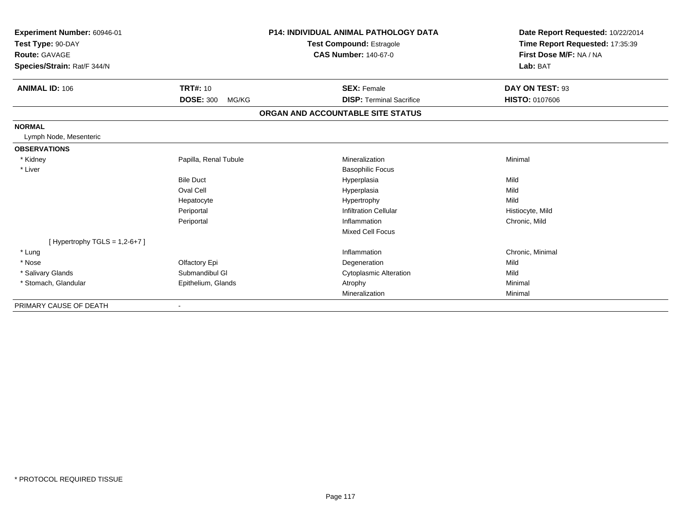| Experiment Number: 60946-01<br>Test Type: 90-DAY<br>Route: GAVAGE<br>Species/Strain: Rat/F 344/N |                           | <b>P14: INDIVIDUAL ANIMAL PATHOLOGY DATA</b><br><b>Test Compound: Estragole</b><br><b>CAS Number: 140-67-0</b> | Date Report Requested: 10/22/2014<br>Time Report Requested: 17:35:39<br>First Dose M/F: NA / NA<br>Lab: BAT |  |
|--------------------------------------------------------------------------------------------------|---------------------------|----------------------------------------------------------------------------------------------------------------|-------------------------------------------------------------------------------------------------------------|--|
|                                                                                                  |                           |                                                                                                                |                                                                                                             |  |
| <b>ANIMAL ID: 106</b>                                                                            | <b>TRT#: 10</b>           | <b>SEX: Female</b>                                                                                             | DAY ON TEST: 93                                                                                             |  |
|                                                                                                  | <b>DOSE: 300</b><br>MG/KG | <b>DISP: Terminal Sacrifice</b>                                                                                | <b>HISTO: 0107606</b>                                                                                       |  |
|                                                                                                  |                           | ORGAN AND ACCOUNTABLE SITE STATUS                                                                              |                                                                                                             |  |
| <b>NORMAL</b>                                                                                    |                           |                                                                                                                |                                                                                                             |  |
| Lymph Node, Mesenteric                                                                           |                           |                                                                                                                |                                                                                                             |  |
| <b>OBSERVATIONS</b>                                                                              |                           |                                                                                                                |                                                                                                             |  |
| * Kidney                                                                                         | Papilla, Renal Tubule     | Mineralization                                                                                                 | Minimal                                                                                                     |  |
| * Liver                                                                                          |                           | <b>Basophilic Focus</b>                                                                                        |                                                                                                             |  |
|                                                                                                  | <b>Bile Duct</b>          | Hyperplasia                                                                                                    | Mild                                                                                                        |  |
|                                                                                                  | Oval Cell                 | Hyperplasia                                                                                                    | Mild                                                                                                        |  |
|                                                                                                  | Hepatocyte                | Hypertrophy                                                                                                    | Mild                                                                                                        |  |
|                                                                                                  | Periportal                | <b>Infiltration Cellular</b>                                                                                   | Histiocyte, Mild                                                                                            |  |
|                                                                                                  | Periportal                | Inflammation                                                                                                   | Chronic, Mild                                                                                               |  |
|                                                                                                  |                           | <b>Mixed Cell Focus</b>                                                                                        |                                                                                                             |  |
| [Hypertrophy TGLS = $1,2-6+7$ ]                                                                  |                           |                                                                                                                |                                                                                                             |  |
| * Lung                                                                                           |                           | Inflammation                                                                                                   | Chronic, Minimal                                                                                            |  |
| * Nose                                                                                           | Olfactory Epi             | Degeneration                                                                                                   | Mild                                                                                                        |  |
| * Salivary Glands                                                                                | Submandibul GI            | <b>Cytoplasmic Alteration</b>                                                                                  | Mild                                                                                                        |  |
| * Stomach, Glandular                                                                             | Epithelium, Glands        | Atrophy                                                                                                        | Minimal                                                                                                     |  |
|                                                                                                  |                           | Mineralization                                                                                                 | Minimal                                                                                                     |  |
| PRIMARY CAUSE OF DEATH                                                                           |                           |                                                                                                                |                                                                                                             |  |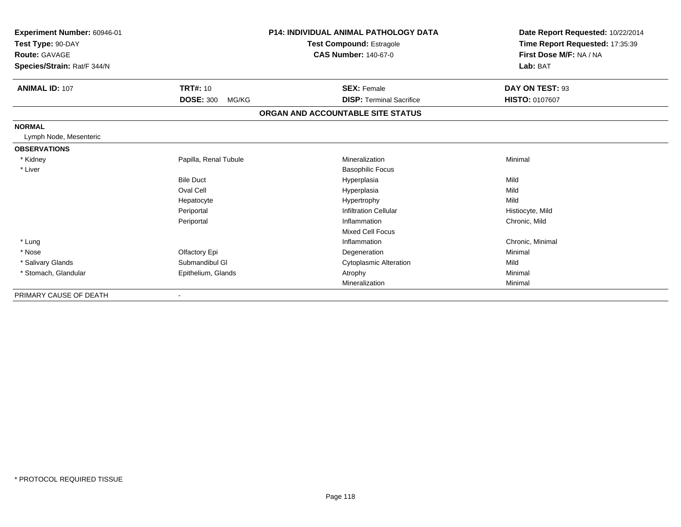| Experiment Number: 60946-01 |                                 | <b>P14: INDIVIDUAL ANIMAL PATHOLOGY DATA</b> | Date Report Requested: 10/22/2014 |
|-----------------------------|---------------------------------|----------------------------------------------|-----------------------------------|
| Test Type: 90-DAY           | <b>Test Compound: Estragole</b> |                                              | Time Report Requested: 17:35:39   |
| <b>Route: GAVAGE</b>        |                                 | <b>CAS Number: 140-67-0</b>                  | First Dose M/F: NA / NA           |
| Species/Strain: Rat/F 344/N |                                 |                                              | Lab: BAT                          |
| <b>ANIMAL ID: 107</b>       | <b>TRT#: 10</b>                 | <b>SEX: Female</b>                           | DAY ON TEST: 93                   |
|                             | <b>DOSE: 300</b><br>MG/KG       | <b>DISP: Terminal Sacrifice</b>              | <b>HISTO: 0107607</b>             |
|                             |                                 | ORGAN AND ACCOUNTABLE SITE STATUS            |                                   |
| <b>NORMAL</b>               |                                 |                                              |                                   |
| Lymph Node, Mesenteric      |                                 |                                              |                                   |
| <b>OBSERVATIONS</b>         |                                 |                                              |                                   |
| * Kidney                    | Papilla, Renal Tubule           | Mineralization                               | Minimal                           |
| * Liver                     |                                 | <b>Basophilic Focus</b>                      |                                   |
|                             | <b>Bile Duct</b>                | Hyperplasia                                  | Mild                              |
|                             | Oval Cell                       | Hyperplasia                                  | Mild                              |
|                             | Hepatocyte                      | Hypertrophy                                  | Mild                              |
|                             | Periportal                      | <b>Infiltration Cellular</b>                 | Histiocyte, Mild                  |
|                             | Periportal                      | Inflammation                                 | Chronic, Mild                     |
|                             |                                 | <b>Mixed Cell Focus</b>                      |                                   |
| * Lung                      |                                 | Inflammation                                 | Chronic, Minimal                  |
| * Nose                      | Olfactory Epi                   | Degeneration                                 | Minimal                           |
| * Salivary Glands           | Submandibul GI                  | <b>Cytoplasmic Alteration</b>                | Mild                              |
| * Stomach, Glandular        | Epithelium, Glands              | Atrophy                                      | Minimal                           |
|                             |                                 | Mineralization                               | Minimal                           |
| PRIMARY CAUSE OF DEATH      |                                 |                                              |                                   |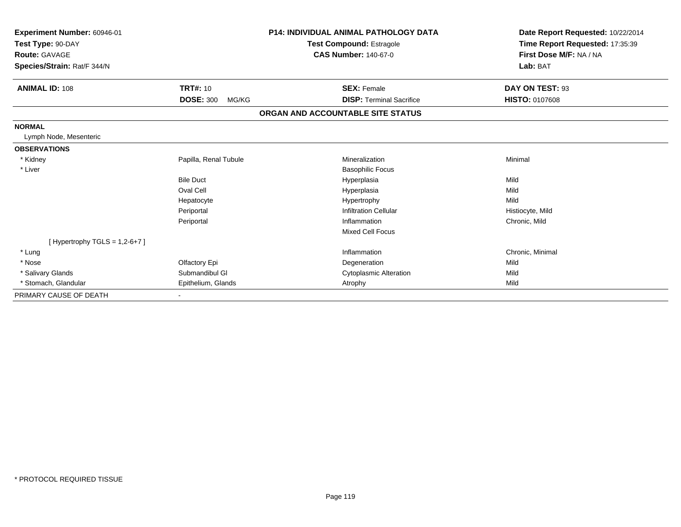| Experiment Number: 60946-01<br>Test Type: 90-DAY |                           | <b>P14: INDIVIDUAL ANIMAL PATHOLOGY DATA</b><br><b>Test Compound: Estragole</b> | Date Report Requested: 10/22/2014<br>Time Report Requested: 17:35:39 |
|--------------------------------------------------|---------------------------|---------------------------------------------------------------------------------|----------------------------------------------------------------------|
| <b>Route: GAVAGE</b>                             |                           | <b>CAS Number: 140-67-0</b>                                                     | First Dose M/F: NA / NA                                              |
| Species/Strain: Rat/F 344/N                      |                           |                                                                                 | Lab: BAT                                                             |
| <b>ANIMAL ID: 108</b>                            | <b>TRT#: 10</b>           | <b>SEX: Female</b>                                                              | DAY ON TEST: 93                                                      |
|                                                  | <b>DOSE: 300</b><br>MG/KG | <b>DISP: Terminal Sacrifice</b>                                                 | HISTO: 0107608                                                       |
|                                                  |                           | ORGAN AND ACCOUNTABLE SITE STATUS                                               |                                                                      |
| <b>NORMAL</b>                                    |                           |                                                                                 |                                                                      |
| Lymph Node, Mesenteric                           |                           |                                                                                 |                                                                      |
| <b>OBSERVATIONS</b>                              |                           |                                                                                 |                                                                      |
| * Kidney                                         | Papilla, Renal Tubule     | Mineralization                                                                  | Minimal                                                              |
| * Liver                                          |                           | <b>Basophilic Focus</b>                                                         |                                                                      |
|                                                  | <b>Bile Duct</b>          | Hyperplasia                                                                     | Mild                                                                 |
|                                                  | Oval Cell                 | Hyperplasia                                                                     | Mild                                                                 |
|                                                  | Hepatocyte                | Hypertrophy                                                                     | Mild                                                                 |
|                                                  | Periportal                | <b>Infiltration Cellular</b>                                                    | Histiocyte, Mild                                                     |
|                                                  | Periportal                | Inflammation                                                                    | Chronic, Mild                                                        |
|                                                  |                           | <b>Mixed Cell Focus</b>                                                         |                                                                      |
| [Hypertrophy TGLS = $1,2-6+7$ ]                  |                           |                                                                                 |                                                                      |
| * Lung                                           |                           | Inflammation                                                                    | Chronic, Minimal                                                     |
| * Nose                                           | Olfactory Epi             | Degeneration                                                                    | Mild                                                                 |
| * Salivary Glands                                | Submandibul GI            | <b>Cytoplasmic Alteration</b>                                                   | Mild                                                                 |
| * Stomach, Glandular                             | Epithelium, Glands        | Atrophy                                                                         | Mild                                                                 |
| PRIMARY CAUSE OF DEATH                           |                           |                                                                                 |                                                                      |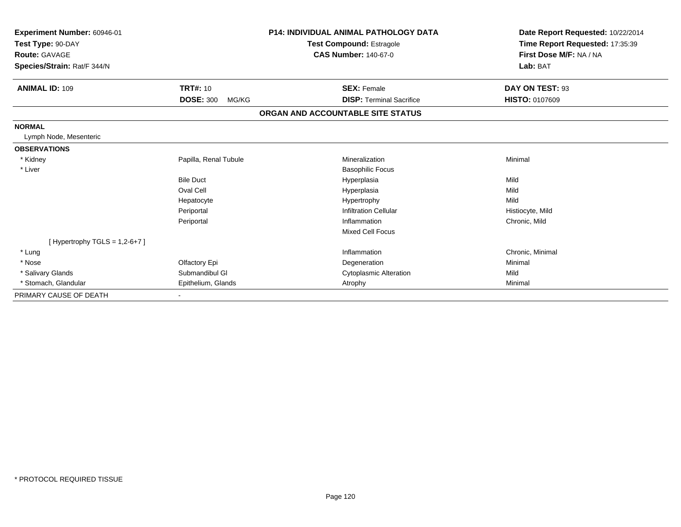| Experiment Number: 60946-01<br>Test Type: 90-DAY |                           | <b>P14: INDIVIDUAL ANIMAL PATHOLOGY DATA</b><br><b>Test Compound: Estragole</b> | Date Report Requested: 10/22/2014<br>Time Report Requested: 17:35:39 |
|--------------------------------------------------|---------------------------|---------------------------------------------------------------------------------|----------------------------------------------------------------------|
| <b>Route: GAVAGE</b>                             |                           | <b>CAS Number: 140-67-0</b>                                                     | First Dose M/F: NA / NA                                              |
| Species/Strain: Rat/F 344/N                      |                           |                                                                                 | Lab: BAT                                                             |
| <b>ANIMAL ID: 109</b>                            | <b>TRT#: 10</b>           | <b>SEX: Female</b>                                                              | DAY ON TEST: 93                                                      |
|                                                  | <b>DOSE: 300</b><br>MG/KG | <b>DISP: Terminal Sacrifice</b>                                                 | HISTO: 0107609                                                       |
|                                                  |                           | ORGAN AND ACCOUNTABLE SITE STATUS                                               |                                                                      |
| <b>NORMAL</b>                                    |                           |                                                                                 |                                                                      |
| Lymph Node, Mesenteric                           |                           |                                                                                 |                                                                      |
| <b>OBSERVATIONS</b>                              |                           |                                                                                 |                                                                      |
| * Kidney                                         | Papilla, Renal Tubule     | Mineralization                                                                  | Minimal                                                              |
| * Liver                                          |                           | <b>Basophilic Focus</b>                                                         |                                                                      |
|                                                  | <b>Bile Duct</b>          | Hyperplasia                                                                     | Mild                                                                 |
|                                                  | Oval Cell                 | Hyperplasia                                                                     | Mild                                                                 |
|                                                  | Hepatocyte                | Hypertrophy                                                                     | Mild                                                                 |
|                                                  | Periportal                | <b>Infiltration Cellular</b>                                                    | Histiocyte, Mild                                                     |
|                                                  | Periportal                | Inflammation                                                                    | Chronic, Mild                                                        |
|                                                  |                           | <b>Mixed Cell Focus</b>                                                         |                                                                      |
| [Hypertrophy TGLS = $1,2-6+7$ ]                  |                           |                                                                                 |                                                                      |
| * Lung                                           |                           | Inflammation                                                                    | Chronic, Minimal                                                     |
| * Nose                                           | Olfactory Epi             | Degeneration                                                                    | Minimal                                                              |
| * Salivary Glands                                | Submandibul GI            | <b>Cytoplasmic Alteration</b>                                                   | Mild                                                                 |
| * Stomach, Glandular                             | Epithelium, Glands        | Atrophy                                                                         | Minimal                                                              |
| PRIMARY CAUSE OF DEATH                           |                           |                                                                                 |                                                                      |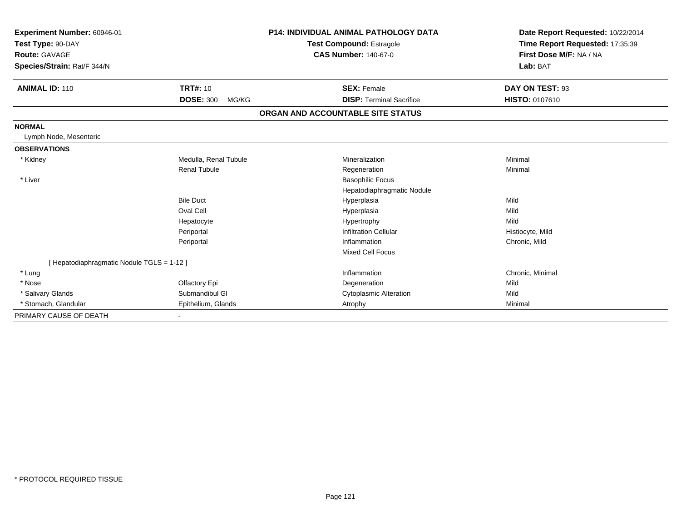| Experiment Number: 60946-01<br>Test Type: 90-DAY<br>Route: GAVAGE<br>Species/Strain: Rat/F 344/N |                           | <b>P14: INDIVIDUAL ANIMAL PATHOLOGY DATA</b><br><b>Test Compound: Estragole</b><br><b>CAS Number: 140-67-0</b> | Date Report Requested: 10/22/2014<br>Time Report Requested: 17:35:39<br>First Dose M/F: NA / NA<br>Lab: BAT |
|--------------------------------------------------------------------------------------------------|---------------------------|----------------------------------------------------------------------------------------------------------------|-------------------------------------------------------------------------------------------------------------|
| <b>ANIMAL ID: 110</b>                                                                            | <b>TRT#: 10</b>           | <b>SEX: Female</b>                                                                                             | DAY ON TEST: 93                                                                                             |
|                                                                                                  | <b>DOSE: 300</b><br>MG/KG | <b>DISP: Terminal Sacrifice</b>                                                                                | HISTO: 0107610                                                                                              |
|                                                                                                  |                           | ORGAN AND ACCOUNTABLE SITE STATUS                                                                              |                                                                                                             |
| <b>NORMAL</b>                                                                                    |                           |                                                                                                                |                                                                                                             |
| Lymph Node, Mesenteric                                                                           |                           |                                                                                                                |                                                                                                             |
| <b>OBSERVATIONS</b>                                                                              |                           |                                                                                                                |                                                                                                             |
| * Kidney                                                                                         | Medulla, Renal Tubule     | Mineralization                                                                                                 | Minimal                                                                                                     |
|                                                                                                  | <b>Renal Tubule</b>       | Regeneration                                                                                                   | Minimal                                                                                                     |
| * Liver                                                                                          |                           | <b>Basophilic Focus</b>                                                                                        |                                                                                                             |
|                                                                                                  |                           | Hepatodiaphragmatic Nodule                                                                                     |                                                                                                             |
|                                                                                                  | <b>Bile Duct</b>          | Hyperplasia                                                                                                    | Mild                                                                                                        |
|                                                                                                  | Oval Cell                 | Hyperplasia                                                                                                    | Mild                                                                                                        |
|                                                                                                  | Hepatocyte                | Hypertrophy                                                                                                    | Mild                                                                                                        |
|                                                                                                  | Periportal                | <b>Infiltration Cellular</b>                                                                                   | Histiocyte, Mild                                                                                            |
|                                                                                                  | Periportal                | Inflammation                                                                                                   | Chronic, Mild                                                                                               |
|                                                                                                  |                           | <b>Mixed Cell Focus</b>                                                                                        |                                                                                                             |
| [ Hepatodiaphragmatic Nodule TGLS = 1-12 ]                                                       |                           |                                                                                                                |                                                                                                             |
| * Lung                                                                                           |                           | Inflammation                                                                                                   | Chronic, Minimal                                                                                            |
| * Nose                                                                                           | Olfactory Epi             | Degeneration                                                                                                   | Mild                                                                                                        |
| * Salivary Glands                                                                                | Submandibul GI            | <b>Cytoplasmic Alteration</b>                                                                                  | Mild                                                                                                        |
| * Stomach, Glandular                                                                             | Epithelium, Glands        | Atrophy                                                                                                        | Minimal                                                                                                     |
| PRIMARY CAUSE OF DEATH                                                                           |                           |                                                                                                                |                                                                                                             |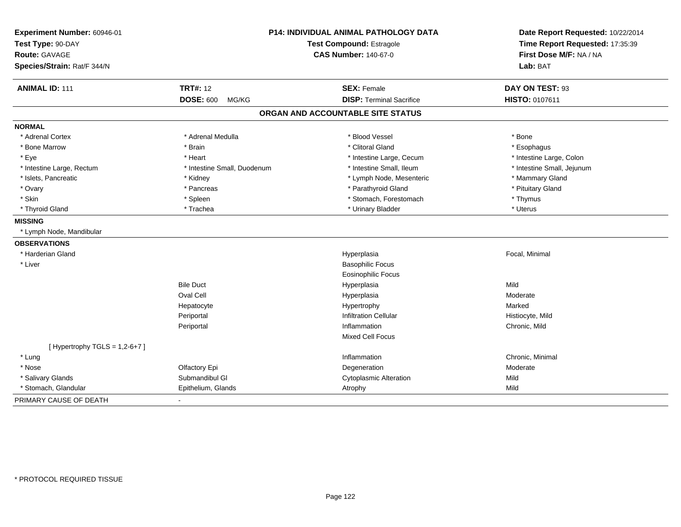| Experiment Number: 60946-01<br>Test Type: 90-DAY<br><b>Route: GAVAGE</b><br>Species/Strain: Rat/F 344/N |                             | P14: INDIVIDUAL ANIMAL PATHOLOGY DATA<br><b>Test Compound: Estragole</b><br><b>CAS Number: 140-67-0</b> | Date Report Requested: 10/22/2014<br>Time Report Requested: 17:35:39<br>First Dose M/F: NA / NA<br>Lab: BAT |
|---------------------------------------------------------------------------------------------------------|-----------------------------|---------------------------------------------------------------------------------------------------------|-------------------------------------------------------------------------------------------------------------|
| <b>ANIMAL ID: 111</b>                                                                                   | <b>TRT#: 12</b>             | <b>SEX: Female</b>                                                                                      | DAY ON TEST: 93                                                                                             |
|                                                                                                         | <b>DOSE: 600</b><br>MG/KG   | <b>DISP: Terminal Sacrifice</b>                                                                         | HISTO: 0107611                                                                                              |
|                                                                                                         |                             | ORGAN AND ACCOUNTABLE SITE STATUS                                                                       |                                                                                                             |
| <b>NORMAL</b>                                                                                           |                             |                                                                                                         |                                                                                                             |
| * Adrenal Cortex                                                                                        | * Adrenal Medulla           | * Blood Vessel                                                                                          | * Bone                                                                                                      |
| * Bone Marrow                                                                                           | * Brain                     | * Clitoral Gland                                                                                        | * Esophagus                                                                                                 |
| * Eye                                                                                                   | * Heart                     | * Intestine Large, Cecum                                                                                | * Intestine Large, Colon                                                                                    |
| * Intestine Large, Rectum                                                                               | * Intestine Small, Duodenum | * Intestine Small, Ileum                                                                                | * Intestine Small, Jejunum                                                                                  |
| * Islets, Pancreatic                                                                                    | * Kidney                    | * Lymph Node, Mesenteric                                                                                | * Mammary Gland                                                                                             |
| * Ovary                                                                                                 | * Pancreas                  | * Parathyroid Gland                                                                                     | * Pituitary Gland                                                                                           |
| * Skin                                                                                                  | * Spleen                    | * Stomach, Forestomach                                                                                  | * Thymus                                                                                                    |
| * Thyroid Gland                                                                                         | * Trachea                   | * Urinary Bladder                                                                                       | * Uterus                                                                                                    |
| <b>MISSING</b>                                                                                          |                             |                                                                                                         |                                                                                                             |
| * Lymph Node, Mandibular                                                                                |                             |                                                                                                         |                                                                                                             |
| <b>OBSERVATIONS</b>                                                                                     |                             |                                                                                                         |                                                                                                             |
| * Harderian Gland                                                                                       |                             | Hyperplasia                                                                                             | Focal, Minimal                                                                                              |
| * Liver                                                                                                 |                             | <b>Basophilic Focus</b>                                                                                 |                                                                                                             |
|                                                                                                         |                             | <b>Eosinophilic Focus</b>                                                                               |                                                                                                             |
|                                                                                                         | <b>Bile Duct</b>            | Hyperplasia                                                                                             | Mild                                                                                                        |
|                                                                                                         | Oval Cell                   | Hyperplasia                                                                                             | Moderate                                                                                                    |
|                                                                                                         | Hepatocyte                  | Hypertrophy                                                                                             | Marked                                                                                                      |
|                                                                                                         | Periportal                  | <b>Infiltration Cellular</b>                                                                            | Histiocyte, Mild                                                                                            |
|                                                                                                         | Periportal                  | Inflammation                                                                                            | Chronic, Mild                                                                                               |
|                                                                                                         |                             | Mixed Cell Focus                                                                                        |                                                                                                             |
| [Hypertrophy TGLS = $1,2-6+7$ ]                                                                         |                             |                                                                                                         |                                                                                                             |
| * Lung                                                                                                  |                             | Inflammation                                                                                            | Chronic, Minimal                                                                                            |
| * Nose                                                                                                  | Olfactory Epi               | Degeneration                                                                                            | Moderate                                                                                                    |
| * Salivary Glands                                                                                       | Submandibul GI              | <b>Cytoplasmic Alteration</b>                                                                           | Mild                                                                                                        |
| * Stomach, Glandular                                                                                    | Epithelium, Glands          | Atrophy                                                                                                 | Mild                                                                                                        |
| PRIMARY CAUSE OF DEATH                                                                                  |                             |                                                                                                         |                                                                                                             |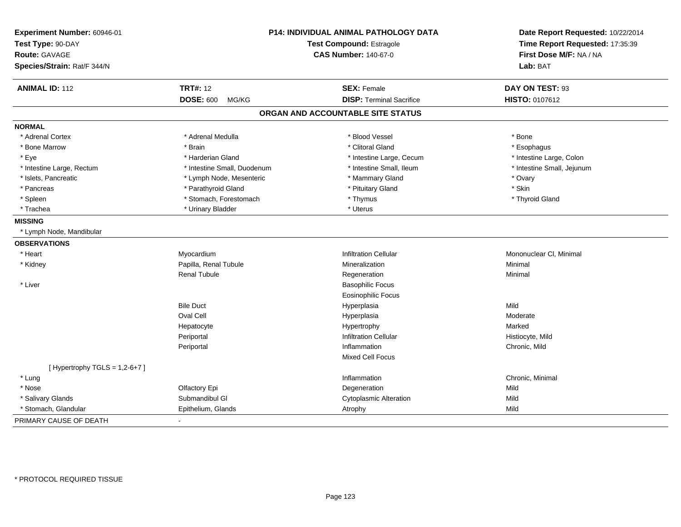| Experiment Number: 60946-01<br>Test Type: 90-DAY |                             | P14: INDIVIDUAL ANIMAL PATHOLOGY DATA<br>Test Compound: Estragole | Date Report Requested: 10/22/2014<br>Time Report Requested: 17:35:39 |
|--------------------------------------------------|-----------------------------|-------------------------------------------------------------------|----------------------------------------------------------------------|
| <b>Route: GAVAGE</b>                             |                             | <b>CAS Number: 140-67-0</b>                                       | First Dose M/F: NA / NA                                              |
| Species/Strain: Rat/F 344/N                      |                             |                                                                   | Lab: BAT                                                             |
| <b>ANIMAL ID: 112</b>                            | <b>TRT#: 12</b>             | <b>SEX: Female</b>                                                | DAY ON TEST: 93                                                      |
|                                                  | <b>DOSE: 600</b><br>MG/KG   | <b>DISP: Terminal Sacrifice</b>                                   | HISTO: 0107612                                                       |
|                                                  |                             | ORGAN AND ACCOUNTABLE SITE STATUS                                 |                                                                      |
| <b>NORMAL</b>                                    |                             |                                                                   |                                                                      |
| * Adrenal Cortex                                 | * Adrenal Medulla           | * Blood Vessel                                                    | * Bone                                                               |
| * Bone Marrow                                    | * Brain                     | * Clitoral Gland                                                  | * Esophagus                                                          |
| * Eye                                            | * Harderian Gland           | * Intestine Large, Cecum                                          | * Intestine Large, Colon                                             |
| * Intestine Large, Rectum                        | * Intestine Small, Duodenum | * Intestine Small, Ileum                                          | * Intestine Small, Jejunum                                           |
| * Islets, Pancreatic                             | * Lymph Node, Mesenteric    | * Mammary Gland                                                   | * Ovary                                                              |
| * Pancreas                                       | * Parathyroid Gland         | * Pituitary Gland                                                 | * Skin                                                               |
| * Spleen                                         | * Stomach, Forestomach      | * Thymus                                                          | * Thyroid Gland                                                      |
| * Trachea                                        | * Urinary Bladder           | * Uterus                                                          |                                                                      |
| <b>MISSING</b>                                   |                             |                                                                   |                                                                      |
| * Lymph Node, Mandibular                         |                             |                                                                   |                                                                      |
| <b>OBSERVATIONS</b>                              |                             |                                                                   |                                                                      |
| * Heart                                          | Myocardium                  | <b>Infiltration Cellular</b>                                      | Mononuclear CI, Minimal                                              |
| * Kidney                                         | Papilla, Renal Tubule       | Mineralization                                                    | Minimal                                                              |
|                                                  | <b>Renal Tubule</b>         | Regeneration                                                      | Minimal                                                              |
| * Liver                                          |                             | <b>Basophilic Focus</b>                                           |                                                                      |
|                                                  |                             | Eosinophilic Focus                                                |                                                                      |
|                                                  | <b>Bile Duct</b>            | Hyperplasia                                                       | Mild                                                                 |
|                                                  | Oval Cell                   | Hyperplasia                                                       | Moderate                                                             |
|                                                  | Hepatocyte                  | Hypertrophy                                                       | Marked                                                               |
|                                                  | Periportal                  | <b>Infiltration Cellular</b>                                      | Histiocyte, Mild                                                     |
|                                                  | Periportal                  | Inflammation                                                      | Chronic, Mild                                                        |
|                                                  |                             | Mixed Cell Focus                                                  |                                                                      |
| [Hypertrophy TGLS = $1,2-6+7$ ]                  |                             |                                                                   |                                                                      |
| * Lung                                           |                             | Inflammation                                                      | Chronic, Minimal                                                     |
| * Nose                                           | Olfactory Epi               | Degeneration                                                      | Mild                                                                 |
| * Salivary Glands                                | Submandibul GI              | <b>Cytoplasmic Alteration</b>                                     | Mild                                                                 |
| * Stomach, Glandular                             | Epithelium, Glands          | Atrophy                                                           | Mild                                                                 |
| PRIMARY CAUSE OF DEATH                           |                             |                                                                   |                                                                      |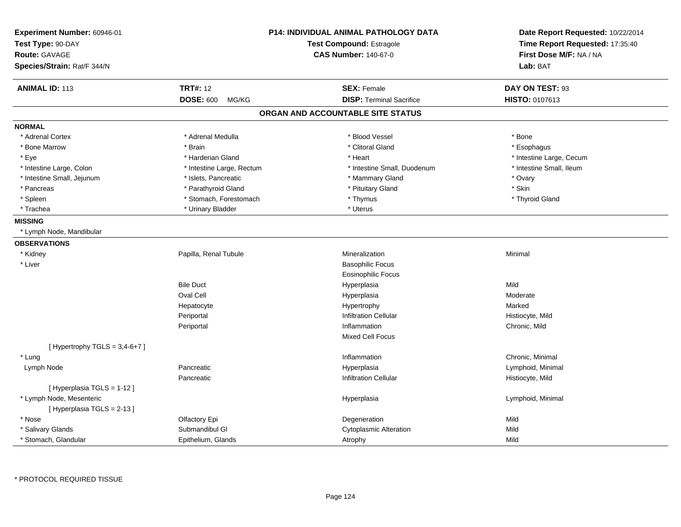| Experiment Number: 60946-01<br>Test Type: 90-DAY<br><b>Route: GAVAGE</b><br>Species/Strain: Rat/F 344/N |                           | <b>P14: INDIVIDUAL ANIMAL PATHOLOGY DATA</b><br><b>Test Compound: Estragole</b><br><b>CAS Number: 140-67-0</b> | Date Report Requested: 10/22/2014<br>Time Report Requested: 17:35:40<br>First Dose M/F: NA / NA<br>Lab: BAT |
|---------------------------------------------------------------------------------------------------------|---------------------------|----------------------------------------------------------------------------------------------------------------|-------------------------------------------------------------------------------------------------------------|
| <b>ANIMAL ID: 113</b>                                                                                   | <b>TRT#: 12</b>           | <b>SEX: Female</b>                                                                                             | DAY ON TEST: 93                                                                                             |
|                                                                                                         | <b>DOSE: 600</b><br>MG/KG | <b>DISP: Terminal Sacrifice</b>                                                                                | <b>HISTO: 0107613</b>                                                                                       |
|                                                                                                         |                           | ORGAN AND ACCOUNTABLE SITE STATUS                                                                              |                                                                                                             |
| <b>NORMAL</b>                                                                                           |                           |                                                                                                                |                                                                                                             |
| * Adrenal Cortex                                                                                        | * Adrenal Medulla         | * Blood Vessel                                                                                                 | * Bone                                                                                                      |
| * Bone Marrow                                                                                           | * Brain                   | * Clitoral Gland                                                                                               | * Esophagus                                                                                                 |
| * Eye                                                                                                   | * Harderian Gland         | * Heart                                                                                                        | * Intestine Large, Cecum                                                                                    |
| * Intestine Large, Colon                                                                                | * Intestine Large, Rectum | * Intestine Small, Duodenum                                                                                    | * Intestine Small, Ileum                                                                                    |
| * Intestine Small, Jejunum                                                                              | * Islets, Pancreatic      | * Mammary Gland                                                                                                | * Ovary                                                                                                     |
| * Pancreas                                                                                              | * Parathyroid Gland       | * Pituitary Gland                                                                                              | * Skin                                                                                                      |
| * Spleen                                                                                                | * Stomach, Forestomach    | * Thymus                                                                                                       | * Thyroid Gland                                                                                             |
| * Trachea                                                                                               | * Urinary Bladder         | * Uterus                                                                                                       |                                                                                                             |
| <b>MISSING</b>                                                                                          |                           |                                                                                                                |                                                                                                             |
| * Lymph Node, Mandibular                                                                                |                           |                                                                                                                |                                                                                                             |
| <b>OBSERVATIONS</b>                                                                                     |                           |                                                                                                                |                                                                                                             |
| * Kidney                                                                                                | Papilla, Renal Tubule     | Mineralization                                                                                                 | Minimal                                                                                                     |
| * Liver                                                                                                 |                           | <b>Basophilic Focus</b>                                                                                        |                                                                                                             |
|                                                                                                         |                           | Eosinophilic Focus                                                                                             |                                                                                                             |
|                                                                                                         | <b>Bile Duct</b>          | Hyperplasia                                                                                                    | Mild                                                                                                        |
|                                                                                                         | <b>Oval Cell</b>          | Hyperplasia                                                                                                    | Moderate                                                                                                    |
|                                                                                                         | Hepatocyte                | Hypertrophy                                                                                                    | Marked                                                                                                      |
|                                                                                                         | Periportal                | <b>Infiltration Cellular</b>                                                                                   | Histiocyte, Mild                                                                                            |
|                                                                                                         | Periportal                | Inflammation                                                                                                   | Chronic, Mild                                                                                               |
|                                                                                                         |                           | <b>Mixed Cell Focus</b>                                                                                        |                                                                                                             |
| [Hypertrophy TGLS = 3,4-6+7]                                                                            |                           |                                                                                                                |                                                                                                             |
| * Lung                                                                                                  |                           | Inflammation                                                                                                   | Chronic, Minimal                                                                                            |
| Lymph Node                                                                                              | Pancreatic                | Hyperplasia                                                                                                    | Lymphoid, Minimal                                                                                           |
|                                                                                                         | Pancreatic                | <b>Infiltration Cellular</b>                                                                                   | Histiocyte, Mild                                                                                            |
| [ Hyperplasia TGLS = 1-12 ]                                                                             |                           |                                                                                                                |                                                                                                             |
| * Lymph Node, Mesenteric                                                                                |                           | Hyperplasia                                                                                                    | Lymphoid, Minimal                                                                                           |
| [Hyperplasia TGLS = 2-13]                                                                               |                           |                                                                                                                |                                                                                                             |
| * Nose                                                                                                  | Olfactory Epi             | Degeneration                                                                                                   | Mild                                                                                                        |
| * Salivary Glands                                                                                       | Submandibul GI            | <b>Cytoplasmic Alteration</b>                                                                                  | Mild                                                                                                        |
| * Stomach, Glandular                                                                                    | Epithelium, Glands        | Atrophy                                                                                                        | Mild                                                                                                        |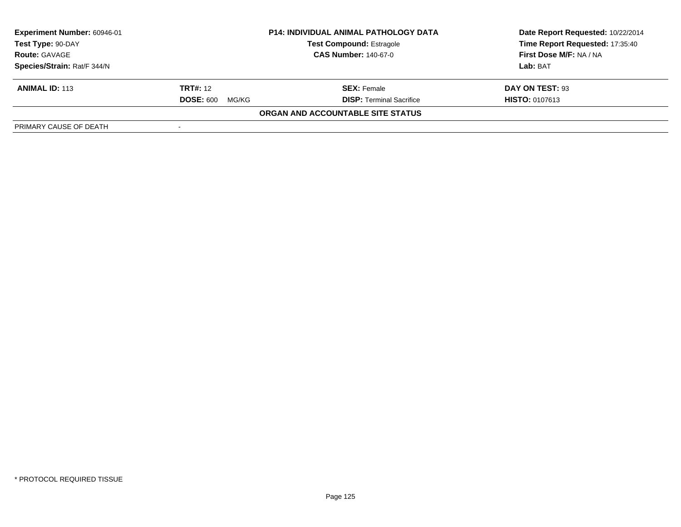| Experiment Number: 60946-01 | <b>P14: INDIVIDUAL ANIMAL PATHOLOGY DATA</b> |                                   | Date Report Requested: 10/22/2014 |
|-----------------------------|----------------------------------------------|-----------------------------------|-----------------------------------|
| Test Type: 90-DAY           |                                              | <b>Test Compound: Estragole</b>   | Time Report Requested: 17:35:40   |
| <b>Route: GAVAGE</b>        |                                              | <b>CAS Number: 140-67-0</b>       | <b>First Dose M/F: NA / NA</b>    |
| Species/Strain: Rat/F 344/N |                                              |                                   | Lab: BAT                          |
| <b>ANIMAL ID: 113</b>       | <b>TRT#:</b> 12                              | <b>SEX: Female</b>                | DAY ON TEST: 93                   |
|                             | <b>DOSE: 600</b><br>MG/KG                    | <b>DISP: Terminal Sacrifice</b>   | <b>HISTO: 0107613</b>             |
|                             |                                              | ORGAN AND ACCOUNTABLE SITE STATUS |                                   |
| PRIMARY CAUSE OF DEATH      |                                              |                                   |                                   |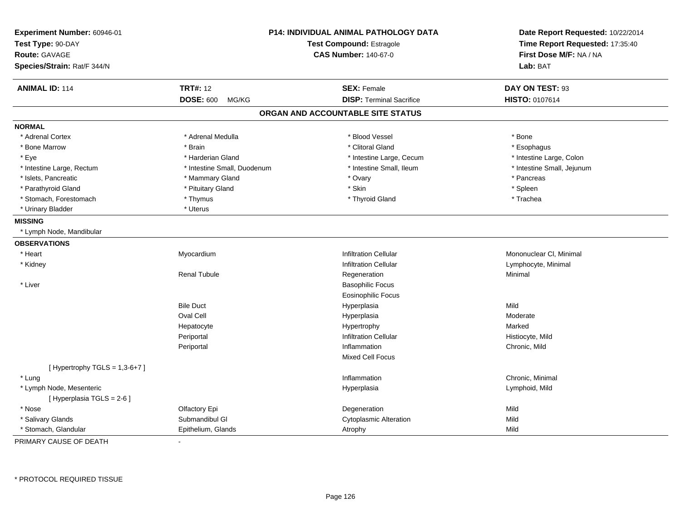| Experiment Number: 60946-01<br>Test Type: 90-DAY | P14: INDIVIDUAL ANIMAL PATHOLOGY DATA<br>Test Compound: Estragole |                                   | Date Report Requested: 10/22/2014<br>Time Report Requested: 17:35:40 |  |
|--------------------------------------------------|-------------------------------------------------------------------|-----------------------------------|----------------------------------------------------------------------|--|
| Route: GAVAGE                                    |                                                                   | <b>CAS Number: 140-67-0</b>       | First Dose M/F: NA / NA                                              |  |
| Species/Strain: Rat/F 344/N                      |                                                                   |                                   | Lab: BAT                                                             |  |
| <b>ANIMAL ID: 114</b>                            | <b>TRT#: 12</b>                                                   | <b>SEX: Female</b>                | DAY ON TEST: 93                                                      |  |
|                                                  | <b>DOSE: 600</b><br>MG/KG                                         | <b>DISP: Terminal Sacrifice</b>   | HISTO: 0107614                                                       |  |
|                                                  |                                                                   | ORGAN AND ACCOUNTABLE SITE STATUS |                                                                      |  |
| <b>NORMAL</b>                                    |                                                                   |                                   |                                                                      |  |
| * Adrenal Cortex                                 | * Adrenal Medulla                                                 | * Blood Vessel                    | * Bone                                                               |  |
| * Bone Marrow                                    | * Brain                                                           | * Clitoral Gland                  | * Esophagus                                                          |  |
| * Eye                                            | * Harderian Gland                                                 | * Intestine Large, Cecum          | * Intestine Large, Colon                                             |  |
| * Intestine Large, Rectum                        | * Intestine Small, Duodenum                                       | * Intestine Small, Ileum          | * Intestine Small, Jejunum                                           |  |
| * Islets, Pancreatic                             | * Mammary Gland                                                   | * Ovary                           | * Pancreas                                                           |  |
| * Parathyroid Gland                              | * Pituitary Gland                                                 | * Skin                            | * Spleen                                                             |  |
| * Stomach, Forestomach                           | * Thymus                                                          | * Thyroid Gland                   | * Trachea                                                            |  |
| * Urinary Bladder                                | * Uterus                                                          |                                   |                                                                      |  |
| <b>MISSING</b>                                   |                                                                   |                                   |                                                                      |  |
| * Lymph Node, Mandibular                         |                                                                   |                                   |                                                                      |  |
| <b>OBSERVATIONS</b>                              |                                                                   |                                   |                                                                      |  |
| * Heart                                          | Myocardium                                                        | <b>Infiltration Cellular</b>      | Mononuclear CI, Minimal                                              |  |
| * Kidney                                         |                                                                   | <b>Infiltration Cellular</b>      | Lymphocyte, Minimal                                                  |  |
|                                                  | <b>Renal Tubule</b>                                               | Regeneration                      | Minimal                                                              |  |
| * Liver                                          |                                                                   | <b>Basophilic Focus</b>           |                                                                      |  |
|                                                  |                                                                   | <b>Eosinophilic Focus</b>         |                                                                      |  |
|                                                  | <b>Bile Duct</b>                                                  | Hyperplasia                       | Mild                                                                 |  |
|                                                  | Oval Cell                                                         | Hyperplasia                       | Moderate                                                             |  |
|                                                  | Hepatocyte                                                        | Hypertrophy                       | Marked                                                               |  |
|                                                  | Periportal                                                        | <b>Infiltration Cellular</b>      | Histiocyte, Mild                                                     |  |
|                                                  | Periportal                                                        | Inflammation                      | Chronic, Mild                                                        |  |
|                                                  |                                                                   | Mixed Cell Focus                  |                                                                      |  |
| [Hypertrophy TGLS = $1,3-6+7$ ]                  |                                                                   |                                   |                                                                      |  |
| * Lung                                           |                                                                   | Inflammation                      | Chronic, Minimal                                                     |  |
| * Lymph Node, Mesenteric                         |                                                                   | Hyperplasia                       | Lymphoid, Mild                                                       |  |
| [ Hyperplasia TGLS = 2-6 ]                       |                                                                   |                                   |                                                                      |  |
| * Nose                                           | Olfactory Epi                                                     | Degeneration                      | Mild                                                                 |  |
| * Salivary Glands                                | Submandibul GI                                                    | <b>Cytoplasmic Alteration</b>     | Mild                                                                 |  |
| * Stomach, Glandular                             | Epithelium, Glands                                                | Atrophy                           | Mild                                                                 |  |

PRIMARY CAUSE OF DEATH-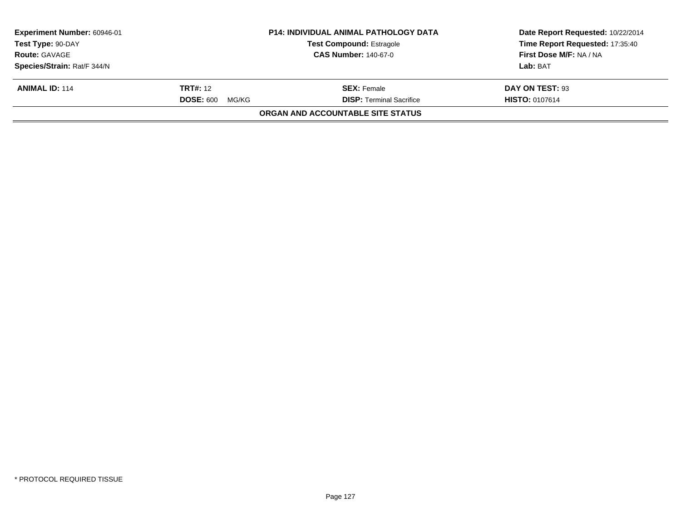| <b>Experiment Number: 60946-01</b><br>Test Type: 90-DAY |                           | <b>P14: INDIVIDUAL ANIMAL PATHOLOGY DATA</b> | Date Report Requested: 10/22/2014<br>Time Report Requested: 17:35:40 |
|---------------------------------------------------------|---------------------------|----------------------------------------------|----------------------------------------------------------------------|
|                                                         |                           | <b>Test Compound: Estragole</b>              |                                                                      |
| <b>Route: GAVAGE</b><br><b>CAS Number: 140-67-0</b>     |                           |                                              | First Dose M/F: NA / NA                                              |
| Species/Strain: Rat/F 344/N                             |                           |                                              | Lab: BAT                                                             |
| <b>ANIMAL ID: 114</b>                                   | <b>TRT#:</b> 12           | <b>SEX:</b> Female                           | DAY ON TEST: 93                                                      |
|                                                         | <b>DOSE: 600</b><br>MG/KG | <b>DISP:</b> Terminal Sacrifice              | <b>HISTO: 0107614</b>                                                |
|                                                         |                           | ORGAN AND ACCOUNTABLE SITE STATUS            |                                                                      |
|                                                         |                           |                                              |                                                                      |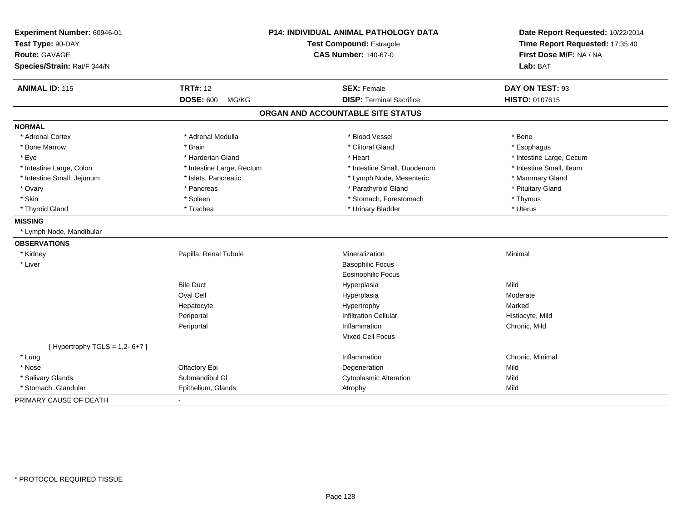| Experiment Number: 60946-01<br>Test Type: 90-DAY |                           | P14: INDIVIDUAL ANIMAL PATHOLOGY DATA<br><b>Test Compound: Estragole</b> | Date Report Requested: 10/22/2014<br>Time Report Requested: 17:35:40 |  |
|--------------------------------------------------|---------------------------|--------------------------------------------------------------------------|----------------------------------------------------------------------|--|
| Route: GAVAGE<br>Species/Strain: Rat/F 344/N     |                           | <b>CAS Number: 140-67-0</b>                                              | First Dose M/F: NA / NA<br>Lab: BAT                                  |  |
| <b>ANIMAL ID: 115</b>                            | <b>TRT#: 12</b>           | <b>SEX: Female</b>                                                       | DAY ON TEST: 93                                                      |  |
|                                                  | <b>DOSE: 600</b><br>MG/KG | <b>DISP: Terminal Sacrifice</b>                                          | HISTO: 0107615                                                       |  |
|                                                  |                           | ORGAN AND ACCOUNTABLE SITE STATUS                                        |                                                                      |  |
| <b>NORMAL</b>                                    |                           |                                                                          |                                                                      |  |
| * Adrenal Cortex                                 | * Adrenal Medulla         | * Blood Vessel                                                           | * Bone                                                               |  |
| * Bone Marrow                                    | * Brain                   | * Clitoral Gland                                                         | * Esophagus                                                          |  |
| * Eye                                            | * Harderian Gland         | * Heart                                                                  | * Intestine Large, Cecum                                             |  |
| * Intestine Large, Colon                         | * Intestine Large, Rectum | * Intestine Small, Duodenum                                              | * Intestine Small, Ileum                                             |  |
| * Intestine Small, Jejunum                       | * Islets, Pancreatic      | * Lymph Node, Mesenteric                                                 | * Mammary Gland                                                      |  |
| * Ovary                                          | * Pancreas                | * Parathyroid Gland                                                      | * Pituitary Gland                                                    |  |
| * Skin                                           | * Spleen                  | * Stomach, Forestomach                                                   | * Thymus                                                             |  |
| * Thyroid Gland                                  | * Trachea                 | * Urinary Bladder                                                        | * Uterus                                                             |  |
| <b>MISSING</b>                                   |                           |                                                                          |                                                                      |  |
| * Lymph Node, Mandibular                         |                           |                                                                          |                                                                      |  |
| <b>OBSERVATIONS</b>                              |                           |                                                                          |                                                                      |  |
| * Kidney                                         | Papilla, Renal Tubule     | Mineralization                                                           | Minimal                                                              |  |
| * Liver                                          |                           | <b>Basophilic Focus</b>                                                  |                                                                      |  |
|                                                  |                           | <b>Eosinophilic Focus</b>                                                |                                                                      |  |
|                                                  | <b>Bile Duct</b>          | Hyperplasia                                                              | Mild                                                                 |  |
|                                                  | Oval Cell                 | Hyperplasia                                                              | Moderate                                                             |  |
|                                                  | Hepatocyte                | Hypertrophy                                                              | Marked                                                               |  |
|                                                  | Periportal                | <b>Infiltration Cellular</b>                                             | Histiocyte, Mild                                                     |  |
|                                                  | Periportal                | Inflammation                                                             | Chronic, Mild                                                        |  |
|                                                  |                           | Mixed Cell Focus                                                         |                                                                      |  |
| [Hypertrophy TGLS = $1,2-6+7$ ]                  |                           |                                                                          |                                                                      |  |
| * Lung                                           |                           | Inflammation                                                             | Chronic, Minimal                                                     |  |
| * Nose                                           | Olfactory Epi             | Degeneration                                                             | Mild                                                                 |  |
| * Salivary Glands                                | Submandibul GI            | <b>Cytoplasmic Alteration</b>                                            | Mild                                                                 |  |
| * Stomach, Glandular                             | Epithelium, Glands        | Atrophy                                                                  | Mild                                                                 |  |
| PRIMARY CAUSE OF DEATH                           |                           |                                                                          |                                                                      |  |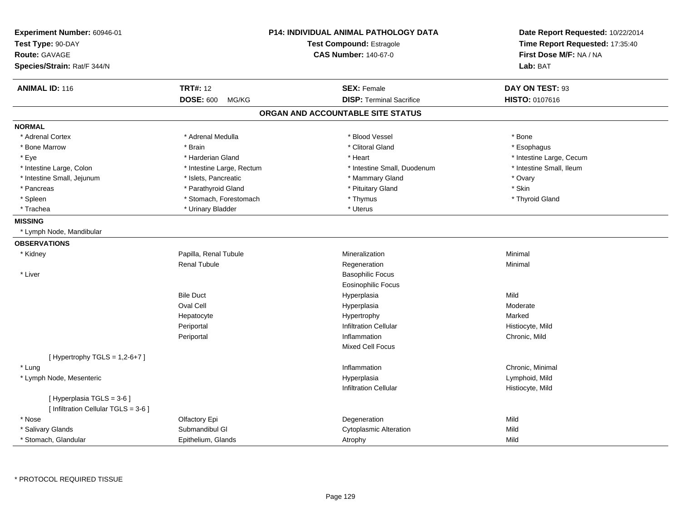| Experiment Number: 60946-01<br>Test Type: 90-DAY<br>Route: GAVAGE<br>Species/Strain: Rat/F 344/N |                           | <b>P14: INDIVIDUAL ANIMAL PATHOLOGY DATA</b><br><b>Test Compound: Estragole</b><br><b>CAS Number: 140-67-0</b> | Date Report Requested: 10/22/2014<br>Time Report Requested: 17:35:40<br>First Dose M/F: NA / NA<br>Lab: BAT |
|--------------------------------------------------------------------------------------------------|---------------------------|----------------------------------------------------------------------------------------------------------------|-------------------------------------------------------------------------------------------------------------|
| <b>ANIMAL ID: 116</b>                                                                            | <b>TRT#: 12</b>           | <b>SEX: Female</b>                                                                                             | DAY ON TEST: 93                                                                                             |
|                                                                                                  | <b>DOSE: 600</b><br>MG/KG | <b>DISP: Terminal Sacrifice</b>                                                                                | HISTO: 0107616                                                                                              |
|                                                                                                  |                           | ORGAN AND ACCOUNTABLE SITE STATUS                                                                              |                                                                                                             |
| <b>NORMAL</b>                                                                                    |                           |                                                                                                                |                                                                                                             |
| * Adrenal Cortex                                                                                 | * Adrenal Medulla         | * Blood Vessel                                                                                                 | * Bone                                                                                                      |
| * Bone Marrow                                                                                    | * Brain                   | * Clitoral Gland                                                                                               | * Esophagus                                                                                                 |
| * Eye                                                                                            | * Harderian Gland         | * Heart                                                                                                        | * Intestine Large, Cecum                                                                                    |
| * Intestine Large, Colon                                                                         | * Intestine Large, Rectum | * Intestine Small, Duodenum                                                                                    | * Intestine Small, Ileum                                                                                    |
| * Intestine Small, Jejunum                                                                       | * Islets, Pancreatic      | * Mammary Gland                                                                                                | * Ovary                                                                                                     |
| * Pancreas                                                                                       | * Parathyroid Gland       | * Pituitary Gland                                                                                              | * Skin                                                                                                      |
| * Spleen                                                                                         | * Stomach, Forestomach    | * Thymus                                                                                                       | * Thyroid Gland                                                                                             |
| * Trachea                                                                                        | * Urinary Bladder         | * Uterus                                                                                                       |                                                                                                             |
| <b>MISSING</b>                                                                                   |                           |                                                                                                                |                                                                                                             |
| * Lymph Node, Mandibular                                                                         |                           |                                                                                                                |                                                                                                             |
| <b>OBSERVATIONS</b>                                                                              |                           |                                                                                                                |                                                                                                             |
| * Kidney                                                                                         | Papilla, Renal Tubule     | Mineralization                                                                                                 | Minimal                                                                                                     |
|                                                                                                  | <b>Renal Tubule</b>       | Regeneration                                                                                                   | Minimal                                                                                                     |
| * Liver                                                                                          |                           | <b>Basophilic Focus</b>                                                                                        |                                                                                                             |
|                                                                                                  |                           | Eosinophilic Focus                                                                                             |                                                                                                             |
|                                                                                                  | <b>Bile Duct</b>          | Hyperplasia                                                                                                    | Mild                                                                                                        |
|                                                                                                  | Oval Cell                 | Hyperplasia                                                                                                    | Moderate                                                                                                    |
|                                                                                                  | Hepatocyte                | Hypertrophy                                                                                                    | Marked                                                                                                      |
|                                                                                                  | Periportal                | <b>Infiltration Cellular</b>                                                                                   | Histiocyte, Mild                                                                                            |
|                                                                                                  | Periportal                | Inflammation                                                                                                   | Chronic, Mild                                                                                               |
|                                                                                                  |                           | <b>Mixed Cell Focus</b>                                                                                        |                                                                                                             |
| [Hypertrophy TGLS = $1,2-6+7$ ]                                                                  |                           |                                                                                                                |                                                                                                             |
| * Lung                                                                                           |                           | Inflammation                                                                                                   | Chronic, Minimal                                                                                            |
| * Lymph Node, Mesenteric                                                                         |                           | Hyperplasia                                                                                                    | Lymphoid, Mild                                                                                              |
|                                                                                                  |                           | <b>Infiltration Cellular</b>                                                                                   | Histiocyte, Mild                                                                                            |
| [ Hyperplasia TGLS = 3-6 ]                                                                       |                           |                                                                                                                |                                                                                                             |
| [ Infiltration Cellular TGLS = 3-6 ]                                                             |                           |                                                                                                                |                                                                                                             |
| * Nose                                                                                           | Olfactory Epi             | Degeneration                                                                                                   | Mild                                                                                                        |
| * Salivary Glands                                                                                | Submandibul GI            | <b>Cytoplasmic Alteration</b>                                                                                  | Mild                                                                                                        |
| * Stomach, Glandular                                                                             | Epithelium, Glands        | Atrophy                                                                                                        | Mild                                                                                                        |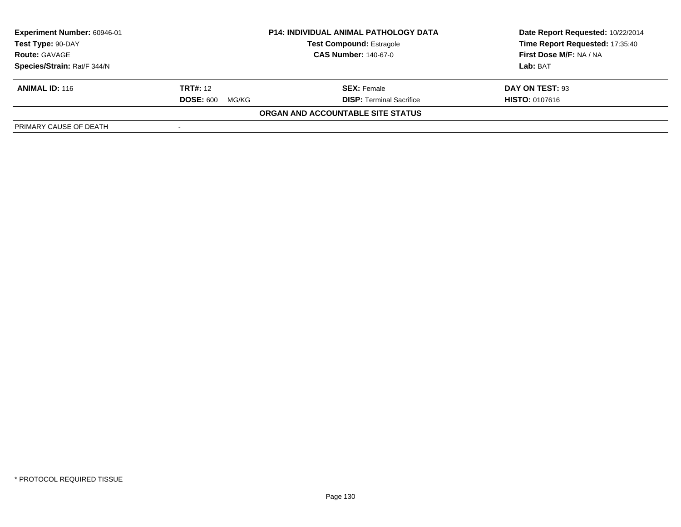| Experiment Number: 60946-01 | <b>P14: INDIVIDUAL ANIMAL PATHOLOGY DATA</b> |                                   | Date Report Requested: 10/22/2014 |
|-----------------------------|----------------------------------------------|-----------------------------------|-----------------------------------|
| Test Type: 90-DAY           |                                              | <b>Test Compound: Estragole</b>   | Time Report Requested: 17:35:40   |
| <b>Route: GAVAGE</b>        |                                              | <b>CAS Number: 140-67-0</b>       | <b>First Dose M/F: NA / NA</b>    |
| Species/Strain: Rat/F 344/N |                                              |                                   | Lab: BAT                          |
| <b>ANIMAL ID: 116</b>       | <b>TRT#:</b> 12                              | <b>SEX:</b> Female                | DAY ON TEST: 93                   |
|                             | <b>DOSE: 600</b><br>MG/KG                    | <b>DISP: Terminal Sacrifice</b>   | <b>HISTO: 0107616</b>             |
|                             |                                              | ORGAN AND ACCOUNTABLE SITE STATUS |                                   |
| PRIMARY CAUSE OF DEATH      |                                              |                                   |                                   |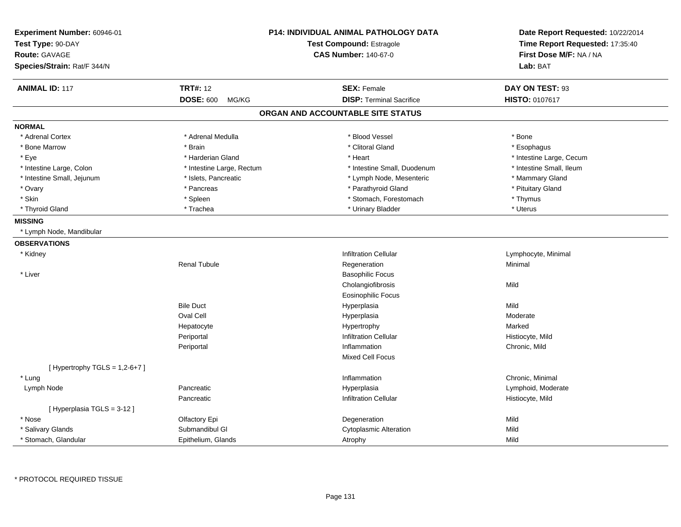| Experiment Number: 60946-01<br>Test Type: 90-DAY<br><b>Route: GAVAGE</b><br>Species/Strain: Rat/F 344/N |                           | P14: INDIVIDUAL ANIMAL PATHOLOGY DATA<br><b>Test Compound: Estragole</b><br><b>CAS Number: 140-67-0</b> | Date Report Requested: 10/22/2014<br>Time Report Requested: 17:35:40<br>First Dose M/F: NA / NA<br>Lab: BAT |
|---------------------------------------------------------------------------------------------------------|---------------------------|---------------------------------------------------------------------------------------------------------|-------------------------------------------------------------------------------------------------------------|
| <b>ANIMAL ID: 117</b>                                                                                   | <b>TRT#: 12</b>           | <b>SEX: Female</b>                                                                                      | DAY ON TEST: 93                                                                                             |
|                                                                                                         | <b>DOSE: 600</b><br>MG/KG | <b>DISP: Terminal Sacrifice</b>                                                                         | <b>HISTO: 0107617</b>                                                                                       |
|                                                                                                         |                           | ORGAN AND ACCOUNTABLE SITE STATUS                                                                       |                                                                                                             |
| <b>NORMAL</b>                                                                                           |                           |                                                                                                         |                                                                                                             |
| * Adrenal Cortex                                                                                        | * Adrenal Medulla         | * Blood Vessel                                                                                          | * Bone                                                                                                      |
| * Bone Marrow                                                                                           | * Brain                   | * Clitoral Gland                                                                                        | * Esophagus                                                                                                 |
| * Eye                                                                                                   | * Harderian Gland         | * Heart                                                                                                 | * Intestine Large, Cecum                                                                                    |
| * Intestine Large, Colon                                                                                | * Intestine Large, Rectum | * Intestine Small, Duodenum                                                                             | * Intestine Small, Ileum                                                                                    |
| * Intestine Small, Jejunum                                                                              | * Islets, Pancreatic      | * Lymph Node, Mesenteric                                                                                | * Mammary Gland                                                                                             |
| * Ovary                                                                                                 | * Pancreas                | * Parathyroid Gland                                                                                     | * Pituitary Gland                                                                                           |
| * Skin                                                                                                  | * Spleen                  | * Stomach, Forestomach                                                                                  | * Thymus                                                                                                    |
| * Thyroid Gland                                                                                         | * Trachea                 | * Urinary Bladder                                                                                       | * Uterus                                                                                                    |
| <b>MISSING</b>                                                                                          |                           |                                                                                                         |                                                                                                             |
| * Lymph Node, Mandibular                                                                                |                           |                                                                                                         |                                                                                                             |
| <b>OBSERVATIONS</b>                                                                                     |                           |                                                                                                         |                                                                                                             |
| * Kidney                                                                                                |                           | <b>Infiltration Cellular</b>                                                                            | Lymphocyte, Minimal                                                                                         |
|                                                                                                         | Renal Tubule              | Regeneration                                                                                            | Minimal                                                                                                     |
| * Liver                                                                                                 |                           | <b>Basophilic Focus</b>                                                                                 |                                                                                                             |
|                                                                                                         |                           | Cholangiofibrosis                                                                                       | Mild                                                                                                        |
|                                                                                                         |                           | <b>Eosinophilic Focus</b>                                                                               |                                                                                                             |
|                                                                                                         | <b>Bile Duct</b>          | Hyperplasia                                                                                             | Mild                                                                                                        |
|                                                                                                         | Oval Cell                 | Hyperplasia                                                                                             | Moderate                                                                                                    |
|                                                                                                         | Hepatocyte                | Hypertrophy                                                                                             | Marked                                                                                                      |
|                                                                                                         | Periportal                | <b>Infiltration Cellular</b>                                                                            | Histiocyte, Mild                                                                                            |
|                                                                                                         | Periportal                | Inflammation                                                                                            | Chronic, Mild                                                                                               |
|                                                                                                         |                           | Mixed Cell Focus                                                                                        |                                                                                                             |
| [Hypertrophy TGLS = $1,2-6+7$ ]                                                                         |                           |                                                                                                         |                                                                                                             |
| * Lung                                                                                                  |                           | Inflammation                                                                                            | Chronic, Minimal                                                                                            |
| Lymph Node                                                                                              | Pancreatic                | Hyperplasia                                                                                             | Lymphoid, Moderate                                                                                          |
|                                                                                                         | Pancreatic                | <b>Infiltration Cellular</b>                                                                            | Histiocyte, Mild                                                                                            |
| [Hyperplasia TGLS = 3-12]                                                                               |                           |                                                                                                         |                                                                                                             |
| * Nose                                                                                                  | Olfactory Epi             | Degeneration                                                                                            | Mild                                                                                                        |
| * Salivary Glands                                                                                       | Submandibul GI            | <b>Cytoplasmic Alteration</b>                                                                           | Mild                                                                                                        |
| * Stomach, Glandular                                                                                    | Epithelium, Glands        | Atrophy                                                                                                 | Mild                                                                                                        |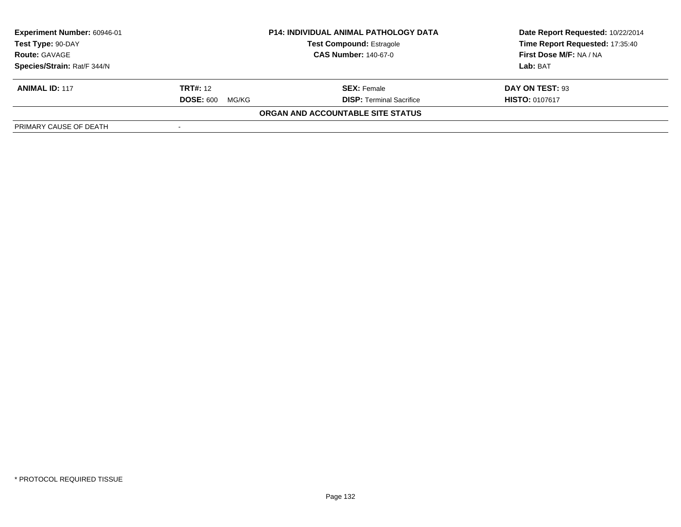| Experiment Number: 60946-01 | <b>P14: INDIVIDUAL ANIMAL PATHOLOGY DATA</b> |                                   | Date Report Requested: 10/22/2014 |
|-----------------------------|----------------------------------------------|-----------------------------------|-----------------------------------|
| Test Type: 90-DAY           |                                              | <b>Test Compound: Estragole</b>   | Time Report Requested: 17:35:40   |
| <b>Route: GAVAGE</b>        |                                              | <b>CAS Number: 140-67-0</b>       | First Dose M/F: NA / NA           |
| Species/Strain: Rat/F 344/N |                                              |                                   | Lab: BAT                          |
| <b>ANIMAL ID: 117</b>       | <b>TRT#:</b> 12                              | <b>SEX: Female</b>                | DAY ON TEST: 93                   |
|                             | <b>DOSE: 600</b><br>MG/KG                    | <b>DISP: Terminal Sacrifice</b>   | <b>HISTO: 0107617</b>             |
|                             |                                              | ORGAN AND ACCOUNTABLE SITE STATUS |                                   |
| PRIMARY CAUSE OF DEATH      |                                              |                                   |                                   |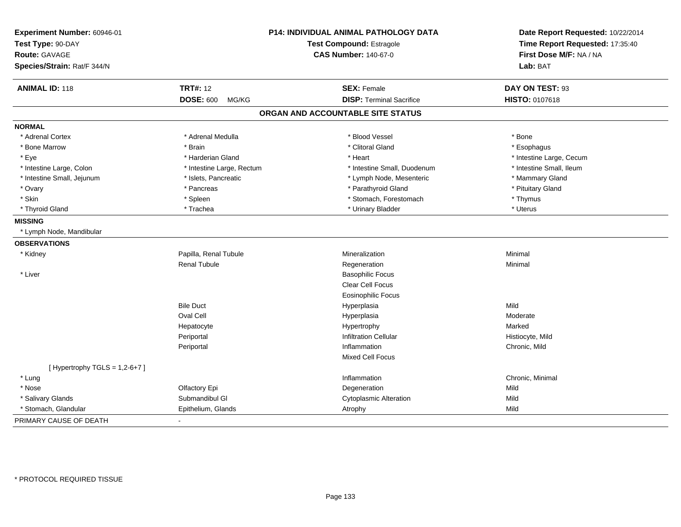| Experiment Number: 60946-01     |                           | <b>P14: INDIVIDUAL ANIMAL PATHOLOGY DATA</b> | Date Report Requested: 10/22/2014                          |  |
|---------------------------------|---------------------------|----------------------------------------------|------------------------------------------------------------|--|
| Test Type: 90-DAY               |                           | Test Compound: Estragole                     | Time Report Requested: 17:35:40<br>First Dose M/F: NA / NA |  |
| <b>Route: GAVAGE</b>            |                           | <b>CAS Number: 140-67-0</b>                  |                                                            |  |
| Species/Strain: Rat/F 344/N     |                           |                                              | Lab: BAT                                                   |  |
| <b>ANIMAL ID: 118</b>           | <b>TRT#: 12</b>           | <b>SEX: Female</b>                           | DAY ON TEST: 93                                            |  |
|                                 | <b>DOSE: 600</b><br>MG/KG | <b>DISP: Terminal Sacrifice</b>              | HISTO: 0107618                                             |  |
|                                 |                           | ORGAN AND ACCOUNTABLE SITE STATUS            |                                                            |  |
| <b>NORMAL</b>                   |                           |                                              |                                                            |  |
| * Adrenal Cortex                | * Adrenal Medulla         | * Blood Vessel                               | * Bone                                                     |  |
| * Bone Marrow                   | * Brain                   | * Clitoral Gland                             | * Esophagus                                                |  |
| * Eye                           | * Harderian Gland         | * Heart                                      | * Intestine Large, Cecum                                   |  |
| * Intestine Large, Colon        | * Intestine Large, Rectum | * Intestine Small, Duodenum                  | * Intestine Small, Ileum                                   |  |
| * Intestine Small, Jejunum      | * Islets, Pancreatic      | * Lymph Node, Mesenteric                     | * Mammary Gland                                            |  |
| * Ovary                         | * Pancreas                | * Parathyroid Gland                          | * Pituitary Gland                                          |  |
| * Skin                          | * Spleen                  | * Stomach, Forestomach                       | * Thymus                                                   |  |
| * Thyroid Gland                 | * Trachea                 | * Urinary Bladder                            | * Uterus                                                   |  |
| <b>MISSING</b>                  |                           |                                              |                                                            |  |
| * Lymph Node, Mandibular        |                           |                                              |                                                            |  |
| <b>OBSERVATIONS</b>             |                           |                                              |                                                            |  |
| * Kidney                        | Papilla, Renal Tubule     | Mineralization                               | Minimal                                                    |  |
|                                 | <b>Renal Tubule</b>       | Regeneration                                 | Minimal                                                    |  |
| * Liver                         |                           | <b>Basophilic Focus</b>                      |                                                            |  |
|                                 |                           | <b>Clear Cell Focus</b>                      |                                                            |  |
|                                 |                           | <b>Eosinophilic Focus</b>                    |                                                            |  |
|                                 | <b>Bile Duct</b>          | Hyperplasia                                  | Mild                                                       |  |
|                                 | <b>Oval Cell</b>          | Hyperplasia                                  | Moderate                                                   |  |
|                                 | Hepatocyte                | Hypertrophy                                  | Marked                                                     |  |
|                                 | Periportal                | <b>Infiltration Cellular</b>                 | Histiocyte, Mild                                           |  |
|                                 | Periportal                | Inflammation                                 | Chronic, Mild                                              |  |
|                                 |                           | Mixed Cell Focus                             |                                                            |  |
| [Hypertrophy TGLS = $1,2-6+7$ ] |                           |                                              |                                                            |  |
| * Lung                          |                           | Inflammation                                 | Chronic, Minimal                                           |  |
| * Nose                          | Olfactory Epi             | Degeneration                                 | Mild                                                       |  |
| * Salivary Glands               | Submandibul GI            | <b>Cytoplasmic Alteration</b>                | Mild                                                       |  |
| * Stomach, Glandular            | Epithelium, Glands        | Atrophy                                      | Mild                                                       |  |
| PRIMARY CAUSE OF DEATH          | $\blacksquare$            |                                              |                                                            |  |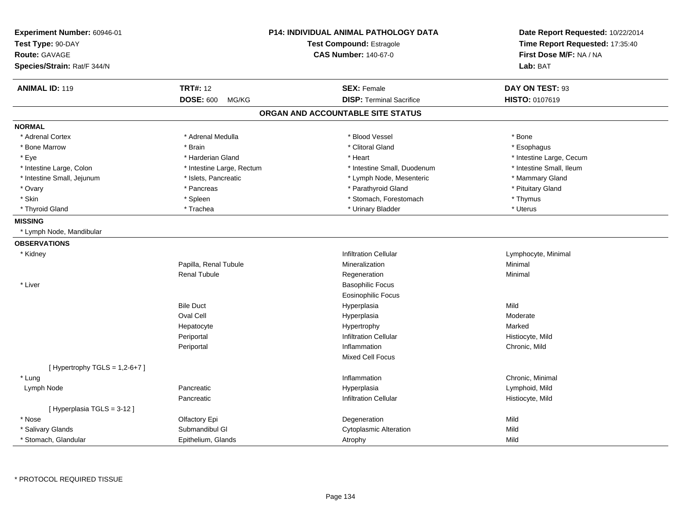| <b>Experiment Number: 60946-01</b><br>Test Type: 90-DAY<br><b>Route: GAVAGE</b><br>Species/Strain: Rat/F 344/N |                           | P14: INDIVIDUAL ANIMAL PATHOLOGY DATA<br><b>Test Compound: Estragole</b><br><b>CAS Number: 140-67-0</b> | Date Report Requested: 10/22/2014<br>Time Report Requested: 17:35:40<br>First Dose M/F: NA / NA<br>Lab: BAT |
|----------------------------------------------------------------------------------------------------------------|---------------------------|---------------------------------------------------------------------------------------------------------|-------------------------------------------------------------------------------------------------------------|
| <b>ANIMAL ID: 119</b>                                                                                          | <b>TRT#: 12</b>           | <b>SEX: Female</b>                                                                                      | DAY ON TEST: 93                                                                                             |
|                                                                                                                | <b>DOSE: 600</b><br>MG/KG | <b>DISP: Terminal Sacrifice</b>                                                                         | HISTO: 0107619                                                                                              |
|                                                                                                                |                           | ORGAN AND ACCOUNTABLE SITE STATUS                                                                       |                                                                                                             |
| <b>NORMAL</b>                                                                                                  |                           |                                                                                                         |                                                                                                             |
| * Adrenal Cortex                                                                                               | * Adrenal Medulla         | * Blood Vessel                                                                                          | * Bone                                                                                                      |
| * Bone Marrow                                                                                                  | * Brain                   | * Clitoral Gland                                                                                        | * Esophagus                                                                                                 |
| * Eye                                                                                                          | * Harderian Gland         | * Heart                                                                                                 | * Intestine Large, Cecum                                                                                    |
| * Intestine Large, Colon                                                                                       | * Intestine Large, Rectum | * Intestine Small, Duodenum                                                                             | * Intestine Small, Ileum                                                                                    |
| * Intestine Small, Jejunum                                                                                     | * Islets, Pancreatic      | * Lymph Node, Mesenteric                                                                                | * Mammary Gland                                                                                             |
| * Ovary                                                                                                        | * Pancreas                | * Parathyroid Gland                                                                                     | * Pituitary Gland                                                                                           |
| * Skin                                                                                                         | * Spleen                  | * Stomach, Forestomach                                                                                  | * Thymus                                                                                                    |
| * Thyroid Gland                                                                                                | * Trachea                 | * Urinary Bladder                                                                                       | * Uterus                                                                                                    |
| <b>MISSING</b>                                                                                                 |                           |                                                                                                         |                                                                                                             |
| * Lymph Node, Mandibular                                                                                       |                           |                                                                                                         |                                                                                                             |
| <b>OBSERVATIONS</b>                                                                                            |                           |                                                                                                         |                                                                                                             |
| * Kidney                                                                                                       |                           | <b>Infiltration Cellular</b>                                                                            | Lymphocyte, Minimal                                                                                         |
|                                                                                                                | Papilla, Renal Tubule     | Mineralization                                                                                          | Minimal                                                                                                     |
|                                                                                                                | <b>Renal Tubule</b>       | Regeneration                                                                                            | Minimal                                                                                                     |
| * Liver                                                                                                        |                           | <b>Basophilic Focus</b>                                                                                 |                                                                                                             |
|                                                                                                                |                           | <b>Eosinophilic Focus</b>                                                                               |                                                                                                             |
|                                                                                                                | <b>Bile Duct</b>          | Hyperplasia                                                                                             | Mild                                                                                                        |
|                                                                                                                | <b>Oval Cell</b>          | Hyperplasia                                                                                             | Moderate                                                                                                    |
|                                                                                                                | Hepatocyte                | Hypertrophy                                                                                             | Marked                                                                                                      |
|                                                                                                                | Periportal                | <b>Infiltration Cellular</b>                                                                            | Histiocyte, Mild                                                                                            |
|                                                                                                                | Periportal                | Inflammation                                                                                            | Chronic, Mild                                                                                               |
|                                                                                                                |                           | Mixed Cell Focus                                                                                        |                                                                                                             |
| [Hypertrophy TGLS = $1,2-6+7$ ]                                                                                |                           |                                                                                                         |                                                                                                             |
| * Lung                                                                                                         |                           | Inflammation                                                                                            | Chronic, Minimal                                                                                            |
| Lymph Node                                                                                                     | Pancreatic                | Hyperplasia                                                                                             | Lymphoid, Mild                                                                                              |
|                                                                                                                | Pancreatic                | <b>Infiltration Cellular</b>                                                                            | Histiocyte, Mild                                                                                            |
| [Hyperplasia TGLS = 3-12]                                                                                      |                           |                                                                                                         |                                                                                                             |
| * Nose                                                                                                         | Olfactory Epi             | Degeneration                                                                                            | Mild                                                                                                        |
| * Salivary Glands                                                                                              | Submandibul GI            | <b>Cytoplasmic Alteration</b>                                                                           | Mild                                                                                                        |
| * Stomach, Glandular                                                                                           | Epithelium, Glands        | Atrophy                                                                                                 | Mild                                                                                                        |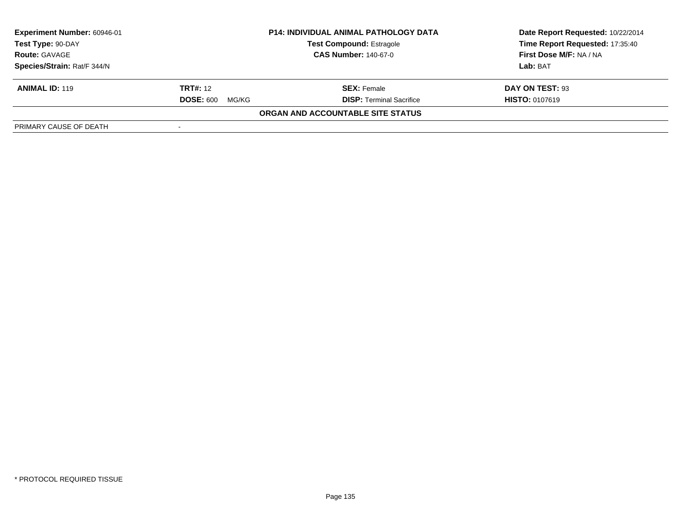| Experiment Number: 60946-01 |                           | <b>P14: INDIVIDUAL ANIMAL PATHOLOGY DATA</b> | Date Report Requested: 10/22/2014 |  |
|-----------------------------|---------------------------|----------------------------------------------|-----------------------------------|--|
| Test Type: 90-DAY           |                           | <b>Test Compound: Estragole</b>              | Time Report Requested: 17:35:40   |  |
| <b>Route: GAVAGE</b>        |                           | <b>CAS Number: 140-67-0</b>                  | <b>First Dose M/F: NA / NA</b>    |  |
| Species/Strain: Rat/F 344/N |                           |                                              | Lab: BAT                          |  |
| <b>ANIMAL ID: 119</b>       | <b>TRT#:</b> 12           | <b>SEX: Female</b>                           | DAY ON TEST: 93                   |  |
|                             | <b>DOSE: 600</b><br>MG/KG | <b>DISP: Terminal Sacrifice</b>              | <b>HISTO: 0107619</b>             |  |
|                             |                           | ORGAN AND ACCOUNTABLE SITE STATUS            |                                   |  |
| PRIMARY CAUSE OF DEATH      |                           |                                              |                                   |  |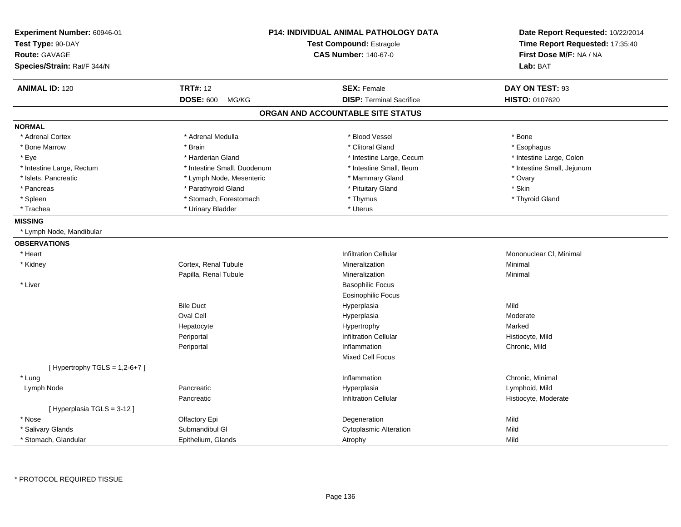| Experiment Number: 60946-01<br>Test Type: 90-DAY<br><b>Route: GAVAGE</b><br>Species/Strain: Rat/F 344/N |                             | <b>P14: INDIVIDUAL ANIMAL PATHOLOGY DATA</b><br><b>Test Compound: Estragole</b><br><b>CAS Number: 140-67-0</b> |                                 | Date Report Requested: 10/22/2014<br>Time Report Requested: 17:35:40<br>First Dose M/F: NA / NA<br>Lab: BAT |
|---------------------------------------------------------------------------------------------------------|-----------------------------|----------------------------------------------------------------------------------------------------------------|---------------------------------|-------------------------------------------------------------------------------------------------------------|
|                                                                                                         |                             |                                                                                                                |                                 |                                                                                                             |
| <b>ANIMAL ID: 120</b>                                                                                   | <b>TRT#: 12</b>             |                                                                                                                | <b>SEX: Female</b>              | DAY ON TEST: 93                                                                                             |
|                                                                                                         | <b>DOSE: 600</b><br>MG/KG   |                                                                                                                | <b>DISP: Terminal Sacrifice</b> | <b>HISTO: 0107620</b>                                                                                       |
|                                                                                                         |                             | ORGAN AND ACCOUNTABLE SITE STATUS                                                                              |                                 |                                                                                                             |
| <b>NORMAL</b>                                                                                           |                             |                                                                                                                |                                 |                                                                                                             |
| * Adrenal Cortex                                                                                        | * Adrenal Medulla           |                                                                                                                | * Blood Vessel                  | * Bone                                                                                                      |
| * Bone Marrow                                                                                           | * Brain                     |                                                                                                                | * Clitoral Gland                | * Esophagus                                                                                                 |
| * Eye                                                                                                   | * Harderian Gland           |                                                                                                                | * Intestine Large, Cecum        | * Intestine Large, Colon                                                                                    |
| * Intestine Large, Rectum                                                                               | * Intestine Small, Duodenum |                                                                                                                | * Intestine Small, Ileum        | * Intestine Small, Jejunum                                                                                  |
| * Islets, Pancreatic                                                                                    | * Lymph Node, Mesenteric    |                                                                                                                | * Mammary Gland                 | * Ovary                                                                                                     |
| * Pancreas                                                                                              | * Parathyroid Gland         |                                                                                                                | * Pituitary Gland               | * Skin                                                                                                      |
| * Spleen                                                                                                | * Stomach, Forestomach      |                                                                                                                | * Thymus                        | * Thyroid Gland                                                                                             |
| * Trachea                                                                                               | * Urinary Bladder           |                                                                                                                | * Uterus                        |                                                                                                             |
| <b>MISSING</b>                                                                                          |                             |                                                                                                                |                                 |                                                                                                             |
| * Lymph Node, Mandibular                                                                                |                             |                                                                                                                |                                 |                                                                                                             |
| <b>OBSERVATIONS</b>                                                                                     |                             |                                                                                                                |                                 |                                                                                                             |
| * Heart                                                                                                 |                             |                                                                                                                | <b>Infiltration Cellular</b>    | Mononuclear CI, Minimal                                                                                     |
| * Kidney                                                                                                | Cortex, Renal Tubule        |                                                                                                                | Mineralization                  | Minimal                                                                                                     |
|                                                                                                         | Papilla, Renal Tubule       |                                                                                                                | Mineralization                  | Minimal                                                                                                     |
| * Liver                                                                                                 |                             |                                                                                                                | <b>Basophilic Focus</b>         |                                                                                                             |
|                                                                                                         |                             |                                                                                                                | <b>Eosinophilic Focus</b>       |                                                                                                             |
|                                                                                                         | <b>Bile Duct</b>            |                                                                                                                | Hyperplasia                     | Mild                                                                                                        |
|                                                                                                         | Oval Cell                   |                                                                                                                | Hyperplasia                     | Moderate                                                                                                    |
|                                                                                                         | Hepatocyte                  |                                                                                                                | Hypertrophy                     | Marked                                                                                                      |
|                                                                                                         | Periportal                  |                                                                                                                | <b>Infiltration Cellular</b>    | Histiocyte, Mild                                                                                            |
|                                                                                                         | Periportal                  |                                                                                                                | Inflammation                    | Chronic, Mild                                                                                               |
|                                                                                                         |                             |                                                                                                                | Mixed Cell Focus                |                                                                                                             |
| [Hypertrophy TGLS = $1,2-6+7$ ]                                                                         |                             |                                                                                                                |                                 |                                                                                                             |
| * Lung                                                                                                  |                             |                                                                                                                | Inflammation                    | Chronic, Minimal                                                                                            |
| Lymph Node                                                                                              | Pancreatic                  |                                                                                                                | Hyperplasia                     | Lymphoid, Mild                                                                                              |
|                                                                                                         | Pancreatic                  |                                                                                                                | <b>Infiltration Cellular</b>    | Histiocyte, Moderate                                                                                        |
| [Hyperplasia TGLS = 3-12]                                                                               |                             |                                                                                                                |                                 |                                                                                                             |
| * Nose                                                                                                  | Olfactory Epi               |                                                                                                                | Degeneration                    | Mild                                                                                                        |
| * Salivary Glands                                                                                       | Submandibul GI              |                                                                                                                | <b>Cytoplasmic Alteration</b>   | Mild                                                                                                        |
| * Stomach, Glandular                                                                                    | Epithelium, Glands          |                                                                                                                | Atrophy                         | Mild                                                                                                        |